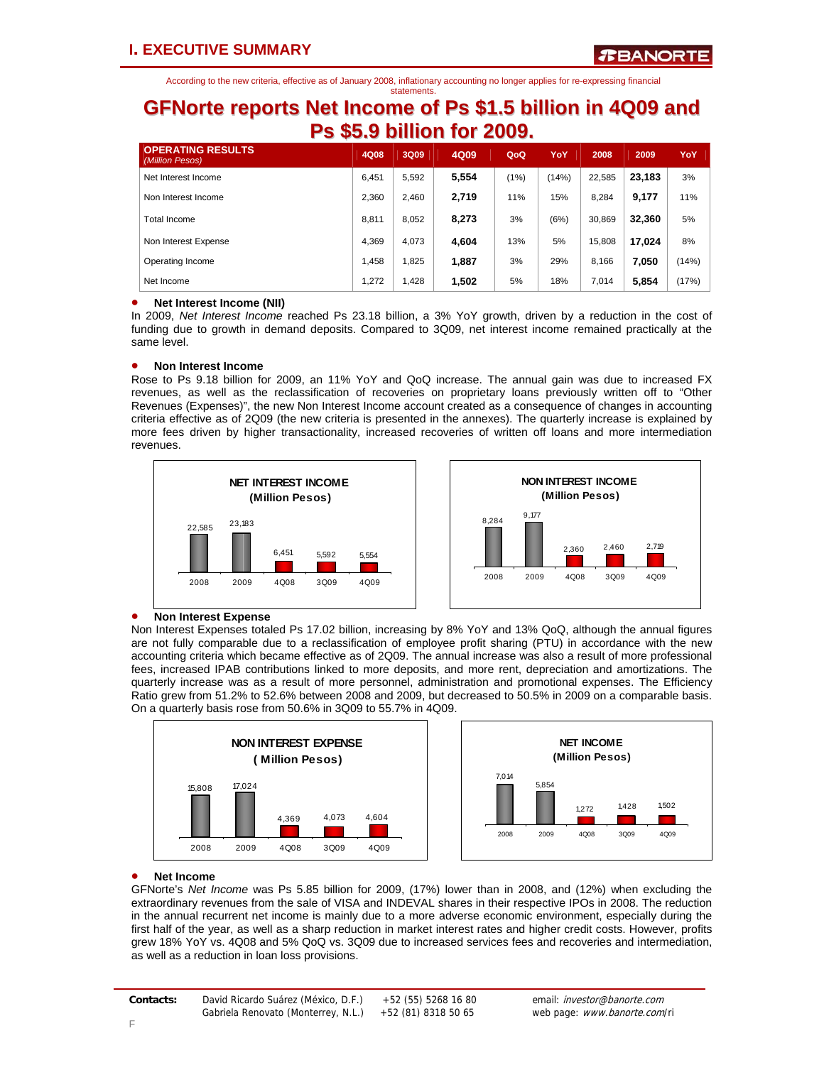### **GFNorte reports Net Income of Ps \$1.5 billion in 4Q09 and Ps \$5.9 billion for 2009.**

| <b>OPERATING RESULTS</b><br>(Million Pesos) | 4Q08  | 3Q09  | 4Q09  | QoQ  | YoY   | 2008   | 2009   | YoY   |
|---------------------------------------------|-------|-------|-------|------|-------|--------|--------|-------|
| Net Interest Income                         | 6,451 | 5.592 | 5,554 | (1%) | (14%) | 22,585 | 23,183 | 3%    |
| Non Interest Income                         | 2.360 | 2.460 | 2,719 | 11%  | 15%   | 8.284  | 9,177  | 11%   |
| Total Income                                | 8.811 | 8.052 | 8,273 | 3%   | (6%)  | 30,869 | 32,360 | 5%    |
| Non Interest Expense                        | 4.369 | 4.073 | 4,604 | 13%  | 5%    | 15.808 | 17.024 | 8%    |
| Operating Income                            | 1.458 | 1.825 | 1,887 | 3%   | 29%   | 8.166  | 7,050  | (14%) |
| Net Income                                  | 1.272 | 1,428 | 1,502 | 5%   | 18%   | 7.014  | 5.854  | (17%) |

### • **Net Interest Income (NII)**

In 2009, *Net Interest Income* reached Ps 23.18 billion, a 3% YoY growth, driven by a reduction in the cost of funding due to growth in demand deposits. Compared to 3Q09, net interest income remained practically at the same level.

### • **Non Interest Income**

Rose to Ps 9.18 billion for 2009, an 11% YoY and QoQ increase. The annual gain was due to increased FX revenues, as well as the reclassification of recoveries on proprietary loans previously written off to "Other Revenues (Expenses)", the new Non Interest Income account created as a consequence of changes in accounting criteria effective as of 2Q09 (the new criteria is presented in the annexes). The quarterly increase is explained by more fees driven by higher transactionality, increased recoveries of written off loans and more intermediation revenues.





### • **Non Interest Expense**

Non Interest Expenses totaled Ps 17.02 billion, increasing by 8% YoY and 13% QoQ, although the annual figures are not fully comparable due to a reclassification of employee profit sharing (PTU) in accordance with the new accounting criteria which became effective as of 2Q09. The annual increase was also a result of more professional fees, increased IPAB contributions linked to more deposits, and more rent, depreciation and amortizations. The quarterly increase was as a result of more personnel, administration and promotional expenses. The Efficiency Ratio grew from 51.2% to 52.6% between 2008 and 2009, but decreased to 50.5% in 2009 on a comparable basis. On a quarterly basis rose from 50.6% in 3Q09 to 55.7% in 4Q09.





### • **Net Income**

GFNorte's *Net Income* was Ps 5.85 billion for 2009, (17%) lower than in 2008, and (12%) when excluding the extraordinary revenues from the sale of VISA and INDEVAL shares in their respective IPOs in 2008. The reduction in the annual recurrent net income is mainly due to a more adverse economic environment, especially during the first half of the year, as well as a sharp reduction in market interest rates and higher credit costs. However, profits grew 18% YoY vs. 4Q08 and 5% QoQ vs. 3Q09 due to increased services fees and recoveries and intermediation, as well as a reduction in loan loss provisions.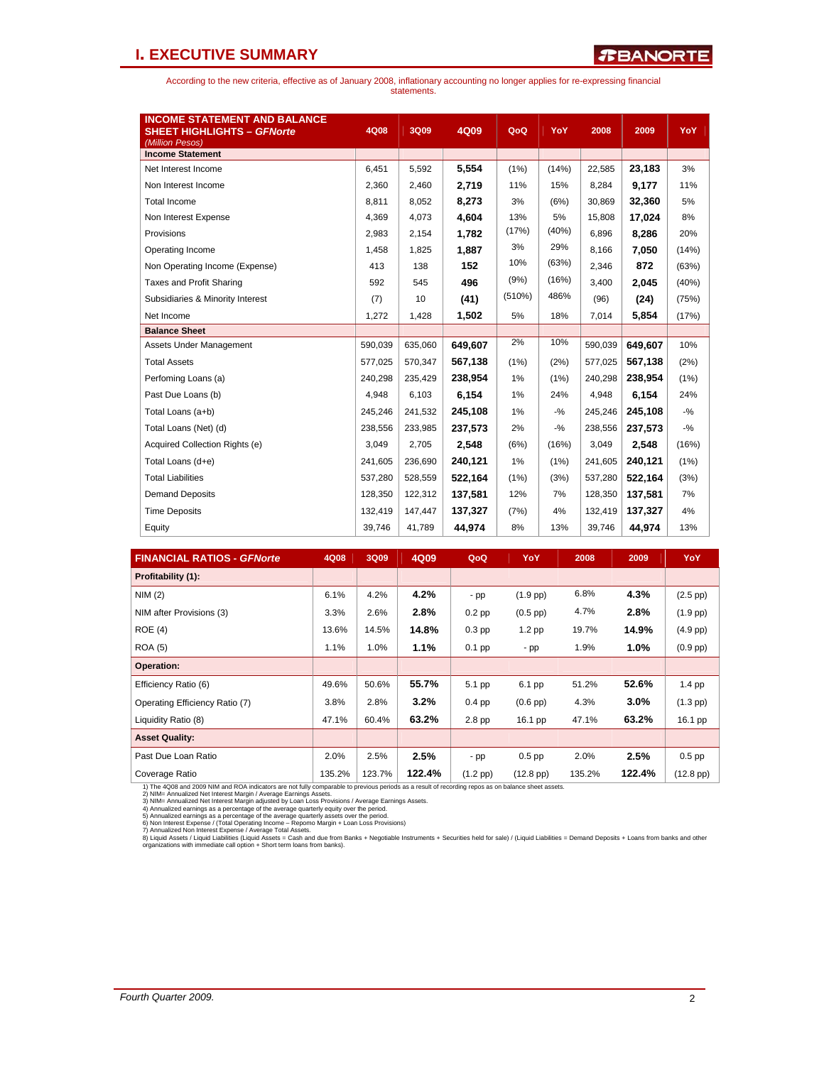### **I. EXECUTIVE SUMMARY**

According to the new criteria, effective as of January 2008, inflationary accounting no longer applies for re-expressing financial statements.

| <b>INCOME STATEMENT AND BALANCE</b> |         |         |         |        |        |         |         |        |
|-------------------------------------|---------|---------|---------|--------|--------|---------|---------|--------|
| <b>SHEET HIGHLIGHTS - GFNorte</b>   | 4Q08    | 3Q09    | 4Q09    | QoQ    | YoY    | 2008    | 2009    | YoY    |
| (Million Pesos)                     |         |         |         |        |        |         |         |        |
| <b>Income Statement</b>             |         |         |         |        |        |         |         |        |
| Net Interest Income                 | 6,451   | 5,592   | 5,554   | (1%)   | (14%)  | 22,585  | 23,183  | 3%     |
| Non Interest Income                 | 2,360   | 2,460   | 2,719   | 11%    | 15%    | 8,284   | 9.177   | 11%    |
| <b>Total Income</b>                 | 8,811   | 8,052   | 8,273   | 3%     | (6%)   | 30,869  | 32,360  | 5%     |
| Non Interest Expense                | 4,369   | 4,073   | 4,604   | 13%    | 5%     | 15,808  | 17,024  | 8%     |
| Provisions                          | 2,983   | 2,154   | 1.782   | (17%)  | (40%)  | 6,896   | 8.286   | 20%    |
| Operating Income                    | 1,458   | 1,825   | 1,887   | 3%     | 29%    | 8,166   | 7,050   | (14%)  |
| Non Operating Income (Expense)      | 413     | 138     | 152     | 10%    | (63%)  | 2,346   | 872     | (63%)  |
| <b>Taxes and Profit Sharing</b>     | 592     | 545     | 496     | (9%)   | (16%)  | 3,400   | 2.045   | (40%)  |
| Subsidiaries & Minority Interest    | (7)     | 10      | (41)    | (510%) | 486%   | (96)    | (24)    | (75%)  |
| Net Income                          | 1,272   | 1,428   | 1,502   | 5%     | 18%    | 7,014   | 5,854   | (17%)  |
| <b>Balance Sheet</b>                |         |         |         |        |        |         |         |        |
| Assets Under Management             | 590,039 | 635,060 | 649,607 | 2%     | 10%    | 590,039 | 649,607 | 10%    |
| <b>Total Assets</b>                 | 577,025 | 570,347 | 567.138 | (1%)   | (2%)   | 577,025 | 567.138 | (2%)   |
| Perfoming Loans (a)                 | 240.298 | 235,429 | 238,954 | 1%     | (1%)   | 240.298 | 238,954 | (1%)   |
| Past Due Loans (b)                  | 4.948   | 6,103   | 6,154   | 1%     | 24%    | 4,948   | 6,154   | 24%    |
| Total Loans (a+b)                   | 245,246 | 241,532 | 245,108 | 1%     | $-9/6$ | 245,246 | 245,108 | $-9/6$ |
| Total Loans (Net) (d)               | 238,556 | 233,985 | 237,573 | 2%     | $-9/6$ | 238,556 | 237,573 | $-9/6$ |
| Acquired Collection Rights (e)      | 3,049   | 2,705   | 2,548   | (6%)   | (16%)  | 3,049   | 2.548   | (16%)  |
| Total Loans (d+e)                   | 241,605 | 236,690 | 240,121 | 1%     | (1%)   | 241,605 | 240.121 | (1%)   |
| <b>Total Liabilities</b>            | 537.280 | 528.559 | 522,164 | (1%)   | (3%)   | 537,280 | 522,164 | (3%)   |
| <b>Demand Deposits</b>              | 128,350 | 122,312 | 137,581 | 12%    | 7%     | 128,350 | 137,581 | 7%     |
| <b>Time Deposits</b>                | 132,419 | 147,447 | 137,327 | (7%)   | 4%     | 132,419 | 137,327 | 4%     |
| Equity                              | 39,746  | 41,789  | 44,974  | 8%     | 13%    | 39,746  | 44,974  | 13%    |

| <b>FINANCIAL RATIOS - GFNorte</b> | 4Q08   | <b>3Q09</b> | 4Q09    | QoQ        | YoY                | 2008   | 2009    | YoY                |
|-----------------------------------|--------|-------------|---------|------------|--------------------|--------|---------|--------------------|
| Profitability (1):                |        |             |         |            |                    |        |         |                    |
| NIM(2)                            | 6.1%   | 4.2%        | 4.2%    | $-pp$      | $(1.9$ pp)         | 6.8%   | 4.3%    | $(2.5$ pp $)$      |
| NIM after Provisions (3)          | 3.3%   | 2.6%        | 2.8%    | $0.2$ pp   | $(0.5$ pp)         | 4.7%   | 2.8%    | $(1.9$ pp $)$      |
| ROE(4)                            | 13.6%  | 14.5%       | 14.8%   | $0.3$ pp   | $1.2$ pp           | 19.7%  | 14.9%   | $(4.9$ pp $)$      |
| <b>ROA (5)</b>                    | 1.1%   | 1.0%        | 1.1%    | $0.1$ pp   | - pp               | 1.9%   | $1.0\%$ | $(0.9$ pp $)$      |
| <b>Operation:</b>                 |        |             |         |            |                    |        |         |                    |
| Efficiency Ratio (6)              | 49.6%  | 50.6%       | 55.7%   | 5.1 pp     | 6.1 pp             | 51.2%  | 52.6%   | $1.4$ pp           |
| Operating Efficiency Ratio (7)    | 3.8%   | 2.8%        | $3.2\%$ | $0.4$ pp   | $(0.6$ pp $)$      | 4.3%   | $3.0\%$ | $(1.3$ pp)         |
| Liquidity Ratio (8)               | 47.1%  | 60.4%       | 63.2%   | $2.8$ pp   | 16.1 pp            | 47.1%  | 63.2%   | 16.1 pp            |
| <b>Asset Quality:</b>             |        |             |         |            |                    |        |         |                    |
| Past Due Loan Ratio               | 2.0%   | 2.5%        | 2.5%    | $-pp$      | $0.5$ pp           | 2.0%   | 2.5%    | $0.5$ pp           |
| Coverage Ratio                    | 135.2% | 123.7%      | 122.4%  | $(1.2$ pp) | $(12.8~\text{pp})$ | 135.2% | 122.4%  | $(12.8~\text{pp})$ |

1) The 4008 and 2009 NIM and ROA indicators are not fully comparable to previous periods as a result of recording repos as on balance sheet assets.<br>2) NIM= Annualized Net Interest Margin / Average Earnings Assets.<br>3) NIM=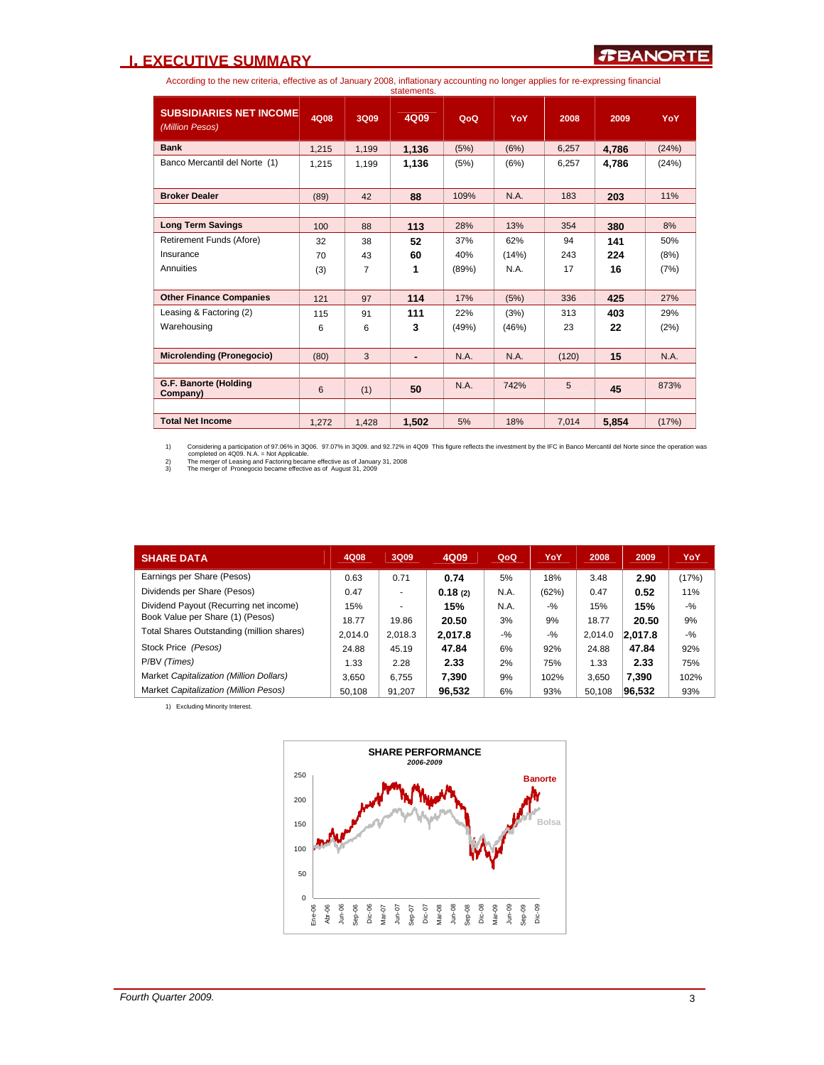### **I. EXECUTIVE SUMMARY**

According to the new criteria, effective as of January 2008, inflationary accounting no longer applies for re-expressing financial statements.

|                                                   |       |       | งเนเบกาบกเง. |             |       |       |       |       |
|---------------------------------------------------|-------|-------|--------------|-------------|-------|-------|-------|-------|
| <b>SUBSIDIARIES NET INCOME</b><br>(Million Pesos) | 4Q08  | 3Q09  | 4Q09         | QoQ         | YoY   | 2008  | 2009  | YoY   |
| <b>Bank</b>                                       | 1,215 | 1,199 | 1,136        | (5%)        | (6%)  | 6,257 | 4,786 | (24%) |
| Banco Mercantil del Norte (1)                     | 1,215 | 1,199 | 1,136        | (5%)        | (6%)  | 6,257 | 4,786 | (24%) |
|                                                   |       |       |              |             |       |       |       |       |
| <b>Broker Dealer</b>                              | (89)  | 42    | 88           | 109%        | N.A.  | 183   | 203   | 11%   |
|                                                   |       |       |              |             |       |       |       |       |
| <b>Long Term Savings</b>                          | 100   | 88    | 113          | 28%         | 13%   | 354   | 380   | 8%    |
| Retirement Funds (Afore)                          | 32    | 38    | 52           | 37%         | 62%   | 94    | 141   | 50%   |
| Insurance                                         | 70    | 43    | 60           | 40%         | (14%) | 243   | 224   | (8%)  |
| Annuities                                         | (3)   | 7     | 1            | (89%)       | N.A.  | 17    | 16    | (7%)  |
|                                                   |       |       |              |             |       |       |       |       |
| <b>Other Finance Companies</b>                    | 121   | 97    | 114          | 17%         | (5%)  | 336   | 425   | 27%   |
| Leasing & Factoring (2)                           | 115   | 91    | 111          | 22%         | (3%)  | 313   | 403   | 29%   |
| Warehousing                                       | 6     | 6     | 3            | (49%)       | (46%) | 23    | 22    | (2%)  |
|                                                   |       |       |              |             |       |       |       |       |
| <b>Microlending (Pronegocio)</b>                  | (80)  | 3     |              | <b>N.A.</b> | N.A.  | (120) | 15    | N.A.  |
|                                                   |       |       |              |             |       |       |       |       |
| G.F. Banorte (Holding<br>Company)                 | 6     | (1)   | 50           | N.A.        | 742%  | 5     | 45    | 873%  |
|                                                   |       |       |              |             |       |       |       |       |
| <b>Total Net Income</b>                           | 1.272 | 1,428 | 1,502        | 5%          | 18%   | 7,014 | 5,854 | (17%) |

1) Considering a participation of 97.06% in 3006. 97.07% in 3009. and 92.72% in 4009 This figure reflects the investment by the IFC in Banco Mercantil del Norte since the operation was<br>2) The merger of Leasing and Factorin

| <b>SHARE DATA</b>                         | 4Q08    | 3Q09    | 4Q09    | QoQ   | YoY    | 2008    | 2009    | YoY    |
|-------------------------------------------|---------|---------|---------|-------|--------|---------|---------|--------|
| Earnings per Share (Pesos)                | 0.63    | 0.71    | 0.74    | 5%    | 18%    | 3.48    | 2.90    | (17%)  |
| Dividends per Share (Pesos)               | 0.47    | ۰       | 0.18(2) | N.A.  | (62%)  | 0.47    | 0.52    | 11%    |
| Dividend Payout (Recurring net income)    | 15%     | ۰       | 15%     | N.A.  | $-$ %  | 15%     | 15%     | $-9/6$ |
| Book Value per Share (1) (Pesos)          | 18.77   | 19.86   | 20.50   | 3%    | 9%     | 18.77   | 20.50   | 9%     |
| Total Shares Outstanding (million shares) | 2,014.0 | 2.018.3 | 2.017.8 | $-$ % | $-9/6$ | 2.014.0 | 2.017.8 | $-9/6$ |
| Stock Price (Pesos)                       | 24.88   | 45.19   | 47.84   | 6%    | 92%    | 24.88   | 47.84   | 92%    |
| P/BV (Times)                              | 1.33    | 2.28    | 2.33    | 2%    | 75%    | 1.33    | 2.33    | 75%    |
| Market Capitalization (Million Dollars)   | 3.650   | 6,755   | 7.390   | 9%    | 102%   | 3.650   | 7.390   | 102%   |
| Market Capitalization (Million Pesos)     | 50.108  | 91.207  | 96.532  | 6%    | 93%    | 50.108  | 96.532  | 93%    |

1) Excluding Minority Interest.

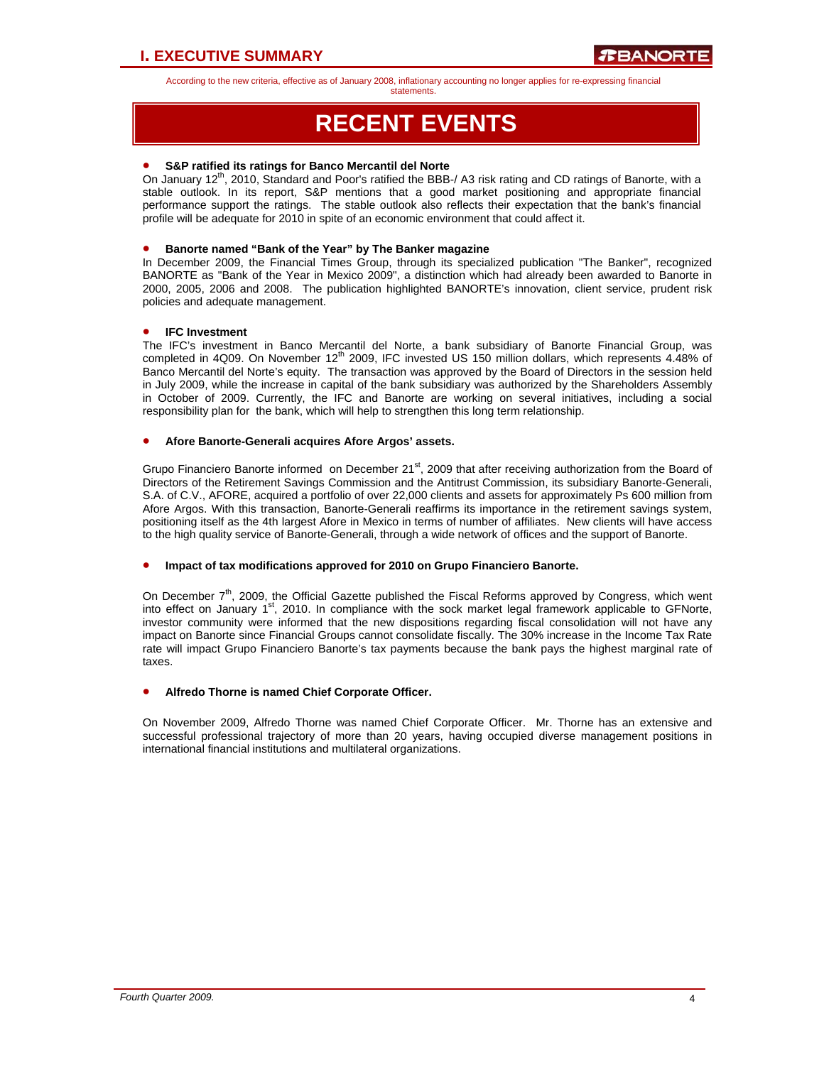statements.

# **RECENT EVENTS**

### • **S&P ratified its ratings for Banco Mercantil del Norte**

On January 12<sup>th</sup>, 2010, Standard and Poor's ratified the BBB-/ A3 risk rating and CD ratings of Banorte, with a stable outlook. In its report, S&P mentions that a good market positioning and appropriate financial performance support the ratings. The stable outlook also reflects their expectation that the bank's financial profile will be adequate for 2010 in spite of an economic environment that could affect it.

### • **Banorte named "Bank of the Year" by The Banker magazine**

In December 2009, the Financial Times Group, through its specialized publication "The Banker", recognized BANORTE as "Bank of the Year in Mexico 2009", a distinction which had already been awarded to Banorte in 2000, 2005, 2006 and 2008. The publication highlighted BANORTE's innovation, client service, prudent risk policies and adequate management.

### • **IFC Investment**

The IFC's investment in Banco Mercantil del Norte, a bank subsidiary of Banorte Financial Group, was completed in 4Q09. On November 12<sup>th</sup> 2009, IFC invested US 150 million dollars, which represents 4.48% of Banco Mercantil del Norte's equity. The transaction was approved by the Board of Directors in the session held in July 2009, while the increase in capital of the bank subsidiary was authorized by the Shareholders Assembly in October of 2009. Currently, the IFC and Banorte are working on several initiatives, including a social responsibility plan for the bank, which will help to strengthen this long term relationship.

### • **Afore Banorte-Generali acquires Afore Argos' assets.**

Grupo Financiero Banorte informed on December 21<sup>st</sup>, 2009 that after receiving authorization from the Board of Directors of the Retirement Savings Commission and the Antitrust Commission, its subsidiary Banorte-Generali, S.A. of C.V., AFORE, acquired a portfolio of over 22,000 clients and assets for approximately Ps 600 million from Afore Argos. With this transaction, Banorte-Generali reaffirms its importance in the retirement savings system, positioning itself as the 4th largest Afore in Mexico in terms of number of affiliates. New clients will have access to the high quality service of Banorte-Generali, through a wide network of offices and the support of Banorte.

### • **Impact of tax modifications approved for 2010 on Grupo Financiero Banorte.**

On December  $7<sup>th</sup>$ , 2009, the Official Gazette published the Fiscal Reforms approved by Congress, which went into effect on January  $1<sup>st</sup>$ , 2010. In compliance with the sock market legal framework applicable to GFNorte, investor community were informed that the new dispositions regarding fiscal consolidation will not have any impact on Banorte since Financial Groups cannot consolidate fiscally. The 30% increase in the Income Tax Rate rate will impact Grupo Financiero Banorte's tax payments because the bank pays the highest marginal rate of taxes.

### • **Alfredo Thorne is named Chief Corporate Officer.**

On November 2009, Alfredo Thorne was named Chief Corporate Officer. Mr. Thorne has an extensive and successful professional trajectory of more than 20 years, having occupied diverse management positions in international financial institutions and multilateral organizations.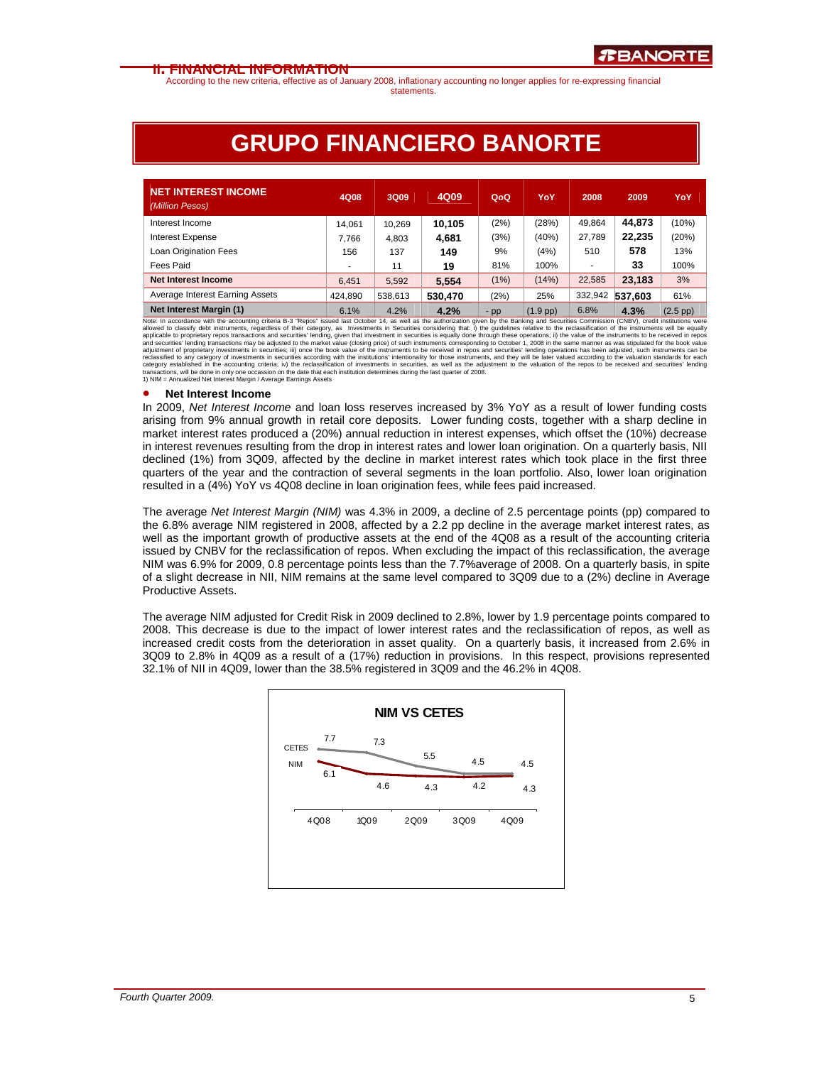According to the new criteria, effective as of January 2008, inflationary accounting no longer applies for re-expressing financial statements.

# **GRUPO FINANCIERO BANORTE**

| <b>NET INTEREST INCOME</b><br>(Million Pesos) | 4Q08                     | 3Q09    | 4Q09    | QoQ   | YoY        | 2008    | 2009    | YoY        |
|-----------------------------------------------|--------------------------|---------|---------|-------|------------|---------|---------|------------|
| Interest Income                               | 14.061                   | 10,269  | 10.105  | (2%)  | (28%)      | 49.864  | 44.873  | (10%)      |
| <b>Interest Expense</b>                       | 7.766                    | 4,803   | 4,681   | (3%)  | (40%)      | 27.789  | 22.235  | (20%)      |
| Loan Origination Fees                         | 156                      | 137     | 149     | 9%    | (4%)       | 510     | 578     | 13%        |
| Fees Paid                                     | $\overline{\phantom{a}}$ | 11      | 19      | 81%   | 100%       | ٠       | 33      | 100%       |
| <b>Net Interest Income</b>                    | 6.451                    | 5,592   | 5.554   | (1%)  | (14%)      | 22,585  | 23.183  | 3%         |
| Average Interest Earning Assets               | 424.890                  | 538,613 | 530,470 | (2%)  | 25%        | 332,942 | 537.603 | 61%        |
| <b>Net Interest Margin (1)</b>                | 6.1%                     | 4.2%    | 4.2%    | $-pp$ | $(1.9$ pp) | 6.8%    | 4.3%    | $(2.5$ pp) |

**Net Interest Margin (1)** (1.9 pp) 6.8% **4.2% 19.9 million 6.1% 4.2% 19.9 million 6.8% 4.3% 2.5 pp) 6.8% 4.3% 2.5 pp) 6.8% 4.3% 2.5 pp 1.9 pp 1.9 pp 1.9 pp 1.9 pp 1.9 pp 1.9 pp 1.9 pp 1.9 pp 1.9 pp 1.9 pp 1.9 pp 1.9 pp 1.9** 

#### • **Net Interest Income**

In 2009, *Net Interest Income* and loan loss reserves increased by 3% YoY as a result of lower funding costs arising from 9% annual growth in retail core deposits. Lower funding costs, together with a sharp decline in market interest rates produced a (20%) annual reduction in interest expenses, which offset the (10%) decrease in interest revenues resulting from the drop in interest rates and lower loan origination. On a quarterly basis, NII declined (1%) from 3Q09, affected by the decline in market interest rates which took place in the first three quarters of the year and the contraction of several segments in the loan portfolio. Also, lower loan origination resulted in a (4%) YoY vs 4Q08 decline in loan origination fees, while fees paid increased.

The average *Net Interest Margin (NIM)* was 4.3% in 2009, a decline of 2.5 percentage points (pp) compared to the 6.8% average NIM registered in 2008, affected by a 2.2 pp decline in the average market interest rates, as well as the important growth of productive assets at the end of the 4Q08 as a result of the accounting criteria issued by CNBV for the reclassification of repos. When excluding the impact of this reclassification, the average NIM was 6.9% for 2009, 0.8 percentage points less than the 7.7%average of 2008. On a quarterly basis, in spite of a slight decrease in NII, NIM remains at the same level compared to 3Q09 due to a (2%) decline in Average Productive Assets.

The average NIM adjusted for Credit Risk in 2009 declined to 2.8%, lower by 1.9 percentage points compared to 2008. This decrease is due to the impact of lower interest rates and the reclassification of repos, as well as increased credit costs from the deterioration in asset quality. On a quarterly basis, it increased from 2.6% in 3Q09 to 2.8% in 4Q09 as a result of a (17%) reduction in provisions. In this respect, provisions represented 32.1% of NII in 4Q09, lower than the 38.5% registered in 3Q09 and the 46.2% in 4Q08.

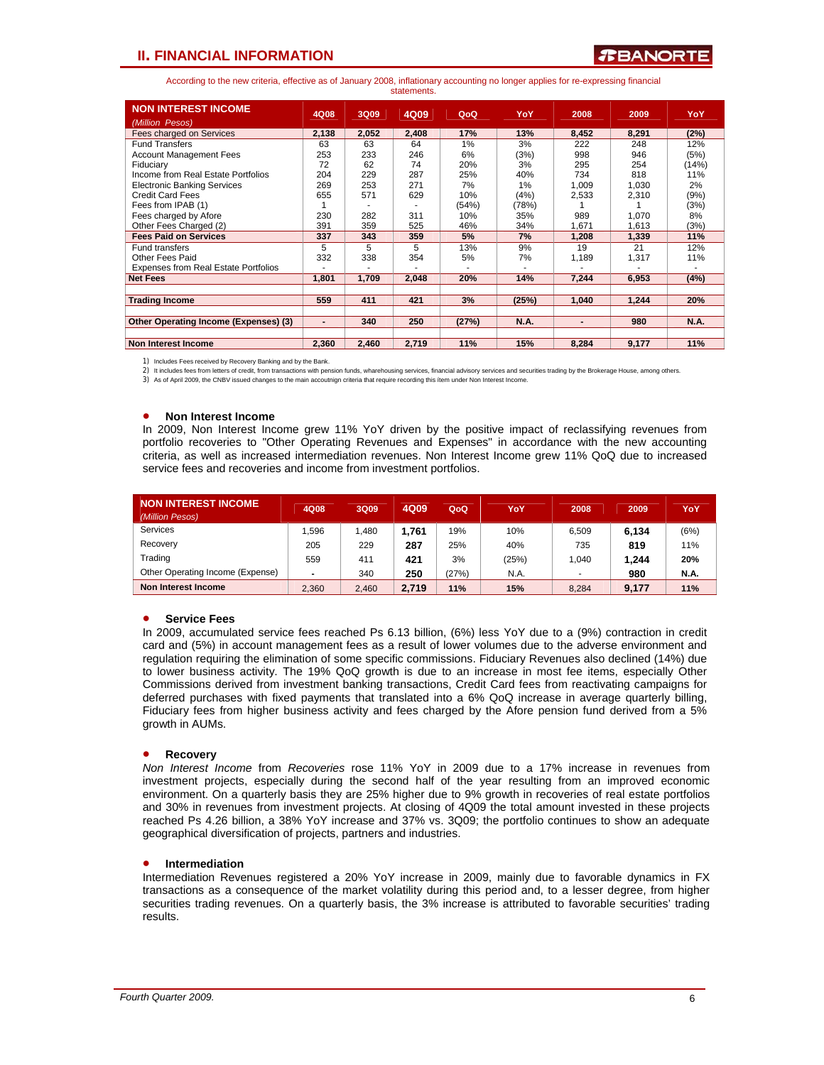### **TEANORTE**

According to the new criteria, effective as of January 2008, inflationary accounting no longer applies for re-expressing financial statements.

| <b>NON INTEREST INCOME</b>                  | 4Q08           | 3Q09  | 4Q09  | QoQ   | YoY         | 2008           | 2009  | YoY         |
|---------------------------------------------|----------------|-------|-------|-------|-------------|----------------|-------|-------------|
| (Million Pesos)                             |                |       |       |       |             |                |       |             |
| Fees charged on Services                    | 2,138          | 2,052 | 2,408 | 17%   | 13%         | 8,452          | 8,291 | (2%)        |
| <b>Fund Transfers</b>                       | 63             | 63    | 64    | 1%    | 3%          | 222            | 248   | 12%         |
| <b>Account Management Fees</b>              | 253            | 233   | 246   | 6%    | (3%)        | 998            | 946   | (5%)        |
| Fiduciary                                   | 72             | 62    | 74    | 20%   | 3%          | 295            | 254   | (14%)       |
| Income from Real Estate Portfolios          | 204            | 229   | 287   | 25%   | 40%         | 734            | 818   | 11%         |
| <b>Electronic Banking Services</b>          | 269            | 253   | 271   | 7%    | 1%          | 1.009          | 1,030 | 2%          |
| <b>Credit Card Fees</b>                     | 655            | 571   | 629   | 10%   | (4%)        | 2,533          | 2,310 | (9%)        |
| Fees from IPAB (1)                          |                |       |       | (54%) | (78%)       |                |       | (3%)        |
| Fees charged by Afore                       | 230            | 282   | 311   | 10%   | 35%         | 989            | 1,070 | 8%          |
| Other Fees Charged (2)                      | 391            | 359   | 525   | 46%   | 34%         | 1.671          | 1.613 | (3%)        |
| <b>Fees Paid on Services</b>                | 337            | 343   | 359   | 5%    | 7%          | 1,208          | 1,339 | 11%         |
| <b>Fund transfers</b>                       | 5              | 5     | 5     | 13%   | 9%          | 19             | 21    | 12%         |
| Other Fees Paid                             | 332            | 338   | 354   | 5%    | 7%          | 1,189          | 1,317 | 11%         |
| <b>Expenses from Real Estate Portfolios</b> |                |       |       |       |             |                |       |             |
| <b>Net Fees</b>                             | 1,801          | 1.709 | 2.048 | 20%   | 14%         | 7.244          | 6,953 | (4%)        |
|                                             |                |       |       |       |             |                |       |             |
| <b>Trading Income</b>                       | 559            | 411   | 421   | 3%    | (25%)       | 1.040          | 1.244 | 20%         |
|                                             |                |       |       |       |             |                |       |             |
| Other Operating Income (Expenses) (3)       | $\blacksquare$ | 340   | 250   | (27%) | <b>N.A.</b> | $\blacksquare$ | 980   | <b>N.A.</b> |
|                                             |                |       |       |       |             |                |       |             |
| <b>Non Interest Income</b>                  | 2.360          | 2,460 | 2,719 | 11%   | 15%         | 8,284          | 9,177 | 11%         |

1) Includes Fees received by Recovery Banking and by the Bank.

2) It includes fees from letters of credit, from transactions with pension funds, wharehousing services, financial advisory services and securities trading by the Brokerage House, among others

3) As of April 2009, the CNBV issued changes to the main accoutnign criteria that require recording this ítem under Non Interest Income.

### • **Non Interest Income**

In 2009, Non Interest Income grew 11% YoY driven by the positive impact of reclassifying revenues from portfolio recoveries to "Other Operating Revenues and Expenses" in accordance with the new accounting criteria, as well as increased intermediation revenues. Non Interest Income grew 11% QoQ due to increased service fees and recoveries and income from investment portfolios.

| <b>NON INTEREST INCOME</b><br>(Million Pesos) | 4Q08  | 3Q09  | 4Q09  | QoQ   | YoY   | 2008  | 2009  | YoY         |
|-----------------------------------------------|-------|-------|-------|-------|-------|-------|-------|-------------|
| <b>Services</b>                               | .596  | 1.480 | 1.761 | 19%   | 10%   | 6.509 | 6,134 | (6%)        |
| Recovery                                      | 205   | 229   | 287   | 25%   | 40%   | 735   | 819   | 11%         |
| Trading                                       | 559   | 411   | 421   | 3%    | (25%) | 1.040 | 1.244 | 20%         |
| Other Operating Income (Expense)              |       | 340   | 250   | (27%) | N.A.  |       | 980   | <b>N.A.</b> |
| Non Interest Income                           | 2.360 | 2,460 | 2.719 | 11%   | 15%   | 8.284 | 9.177 | 11%         |

### • **Service Fees**

In 2009, accumulated service fees reached Ps 6.13 billion, (6%) less YoY due to a (9%) contraction in credit card and (5%) in account management fees as a result of lower volumes due to the adverse environment and regulation requiring the elimination of some specific commissions. Fiduciary Revenues also declined (14%) due to lower business activity. The 19% QoQ growth is due to an increase in most fee items, especially Other Commissions derived from investment banking transactions, Credit Card fees from reactivating campaigns for deferred purchases with fixed payments that translated into a 6% QoQ increase in average quarterly billing, Fiduciary fees from higher business activity and fees charged by the Afore pension fund derived from a 5% growth in AUMs.

### • **Recovery**

*Non Interest Income* from *Recoveries* rose 11% YoY in 2009 due to a 17% increase in revenues from investment projects, especially during the second half of the year resulting from an improved economic environment. On a quarterly basis they are 25% higher due to 9% growth in recoveries of real estate portfolios and 30% in revenues from investment projects. At closing of 4Q09 the total amount invested in these projects reached Ps 4.26 billion, a 38% YoY increase and 37% vs. 3Q09; the portfolio continues to show an adequate geographical diversification of projects, partners and industries.

### • **Intermediation**

Intermediation Revenues registered a 20% YoY increase in 2009, mainly due to favorable dynamics in FX transactions as a consequence of the market volatility during this period and, to a lesser degree, from higher securities trading revenues. On a quarterly basis, the 3% increase is attributed to favorable securities' trading results.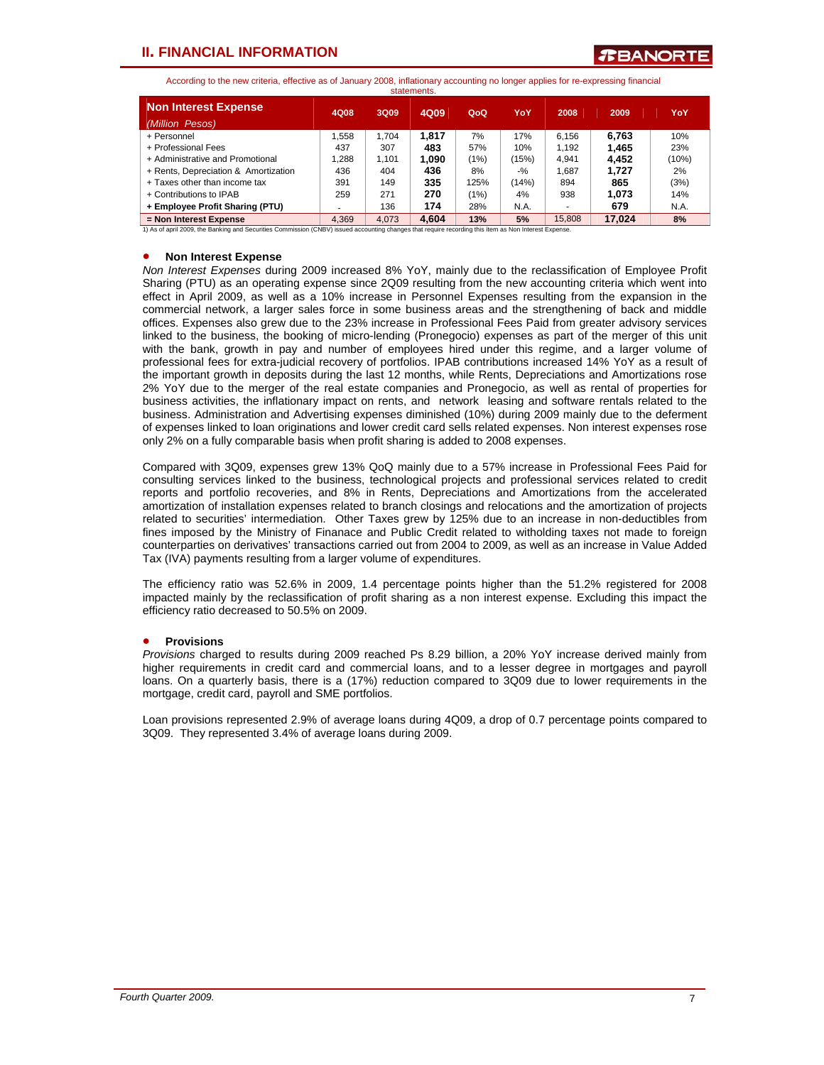**TEANORTE** 

According to the new criteria, effective as of January 2008, inflationary accounting no longer applies for re-expressing financial

| statements.                                    |       |       |       |      |        |        |        |       |  |  |  |
|------------------------------------------------|-------|-------|-------|------|--------|--------|--------|-------|--|--|--|
| <b>Non Interest Expense</b><br>(Million Pesos) | 4Q08  | 3Q09  | 4Q09  | QoQ  | YoY    | 2008   | 2009   | YoY   |  |  |  |
| + Personnel                                    | 1.558 | 1.704 | 1.817 | 7%   | 17%    | 6.156  | 6.763  | 10%   |  |  |  |
| + Professional Fees                            | 437   | 307   | 483   | 57%  | 10%    | 1.192  | 1,465  | 23%   |  |  |  |
| + Administrative and Promotional               | 1.288 | 1.101 | 1.090 | (1%) | (15%)  | 4.941  | 4.452  | (10%) |  |  |  |
| + Rents, Depreciation & Amortization           | 436   | 404   | 436   | 8%   | $-9/2$ | 1.687  | 1.727  | 2%    |  |  |  |
| + Taxes other than income tax                  | 391   | 149   | 335   | 125% | (14%)  | 894    | 865    | (3%)  |  |  |  |
| + Contributions to IPAB                        | 259   | 271   | 270   | (1%) | 4%     | 938    | 1,073  | 14%   |  |  |  |
| + Employee Profit Sharing (PTU)                | ٠     | 136   | 174   | 28%  | N.A.   |        | 679    | N.A.  |  |  |  |
| = Non Interest Expense                         | 4.369 | 4.073 | 4.604 | 13%  | 5%     | 15.808 | 17.024 | 8%    |  |  |  |

1) As of april 2009, the Banking and Securities Commission (CNBV) issued accounting changes that require recording this ítem as Non Interest Expense.

#### • **Non Interest Expense**

*Non Interest Expenses* during 2009 increased 8% YoY, mainly due to the reclassification of Employee Profit Sharing (PTU) as an operating expense since 2Q09 resulting from the new accounting criteria which went into effect in April 2009, as well as a 10% increase in Personnel Expenses resulting from the expansion in the commercial network, a larger sales force in some business areas and the strengthening of back and middle offices. Expenses also grew due to the 23% increase in Professional Fees Paid from greater advisory services linked to the business, the booking of micro-lending (Pronegocio) expenses as part of the merger of this unit with the bank, growth in pay and number of employees hired under this regime, and a larger volume of professional fees for extra-judicial recovery of portfolios. IPAB contributions increased 14% YoY as a result of the important growth in deposits during the last 12 months, while Rents, Depreciations and Amortizations rose 2% YoY due to the merger of the real estate companies and Pronegocio, as well as rental of properties for business activities, the inflationary impact on rents, and network leasing and software rentals related to the business. Administration and Advertising expenses diminished (10%) during 2009 mainly due to the deferment of expenses linked to loan originations and lower credit card sells related expenses. Non interest expenses rose only 2% on a fully comparable basis when profit sharing is added to 2008 expenses.

Compared with 3Q09, expenses grew 13% QoQ mainly due to a 57% increase in Professional Fees Paid for consulting services linked to the business, technological projects and professional services related to credit reports and portfolio recoveries, and 8% in Rents, Depreciations and Amortizations from the accelerated amortization of installation expenses related to branch closings and relocations and the amortization of projects related to securities' intermediation. Other Taxes grew by 125% due to an increase in non-deductibles from fines imposed by the Ministry of Finanace and Public Credit related to witholding taxes not made to foreign counterparties on derivatives' transactions carried out from 2004 to 2009, as well as an increase in Value Added Tax (IVA) payments resulting from a larger volume of expenditures.

The efficiency ratio was 52.6% in 2009, 1.4 percentage points higher than the 51.2% registered for 2008 impacted mainly by the reclassification of profit sharing as a non interest expense. Excluding this impact the efficiency ratio decreased to 50.5% on 2009.

### • **Provisions**

*Provisions* charged to results during 2009 reached Ps 8.29 billion, a 20% YoY increase derived mainly from higher requirements in credit card and commercial loans, and to a lesser degree in mortgages and payroll loans. On a quarterly basis, there is a (17%) reduction compared to 3Q09 due to lower requirements in the mortgage, credit card, payroll and SME portfolios.

Loan provisions represented 2.9% of average loans during 4Q09, a drop of 0.7 percentage points compared to 3Q09. They represented 3.4% of average loans during 2009.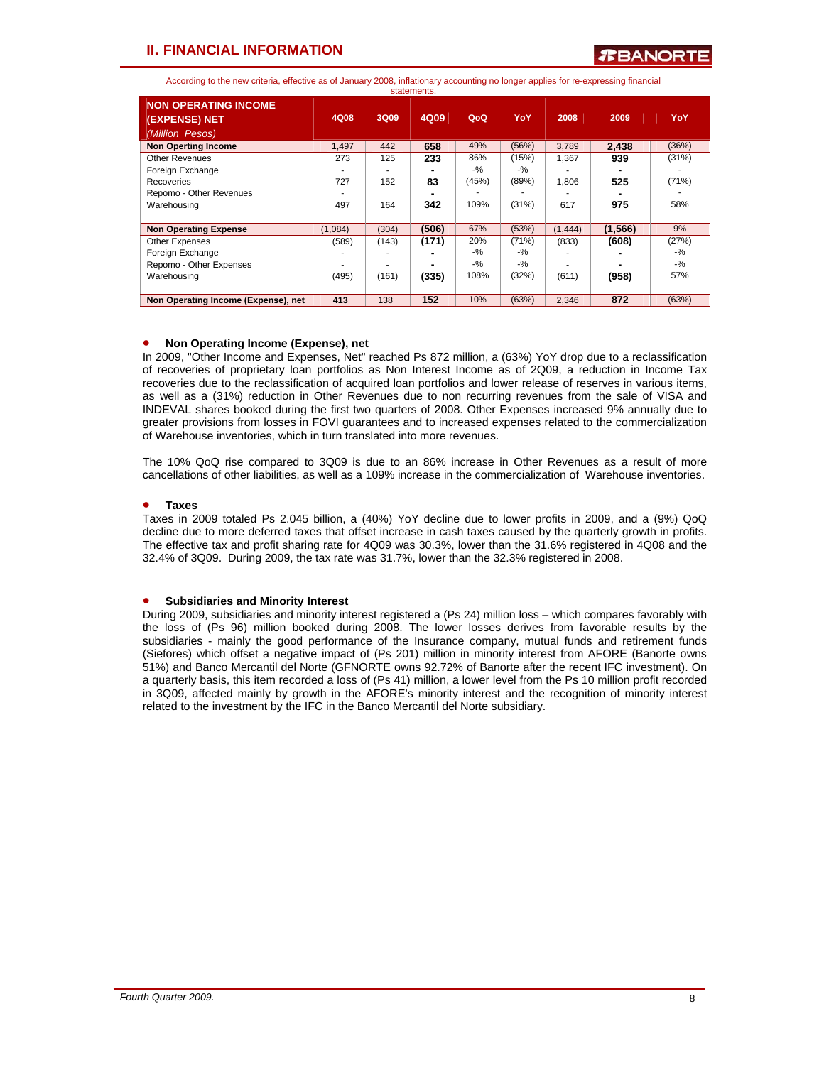According to the new criteria, effective as of January 2008, inflationary accounting no longer applies for re-expressing financial statements.

|                                                                 |         |       | ,,,,,,,,,,,,,,,,,,,,, |       |        |          |          |       |
|-----------------------------------------------------------------|---------|-------|-----------------------|-------|--------|----------|----------|-------|
| <b>NON OPERATING INCOME</b><br>(EXPENSE) NET<br>(Million Pesos) | 4Q08    | 3Q09  | 4Q09                  | QoQ   | YoY    | 2008     | 2009     | YoY   |
| <b>Non Operting Income</b>                                      | 1,497   | 442   | 658                   | 49%   | (56%)  | 3,789    | 2.438    | (36%) |
| <b>Other Revenues</b>                                           | 273     | 125   | 233                   | 86%   | (15%)  | 1.367    | 939      | (31%) |
| Foreign Exchange                                                |         |       |                       | $-$ % | $-9/2$ |          |          |       |
| Recoveries                                                      | 727     | 152   | 83                    | (45%) | (89%)  | 1.806    | 525      | (71%) |
| Repomo - Other Revenues                                         |         |       |                       |       |        |          |          |       |
| Warehousing                                                     | 497     | 164   | 342                   | 109%  | (31%)  | 617      | 975      | 58%   |
| <b>Non Operating Expense</b>                                    | (1,084) | (304) | (506)                 | 67%   | (53%)  | (1, 444) | (1, 566) | 9%    |
| Other Expenses                                                  | (589)   | (143) | (171)                 | 20%   | (71%)  | (833)    | (608)    | (27%) |
| Foreign Exchange                                                |         |       |                       | $-$ % | $-$ %  |          |          | $-$ % |
| Repomo - Other Expenses                                         |         |       |                       | $-$ % | $-$ %  |          |          | $-$ % |
| Warehousing                                                     | (495)   | (161) | (335)                 | 108%  | (32%)  | (611)    | (958)    | 57%   |
| Non Operating Income (Expense), net                             | 413     | 138   | 152                   | 10%   | (63%)  | 2,346    | 872      | (63%) |

### • **Non Operating Income (Expense), net**

In 2009, "Other Income and Expenses, Net" reached Ps 872 million, a (63%) YoY drop due to a reclassification of recoveries of proprietary loan portfolios as Non Interest Income as of 2Q09, a reduction in Income Tax recoveries due to the reclassification of acquired loan portfolios and lower release of reserves in various items, as well as a (31%) reduction in Other Revenues due to non recurring revenues from the sale of VISA and INDEVAL shares booked during the first two quarters of 2008. Other Expenses increased 9% annually due to greater provisions from losses in FOVI guarantees and to increased expenses related to the commercialization of Warehouse inventories, which in turn translated into more revenues.

The 10% QoQ rise compared to 3Q09 is due to an 86% increase in Other Revenues as a result of more cancellations of other liabilities, as well as a 109% increase in the commercialization of Warehouse inventories.

### • **Taxes**

Taxes in 2009 totaled Ps 2.045 billion, a (40%) YoY decline due to lower profits in 2009, and a (9%) QoQ decline due to more deferred taxes that offset increase in cash taxes caused by the quarterly growth in profits. The effective tax and profit sharing rate for 4Q09 was 30.3%, lower than the 31.6% registered in 4Q08 and the 32.4% of 3Q09. During 2009, the tax rate was 31.7%, lower than the 32.3% registered in 2008.

### • **Subsidiaries and Minority Interest**

During 2009, subsidiaries and minority interest registered a (Ps 24) million loss – which compares favorably with the loss of (Ps 96) million booked during 2008. The lower losses derives from favorable results by the subsidiaries - mainly the good performance of the Insurance company, mutual funds and retirement funds (Siefores) which offset a negative impact of (Ps 201) million in minority interest from AFORE (Banorte owns 51%) and Banco Mercantil del Norte (GFNORTE owns 92.72% of Banorte after the recent IFC investment). On a quarterly basis, this item recorded a loss of (Ps 41) million, a lower level from the Ps 10 million profit recorded in 3Q09, affected mainly by growth in the AFORE's minority interest and the recognition of minority interest related to the investment by the IFC in the Banco Mercantil del Norte subsidiary.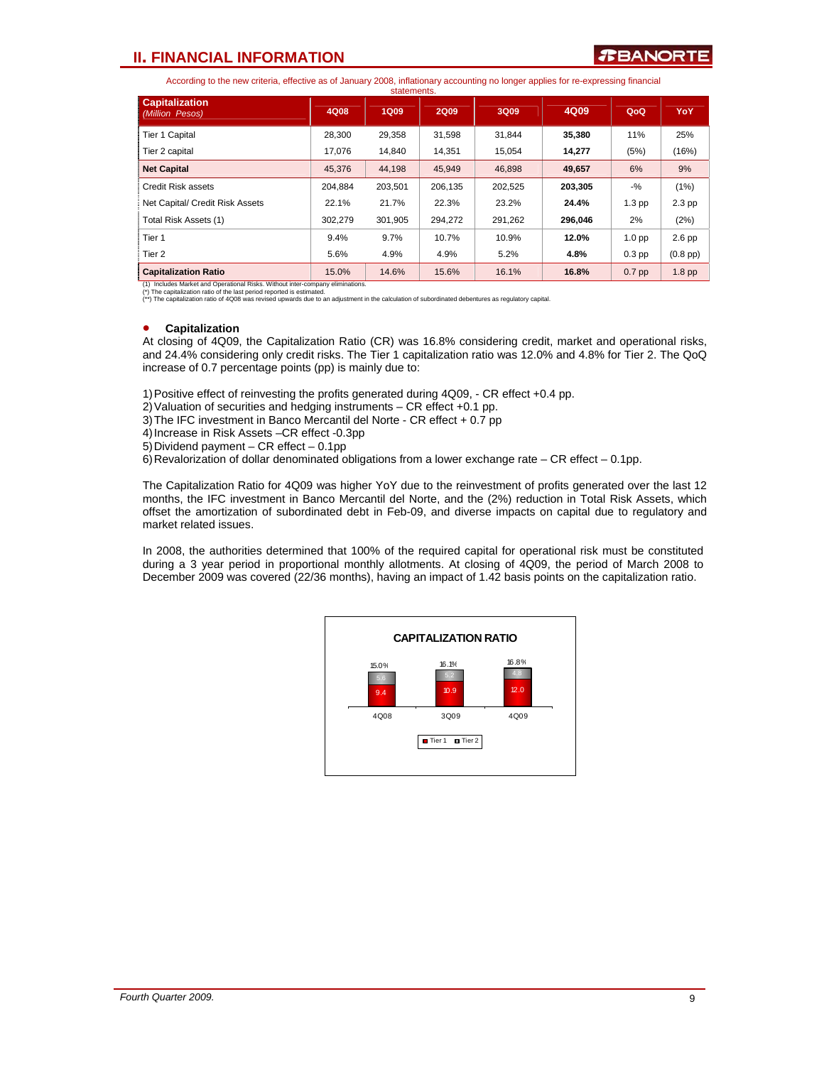According to the new criteria, effective as of January 2008, inflationary accounting no longer applies for re-expressing financial

|                                          |         | statements. |             |         |         |                   |               |
|------------------------------------------|---------|-------------|-------------|---------|---------|-------------------|---------------|
| <b>Capitalization</b><br>(Million Pesos) | 4Q08    | <b>1Q09</b> | <b>2Q09</b> | 3Q09    | 4Q09    | QoQ               | YoY.          |
| Tier 1 Capital                           | 28,300  | 29,358      | 31.598      | 31.844  | 35,380  | 11%               | 25%           |
| Tier 2 capital                           | 17.076  | 14.840      | 14.351      | 15.054  | 14.277  | (5%)              | (16%)         |
| <b>Net Capital</b>                       | 45.376  | 44.198      | 45.949      | 46.898  | 49,657  | 6%                | 9%            |
| Credit Risk assets                       | 204.884 | 203,501     | 206,135     | 202,525 | 203,305 | $-9/6$            | (1%)          |
| Net Capital/ Credit Risk Assets          | 22.1%   | 21.7%       | 22.3%       | 23.2%   | 24.4%   | $1.3$ pp          | $2.3$ pp      |
| Total Risk Assets (1)                    | 302,279 | 301.905     | 294.272     | 291,262 | 296,046 | 2%                | (2%)          |
| Tier <sub>1</sub>                        | 9.4%    | 9.7%        | 10.7%       | 10.9%   | 12.0%   | 1.0 <sub>pp</sub> | $2.6$ pp      |
| Tier 2                                   | 5.6%    | 4.9%        | 4.9%        | 5.2%    | 4.8%    | $0.3$ pp          | $(0.8$ pp $)$ |
| <b>Capitalization Ratio</b>              | 15.0%   | 14.6%       | 15.6%       | 16.1%   | 16.8%   | $0.7$ pp          | $1.8$ pp      |

Includes Market and Operational Risks. Without inter-company

(\*) The capitalization ratio of the last period reported is estimated. (\*\*) The capitalization ratio of 4Q08 was revised upwards due to an adjustment in the calculation of subordinated debentures as regulatory capital.

### • **Capitalization**

At closing of 4Q09, the Capitalization Ratio (CR) was 16.8% considering credit, market and operational risks, and 24.4% considering only credit risks. The Tier 1 capitalization ratio was 12.0% and 4.8% for Tier 2. The QoQ increase of 0.7 percentage points (pp) is mainly due to:

1) Positive effect of reinvesting the profits generated during 4Q09, - CR effect +0.4 pp.

2) Valuation of securities and hedging instruments – CR effect +0.1 pp.

3) The IFC investment in Banco Mercantil del Norte - CR effect + 0.7 pp

4) Increase in Risk Assets –CR effect -0.3pp

5) Dividend payment – CR effect – 0.1pp

6) Revalorization of dollar denominated obligations from a lower exchange rate – CR effect – 0.1pp.

The Capitalization Ratio for 4Q09 was higher YoY due to the reinvestment of profits generated over the last 12 months, the IFC investment in Banco Mercantil del Norte, and the (2%) reduction in Total Risk Assets, which offset the amortization of subordinated debt in Feb-09, and diverse impacts on capital due to regulatory and market related issues.

In 2008, the authorities determined that 100% of the required capital for operational risk must be constituted during a 3 year period in proportional monthly allotments. At closing of 4Q09, the period of March 2008 to December 2009 was covered (22/36 months), having an impact of 1.42 basis points on the capitalization ratio.

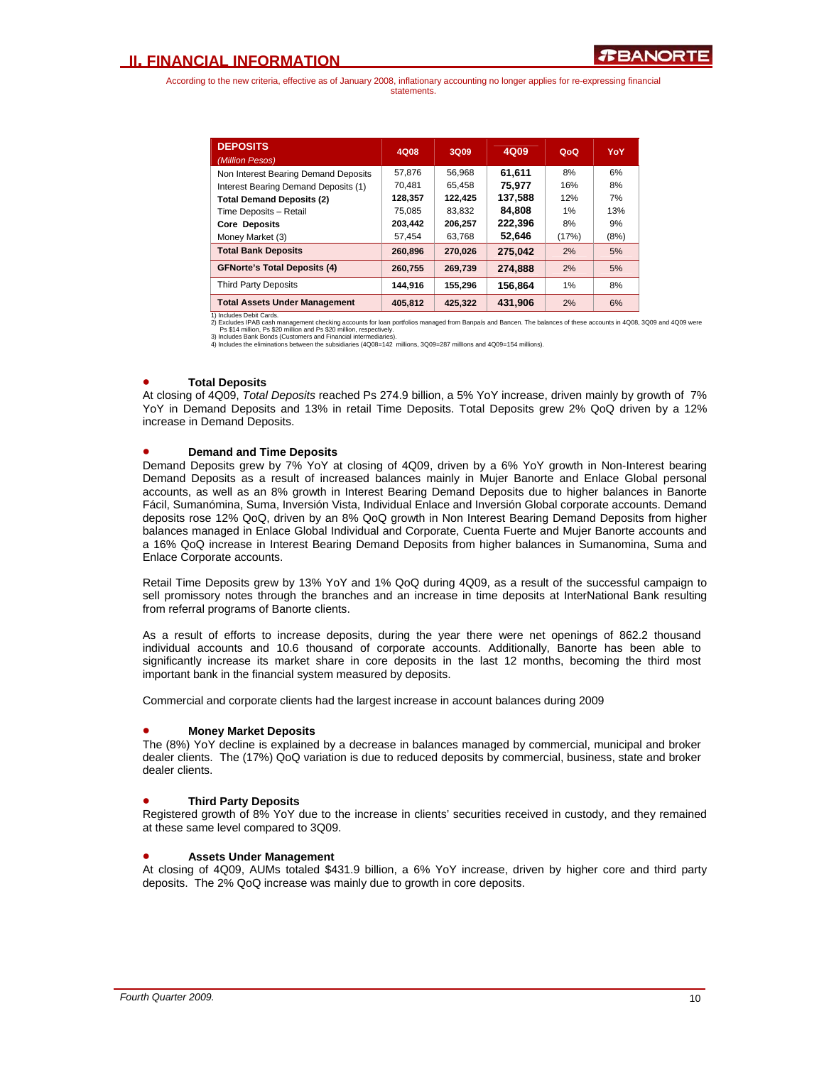| <b>DEPOSITS</b><br>(Million Pesos)   | 4Q08    | 3Q09    | 4Q09    | QoQ   | YoY  |
|--------------------------------------|---------|---------|---------|-------|------|
| Non Interest Bearing Demand Deposits | 57.876  | 56.968  | 61.611  | 8%    | 6%   |
| Interest Bearing Demand Deposits (1) | 70.481  | 65.458  | 75.977  | 16%   | 8%   |
| <b>Total Demand Deposits (2)</b>     | 128,357 | 122.425 | 137.588 | 12%   | 7%   |
| Time Deposits - Retail               | 75,085  | 83.832  | 84.808  | 1%    | 13%  |
| <b>Core Deposits</b>                 | 203.442 | 206.257 | 222.396 | 8%    | 9%   |
| Money Market (3)                     | 57.454  | 63.768  | 52,646  | (17%) | (8%) |
| <b>Total Bank Deposits</b>           | 260.896 | 270,026 | 275.042 | 2%    | 5%   |
| <b>GFNorte's Total Deposits (4)</b>  | 260.755 | 269,739 | 274,888 | 2%    | 5%   |
| <b>Third Party Deposits</b>          | 144.916 | 155,296 | 156,864 | 1%    | 8%   |
| <b>Total Assets Under Management</b> | 405.812 | 425.322 | 431.906 | 2%    | 6%   |

1) Includes Debit Cards.<br>2) Excludes IPAB cash management checking accounts for loan portfolios managed from Banpaís and Bancen. The balances of these accounts in 4Q08, 3Q09 and 4Q09 were<br>Ps \$14 million, Ps \$20 million and

### • **Total Deposits**

At closing of 4Q09, *Total Deposits* reached Ps 274.9 billion, a 5% YoY increase, driven mainly by growth of 7% YoY in Demand Deposits and 13% in retail Time Deposits. Total Deposits grew 2% QoQ driven by a 12% increase in Demand Deposits.

### • **Demand and Time Deposits**

Demand Deposits grew by 7% YoY at closing of 4Q09, driven by a 6% YoY growth in Non-Interest bearing Demand Deposits as a result of increased balances mainly in Mujer Banorte and Enlace Global personal accounts, as well as an 8% growth in Interest Bearing Demand Deposits due to higher balances in Banorte Fácil, Sumanómina, Suma, Inversión Vista, Individual Enlace and Inversión Global corporate accounts. Demand deposits rose 12% QoQ, driven by an 8% QoQ growth in Non Interest Bearing Demand Deposits from higher balances managed in Enlace Global Individual and Corporate, Cuenta Fuerte and Mujer Banorte accounts and a 16% QoQ increase in Interest Bearing Demand Deposits from higher balances in Sumanomina, Suma and Enlace Corporate accounts.

Retail Time Deposits grew by 13% YoY and 1% QoQ during 4Q09, as a result of the successful campaign to sell promissory notes through the branches and an increase in time deposits at InterNational Bank resulting from referral programs of Banorte clients.

As a result of efforts to increase deposits, during the year there were net openings of 862.2 thousand individual accounts and 10.6 thousand of corporate accounts. Additionally, Banorte has been able to significantly increase its market share in core deposits in the last 12 months, becoming the third most important bank in the financial system measured by deposits.

Commercial and corporate clients had the largest increase in account balances during 2009

### • **Money Market Deposits**

The (8%) YoY decline is explained by a decrease in balances managed by commercial, municipal and broker dealer clients. The (17%) QoQ variation is due to reduced deposits by commercial, business, state and broker dealer clients.

### • **Third Party Deposits**

Registered growth of 8% YoY due to the increase in clients' securities received in custody, and they remained at these same level compared to 3Q09.

### • **Assets Under Management**

At closing of 4Q09, AUMs totaled \$431.9 billion, a 6% YoY increase, driven by higher core and third party deposits. The 2% QoQ increase was mainly due to growth in core deposits.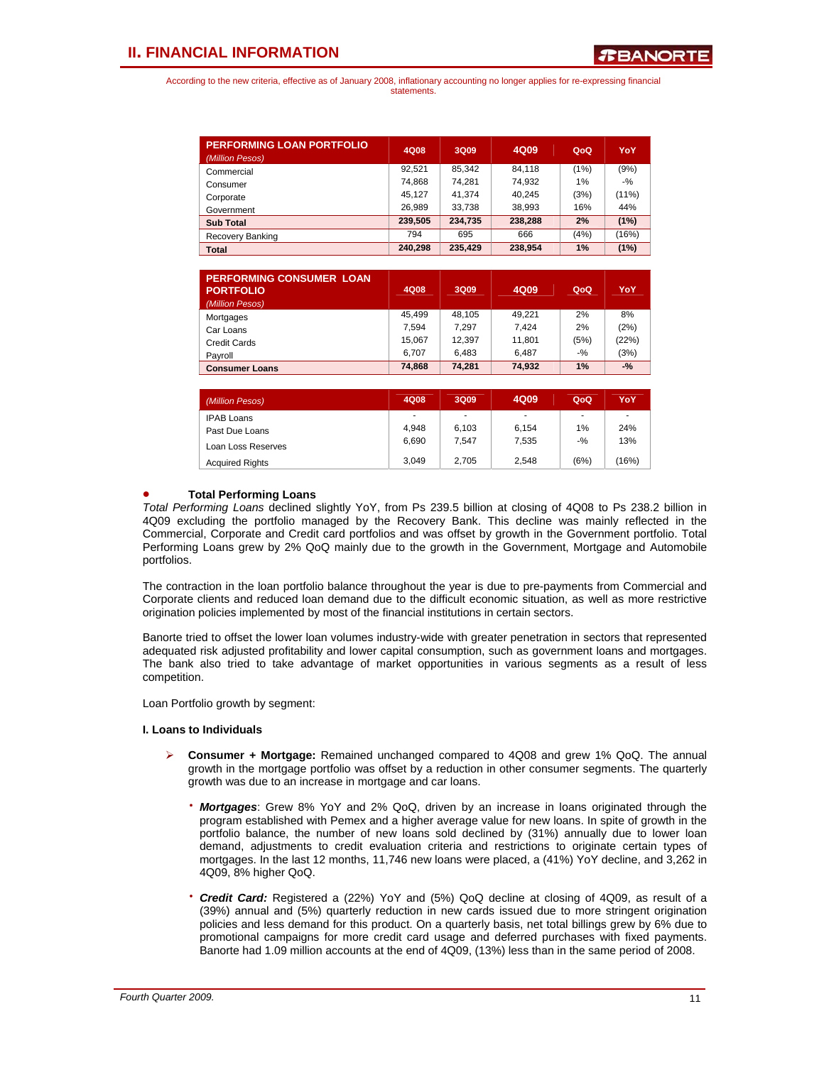| <b>PERFORMING LOAN PORTFOLIO</b><br>(Million Pesos) | 4Q08    | 3Q09    | 4Q09    | QoQ  | YoY      |
|-----------------------------------------------------|---------|---------|---------|------|----------|
| Commercial                                          | 92.521  | 85.342  | 84.118  | (1%) | (9%)     |
| Consumer                                            | 74.868  | 74.281  | 74,932  | 1%   | $-9/2$   |
| Corporate                                           | 45.127  | 41.374  | 40.245  | (3%) | $(11\%)$ |
| Government                                          | 26.989  | 33.738  | 38.993  | 16%  | 44%      |
| <b>Sub Total</b>                                    | 239.505 | 234.735 | 238.288 | 2%   | (1%)     |
| Recovery Banking                                    | 794     | 695     | 666     | (4%) | (16%)    |
| <b>Total</b>                                        | 240.298 | 235,429 | 238,954 | 1%   | (1%)     |

| <b>PERFORMING CONSUMER LOAN</b><br><b>PORTFOLIO</b><br>(Million Pesos) | 4Q08   | 3Q09   | 4Q09   | QoQ    | YoY    |
|------------------------------------------------------------------------|--------|--------|--------|--------|--------|
| Mortgages                                                              | 45.499 | 48.105 | 49.221 | 2%     | 8%     |
| Car Loans                                                              | 7.594  | 7.297  | 7.424  | 2%     | (2%)   |
| Credit Cards                                                           | 15,067 | 12,397 | 11,801 | (5%)   | (22%)  |
| Payroll                                                                | 6.707  | 6.483  | 6.487  | $-9/6$ | (3%)   |
| <b>Consumer Loans</b>                                                  | 74,868 | 74,281 | 74,932 | 1%     | $-9/6$ |
|                                                                        |        |        |        |        |        |
| (Million Pesos)                                                        | 4Q08   | 3Q09   | 4Q09   | QoQ    | YoY    |

| (Million Pesos)        | 4Q08  | 3Q09                     | 4Q09           | QoQ    | YoY   |
|------------------------|-------|--------------------------|----------------|--------|-------|
| <b>IPAB Loans</b>      | ۰     | $\overline{\phantom{a}}$ | $\blacksquare$ | ۰      | ٠     |
| Past Due Loans         | 4.948 | 6.103                    | 6.154          | 1%     | 24%   |
| Loan Loss Reserves     | 6.690 | 7.547                    | 7.535          | $-9/6$ | 13%   |
| <b>Acquired Rights</b> | 3.049 | 2.705                    | 2.548          | (6%)   | (16%) |

### • **Total Performing Loans**

*Total Performing Loans* declined slightly YoY, from Ps 239.5 billion at closing of 4Q08 to Ps 238.2 billion in 4Q09 excluding the portfolio managed by the Recovery Bank. This decline was mainly reflected in the Commercial, Corporate and Credit card portfolios and was offset by growth in the Government portfolio. Total Performing Loans grew by 2% QoQ mainly due to the growth in the Government, Mortgage and Automobile portfolios.

The contraction in the loan portfolio balance throughout the year is due to pre-payments from Commercial and Corporate clients and reduced loan demand due to the difficult economic situation, as well as more restrictive origination policies implemented by most of the financial institutions in certain sectors.

Banorte tried to offset the lower loan volumes industry-wide with greater penetration in sectors that represented adequated risk adjusted profitability and lower capital consumption, such as government loans and mortgages. The bank also tried to take advantage of market opportunities in various segments as a result of less competition.

Loan Portfolio growth by segment:

### **I. Loans to Individuals**

- ¾ **Consumer + Mortgage:** Remained unchanged compared to 4Q08 and grew 1% QoQ. The annual growth in the mortgage portfolio was offset by a reduction in other consumer segments. The quarterly growth was due to an increase in mortgage and car loans.
	- **Mortgages**: Grew 8% YoY and 2% QoQ, driven by an increase in loans originated through the program established with Pemex and a higher average value for new loans. In spite of growth in the portfolio balance, the number of new loans sold declined by (31%) annually due to lower loan demand, adjustments to credit evaluation criteria and restrictions to originate certain types of mortgages. In the last 12 months, 11,746 new loans were placed, a (41%) YoY decline, and 3,262 in 4Q09, 8% higher QoQ.
	- **Credit Card:** Registered a (22%) YoY and (5%) QoQ decline at closing of 4Q09, as result of a (39%) annual and (5%) quarterly reduction in new cards issued due to more stringent origination policies and less demand for this product. On a quarterly basis, net total billings grew by 6% due to promotional campaigns for more credit card usage and deferred purchases with fixed payments. Banorte had 1.09 million accounts at the end of 4Q09, (13%) less than in the same period of 2008.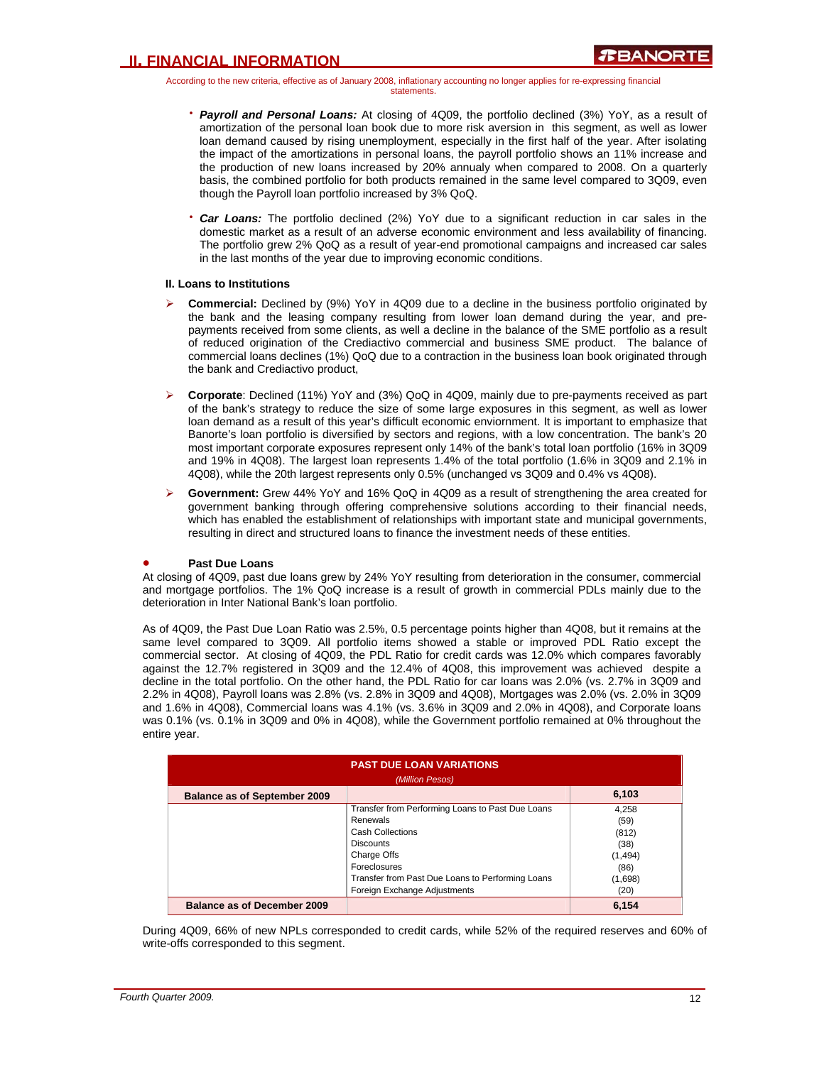According to the new criteria, effective as of January 2008, inflationary accounting no longer applies for re-expressing financial statements.

- **Payroll and Personal Loans:** At closing of 4Q09, the portfolio declined (3%) YoY, as a result of amortization of the personal loan book due to more risk aversion in this segment, as well as lower loan demand caused by rising unemployment, especially in the first half of the year. After isolating the impact of the amortizations in personal loans, the payroll portfolio shows an 11% increase and the production of new loans increased by 20% annualy when compared to 2008. On a quarterly basis, the combined portfolio for both products remained in the same level compared to 3Q09, even though the Payroll loan portfolio increased by 3% QoQ.
- **Car Loans:** The portfolio declined (2%) YoY due to a significant reduction in car sales in the domestic market as a result of an adverse economic environment and less availability of financing. The portfolio grew 2% QoQ as a result of year-end promotional campaigns and increased car sales in the last months of the year due to improving economic conditions.

### **II. Loans to Institutions**

- ¾ **Commercial:** Declined by (9%) YoY in 4Q09 due to a decline in the business portfolio originated by the bank and the leasing company resulting from lower loan demand during the year, and prepayments received from some clients, as well a decline in the balance of the SME portfolio as a result of reduced origination of the Crediactivo commercial and business SME product. The balance of commercial loans declines (1%) QoQ due to a contraction in the business loan book originated through the bank and Crediactivo product,
- ¾ **Corporate**: Declined (11%) YoY and (3%) QoQ in 4Q09, mainly due to pre-payments received as part of the bank's strategy to reduce the size of some large exposures in this segment, as well as lower loan demand as a result of this year's difficult economic enviornment. It is important to emphasize that Banorte's loan portfolio is diversified by sectors and regions, with a low concentration. The bank's 20 most important corporate exposures represent only 14% of the bank's total loan portfolio (16% in 3Q09 and 19% in 4Q08). The largest loan represents 1.4% of the total portfolio (1.6% in 3Q09 and 2.1% in 4Q08), while the 20th largest represents only 0.5% (unchanged vs 3Q09 and 0.4% vs 4Q08).
- ¾ **Government:** Grew 44% YoY and 16% QoQ in 4Q09 as a result of strengthening the area created for government banking through offering comprehensive solutions according to their financial needs, which has enabled the establishment of relationships with important state and municipal governments, resulting in direct and structured loans to finance the investment needs of these entities.

### • **Past Due Loans**

At closing of 4Q09, past due loans grew by 24% YoY resulting from deterioration in the consumer, commercial and mortgage portfolios. The 1% QoQ increase is a result of growth in commercial PDLs mainly due to the deterioration in Inter National Bank's loan portfolio.

As of 4Q09, the Past Due Loan Ratio was 2.5%, 0.5 percentage points higher than 4Q08, but it remains at the same level compared to 3Q09. All portfolio items showed a stable or improved PDL Ratio except the commercial sector. At closing of 4Q09, the PDL Ratio for credit cards was 12.0% which compares favorably against the 12.7% registered in 3Q09 and the 12.4% of 4Q08, this improvement was achieved despite a decline in the total portfolio. On the other hand, the PDL Ratio for car loans was 2.0% (vs. 2.7% in 3Q09 and 2.2% in 4Q08), Payroll loans was 2.8% (vs. 2.8% in 3Q09 and 4Q08), Mortgages was 2.0% (vs. 2.0% in 3Q09 and 1.6% in 4Q08), Commercial loans was 4.1% (vs. 3.6% in 3Q09 and 2.0% in 4Q08), and Corporate loans was 0.1% (vs. 0.1% in 3Q09 and 0% in 4Q08), while the Government portfolio remained at 0% throughout the entire year.

| <b>PAST DUE LOAN VARIATIONS</b><br>(Million Pesos) |                                                  |          |  |  |  |  |
|----------------------------------------------------|--------------------------------------------------|----------|--|--|--|--|
| <b>Balance as of September 2009</b>                |                                                  | 6,103    |  |  |  |  |
|                                                    | Transfer from Performing Loans to Past Due Loans | 4.258    |  |  |  |  |
|                                                    | Renewals                                         | (59)     |  |  |  |  |
|                                                    | <b>Cash Collections</b>                          | (812)    |  |  |  |  |
|                                                    | <b>Discounts</b>                                 | (38)     |  |  |  |  |
|                                                    | Charge Offs                                      | (1, 494) |  |  |  |  |
|                                                    | Foreclosures                                     | (86)     |  |  |  |  |
|                                                    | Transfer from Past Due Loans to Performing Loans | (1,698)  |  |  |  |  |
|                                                    | Foreign Exchange Adjustments                     | (20)     |  |  |  |  |
| <b>Balance as of December 2009</b>                 |                                                  | 6.154    |  |  |  |  |

During 4Q09, 66% of new NPLs corresponded to credit cards, while 52% of the required reserves and 60% of write-offs corresponded to this segment.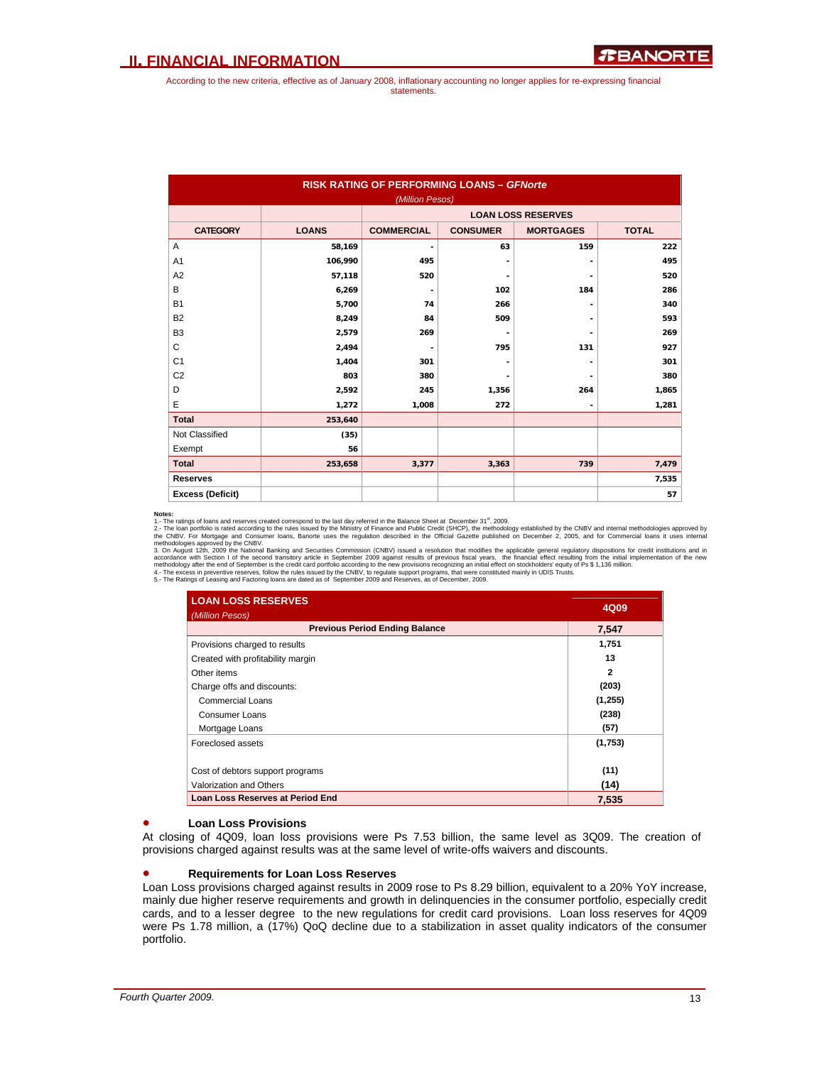|                         | <b>RISK RATING OF PERFORMING LOANS - GFNorte</b><br>(Million Pesos) |                          |                 |                           |              |  |  |  |  |
|-------------------------|---------------------------------------------------------------------|--------------------------|-----------------|---------------------------|--------------|--|--|--|--|
|                         |                                                                     |                          |                 | <b>LOAN LOSS RESERVES</b> |              |  |  |  |  |
| <b>CATEGORY</b>         | <b>LOANS</b>                                                        | <b>COMMERCIAL</b>        | <b>CONSUMER</b> | <b>MORTGAGES</b>          | <b>TOTAL</b> |  |  |  |  |
| Α                       | 58,169                                                              | $\overline{\phantom{a}}$ | 63              | 159                       | 222          |  |  |  |  |
| A <sub>1</sub>          | 106,990                                                             | 495                      |                 |                           | 495          |  |  |  |  |
| A <sub>2</sub>          | 57,118                                                              | 520                      |                 |                           | 520          |  |  |  |  |
| B                       | 6,269                                                               | $\blacksquare$           | 102             | 184                       | 286          |  |  |  |  |
| <b>B1</b>               | 5,700                                                               | 74                       | 266             |                           | 340          |  |  |  |  |
| B <sub>2</sub>          | 8,249                                                               | 84                       | 509             |                           | 593          |  |  |  |  |
| B <sub>3</sub>          | 2,579                                                               | 269                      |                 |                           | 269          |  |  |  |  |
| C                       | 2,494                                                               |                          | 795             | 131                       | 927          |  |  |  |  |
| C <sub>1</sub>          | 1,404                                                               | 301                      |                 |                           | 301          |  |  |  |  |
| C <sub>2</sub>          | 803                                                                 | 380                      |                 |                           | 380          |  |  |  |  |
| D                       | 2,592                                                               | 245                      | 1,356           | 264                       | 1,865        |  |  |  |  |
| E                       | 1,272                                                               | 1,008                    | 272             |                           | 1,281        |  |  |  |  |
| <b>Total</b>            | 253,640                                                             |                          |                 |                           |              |  |  |  |  |
| Not Classified          | (35)                                                                |                          |                 |                           |              |  |  |  |  |
| Exempt                  | 56                                                                  |                          |                 |                           |              |  |  |  |  |
| <b>Total</b>            | 253,658                                                             | 3,377                    | 3,363           | 739                       | 7,479        |  |  |  |  |
| <b>Reserves</b>         |                                                                     |                          |                 |                           | 7,535        |  |  |  |  |
| <b>Excess (Deficit)</b> |                                                                     |                          |                 |                           | 57           |  |  |  |  |

**Notes:**<br>1. The ratings of loans and reserves created correspond to the last day referred in the Balance Sheet at December 31<sup>ª</sup>, 2009.<br>2.- The loan portfolio is rated according to the rules issued by the Ministry of Finan

| <b>LOAN LOSS RESERVES</b><br>(Million Pesos) | 4Q09         |
|----------------------------------------------|--------------|
| <b>Previous Period Ending Balance</b>        | 7.547        |
| Provisions charged to results                | 1,751        |
| Created with profitability margin            | 13           |
| Other items                                  | $\mathbf{2}$ |
| Charge offs and discounts:                   | (203)        |
| Commercial Loans                             | (1,255)      |
| Consumer Loans                               | (238)        |
| Mortgage Loans                               | (57)         |
| Foreclosed assets                            | (1,753)      |
| Cost of debtors support programs             | (11)         |
| Valorization and Others                      | (14)         |
| <b>Loan Loss Reserves at Period End</b>      | 7,535        |

### • **Loan Loss Provisions**

At closing of 4Q09, loan loss provisions were Ps 7.53 billion, the same level as 3Q09. The creation of provisions charged against results was at the same level of write-offs waivers and discounts.

#### • **Requirements for Loan Loss Reserves**

Loan Loss provisions charged against results in 2009 rose to Ps 8.29 billion, equivalent to a 20% YoY increase, mainly due higher reserve requirements and growth in delinquencies in the consumer portfolio, especially credit cards, and to a lesser degree to the new regulations for credit card provisions. Loan loss reserves for 4Q09 were Ps 1.78 million, a (17%) QoQ decline due to a stabilization in asset quality indicators of the consumer portfolio.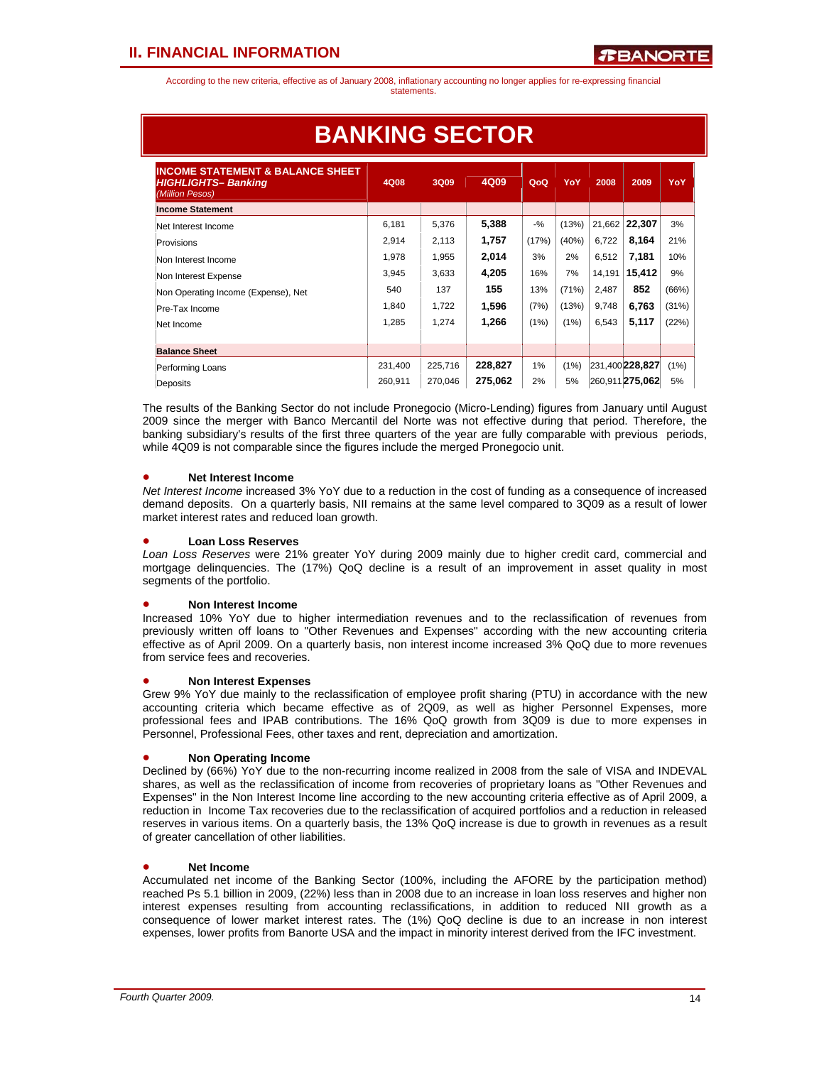According to the new criteria, effective as of January 2008, inflationary accounting no longer applies for re-expressing financial statements.

| <b>INCOME STATEMENT &amp; BALANCE SHEET</b><br><b>HIGHLIGHTS-Banking</b><br>(Million Pesos) | 4Q08    | 3Q09    | 4Q09    | QoQ    | YoY   | 2008   | 2009            | YoY   |
|---------------------------------------------------------------------------------------------|---------|---------|---------|--------|-------|--------|-----------------|-------|
| <b>Income Statement</b>                                                                     |         |         |         |        |       |        |                 |       |
| Net Interest Income                                                                         | 6.181   | 5,376   | 5,388   | $-9/6$ | (13%) | 21,662 | 22,307          | 3%    |
| Provisions                                                                                  | 2,914   | 2,113   | 1,757   | (17%)  | (40%) | 6,722  | 8,164           | 21%   |
| Non Interest Income                                                                         | 1,978   | 1,955   | 2,014   | 3%     | 2%    | 6.512  | 7,181           | 10%   |
| Non Interest Expense                                                                        | 3,945   | 3,633   | 4,205   | 16%    | 7%    | 14,191 | 15.412          | 9%    |
| Non Operating Income (Expense), Net                                                         | 540     | 137     | 155     | 13%    | (71%) | 2,487  | 852             | (66%) |
| Pre-Tax Income                                                                              | 1,840   | 1,722   | 1,596   | (7%)   | (13%) | 9,748  | 6,763           | (31%) |
| Net Income                                                                                  | 1,285   | 1,274   | 1,266   | (1%)   | (1%)  | 6,543  | 5,117           | (22%) |
|                                                                                             |         |         |         |        |       |        |                 |       |
| <b>Balance Sheet</b>                                                                        |         |         |         |        |       |        |                 |       |
| Performing Loans                                                                            | 231,400 | 225,716 | 228,827 | 1%     | (1%)  |        | 231,400 228.827 | (1%)  |
| Deposits                                                                                    | 260.911 | 270.046 | 275.062 | 2%     | 5%    |        | 260.911275.062  | 5%    |

# **BANKING SECTOR**

The results of the Banking Sector do not include Pronegocio (Micro-Lending) figures from January until August 2009 since the merger with Banco Mercantil del Norte was not effective during that period. Therefore, the banking subsidiary's results of the first three quarters of the year are fully comparable with previous periods, while 4Q09 is not comparable since the figures include the merged Pronegocio unit.

### • **Net Interest Income**

*Net Interest Income* increased 3% YoY due to a reduction in the cost of funding as a consequence of increased demand deposits. On a quarterly basis, NII remains at the same level compared to 3Q09 as a result of lower market interest rates and reduced loan growth.

### • **Loan Loss Reserves**

*Loan Loss Reserves* were 21% greater YoY during 2009 mainly due to higher credit card, commercial and mortgage delinquencies. The (17%) QoQ decline is a result of an improvement in asset quality in most segments of the portfolio.

### • **Non Interest Income**

Increased 10% YoY due to higher intermediation revenues and to the reclassification of revenues from previously written off loans to "Other Revenues and Expenses" according with the new accounting criteria effective as of April 2009. On a quarterly basis, non interest income increased 3% QoQ due to more revenues from service fees and recoveries.

### • **Non Interest Expenses**

Grew 9% YoY due mainly to the reclassification of employee profit sharing (PTU) in accordance with the new accounting criteria which became effective as of 2Q09, as well as higher Personnel Expenses, more professional fees and IPAB contributions. The 16% QoQ growth from 3Q09 is due to more expenses in Personnel, Professional Fees, other taxes and rent, depreciation and amortization.

### • **Non Operating Income**

Declined by (66%) YoY due to the non-recurring income realized in 2008 from the sale of VISA and INDEVAL shares, as well as the reclassification of income from recoveries of proprietary loans as "Other Revenues and Expenses" in the Non Interest Income line according to the new accounting criteria effective as of April 2009, a reduction in Income Tax recoveries due to the reclassification of acquired portfolios and a reduction in released reserves in various items. On a quarterly basis, the 13% QoQ increase is due to growth in revenues as a result of greater cancellation of other liabilities.

### • **Net Income**

Accumulated net income of the Banking Sector (100%, including the AFORE by the participation method) reached Ps 5.1 billion in 2009, (22%) less than in 2008 due to an increase in loan loss reserves and higher non interest expenses resulting from accounting reclassifications, in addition to reduced NII growth as a consequence of lower market interest rates. The (1%) QoQ decline is due to an increase in non interest expenses, lower profits from Banorte USA and the impact in minority interest derived from the IFC investment.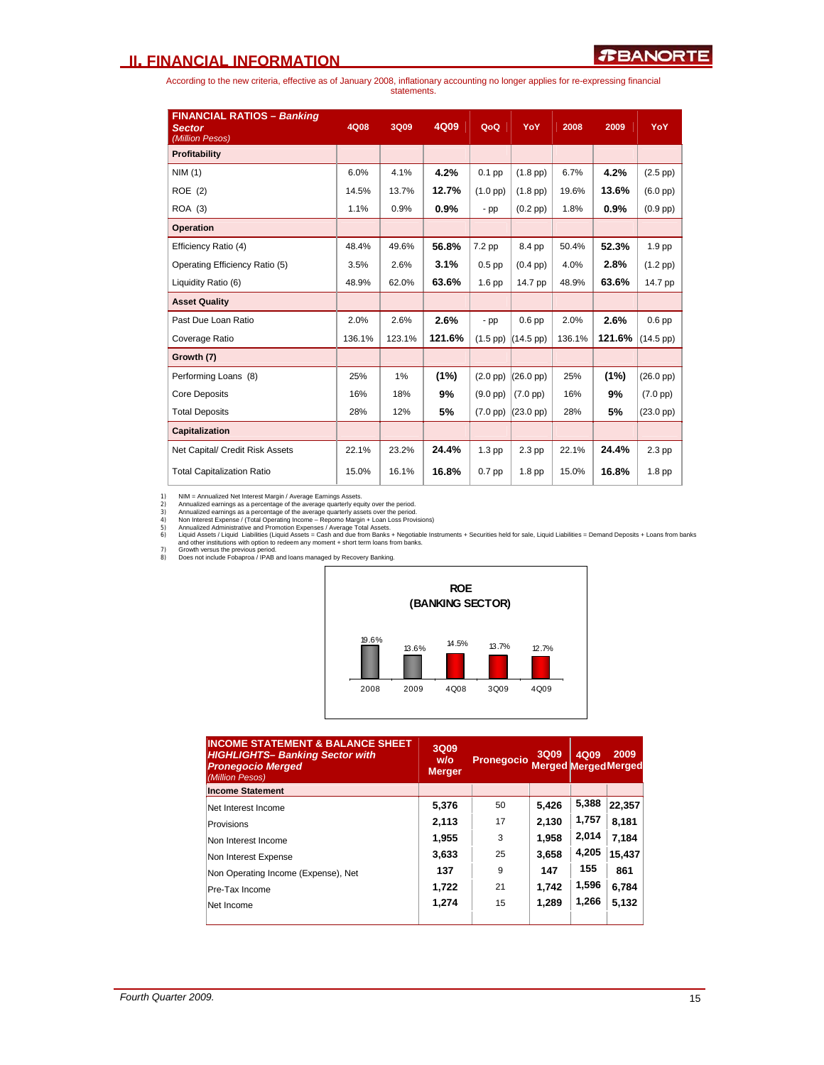According to the new criteria, effective as of January 2008, inflationary accounting no longer applies for re-expressing financial statements.

| <b>FINANCIAL RATIOS - Banking</b><br><b>Sector</b><br>(Million Pesos) | 4Q08   | <b>3Q09</b> | 4Q09    | QoQ                | YoY                 | 2008   | 2009   | <b>YoY</b>          |
|-----------------------------------------------------------------------|--------|-------------|---------|--------------------|---------------------|--------|--------|---------------------|
| <b>Profitability</b>                                                  |        |             |         |                    |                     |        |        |                     |
| NIM(1)                                                                | 6.0%   | 4.1%        | 4.2%    | $0.1$ pp           | $(1.8$ pp $)$       | 6.7%   | 4.2%   | $(2.5$ pp $)$       |
| ROE(2)                                                                | 14.5%  | 13.7%       | 12.7%   | $(1.0$ pp $)$      | $(1.8$ pp)          | 19.6%  | 13.6%  | $(6.0$ pp $)$       |
| ROA (3)                                                               | 1.1%   | 0.9%        | $0.9\%$ | $-pp$              | $(0.2$ pp $)$       | 1.8%   | 0.9%   | $(0.9$ pp $)$       |
| <b>Operation</b>                                                      |        |             |         |                    |                     |        |        |                     |
| Efficiency Ratio (4)                                                  | 48.4%  | 49.6%       | 56.8%   | $7.2$ pp           | 8.4 pp              | 50.4%  | 52.3%  | 1.9 pp              |
| Operating Efficiency Ratio (5)                                        | 3.5%   | 2.6%        | 3.1%    | $0.5$ pp           | $(0.4$ pp $)$       | 4.0%   | 2.8%   | $(1.2$ pp)          |
| Liquidity Ratio (6)                                                   | 48.9%  | 62.0%       | 63.6%   | 1.6 <sub>pp</sub>  | 14.7 pp             | 48.9%  | 63.6%  | 14.7 pp             |
| <b>Asset Quality</b>                                                  |        |             |         |                    |                     |        |        |                     |
| Past Due Loan Ratio                                                   | 2.0%   | 2.6%        | 2.6%    | $-pp$              | $0.6$ pp            | 2.0%   | 2.6%   | $0.6$ pp            |
| Coverage Ratio                                                        | 136.1% | 123.1%      | 121.6%  | $(1.5$ pp $)$      | $(14.5~\text{pp})$  | 136.1% | 121.6% | $(14.5 \text{ pp})$ |
| Growth (7)                                                            |        |             |         |                    |                     |        |        |                     |
| Performing Loans (8)                                                  | 25%    | 1%          | (1%)    | $(2.0$ pp $)$      | $(26.0 \text{ pp})$ | 25%    | (1%)   | $(26.0 \text{ pp})$ |
| <b>Core Deposits</b>                                                  | 16%    | 18%         | 9%      | $(9.0 \text{ pp})$ | $(7.0$ pp $)$       | 16%    | 9%     | $(7.0~\text{pp})$   |
| <b>Total Deposits</b>                                                 | 28%    | 12%         | 5%      | $(7.0 \text{ pp})$ | $(23.0 \text{ pp})$ | 28%    | 5%     | $(23.0~\text{pp})$  |
| <b>Capitalization</b>                                                 |        |             |         |                    |                     |        |        |                     |
| Net Capital/ Credit Risk Assets                                       | 22.1%  | 23.2%       | 24.4%   | $1.3$ pp           | 2.3 pp              | 22.1%  | 24.4%  | $2.3$ pp            |
| <b>Total Capitalization Ratio</b>                                     | 15.0%  | 16.1%       | 16.8%   | $0.7$ pp           | 1.8 <sub>pp</sub>   | 15.0%  | 16.8%  | 1.8 <sub>pp</sub>   |

1) NIM = Annualized aernings as a percentage of the average quarterly equity over the period.<br>2) Annualized earnings as a percentage of the average quarterly equity over the period.<br>3) Annualized earnings as a percentage o



| <b>INCOME STATEMENT &amp; BALANCE SHEET</b><br><b>HIGHLIGHTS- Banking Sector with</b><br><b>Pronegocio Merged</b><br>(Million Pesos) | 3Q09<br>W/O<br><b>Merger</b> | Pronegocio | 3Q09<br><b>Merged Merged Merged</b> | 4Q09  | 2009   |
|--------------------------------------------------------------------------------------------------------------------------------------|------------------------------|------------|-------------------------------------|-------|--------|
| <b>Income Statement</b>                                                                                                              |                              |            |                                     |       |        |
| Net Interest Income                                                                                                                  | 5,376                        | 50         | 5,426                               | 5,388 | 22,357 |
| Provisions                                                                                                                           | 2,113                        | 17         | 2,130                               | 1,757 | 8,181  |
| Non Interest Income                                                                                                                  | 1,955                        | 3          | 1.958                               | 2,014 | 7.184  |
| Non Interest Expense                                                                                                                 | 3.633                        | 25         | 3.658                               | 4,205 | 15,437 |
| Non Operating Income (Expense), Net                                                                                                  | 137                          | 9          | 147                                 | 155   | 861    |
| Pre-Tax Income                                                                                                                       | 1,722                        | 21         | 1.742                               | 1,596 | 6,784  |
| Net Income                                                                                                                           | 1,274                        | 15         | 1.289                               | 1,266 | 5.132  |
|                                                                                                                                      |                              |            |                                     |       |        |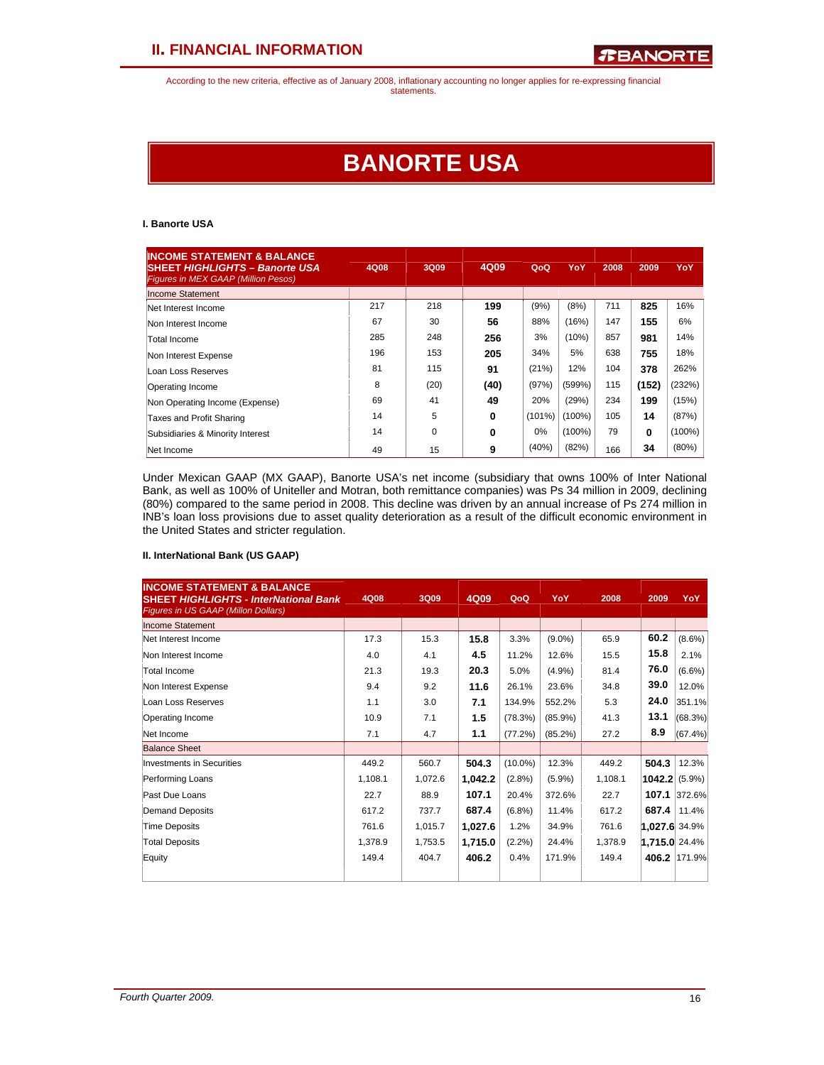# **BANORTE USA**

### **I. Banorte USA**

| <b>INCOME STATEMENT &amp; BALANCE</b><br><b>SHEET HIGHLIGHTS - Banorte USA</b><br><b>Figures in MEX GAAP (Million Pesos)</b> | 4Q08 | 3Q09     | 4Q09     | QoQ    | YoY       | 2008 | 2009  | YoY       |
|------------------------------------------------------------------------------------------------------------------------------|------|----------|----------|--------|-----------|------|-------|-----------|
| Income Statement                                                                                                             |      |          |          |        |           |      |       |           |
| Net Interest Income                                                                                                          | 217  | 218      | 199      | (9%)   | (8%)      | 711  | 825   | 16%       |
| Non Interest Income                                                                                                          | 67   | 30       | 56       | 88%    | (16%)     | 147  | 155   | 6%        |
| Total Income                                                                                                                 | 285  | 248      | 256      | 3%     | (10%)     | 857  | 981   | 14%       |
| Non Interest Expense                                                                                                         | 196  | 153      | 205      | 34%    | 5%        | 638  | 755   | 18%       |
| Loan Loss Reserves                                                                                                           | 81   | 115      | 91       | (21%)  | 12%       | 104  | 378   | 262%      |
| Operating Income                                                                                                             | 8    | (20)     | (40)     | (97%)  | (599%)    | 115  | (152) | (232%)    |
| Non Operating Income (Expense)                                                                                               | 69   | 41       | 49       | 20%    | (29%)     | 234  | 199   | (15%)     |
| Taxes and Profit Sharing                                                                                                     | 14   | 5        | 0        | (101%) | (100%)    | 105  | 14    | (87%)     |
| Subsidiaries & Minority Interest                                                                                             | 14   | $\Omega$ | $\bf{0}$ | 0%     | $(100\%)$ | 79   | 0     | $(100\%)$ |
| Net Income                                                                                                                   | 49   | 15       | 9        | (40%)  | (82%)     | 166  | 34    | (80%)     |

Under Mexican GAAP (MX GAAP), Banorte USA's net income (subsidiary that owns 100% of Inter National Bank, as well as 100% of Uniteller and Motran, both remittance companies) was Ps 34 million in 2009, declining (80%) compared to the same period in 2008. This decline was driven by an annual increase of Ps 274 million in INB's loan loss provisions due to asset quality deterioration as a result of the difficult economic environment in the United States and stricter regulation.

### **II. InterNational Bank (US GAAP)**

| <b>INCOME STATEMENT &amp; BALANCE</b><br><b>SHEET HIGHLIGHTS - InterNational Bank</b><br>Figures in US GAAP (Millon Dollars) | 4Q08    | 3Q09    | 4Q09    | QoQ        | YoY        | 2008    | 2009                 | YoY.         |
|------------------------------------------------------------------------------------------------------------------------------|---------|---------|---------|------------|------------|---------|----------------------|--------------|
| Income Statement                                                                                                             |         |         |         |            |            |         |                      |              |
| Net Interest Income                                                                                                          | 17.3    | 15.3    | 15.8    | 3.3%       | $(9.0\%)$  | 65.9    | 60.2                 | $(8.6\%)$    |
| Non Interest Income                                                                                                          | 4.0     | 4.1     | 4.5     | 11.2%      | 12.6%      | 15.5    | 15.8                 | 2.1%         |
| Total Income                                                                                                                 | 21.3    | 19.3    | 20.3    | 5.0%       | (4.9%)     | 81.4    | 76.0                 | $(6.6\%)$    |
| Non Interest Expense                                                                                                         | 9.4     | 9.2     | 11.6    | 26.1%      | 23.6%      | 34.8    | 39.0                 | 12.0%        |
| Loan Loss Reserves                                                                                                           | 1.1     | 3.0     | 7.1     | 134.9%     | 552.2%     | 5.3     | 24.0                 | 351.1%       |
| Operating Income                                                                                                             | 10.9    | 7.1     | 1.5     | (78.3%)    | $(85.9\%)$ | 41.3    | 13.1                 | (68.3%)      |
| Net Income                                                                                                                   | 7.1     | 4.7     | 1.1     | (77.2%)    | (85.2%)    | 27.2    | 8.9                  | $(67.4\%)$   |
| <b>Balance Sheet</b>                                                                                                         |         |         |         |            |            |         |                      |              |
| Investments in Securities                                                                                                    | 449.2   | 560.7   | 504.3   | $(10.0\%)$ | 12.3%      | 449.2   | 504.3                | 12.3%        |
| Performing Loans                                                                                                             | 1,108.1 | 1,072.6 | 1,042.2 | $(2.8\%)$  | (5.9%)     | 1,108.1 | $1042.2$ (5.9%)      |              |
| Past Due Loans                                                                                                               | 22.7    | 88.9    | 107.1   | 20.4%      | 372.6%     | 22.7    | 107.1                | 372.6%       |
| Demand Deposits                                                                                                              | 617.2   | 737.7   | 687.4   | (6.8%)     | 11.4%      | 617.2   | 687.4                | 11.4%        |
| Time Deposits                                                                                                                | 761.6   | 1,015.7 | 1,027.6 | 1.2%       | 34.9%      | 761.6   | <b>1,027.6</b> 34.9% |              |
| <b>Total Deposits</b>                                                                                                        | 1,378.9 | 1,753.5 | 1,715.0 | $(2.2\%)$  | 24.4%      | 1,378.9 | $1,715.0$ 24.4%      |              |
| Equity                                                                                                                       | 149.4   | 404.7   | 406.2   | 0.4%       | 171.9%     | 149.4   |                      | 406.2 171.9% |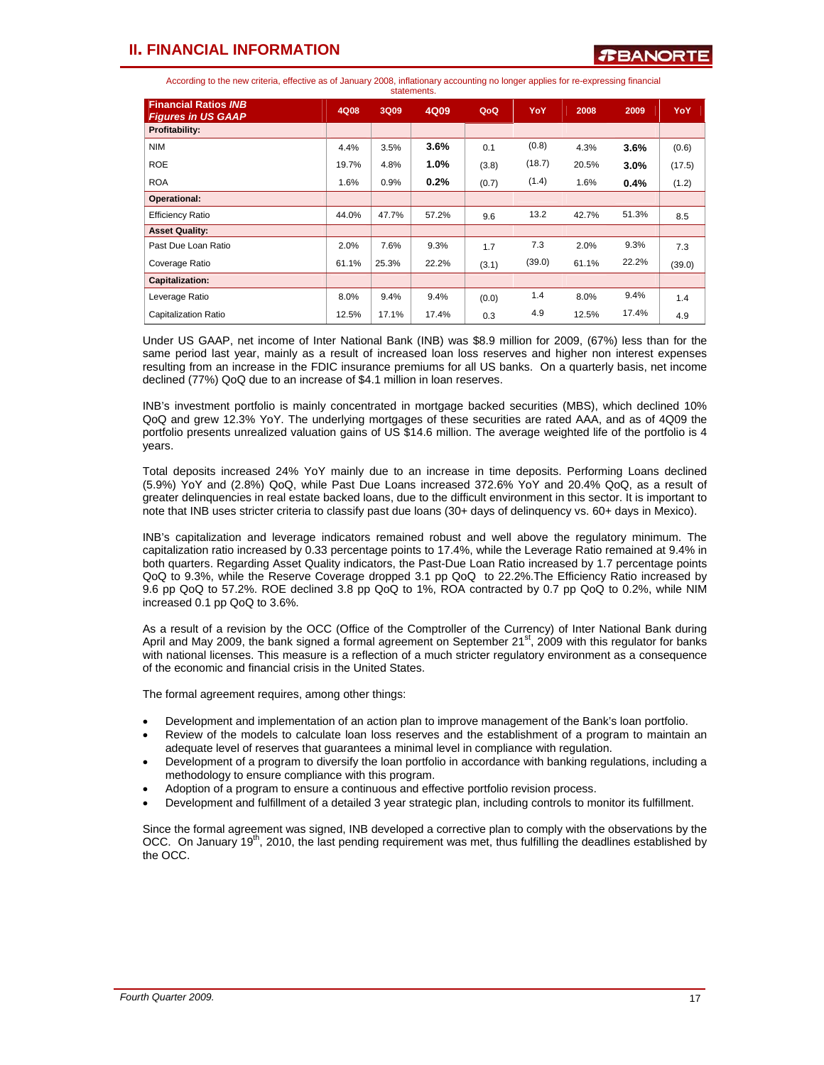According to the new criteria, effective as of January 2008, inflationary accounting no longer applies for re-expressing financial

| statements.                                              |       |       |       |       |        |       |       |            |
|----------------------------------------------------------|-------|-------|-------|-------|--------|-------|-------|------------|
| <b>Financial Ratios INB</b><br><b>Figures in US GAAP</b> | 4Q08  | 3Q09  | 4Q09  | QoQ   | YoY    | 2008  | 2009  | <b>YoY</b> |
| Profitability:                                           |       |       |       |       |        |       |       |            |
| <b>NIM</b>                                               | 4.4%  | 3.5%  | 3.6%  | 0.1   | (0.8)  | 4.3%  | 3.6%  | (0.6)      |
| <b>ROE</b>                                               | 19.7% | 4.8%  | 1.0%  | (3.8) | (18.7) | 20.5% | 3.0%  | (17.5)     |
| <b>ROA</b>                                               | 1.6%  | 0.9%  | 0.2%  | (0.7) | (1.4)  | 1.6%  | 0.4%  | (1.2)      |
| Operational:                                             |       |       |       |       |        |       |       |            |
| <b>Efficiency Ratio</b>                                  | 44.0% | 47.7% | 57.2% | 9.6   | 13.2   | 42.7% | 51.3% | 8.5        |
| <b>Asset Quality:</b>                                    |       |       |       |       |        |       |       |            |
| Past Due Loan Ratio                                      | 2.0%  | 7.6%  | 9.3%  | 1.7   | 7.3    | 2.0%  | 9.3%  | 7.3        |
| Coverage Ratio                                           | 61.1% | 25.3% | 22.2% | (3.1) | (39.0) | 61.1% | 22.2% | (39.0)     |
| <b>Capitalization:</b>                                   |       |       |       |       |        |       |       |            |
| Leverage Ratio                                           | 8.0%  | 9.4%  | 9.4%  | (0.0) | 1.4    | 8.0%  | 9.4%  | 1.4        |
| <b>Capitalization Ratio</b>                              | 12.5% | 17.1% | 17.4% | 0.3   | 4.9    | 12.5% | 17.4% | 4.9        |

Under US GAAP, net income of Inter National Bank (INB) was \$8.9 million for 2009, (67%) less than for the same period last year, mainly as a result of increased loan loss reserves and higher non interest expenses resulting from an increase in the FDIC insurance premiums for all US banks. On a quarterly basis, net income declined (77%) QoQ due to an increase of \$4.1 million in loan reserves.

INB's investment portfolio is mainly concentrated in mortgage backed securities (MBS), which declined 10% QoQ and grew 12.3% YoY. The underlying mortgages of these securities are rated AAA, and as of 4Q09 the portfolio presents unrealized valuation gains of US \$14.6 million. The average weighted life of the portfolio is 4 years.

Total deposits increased 24% YoY mainly due to an increase in time deposits. Performing Loans declined (5.9%) YoY and (2.8%) QoQ, while Past Due Loans increased 372.6% YoY and 20.4% QoQ, as a result of greater delinquencies in real estate backed loans, due to the difficult environment in this sector. It is important to note that INB uses stricter criteria to classify past due loans (30+ days of delinquency vs. 60+ days in Mexico).

INB's capitalization and leverage indicators remained robust and well above the regulatory minimum. The capitalization ratio increased by 0.33 percentage points to 17.4%, while the Leverage Ratio remained at 9.4% in both quarters. Regarding Asset Quality indicators, the Past-Due Loan Ratio increased by 1.7 percentage points QoQ to 9.3%, while the Reserve Coverage dropped 3.1 pp QoQ to 22.2%.The Efficiency Ratio increased by 9.6 pp QoQ to 57.2%. ROE declined 3.8 pp QoQ to 1%, ROA contracted by 0.7 pp QoQ to 0.2%, while NIM increased 0.1 pp QoQ to 3.6%.

As a result of a revision by the OCC (Office of the Comptroller of the Currency) of Inter National Bank during April and May 2009, the bank signed a formal agreement on September 21<sup>st</sup>, 2009 with this regulator for banks with national licenses. This measure is a reflection of a much stricter regulatory environment as a consequence of the economic and financial crisis in the United States.

The formal agreement requires, among other things:

- Development and implementation of an action plan to improve management of the Bank's loan portfolio.
- Review of the models to calculate loan loss reserves and the establishment of a program to maintain an adequate level of reserves that guarantees a minimal level in compliance with regulation.
- Development of a program to diversify the loan portfolio in accordance with banking regulations, including a methodology to ensure compliance with this program.
- Adoption of a program to ensure a continuous and effective portfolio revision process.
- Development and fulfillment of a detailed 3 year strategic plan, including controls to monitor its fulfillment.

Since the formal agreement was signed, INB developed a corrective plan to comply with the observations by the OCC. On January 19<sup>th</sup>, 2010, the last pending requirement was met, thus fulfilling the deadlines established by the OCC.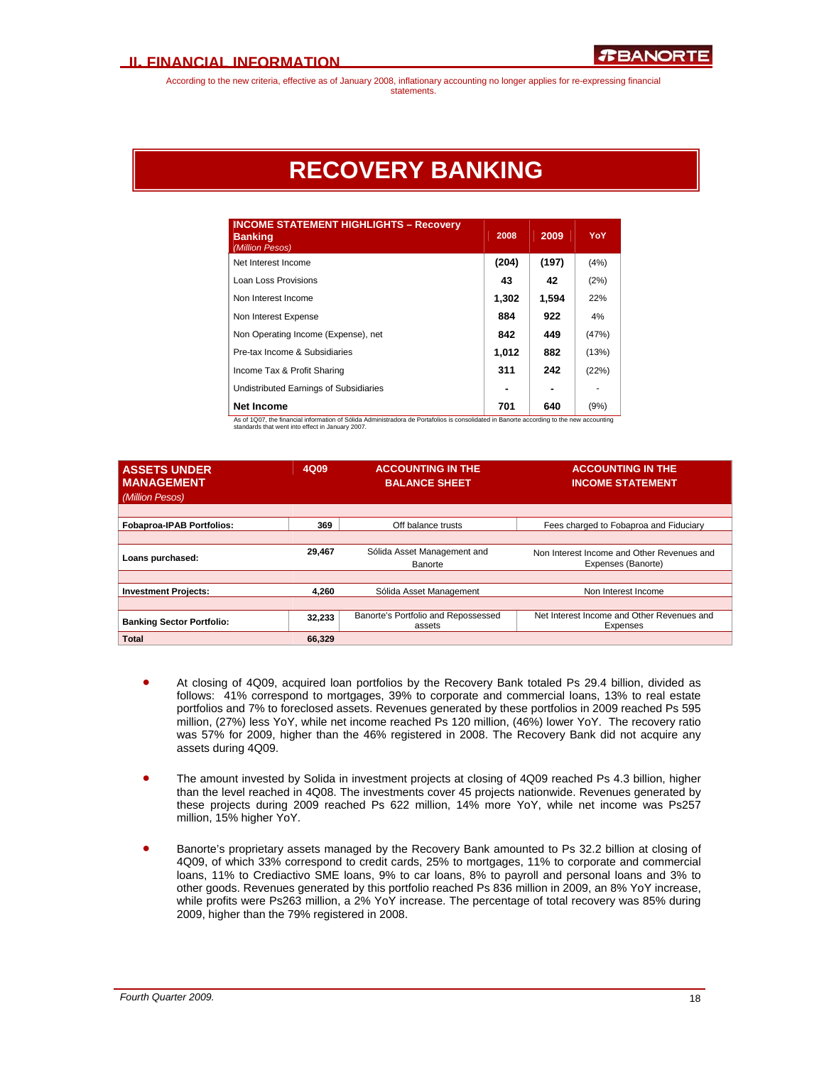# **RECOVERY BANKING**

| <b>INCOME STATEMENT HIGHLIGHTS - Recovery</b><br><b>Banking</b><br>(Million Pesos) | 2008  | 2009  | YoY   |
|------------------------------------------------------------------------------------|-------|-------|-------|
| Net Interest Income                                                                | (204) | (197) | (4% ) |
| Loan Loss Provisions                                                               | 43    | 42    | (2%)  |
| Non Interest Income                                                                | 1.302 | 1,594 | 22%   |
| Non Interest Expense                                                               | 884   | 922   | 4%    |
| Non Operating Income (Expense), net                                                | 842   | 449   | (47%) |
| Pre-tax Income & Subsidiaries                                                      | 1,012 | 882   | (13%) |
| Income Tax & Profit Sharing                                                        | 311   | 242   | (22%) |
| Undistributed Earnings of Subsidiaries                                             |       |       |       |
| <b>Net Income</b>                                                                  | 701   | 640   | (9%)  |

As of 1Q07, the financial information of Sólida Administradora de Portafolios is consolidated in Banorte according to the new accounting standards that went into effect in January 2007.

| <b>ASSETS UNDER</b><br><b>MANAGEMENT</b><br>(Million Pesos) | 4Q09   | <b>ACCOUNTING IN THE</b><br><b>BALANCE SHEET</b> | <b>ACCOUNTING IN THE</b><br><b>INCOME STATEMENT</b>              |
|-------------------------------------------------------------|--------|--------------------------------------------------|------------------------------------------------------------------|
| <b>Fobaproa-IPAB Portfolios:</b>                            | 369    | Off balance trusts                               | Fees charged to Fobaproa and Fiduciary                           |
| Loans purchased:                                            | 29,467 | Sólida Asset Management and<br>Banorte           | Non Interest Income and Other Revenues and<br>Expenses (Banorte) |
| <b>Investment Projects:</b>                                 | 4.260  | Sólida Asset Management                          | Non Interest Income                                              |
|                                                             |        |                                                  |                                                                  |
| <b>Banking Sector Portfolio:</b>                            | 32,233 | Banorte's Portfolio and Repossessed<br>assets    | Net Interest Income and Other Revenues and<br>Expenses           |
| <b>Total</b>                                                | 66.329 |                                                  |                                                                  |

- At closing of 4Q09, acquired loan portfolios by the Recovery Bank totaled Ps 29.4 billion, divided as follows: 41% correspond to mortgages, 39% to corporate and commercial loans, 13% to real estate portfolios and 7% to foreclosed assets. Revenues generated by these portfolios in 2009 reached Ps 595 million, (27%) less YoY, while net income reached Ps 120 million, (46%) lower YoY. The recovery ratio was 57% for 2009, higher than the 46% registered in 2008. The Recovery Bank did not acquire any assets during 4Q09.
- The amount invested by Solida in investment projects at closing of 4Q09 reached Ps 4.3 billion, higher than the level reached in 4Q08. The investments cover 45 projects nationwide. Revenues generated by these projects during 2009 reached Ps 622 million, 14% more YoY, while net income was Ps257 million, 15% higher YoY.
- Banorte's proprietary assets managed by the Recovery Bank amounted to Ps 32.2 billion at closing of 4Q09, of which 33% correspond to credit cards, 25% to mortgages, 11% to corporate and commercial loans, 11% to Crediactivo SME loans, 9% to car loans, 8% to payroll and personal loans and 3% to other goods. Revenues generated by this portfolio reached Ps 836 million in 2009, an 8% YoY increase, while profits were Ps263 million, a 2% YoY increase. The percentage of total recovery was 85% during 2009, higher than the 79% registered in 2008.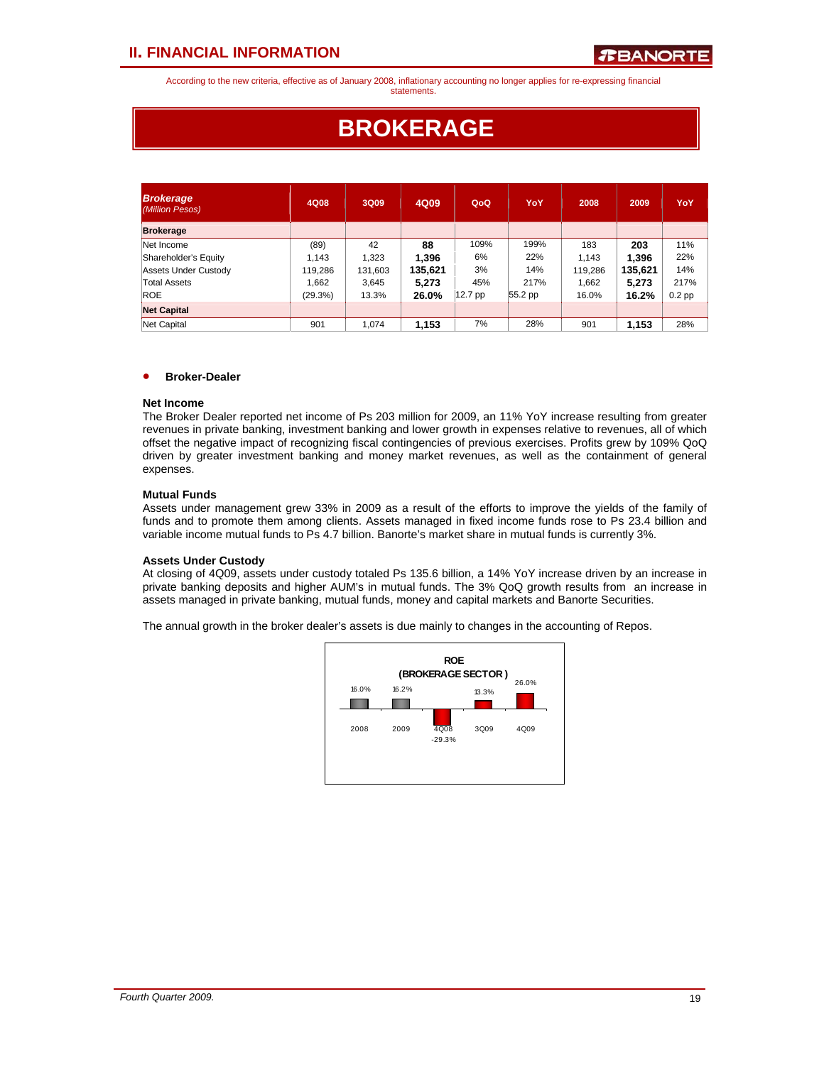According to the new criteria, effective as of January 2008, inflationary accounting no longer applies for re-expressing financial statements.

# **BROKERAGE**

| <b>Brokerage</b><br>(Million Pesos) | 4Q08    | 3Q09    | 4Q09    | QoQ     | YoY       | 2008    | 2009    | YoY      |
|-------------------------------------|---------|---------|---------|---------|-----------|---------|---------|----------|
| <b>Brokerage</b>                    |         |         |         |         |           |         |         |          |
| Net Income                          | (89)    | 42      | 88      | 109%    | 199%      | 183     | 203     | 11%      |
| Shareholder's Equity                | 1.143   | 1.323   | 1,396   | 6%      | 22%       | 1.143   | 1.396   | 22%      |
| Assets Under Custody                | 119,286 | 131,603 | 135,621 | 3%      | 14%       | 119,286 | 135,621 | 14%      |
| Total Assets                        | 1.662   | 3.645   | 5,273   | 45%     | 217%      | 1,662   | 5,273   | 217%     |
| <b>ROE</b>                          | (29.3%) | 13.3%   | 26.0%   | 12.7 pp | $55.2$ pp | 16.0%   | 16.2%   | $0.2$ pp |
| <b>Net Capital</b>                  |         |         |         |         |           |         |         |          |
| Net Capital                         | 901     | 1.074   | 1,153   | 7%      | 28%       | 901     | 1,153   | 28%      |

### • **Broker-Dealer**

#### **Net Income**

The Broker Dealer reported net income of Ps 203 million for 2009, an 11% YoY increase resulting from greater revenues in private banking, investment banking and lower growth in expenses relative to revenues, all of which offset the negative impact of recognizing fiscal contingencies of previous exercises. Profits grew by 109% QoQ driven by greater investment banking and money market revenues, as well as the containment of general expenses.

### **Mutual Funds**

Assets under management grew 33% in 2009 as a result of the efforts to improve the yields of the family of funds and to promote them among clients. Assets managed in fixed income funds rose to Ps 23.4 billion and variable income mutual funds to Ps 4.7 billion. Banorte's market share in mutual funds is currently 3%.

### **Assets Under Custody**

At closing of 4Q09, assets under custody totaled Ps 135.6 billion, a 14% YoY increase driven by an increase in private banking deposits and higher AUM's in mutual funds. The 3% QoQ growth results from an increase in assets managed in private banking, mutual funds, money and capital markets and Banorte Securities.

The annual growth in the broker dealer's assets is due mainly to changes in the accounting of Repos.

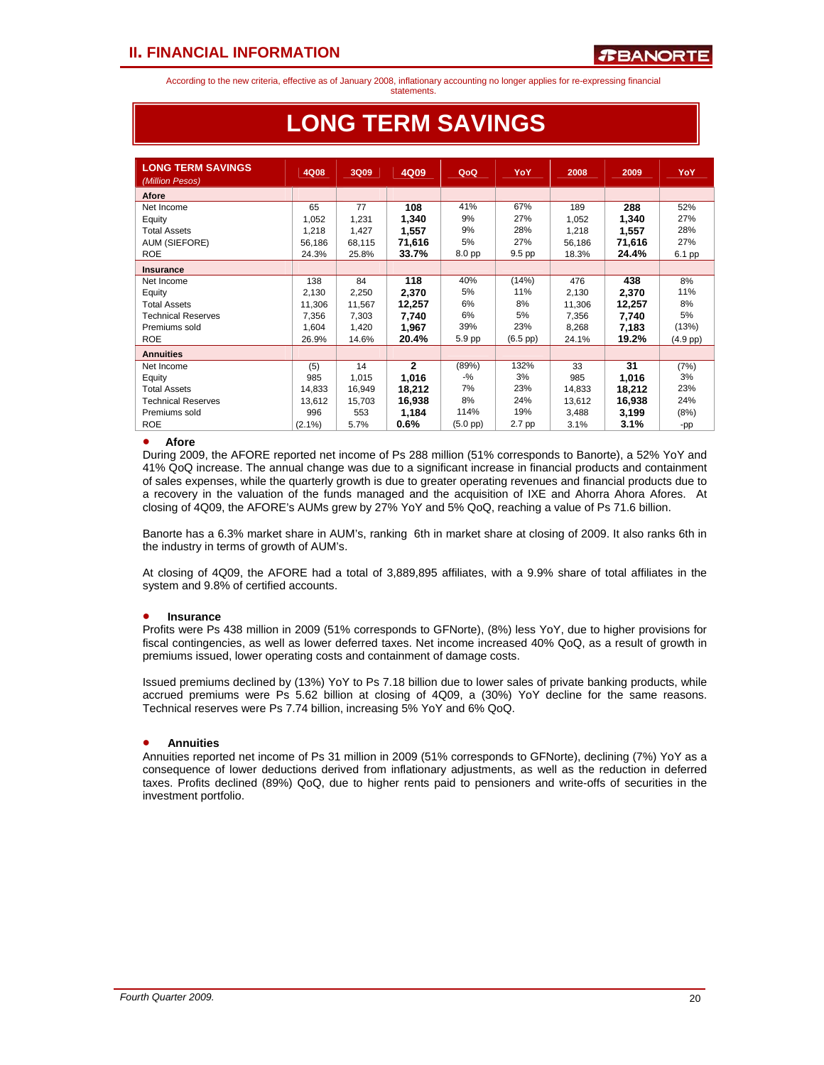statements.

| <b>LONG TERM SAVINGS</b><br>(Million Pesos) | 4Q08      | 3Q09   | 4Q09           | QoQ               | YoY               | 2008   | 2009   | YoY        |
|---------------------------------------------|-----------|--------|----------------|-------------------|-------------------|--------|--------|------------|
| Afore                                       |           |        |                |                   |                   |        |        |            |
| Net Income                                  | 65        | 77     | 108            | 41%               | 67%               | 189    | 288    | 52%        |
| Equity                                      | 1,052     | 1,231  | 1,340          | 9%                | 27%               | 1,052  | 1,340  | 27%        |
| <b>Total Assets</b>                         | 1,218     | 1,427  | 1,557          | 9%                | 28%               | 1,218  | 1,557  | 28%        |
| AUM (SIEFORE)                               | 56,186    | 68,115 | 71.616         | 5%                | 27%               | 56,186 | 71,616 | 27%        |
| <b>ROE</b>                                  | 24.3%     | 25.8%  | 33.7%          | 8.0 pp            | 9.5 pp            | 18.3%  | 24.4%  | 6.1 pp     |
| <b>Insurance</b>                            |           |        |                |                   |                   |        |        |            |
| Net Income                                  | 138       | 84     | 118            | 40%               | (14%)             | 476    | 438    | 8%         |
| Equity                                      | 2,130     | 2,250  | 2,370          | 5%                | 11%               | 2,130  | 2,370  | 11%        |
| <b>Total Assets</b>                         | 11,306    | 11,567 | 12,257         | 6%                | 8%                | 11,306 | 12,257 | 8%         |
| <b>Technical Reserves</b>                   | 7,356     | 7,303  | 7,740          | 6%                | 5%                | 7,356  | 7,740  | 5%         |
| Premiums sold                               | 1,604     | 1,420  | 1,967          | 39%               | 23%               | 8,268  | 7,183  | (13%)      |
| <b>ROE</b>                                  | 26.9%     | 14.6%  | 20.4%          | 5.9 pp            | $(6.5~\text{pp})$ | 24.1%  | 19.2%  | $(4.9$ pp) |
| <b>Annuities</b>                            |           |        |                |                   |                   |        |        |            |
| Net Income                                  | (5)       | 14     | $\overline{2}$ | (89%)             | 132%              | 33     | 31     | (7%)       |
| Equity                                      | 985       | 1,015  | 1,016          | -%                | 3%                | 985    | 1,016  | 3%         |
| <b>Total Assets</b>                         | 14,833    | 16,949 | 18,212         | 7%                | 23%               | 14,833 | 18,212 | 23%        |
| <b>Technical Reserves</b>                   | 13,612    | 15,703 | 16,938         | 8%                | 24%               | 13,612 | 16,938 | 24%        |
| Premiums sold                               | 996       | 553    | 1,184          | 114%              | 19%               | 3,488  | 3,199  | (8%)       |
| <b>ROE</b>                                  | $(2.1\%)$ | 5.7%   | $0.6\%$        | $(5.0~\text{pp})$ | 2.7 pp            | 3.1%   | 3.1%   | -pp        |

# **LONG TERM SAVINGS**

### • **Afore**

During 2009, the AFORE reported net income of Ps 288 million (51% corresponds to Banorte), a 52% YoY and 41% QoQ increase. The annual change was due to a significant increase in financial products and containment of sales expenses, while the quarterly growth is due to greater operating revenues and financial products due to a recovery in the valuation of the funds managed and the acquisition of IXE and Ahorra Ahora Afores. At closing of 4Q09, the AFORE's AUMs grew by 27% YoY and 5% QoQ, reaching a value of Ps 71.6 billion.

Banorte has a 6.3% market share in AUM's, ranking 6th in market share at closing of 2009. It also ranks 6th in the industry in terms of growth of AUM's.

At closing of 4Q09, the AFORE had a total of 3,889,895 affiliates, with a 9.9% share of total affiliates in the system and 9.8% of certified accounts.

### • **Insurance**

Profits were Ps 438 million in 2009 (51% corresponds to GFNorte), (8%) less YoY, due to higher provisions for fiscal contingencies, as well as lower deferred taxes. Net income increased 40% QoQ, as a result of growth in premiums issued, lower operating costs and containment of damage costs.

Issued premiums declined by (13%) YoY to Ps 7.18 billion due to lower sales of private banking products, while accrued premiums were Ps 5.62 billion at closing of 4Q09, a (30%) YoY decline for the same reasons. Technical reserves were Ps 7.74 billion, increasing 5% YoY and 6% QoQ.

### • **Annuities**

Annuities reported net income of Ps 31 million in 2009 (51% corresponds to GFNorte), declining (7%) YoY as a consequence of lower deductions derived from inflationary adjustments, as well as the reduction in deferred taxes. Profits declined (89%) QoQ, due to higher rents paid to pensioners and write-offs of securities in the investment portfolio.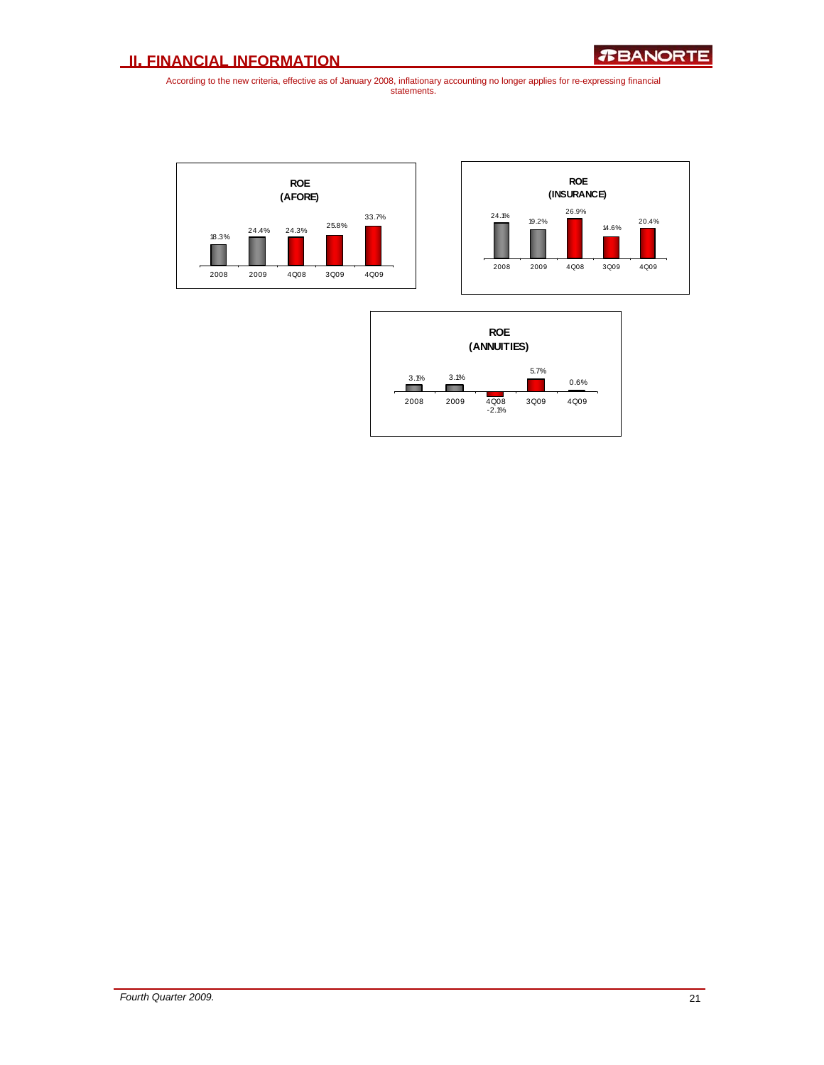



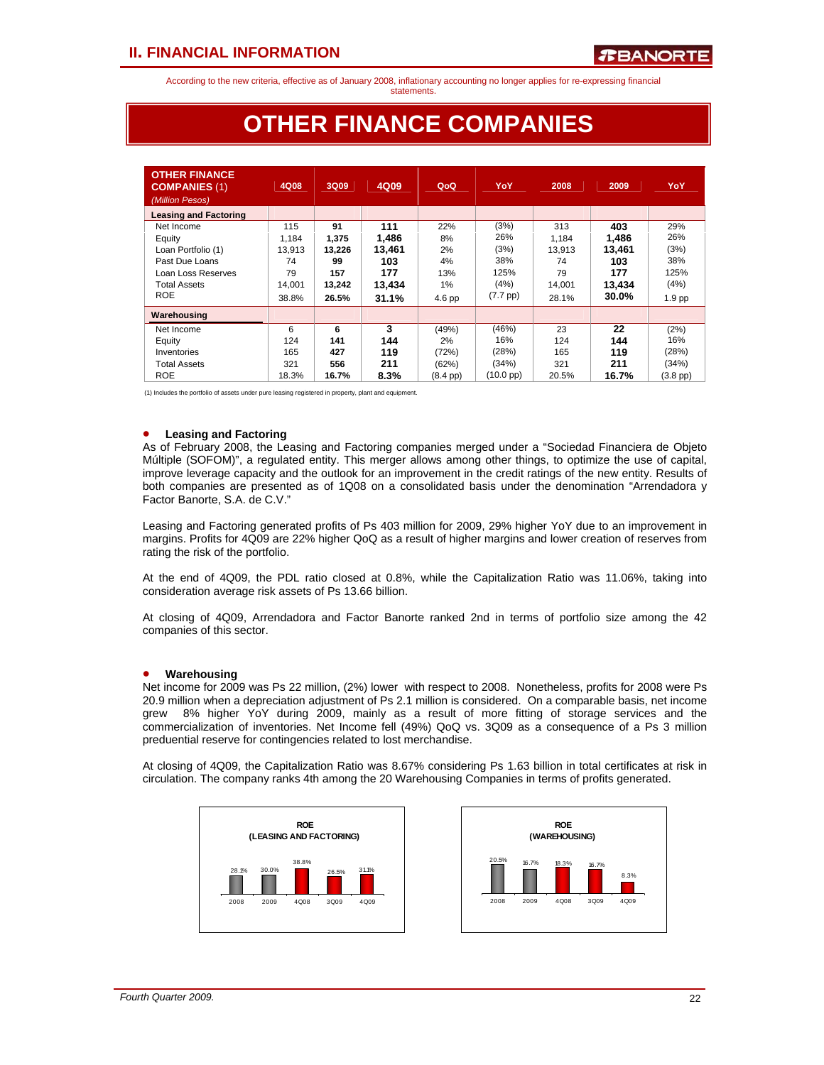statements.

# **OTHER FINANCE COMPANIES**

| <b>OTHER FINANCE</b><br><b>COMPANIES (1)</b><br>(Million Pesos) | 4Q08   | 3Q09   | 4Q09   | QoQ           | YoY                | 2008   | 2009   | YoY               |
|-----------------------------------------------------------------|--------|--------|--------|---------------|--------------------|--------|--------|-------------------|
| <b>Leasing and Factoring</b>                                    |        |        |        |               |                    |        |        |                   |
| Net Income                                                      | 115    | 91     | 111    | 22%           | (3%)               | 313    | 403    | 29%               |
| Equity                                                          | 1,184  | 1,375  | 1,486  | 8%            | 26%                | 1,184  | 1,486  | 26%               |
| Loan Portfolio (1)                                              | 13.913 | 13.226 | 13.461 | 2%            | (3%)               | 13.913 | 13,461 | (3%)              |
| Past Due Loans                                                  | 74     | 99     | 103    | 4%            | 38%                | 74     | 103    | 38%               |
| Loan Loss Reserves                                              | 79     | 157    | 177    | 13%           | 125%               | 79     | 177    | 125%              |
| <b>Total Assets</b>                                             | 14.001 | 13,242 | 13,434 | 1%            | (4%)               | 14.001 | 13,434 | (4%)              |
| <b>ROE</b>                                                      | 38.8%  | 26.5%  | 31.1%  | $4.6$ pp      | $(7.7 \text{ pp})$ | 28.1%  | 30.0%  | 1.9 <sub>pp</sub> |
| Warehousing                                                     |        |        |        |               |                    |        |        |                   |
| Net Income                                                      | 6      | 6      | 3      | (49%)         | (46%)              | 23     | 22     | (2%)              |
| Equity                                                          | 124    | 141    | 144    | 2%            | 16%                | 124    | 144    | 16%               |
| Inventories                                                     | 165    | 427    | 119    | (72%)         | (28%)              | 165    | 119    | (28%)             |
| <b>Total Assets</b>                                             | 321    | 556    | 211    | (62%)         | (34%)              | 321    | 211    | (34%)             |
| <b>ROE</b>                                                      | 18.3%  | 16.7%  | 8.3%   | $(8.4$ pp $)$ | (10.0 pp)          | 20.5%  | 16.7%  | $(3.8$ pp $)$     |

(1) Includes the portfolio of assets under pure leasing registered in property, plant and equipment.

### • **Leasing and Factoring**

As of February 2008, the Leasing and Factoring companies merged under a "Sociedad Financiera de Objeto Múltiple (SOFOM)", a regulated entity. This merger allows among other things, to optimize the use of capital, improve leverage capacity and the outlook for an improvement in the credit ratings of the new entity. Results of both companies are presented as of 1Q08 on a consolidated basis under the denomination "Arrendadora y Factor Banorte, S.A. de C.V."

Leasing and Factoring generated profits of Ps 403 million for 2009, 29% higher YoY due to an improvement in margins. Profits for 4Q09 are 22% higher QoQ as a result of higher margins and lower creation of reserves from rating the risk of the portfolio.

At the end of 4Q09, the PDL ratio closed at 0.8%, while the Capitalization Ratio was 11.06%, taking into consideration average risk assets of Ps 13.66 billion.

At closing of 4Q09, Arrendadora and Factor Banorte ranked 2nd in terms of portfolio size among the 42 companies of this sector.

### • **Warehousing**

Net income for 2009 was Ps 22 million, (2%) lower with respect to 2008. Nonetheless, profits for 2008 were Ps 20.9 million when a depreciation adjustment of Ps 2.1 million is considered. On a comparable basis, net income grew 8% higher YoY during 2009, mainly as a result of more fitting of storage services and the commercialization of inventories. Net Income fell (49%) QoQ vs. 3Q09 as a consequence of a Ps 3 million preduential reserve for contingencies related to lost merchandise.

At closing of 4Q09, the Capitalization Ratio was 8.67% considering Ps 1.63 billion in total certificates at risk in circulation. The company ranks 4th among the 20 Warehousing Companies in terms of profits generated.



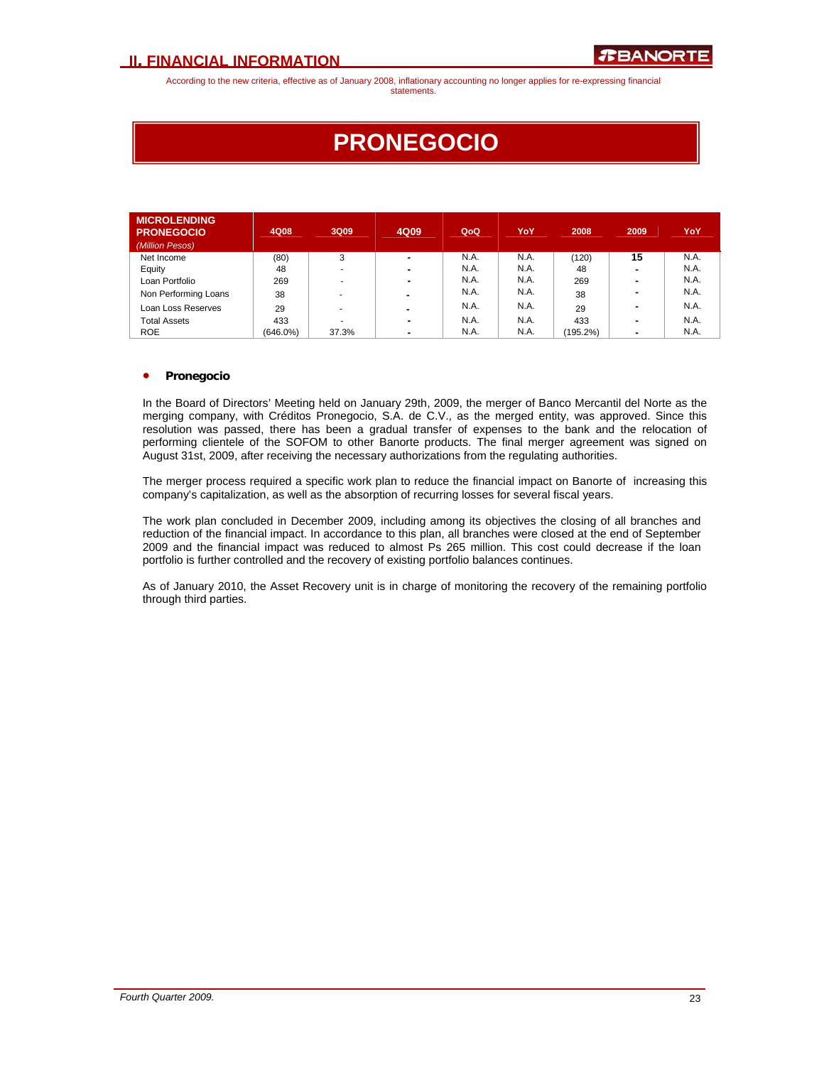# **PRONEGOCIO**

| <b>MICROLENDING</b><br><b>PRONEGOCIO</b><br>(Million Pesos) | 4Q08        | 3Q09                     | 4Q09           | QoQ  | <b>YoY</b> | 2008     | 2009 | YoY  |
|-------------------------------------------------------------|-------------|--------------------------|----------------|------|------------|----------|------|------|
| Net Income                                                  | (80)        | 3                        | $\blacksquare$ | N.A. | N.A.       | (120)    | 15   | N.A. |
| Equity                                                      | 48          |                          | $\blacksquare$ | N.A. | N.A.       | 48       |      | N.A. |
| Loan Portfolio                                              | 269         |                          | ۰              | N.A. | N.A.       | 269      | ۰    | N.A. |
| Non Performing Loans                                        | 38          | $\overline{\phantom{a}}$ | -              | N.A. | N.A.       | 38       | ۰    | N.A. |
| Loan Loss Reserves                                          | 29          |                          | -              | N.A. | N.A.       | 29       |      | N.A. |
| <b>Total Assets</b>                                         | 433         |                          | ۰              | N.A. | N.A.       | 433      |      | N.A. |
| <b>ROE</b>                                                  | $(646.0\%)$ | 37.3%                    | ۰              | N.A. | N.A.       | (195.2%) | ۰    | N.A. |

### • **Pronegocio**

In the Board of Directors' Meeting held on January 29th, 2009, the merger of Banco Mercantil del Norte as the merging company, with Créditos Pronegocio, S.A. de C.V., as the merged entity, was approved. Since this resolution was passed, there has been a gradual transfer of expenses to the bank and the relocation of performing clientele of the SOFOM to other Banorte products. The final merger agreement was signed on August 31st, 2009, after receiving the necessary authorizations from the regulating authorities.

The merger process required a specific work plan to reduce the financial impact on Banorte of increasing this company's capitalization, as well as the absorption of recurring losses for several fiscal years.

The work plan concluded in December 2009, including among its objectives the closing of all branches and reduction of the financial impact. In accordance to this plan, all branches were closed at the end of September 2009 and the financial impact was reduced to almost Ps 265 million. This cost could decrease if the loan portfolio is further controlled and the recovery of existing portfolio balances continues.

As of January 2010, the Asset Recovery unit is in charge of monitoring the recovery of the remaining portfolio through third parties.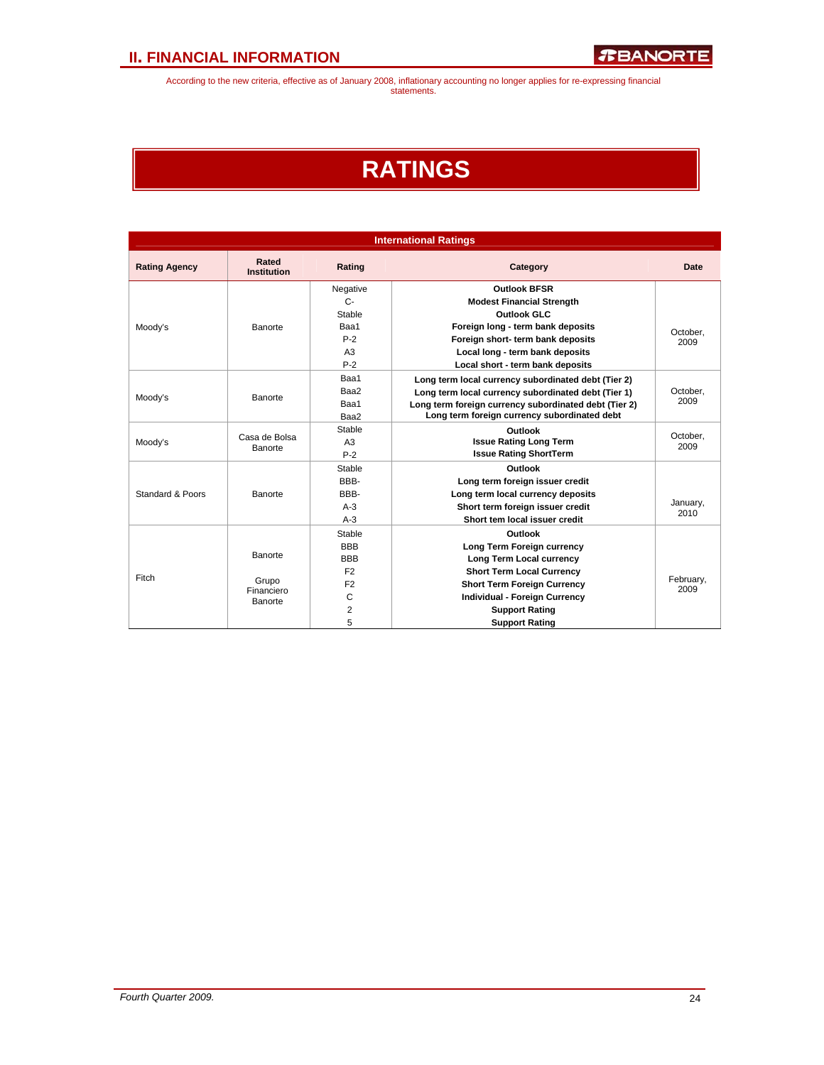# **RATINGS**

| <b>International Ratings</b> |                                    |                |                                                       |                   |  |  |  |
|------------------------------|------------------------------------|----------------|-------------------------------------------------------|-------------------|--|--|--|
| <b>Rating Agency</b>         | Rated<br><b>Institution</b>        | Rating         | Category                                              |                   |  |  |  |
|                              |                                    | Negative       | <b>Outlook BFSR</b>                                   |                   |  |  |  |
|                              |                                    | $C -$          | <b>Modest Financial Strength</b>                      |                   |  |  |  |
|                              |                                    | Stable         | Outlook GLC                                           |                   |  |  |  |
| Moody's                      | <b>Banorte</b>                     | Baa1           | Foreign long - term bank deposits                     | October,          |  |  |  |
|                              |                                    | $P-2$          | Foreign short- term bank deposits                     | 2009              |  |  |  |
|                              |                                    | A3             | Local long - term bank deposits                       |                   |  |  |  |
|                              |                                    | $P-2$          | Local short - term bank deposits                      |                   |  |  |  |
|                              |                                    | Baa1           | Long term local currency subordinated debt (Tier 2)   |                   |  |  |  |
|                              | Baa2<br>Moody's<br>Banorte<br>Baa1 |                | Long term local currency subordinated debt (Tier 1)   | October.          |  |  |  |
|                              |                                    |                | Long term foreign currency subordinated debt (Tier 2) | 2009              |  |  |  |
|                              |                                    | Baa2           | Long term foreign currency subordinated debt          |                   |  |  |  |
|                              |                                    | Stable         | Outlook                                               |                   |  |  |  |
| Moody's                      | Casa de Bolsa<br>Banorte           |                | <b>Issue Rating Long Term</b>                         | October,<br>2009  |  |  |  |
|                              |                                    | $P-2$          | <b>Issue Rating ShortTerm</b>                         |                   |  |  |  |
|                              |                                    | Stable         | Outlook                                               |                   |  |  |  |
|                              |                                    | BBB-           | Long term foreign issuer credit                       |                   |  |  |  |
| Standard & Poors             | Banorte                            | BBB-           | Long term local currency deposits                     |                   |  |  |  |
|                              |                                    | $A-3$          | Short term foreign issuer credit                      | January,<br>2010  |  |  |  |
|                              |                                    | $A-3$          | Short tem local issuer credit                         |                   |  |  |  |
|                              |                                    | Stable         | Outlook                                               |                   |  |  |  |
|                              |                                    | <b>BBB</b>     | Long Term Foreign currency                            |                   |  |  |  |
|                              | Banorte                            | <b>BBB</b>     | Long Term Local currency                              |                   |  |  |  |
| Fitch                        |                                    | F <sub>2</sub> | <b>Short Term Local Currency</b>                      |                   |  |  |  |
|                              | Grupo<br>Financiero                | F <sub>2</sub> | <b>Short Term Foreign Currency</b>                    | February,<br>2009 |  |  |  |
|                              | <b>Banorte</b>                     | $\mathsf{C}$   | <b>Individual - Foreign Currency</b>                  |                   |  |  |  |
|                              |                                    | $\overline{2}$ | <b>Support Rating</b>                                 |                   |  |  |  |
|                              |                                    | 5              | <b>Support Rating</b>                                 |                   |  |  |  |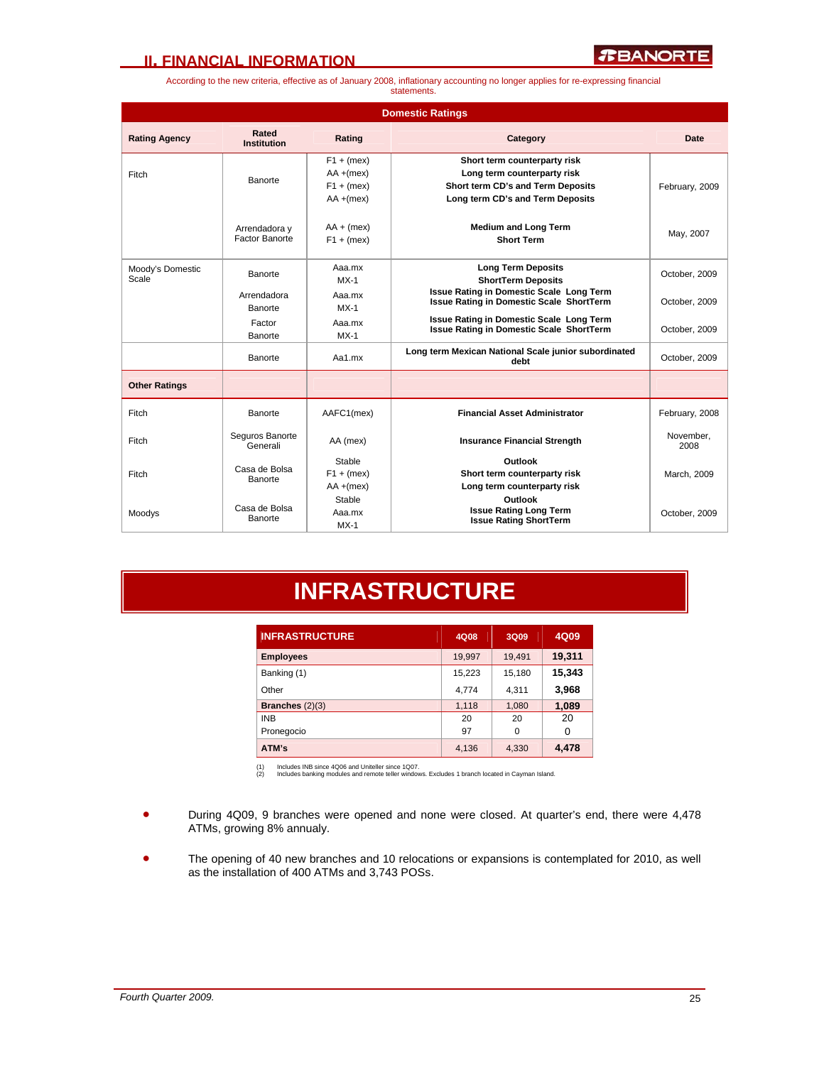*R***BANORTE** 

According to the new criteria, effective as of January 2008, inflationary accounting no longer applies for re-expressing financial statements.

| <b>Domestic Ratings</b>   |                                 |                                                              |                                                                                                                                      |                   |  |  |  |
|---------------------------|---------------------------------|--------------------------------------------------------------|--------------------------------------------------------------------------------------------------------------------------------------|-------------------|--|--|--|
| <b>Rating Agency</b>      | Rated<br><b>Institution</b>     | Rating                                                       | Category                                                                                                                             | Date              |  |  |  |
| Fitch                     | Banorte                         | $F1 + (mex)$<br>$AA + (mex)$<br>$F1 + (mex)$<br>$AA + (mex)$ | Short term counterparty risk<br>Long term counterparty risk<br>Short term CD's and Term Deposits<br>Long term CD's and Term Deposits | February, 2009    |  |  |  |
|                           | Arrendadora y<br>Factor Banorte | $AA + (mex)$<br>$F1 + (mex)$                                 | <b>Medium and Long Term</b><br><b>Short Term</b>                                                                                     | May, 2007         |  |  |  |
| Moody's Domestic<br>Scale | Banorte                         | Aaa.mx<br>$MX-1$                                             | <b>Long Term Deposits</b><br><b>ShortTerm Deposits</b>                                                                               | October, 2009     |  |  |  |
|                           | Arrendadora<br>Banorte          | Aaa.mx<br>$MX-1$                                             | <b>Issue Rating in Domestic Scale Long Term</b><br><b>Issue Rating in Domestic Scale ShortTerm</b>                                   | October, 2009     |  |  |  |
|                           | Factor<br>Banorte               | Aaa.mx<br>$MX-1$                                             | <b>Issue Rating in Domestic Scale Long Term</b><br><b>Issue Rating in Domestic Scale ShortTerm</b>                                   | October, 2009     |  |  |  |
|                           | Banorte                         | Aa1.mx                                                       | Long term Mexican National Scale junior subordinated<br>debt                                                                         | October, 2009     |  |  |  |
| <b>Other Ratings</b>      |                                 |                                                              |                                                                                                                                      |                   |  |  |  |
| Fitch                     | Banorte                         | AAFC1(mex)                                                   | <b>Financial Asset Administrator</b>                                                                                                 | February, 2008    |  |  |  |
| Fitch                     | Seguros Banorte<br>Generali     | AA (mex)                                                     | <b>Insurance Financial Strength</b>                                                                                                  | November.<br>2008 |  |  |  |
| Fitch                     | Casa de Bolsa<br>Banorte        | Stable<br>$F1 + (mex)$<br>$AA + (mex)$                       | Outlook<br>Short term counterparty risk<br>Long term counterparty risk                                                               | March, 2009       |  |  |  |
| Moodys                    | Casa de Bolsa<br>Banorte        | Stable<br>Aaa.mx<br>$MX-1$                                   | Outlook<br><b>Issue Rating Long Term</b><br><b>Issue Rating ShortTerm</b>                                                            | October, 2009     |  |  |  |

# **INFRASTRUCTURE**

| <b>INFRASTRUCTURE</b> | 4Q08   | 3Q09     | 4Q09     |
|-----------------------|--------|----------|----------|
| <b>Employees</b>      | 19,997 | 19,491   | 19,311   |
| Banking (1)           | 15,223 | 15,180   | 15,343   |
| Other                 | 4,774  | 4,311    | 3,968    |
| Branches $(2)(3)$     | 1,118  | 1,080    | 1,089    |
| <b>INB</b>            | 20     | 20       | 20       |
| Pronegocio            | 97     | $\Omega$ | $\Omega$ |
| ATM's                 | 4.136  | 4.330    | 4,478    |

(1) Includes INB since 4Q06 and Uniteller since 1Q07. (2) Includes banking modules and remote teller windows. Excludes 1 branch located in Cayman Island.

- During 4Q09, 9 branches were opened and none were closed. At quarter's end, there were 4,478 ATMs, growing 8% annualy.
- The opening of 40 new branches and 10 relocations or expansions is contemplated for 2010, as well as the installation of 400 ATMs and 3,743 POSs.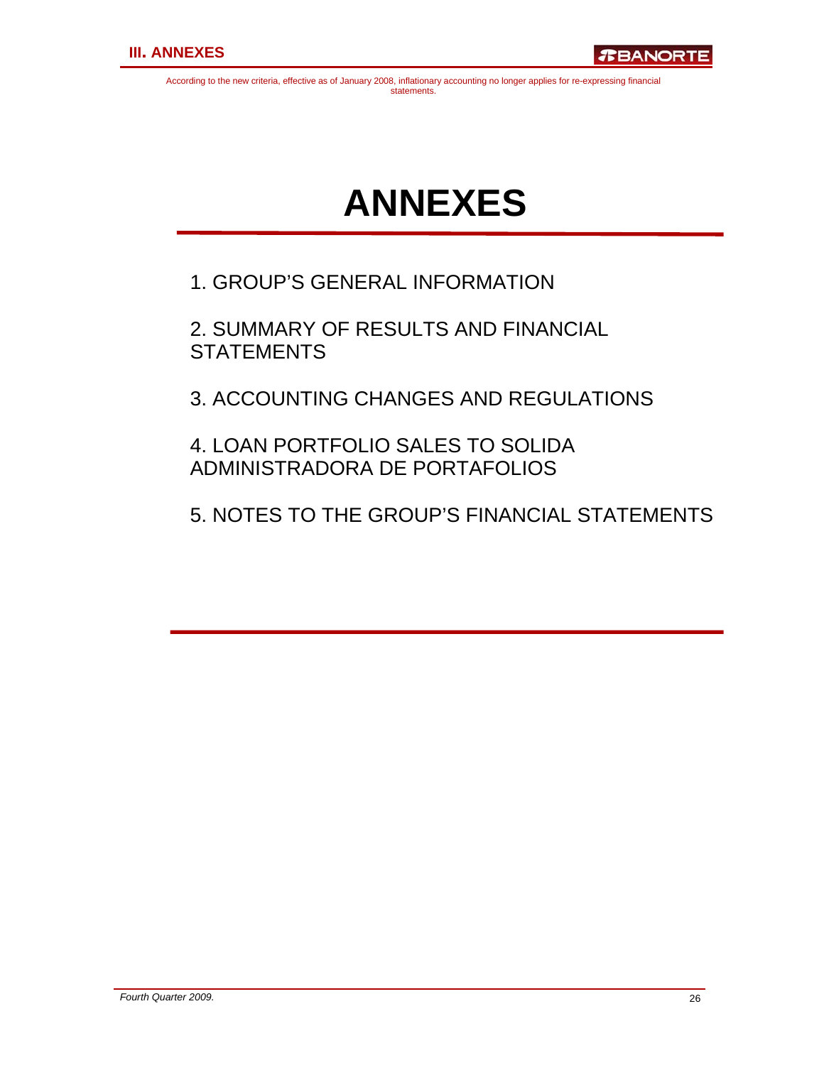# **ANNEXES**

1. GROUP'S GENERAL INFORMATION

2. SUMMARY OF RESULTS AND FINANCIAL **STATEMENTS** 

3. ACCOUNTING CHANGES AND REGULATIONS

4. LOAN PORTFOLIO SALES TO SOLIDA ADMINISTRADORA DE PORTAFOLIOS

5. NOTES TO THE GROUP'S FINANCIAL STATEMENTS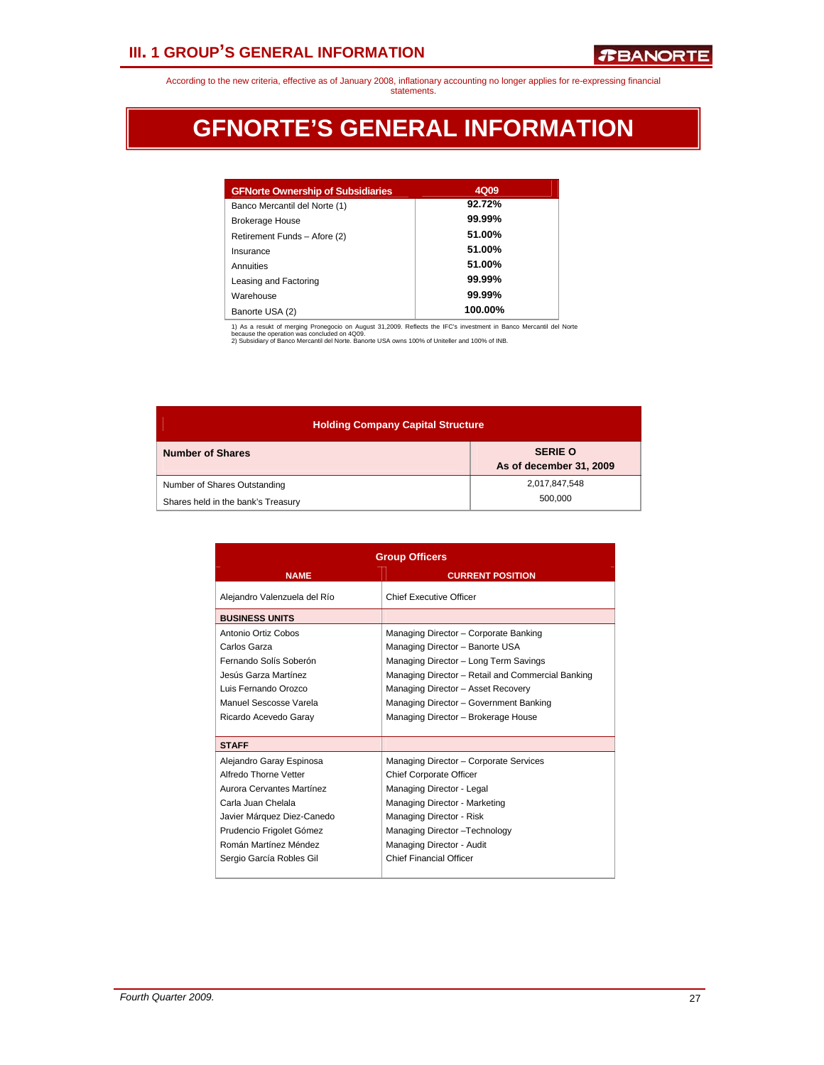# **III. 1 GROUP'S GENERAL INFORMATION**

According to the new criteria, effective as of January 2008, inflationary accounting no longer applies for re-expressing financial statements.

# **GFNORTE'S GENERAL INFORMATION**

| <b>GFNorte Ownership of Subsidiaries</b> | 4Q09    |
|------------------------------------------|---------|
| Banco Mercantil del Norte (1)            | 92.72%  |
| <b>Brokerage House</b>                   | 99.99%  |
| Retirement Funds - Afore (2)             | 51.00%  |
| Insurance                                | 51.00%  |
| Annuities                                | 51.00%  |
| Leasing and Factoring                    | 99.99%  |
| Warehouse                                | 99.99%  |
| Banorte USA (2)                          | 100.00% |

1) As a resukt of merging Pronegocio on August 31,2009. Reflects the IFC's investment in Banco Mercantil del Norte<br>because the operation was concluded on 4Q09.<br>2) Subsidiary of Banco Mercantil del Norte. Banorte USA owns 1

| <b>Holding Company Capital Structure</b> |                                           |  |  |  |  |  |
|------------------------------------------|-------------------------------------------|--|--|--|--|--|
| <b>Number of Shares</b>                  | <b>SERIE O</b><br>As of december 31, 2009 |  |  |  |  |  |
| Number of Shares Outstanding             | 2,017,847,548<br>500.000                  |  |  |  |  |  |
| Shares held in the bank's Treasury       |                                           |  |  |  |  |  |

|                                                                                                                                                                                                                     | <b>Group Officers</b>                                                                                                                                                                                                                                                                         |  |  |  |  |  |  |  |  |
|---------------------------------------------------------------------------------------------------------------------------------------------------------------------------------------------------------------------|-----------------------------------------------------------------------------------------------------------------------------------------------------------------------------------------------------------------------------------------------------------------------------------------------|--|--|--|--|--|--|--|--|
| <b>NAME</b>                                                                                                                                                                                                         | <b>CURRENT POSITION</b>                                                                                                                                                                                                                                                                       |  |  |  |  |  |  |  |  |
| Alejandro Valenzuela del Río                                                                                                                                                                                        | Chief Executive Officer                                                                                                                                                                                                                                                                       |  |  |  |  |  |  |  |  |
| <b>BUSINESS UNITS</b>                                                                                                                                                                                               |                                                                                                                                                                                                                                                                                               |  |  |  |  |  |  |  |  |
| Antonio Ortiz Cobos<br>Carlos Garza<br>Fernando Solís Soberón<br>Jesús Garza Martínez<br>Luis Fernando Orozco<br>Manuel Sescosse Varela<br>Ricardo Acevedo Garay                                                    | Managing Director - Corporate Banking<br>Managing Director - Banorte USA<br>Managing Director - Long Term Savings<br>Managing Director - Retail and Commercial Banking<br>Managing Director - Asset Recovery<br>Managing Director - Government Banking<br>Managing Director - Brokerage House |  |  |  |  |  |  |  |  |
| <b>STAFF</b>                                                                                                                                                                                                        |                                                                                                                                                                                                                                                                                               |  |  |  |  |  |  |  |  |
| Alejandro Garay Espinosa<br>Alfredo Thorne Vetter<br>Aurora Cervantes Martínez<br>Carla Juan Chelala<br>Javier Márquez Diez-Canedo<br>Prudencio Frigolet Gómez<br>Román Martínez Méndez<br>Sergio García Robles Gil | Managing Director - Corporate Services<br><b>Chief Corporate Officer</b><br>Managing Director - Legal<br>Managing Director - Marketing<br>Managing Director - Risk<br>Managing Director - Technology<br>Managing Director - Audit<br>Chief Financial Officer                                  |  |  |  |  |  |  |  |  |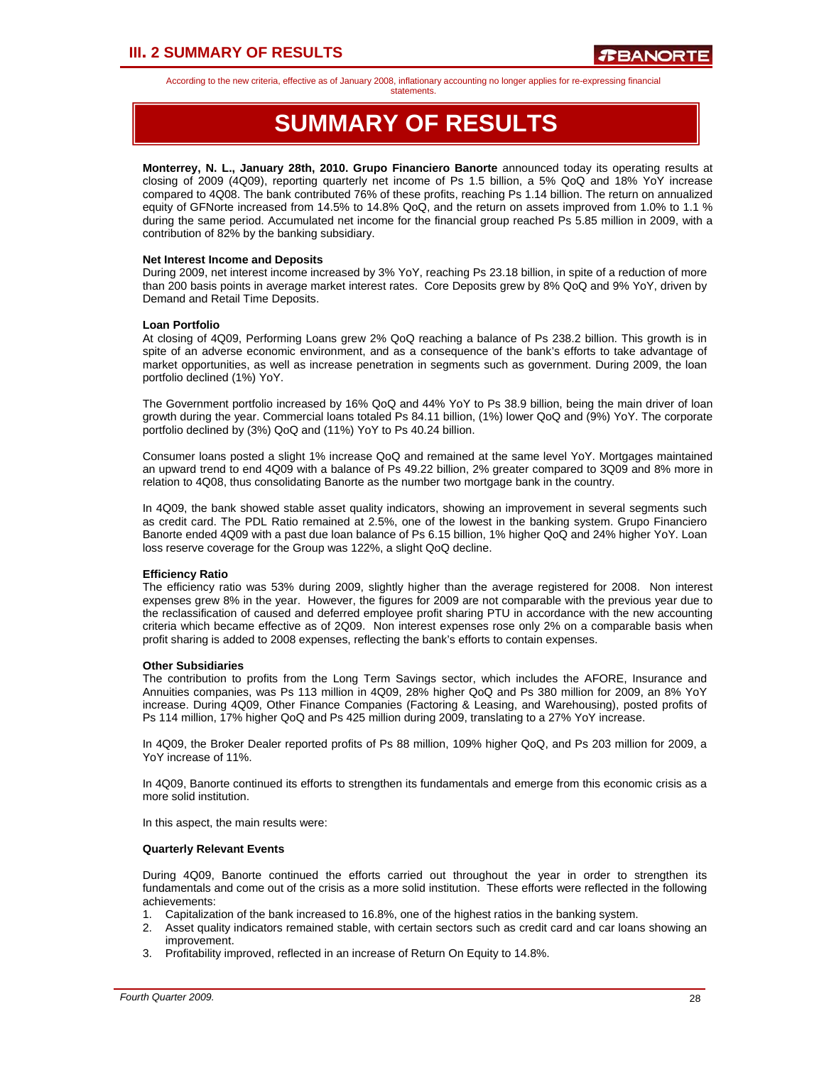# **III. 2 SUMMARY OF RESULTS**

According to the new criteria, effective as of January 2008, inflationary accounting no longer applies for re-expressing financial

statements.

# **SUMMARY OF RESULTS**

**Monterrey, N. L., January 28th, 2010. Grupo Financiero Banorte** announced today its operating results at closing of 2009 (4Q09), reporting quarterly net income of Ps 1.5 billion, a 5% QoQ and 18% YoY increase compared to 4Q08. The bank contributed 76% of these profits, reaching Ps 1.14 billion. The return on annualized equity of GFNorte increased from 14.5% to 14.8% QoQ, and the return on assets improved from 1.0% to 1.1 % during the same period. Accumulated net income for the financial group reached Ps 5.85 million in 2009, with a contribution of 82% by the banking subsidiary.

### **Net Interest Income and Deposits**

During 2009, net interest income increased by 3% YoY, reaching Ps 23.18 billion, in spite of a reduction of more than 200 basis points in average market interest rates. Core Deposits grew by 8% QoQ and 9% YoY, driven by Demand and Retail Time Deposits.

### **Loan Portfolio**

At closing of 4Q09, Performing Loans grew 2% QoQ reaching a balance of Ps 238.2 billion. This growth is in spite of an adverse economic environment, and as a consequence of the bank's efforts to take advantage of market opportunities, as well as increase penetration in segments such as government. During 2009, the loan portfolio declined (1%) YoY.

The Government portfolio increased by 16% QoQ and 44% YoY to Ps 38.9 billion, being the main driver of loan growth during the year. Commercial loans totaled Ps 84.11 billion, (1%) lower QoQ and (9%) YoY. The corporate portfolio declined by (3%) QoQ and (11%) YoY to Ps 40.24 billion.

Consumer loans posted a slight 1% increase QoQ and remained at the same level YoY. Mortgages maintained an upward trend to end 4Q09 with a balance of Ps 49.22 billion, 2% greater compared to 3Q09 and 8% more in relation to 4Q08, thus consolidating Banorte as the number two mortgage bank in the country.

In 4Q09, the bank showed stable asset quality indicators, showing an improvement in several segments such as credit card. The PDL Ratio remained at 2.5%, one of the lowest in the banking system. Grupo Financiero Banorte ended 4Q09 with a past due loan balance of Ps 6.15 billion, 1% higher QoQ and 24% higher YoY. Loan loss reserve coverage for the Group was 122%, a slight QoQ decline.

### **Efficiency Ratio**

The efficiency ratio was 53% during 2009, slightly higher than the average registered for 2008. Non interest expenses grew 8% in the year. However, the figures for 2009 are not comparable with the previous year due to the reclassification of caused and deferred employee profit sharing PTU in accordance with the new accounting criteria which became effective as of 2Q09. Non interest expenses rose only 2% on a comparable basis when profit sharing is added to 2008 expenses, reflecting the bank's efforts to contain expenses.

### **Other Subsidiaries**

The contribution to profits from the Long Term Savings sector, which includes the AFORE, Insurance and Annuities companies, was Ps 113 million in 4Q09, 28% higher QoQ and Ps 380 million for 2009, an 8% YoY increase. During 4Q09, Other Finance Companies (Factoring & Leasing, and Warehousing), posted profits of Ps 114 million, 17% higher QoQ and Ps 425 million during 2009, translating to a 27% YoY increase.

In 4Q09, the Broker Dealer reported profits of Ps 88 million, 109% higher QoQ, and Ps 203 million for 2009, a YoY increase of 11%.

In 4Q09, Banorte continued its efforts to strengthen its fundamentals and emerge from this economic crisis as a more solid institution.

In this aspect, the main results were:

### **Quarterly Relevant Events**

During 4Q09, Banorte continued the efforts carried out throughout the year in order to strengthen its fundamentals and come out of the crisis as a more solid institution. These efforts were reflected in the following achievements:

- 1. Capitalization of the bank increased to 16.8%, one of the highest ratios in the banking system.
- 2. Asset quality indicators remained stable, with certain sectors such as credit card and car loans showing an improvement.
- 3. Profitability improved, reflected in an increase of Return On Equity to 14.8%.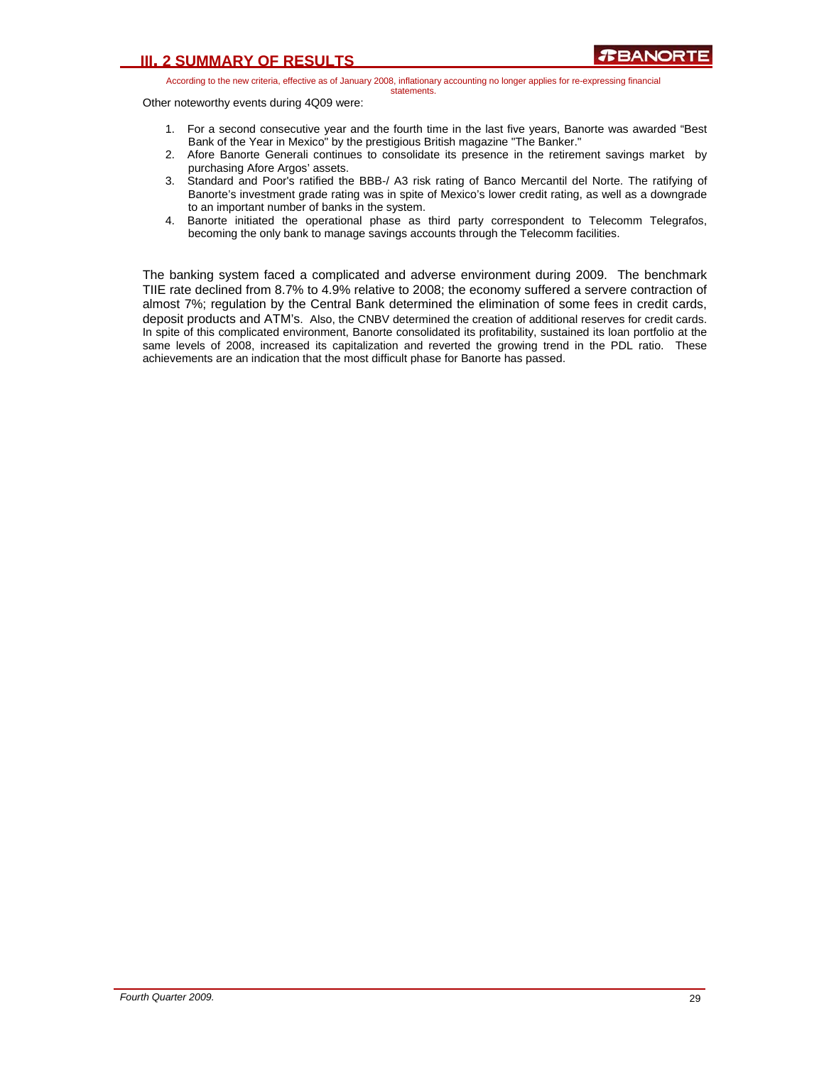Other noteworthy events during 4Q09 were:

- 1. For a second consecutive year and the fourth time in the last five years, Banorte was awarded "Best Bank of the Year in Mexico" by the prestigious British magazine "The Banker."
- 2. Afore Banorte Generali continues to consolidate its presence in the retirement savings market by purchasing Afore Argos' assets.
- 3. Standard and Poor's ratified the BBB-/ A3 risk rating of Banco Mercantil del Norte. The ratifying of Banorte's investment grade rating was in spite of Mexico's lower credit rating, as well as a downgrade to an important number of banks in the system.
- 4. Banorte initiated the operational phase as third party correspondent to Telecomm Telegrafos, becoming the only bank to manage savings accounts through the Telecomm facilities.

The banking system faced a complicated and adverse environment during 2009. The benchmark TIIE rate declined from 8.7% to 4.9% relative to 2008; the economy suffered a servere contraction of almost 7%; regulation by the Central Bank determined the elimination of some fees in credit cards, deposit products and ATM's. Also, the CNBV determined the creation of additional reserves for credit cards. In spite of this complicated environment, Banorte consolidated its profitability, sustained its loan portfolio at the same levels of 2008, increased its capitalization and reverted the growing trend in the PDL ratio. These achievements are an indication that the most difficult phase for Banorte has passed.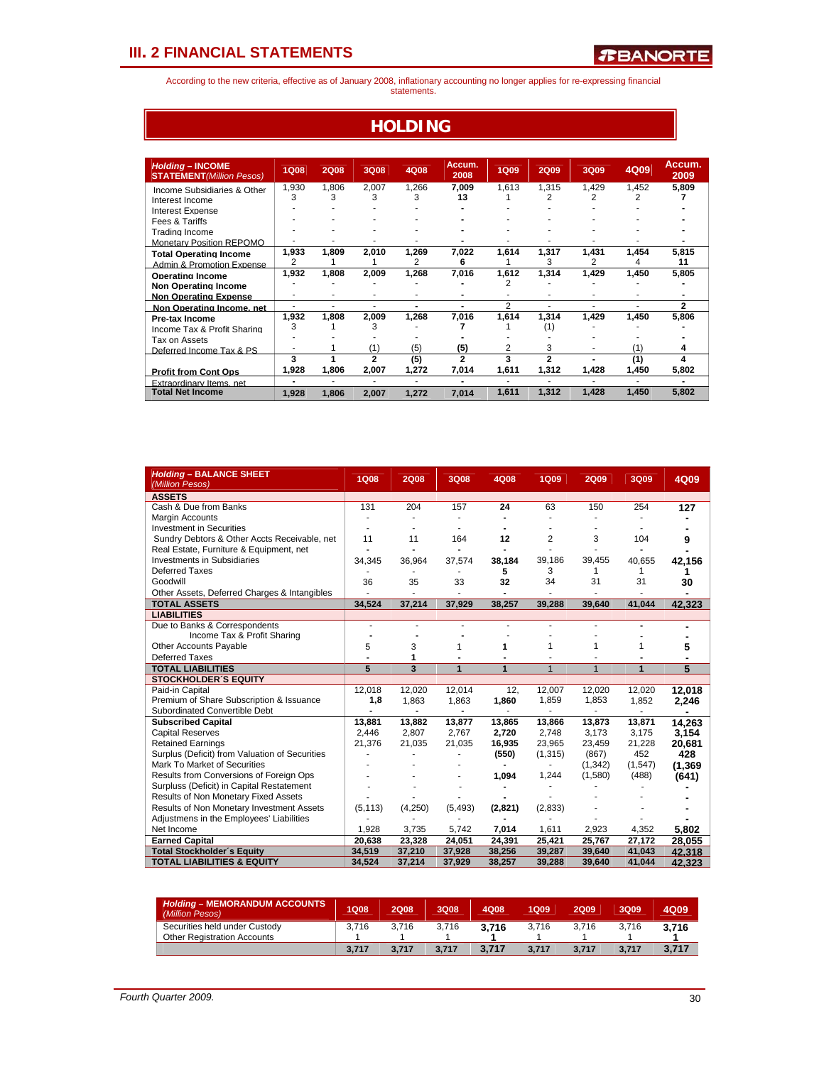According to the new criteria, effective as of January 2008, inflationary accounting no longer applies for re-expressing financial statements.

### **HOLDING**

| <b>Holding - INCOME</b><br><b>STATEMENT</b> (Million Pesos) | <b>1Q08</b> | <b>2Q08</b> | <b>3Q08</b>    | 4Q08  | Accum.<br>2008 | <b>1Q09</b> | <b>2Q09</b> | 3Q09                     | 4Q09  | Accum.<br>2009 |
|-------------------------------------------------------------|-------------|-------------|----------------|-------|----------------|-------------|-------------|--------------------------|-------|----------------|
| Income Subsidiaries & Other                                 | 1.930       | 1.806       | 2.007          | 1.266 | 7.009          | 1.613       | 1,315       | 1.429                    | 1.452 | 5,809          |
| Interest Income                                             | 3           | 3           | 3              | 3     | 13             |             |             |                          |       |                |
| <b>Interest Expense</b>                                     |             |             |                |       |                |             |             |                          |       |                |
| Fees & Tariffs                                              |             |             |                |       |                |             |             |                          |       |                |
| Trading Income                                              |             |             |                |       |                |             |             |                          |       |                |
| <b>Monetary Position REPOMO</b>                             |             |             |                |       |                |             |             |                          |       |                |
| <b>Total Operating Income</b>                               | 1,933       | 1,809       | 2,010          | 1,269 | 7,022          | 1,614       | 1,317       | 1,431                    | 1,454 | 5,815          |
| Admin & Promotion Expense                                   | 2           |             |                | 2     | 6              |             | 3           | 2                        | 4     | 11             |
| Operating Income                                            | 1,932       | 1,808       | 2,009          | 1,268 | 7,016          | 1.612       | 1.314       | 1,429                    | 1,450 | 5,805          |
| <b>Non Operating Income</b>                                 |             |             |                |       |                |             |             |                          |       |                |
| <b>Non Operating Expense</b>                                |             |             | ۰              |       |                |             |             |                          |       |                |
| Non Operating Income, net                                   | ۰           | ٠           | ٠              | -     | ۰              | 2           | ٠           | $\overline{\phantom{a}}$ | ٠     | 2              |
| <b>Pre-tax Income</b>                                       | 1,932       | 1,808       | 2,009          | 1,268 | 7,016          | 1,614       | 1,314       | 1,429                    | 1,450 | 5,806          |
| Income Tax & Profit Sharing                                 | 3           |             | 3              |       |                |             | (1)         |                          |       |                |
| Tax on Assets                                               |             |             |                |       |                |             |             |                          |       |                |
| Deferred Income Tax & PS                                    |             |             | (1)            | (5)   | (5)            | 2           | 3           |                          |       |                |
|                                                             | 3           |             | $\overline{2}$ | (5)   | $\overline{2}$ | 3           | 2           |                          | (1)   | 4              |
| <b>Profit from Cont Ops</b>                                 | 1,928       | 1.806       | 2.007          | 1.272 | 7.014          | 1,611       | 1,312       | 1,428                    | 1,450 | 5,802          |
| <b>Extraordinary Items net</b>                              |             |             | ٠              |       |                |             |             |                          |       |                |
| <b>Total Net Income</b>                                     | 1.928       | 1.806       | 2.007          | 1.272 | 7.014          | 1,611       | 1,312       | 1,428                    | 1,450 | 5,802          |

| <b>Holding - BALANCE SHEET</b><br>(Million Pesos) | <b>1Q08</b>    | <b>2Q08</b>             | 3Q08           | 4Q08           | <b>1Q09</b>    | <b>2Q09</b>    | 3Q09    | 4Q09           |
|---------------------------------------------------|----------------|-------------------------|----------------|----------------|----------------|----------------|---------|----------------|
| <b>ASSETS</b>                                     |                |                         |                |                |                |                |         |                |
| Cash & Due from Banks                             | 131            | 204                     | 157            | 24             | 63             | 150            | 254     | 127            |
| Margin Accounts                                   |                |                         |                |                |                |                |         |                |
| <b>Investment in Securities</b>                   |                |                         |                |                |                |                |         |                |
| Sundry Debtors & Other Accts Receivable, net      | 11             | 11                      | 164            | 12             | $\overline{2}$ | 3              | 104     | 9              |
| Real Estate, Furniture & Equipment, net           |                |                         |                |                |                |                |         |                |
| <b>Investments in Subsidiaries</b>                | 34,345         | 36,964                  | 37,574         | 38,184         | 39,186         | 39,455         | 40,655  | 42,156         |
| <b>Deferred Taxes</b>                             |                |                         |                | 5              | 3              | 1              | 1       |                |
| Goodwill                                          | 36             | 35                      | 33             | 32             | 34             | 31             | 31      | 30             |
| Other Assets, Deferred Charges & Intangibles      |                |                         |                |                |                |                |         |                |
| <b>TOTAL ASSETS</b>                               | 34,524         | 37,214                  | 37,929         | 38,257         | 39,288         | 39.640         | 41,044  | 42,323         |
| <b>LIABILITIES</b>                                |                |                         |                |                |                |                |         |                |
| Due to Banks & Correspondents                     |                |                         |                |                |                |                |         |                |
| Income Tax & Profit Sharing                       |                |                         |                |                |                |                |         |                |
| Other Accounts Payable                            | 5              | 3                       | 1              | 1              | 1              | 1              | 1       | 5              |
| <b>Deferred Taxes</b>                             |                | 1                       |                |                |                |                |         |                |
| <b>TOTAL LIABILITIES</b>                          | $\overline{5}$ | $\overline{\mathbf{3}}$ | 1              | $\overline{1}$ | $\overline{1}$ | $\overline{1}$ | 1       | $\overline{5}$ |
| <b>STOCKHOLDER'S EQUITY</b>                       |                |                         |                |                |                |                |         |                |
| Paid-in Capital                                   | 12,018         | 12,020                  | 12,014         | 12,            | 12,007         | 12,020         | 12,020  | 12,018         |
| Premium of Share Subscription & Issuance          | 1,8            | 1,863                   | 1,863          | 1,860          | 1,859          | 1,853          | 1,852   | 2,246          |
| Subordinated Convertible Debt                     |                |                         | $\blacksquare$ |                |                |                |         |                |
| <b>Subscribed Capital</b>                         | 13,881         | 13,882                  | 13,877         | 13,865         | 13,866         | 13,873         | 13,871  | 14.263         |
| <b>Capital Reserves</b>                           | 2.446          | 2,807                   | 2,767          | 2,720          | 2.748          | 3,173          | 3,175   | 3,154          |
| <b>Retained Earnings</b>                          | 21,376         | 21,035                  | 21,035         | 16,935         | 23,965         | 23,459         | 21,228  | 20,681         |
| Surplus (Deficit) from Valuation of Securities    |                |                         |                | (550)          | (1, 315)       | (867)          | 452     | 428            |
| Mark To Market of Securities                      |                |                         |                |                |                | (1, 342)       | (1,547) | (1, 369)       |
| Results from Conversions of Foreign Ops           |                |                         |                | 1,094          | 1,244          | (1,580)        | (488)   | (641)          |
| Surpluss (Deficit) in Capital Restatement         |                |                         |                |                |                |                |         |                |
| Results of Non Monetary Fixed Assets              |                |                         |                |                |                |                |         |                |
| Results of Non Monetary Investment Assets         | (5, 113)       | (4,250)                 | (5, 493)       | (2,821)        | (2,833)        |                |         |                |
| Adjustmens in the Employees' Liabilities          |                |                         |                |                |                |                |         |                |
| Net Income                                        | 1,928          | 3,735                   | 5,742          | 7,014          | 1,611          | 2,923          | 4,352   | 5.802          |
| <b>Earned Capital</b>                             | 20,638         | 23,328                  | 24,051         | 24,391         | 25,421         | 25,767         | 27,172  | 28,055         |
| <b>Total Stockholder's Equity</b>                 | 34,519         | 37,210                  | 37,928         | 38,256         | 39,287         | 39,640         | 41,043  | 42.318         |
| <b>TOTAL LIABILITIES &amp; EQUITY</b>             | 34,524         | 37,214                  | 37,929         | 38,257         | 39,288         | 39,640         | 41,044  | 42.323         |

| <b>Holding - MEMORANDUM ACCOUNTS</b><br>(Million Pesos) | 1Q08  | 2Q08  | 3Q08  | 4Q08  | 1Q09  | 2Q09  | 3Q09  | 4Q09  |
|---------------------------------------------------------|-------|-------|-------|-------|-------|-------|-------|-------|
| Securities held under Custody                           | 3.716 | 3.716 | 3.716 | 3.716 | 3.716 | 3.716 | 3.716 | 3.716 |
| <b>Other Registration Accounts</b>                      |       |       |       |       |       |       |       |       |
|                                                         | 3.717 | 3.717 | 3.717 | 3.717 | 3.717 | 3.717 | 3.717 | 3,717 |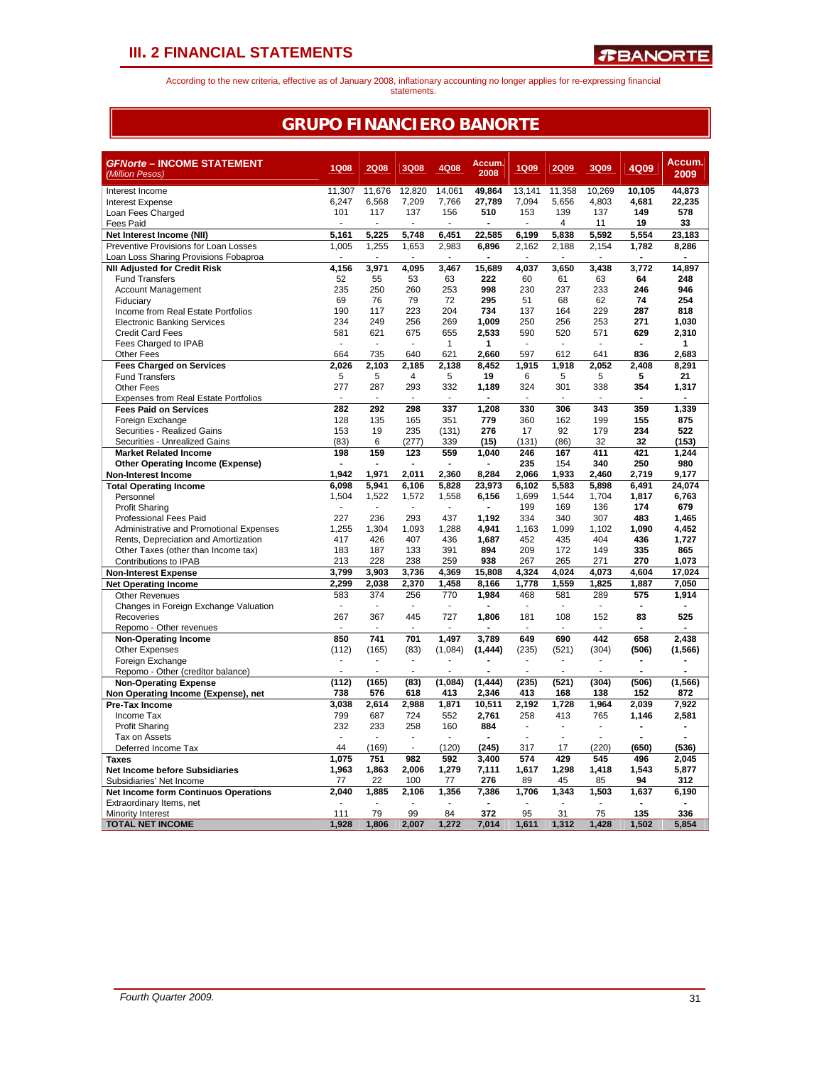According to the new criteria, effective as of January 2008, inflationary accounting no longer applies for re-expressing financial statements.

### **GRUPO FINANCIERO BANORTE**

| <b>GFNorte - INCOME STATEMENT</b>                                               | <b>1Q08</b>              | <b>2Q08</b>              | <b>3Q08</b>          | 4Q08           | Accum.         | <b>1Q09</b>  | <b>2Q09</b>                    | 3Q09                     | 4Q09           | Accum.             |
|---------------------------------------------------------------------------------|--------------------------|--------------------------|----------------------|----------------|----------------|--------------|--------------------------------|--------------------------|----------------|--------------------|
| (Million Pesos)                                                                 |                          |                          |                      |                | 2008           |              |                                |                          |                | 2009               |
| Interest Income                                                                 | 11,307                   | 11,676                   | 12,820               | 14,061         | 49,864         | 13.141       | 11,358                         | 10,269                   | 10.105         | 44,873             |
| <b>Interest Expense</b>                                                         | 6,247                    | 6,568                    | 7,209                | 7,766          | 27,789         | 7,094        | 5,656                          | 4,803                    | 4,681          | 22,235             |
| Loan Fees Charged                                                               | 101                      | 117                      | 137                  | 156            | 510            | 153          | 139                            | 137                      | 149            | 578                |
| Fees Paid                                                                       | ÷.                       | ÷                        | ä,                   | $\sim$         | $\overline{a}$ | ÷            | 4                              | 11                       | 19             | 33                 |
| Net Interest Income (NII)                                                       | 5,161                    | 5.225                    | 5.748                | 6,451          | 22.585         | 6,199        | 5.838                          | 5,592                    | 5,554          | 23,183             |
| Preventive Provisions for Loan Losses<br>Loan Loss Sharing Provisions Fobaproa  | 1,005                    | 1,255                    | 1,653                | 2,983<br>٠     | 6,896          | 2,162        | 2,188                          | 2,154                    | 1,782          | 8,286              |
| <b>NII Adjusted for Credit Risk</b>                                             | 4,156                    | 3,971                    | 4,095                | 3,467          | 15,689         | 4,037        | 3,650                          | 3,438                    | 3,772          | 14,897             |
| <b>Fund Transfers</b>                                                           | 52                       | 55                       | 53                   | 63             | 222            | 60           | 61                             | 63                       | 64             | 248                |
| <b>Account Management</b>                                                       | 235                      | 250                      | 260                  | 253            | 998            | 230          | 237                            | 233                      | 246            | 946                |
| Fiduciary                                                                       | 69                       | 76                       | 79                   | 72             | 295            | 51           | 68                             | 62                       | 74             | 254                |
| Income from Real Estate Portfolios                                              | 190                      | 117                      | 223                  | 204            | 734            | 137          | 164                            | 229                      | 287            | 818                |
| <b>Electronic Banking Services</b>                                              | 234                      | 249                      | 256                  | 269            | 1.009          | 250          | 256                            | 253                      | 271            | 1.030              |
| <b>Credit Card Fees</b>                                                         | 581                      | 621                      | 675                  | 655            | 2,533          | 590          | 520                            | 571                      | 629            | 2,310              |
| Fees Charged to IPAB                                                            | ÷                        | ÷.                       | L.                   | $\mathbf{1}$   | 1              | ÷            | ÷.                             | ٠                        |                | 1                  |
| <b>Other Fees</b>                                                               | 664                      | 735                      | 640                  | 621            | 2.660          | 597          | 612                            | 641                      | 836            | 2,683              |
| <b>Fees Charged on Services</b>                                                 | 2,026                    | 2,103                    | 2,185                | 2.138          | 8,452          | 1,915        | 1,918                          | 2,052                    | 2,408          | 8,291              |
| <b>Fund Transfers</b><br><b>Other Fees</b>                                      | 5<br>277                 | 5<br>287                 | 4<br>293             | 5<br>332       | 19<br>1,189    | 6<br>324     | 5<br>301                       | 5<br>338                 | 5<br>354       | 21<br>1,317        |
| Expenses from Real Estate Portfolios                                            |                          |                          |                      |                |                |              |                                | ÷                        |                |                    |
| <b>Fees Paid on Services</b>                                                    | 282                      | 292                      | 298                  | 337            | 1,208          | 330          | 306                            | 343                      | 359            | 1,339              |
| Foreign Exchange                                                                | 128                      | 135                      | 165                  | 351            | 779            | 360          | 162                            | 199                      | 155            | 875                |
| Securities - Realized Gains                                                     | 153                      | 19                       | 235                  | (131)          | 276            | 17           | 92                             | 179                      | 234            | 522                |
| Securities - Unrealized Gains                                                   | (83)                     | 6                        | (277)                | 339            | (15)           | (131)        | (86)                           | 32                       | 32             | (153)              |
| <b>Market Related Income</b>                                                    | 198                      | 159                      | 123                  | 559            | 1,040          | 246          | 167                            | 411                      | 421            | 1,244              |
| <b>Other Operating Income (Expense)</b>                                         |                          |                          |                      |                |                | 235          | 154                            | 340                      | 250            | 980                |
| <b>Non-Interest Income</b>                                                      | 1.942                    | 1.971                    | 2.011                | 2.360          | 8.284          | 2.066        | 1.933                          | 2.460                    | 2.719          | 9.177              |
| <b>Total Operating Income</b>                                                   | 6.098                    | 5.941                    | 6.106                | 5.828          | 23.973         | 6.102        | 5,583                          | 5,898                    | 6.491          | 24.074             |
| Personnel                                                                       | 1,504                    | 1,522                    | 1,572                | 1,558          | 6,156          | 1,699        | 1,544                          | 1,704                    | 1,817          | 6,763              |
| <b>Profit Sharing</b>                                                           |                          | ÷,                       |                      | ÷.             |                | 199          | 169                            | 136                      | 174            | 679                |
| Professional Fees Paid                                                          | 227<br>1,255             | 236<br>1,304             | 293<br>1,093         | 437<br>1,288   | 1,192<br>4,941 | 334<br>1,163 | 340<br>1,099                   | 307<br>1,102             | 483<br>1,090   | 1.465<br>4,452     |
| Administrative and Promotional Expenses<br>Rents, Depreciation and Amortization | 417                      | 426                      | 407                  | 436            | 1,687          | 452          | 435                            | 404                      | 436            | 1,727              |
| Other Taxes (other than Income tax)                                             | 183                      | 187                      | 133                  | 391            | 894            | 209          | 172                            | 149                      | 335            | 865                |
| Contributions to IPAB                                                           | 213                      | 228                      | 238                  | 259            | 938            | 267          | 265                            | 271                      | 270            | 1,073              |
| <b>Non-Interest Expense</b>                                                     | 3.799                    | 3.903                    | 3.736                | 4.369          | 15.808         | 4.324        | 4.024                          | 4.073                    | 4.604          | 17,024             |
| <b>Net Operating Income</b>                                                     | 2.299                    | 2,038                    | 2,370                | 1,458          | 8,166          | 1,778        | 1,559                          | 1,825                    | 1,887          | $\overline{7,050}$ |
| <b>Other Revenues</b>                                                           | 583                      | 374                      | 256                  | 770            | 1,984          | 468          | 581                            | 289                      | 575            | 1,914              |
| Changes in Foreign Exchange Valuation                                           | ÷.                       | ÷.                       | $\overline{a}$       | $\overline{a}$ |                | ÷.           | $\sim$                         | ÷.                       | $\blacksquare$ |                    |
| Recoveries                                                                      | 267                      | 367                      | 445                  | 727            | 1,806          | 181          | 108                            | 152                      | 83             | 525                |
| Repomo - Other revenues                                                         |                          |                          |                      |                |                |              |                                |                          |                |                    |
| <b>Non-Operating Income</b>                                                     | 850                      | 741                      | 701                  | 1.497          | 3.789          | 649          | 690                            | 442                      | 658            | 2.438              |
| <b>Other Expenses</b>                                                           | (112)                    | (165)                    | (83)                 | (1,084)        | (1, 444)       | (235)        | (521)                          | (304)                    | (506)          | (1, 566)           |
| Foreign Exchange                                                                | $\overline{\phantom{a}}$ | $\overline{\phantom{a}}$ | $\blacksquare$<br>÷. |                |                | ÷,           | $\overline{\phantom{a}}$<br>÷, | $\overline{\phantom{a}}$ | $\blacksquare$ |                    |
| Repomo - Other (creditor balance)                                               | (112)                    | (165)                    | (83)                 | (1,084)        | (1, 444)       | (235)        | (521)                          | (304)                    | (506)          | (1, 566)           |
| <b>Non-Operating Expense</b><br>Non Operating Income (Expense), net             | 738                      | 576                      | 618                  | 413            | 2,346          | 413          | 168                            | 138                      | 152            | 872                |
| Pre-Tax Income                                                                  | 3,038                    | 2,614                    | 2.988                | 1,871          | 10,511         | 2,192        | 1,728                          | 1,964                    | 2.039          | 7,922              |
| Income Tax                                                                      | 799                      | 687                      | 724                  | 552            | 2,761          | 258          | 413                            | 765                      | 1,146          | 2,581              |
| <b>Profit Sharing</b>                                                           | 232                      | 233                      | 258                  | 160            | 884            | ٠            | $\blacksquare$                 | $\overline{\phantom{a}}$ |                |                    |
| Tax on Assets                                                                   |                          |                          |                      |                |                |              | ÷.                             |                          |                |                    |
| Deferred Income Tax                                                             | 44                       | (169)                    |                      | (120)          | (245)          | 317          | 17                             | (220)                    | (650)          | (536)              |
| <b>Taxes</b>                                                                    | 1.075                    | 751                      | 982                  | 592            | 3.400          | 574          | 429                            | 545                      | 496            | 2.045              |
| <b>Net Income before Subsidiaries</b>                                           | 1,963                    | 1,863                    | 2,006                | 1,279          | 7,111          | 1,617        | 1,298                          | 1,418                    | 1,543          | 5,877              |
| Subsidiaries' Net Income                                                        | 77                       | 22                       | 100                  | 77             | 276            | 89           | 45                             | 85                       | 94             | 312                |
| Net Income form Continuos Operations                                            | 2,040                    | 1,885                    | 2,106                | 1,356          | 7,386          | 1,706        | 1,343                          | 1,503                    | 1,637          | 6,190              |
| Extraordinary Items, net                                                        |                          |                          |                      |                |                |              |                                |                          |                |                    |
| Minority Interest                                                               | 111                      | 79                       | 99                   | 84             | 372            | 95           | 31                             | 75                       | 135            | 336                |
| <b>TOTAL NET INCOME</b>                                                         | 1,928                    | 1.806                    | 2.007                | 1,272          | 7.014          | 1.611        | 1,312                          | 1,428                    | 1.502          | 5.854              |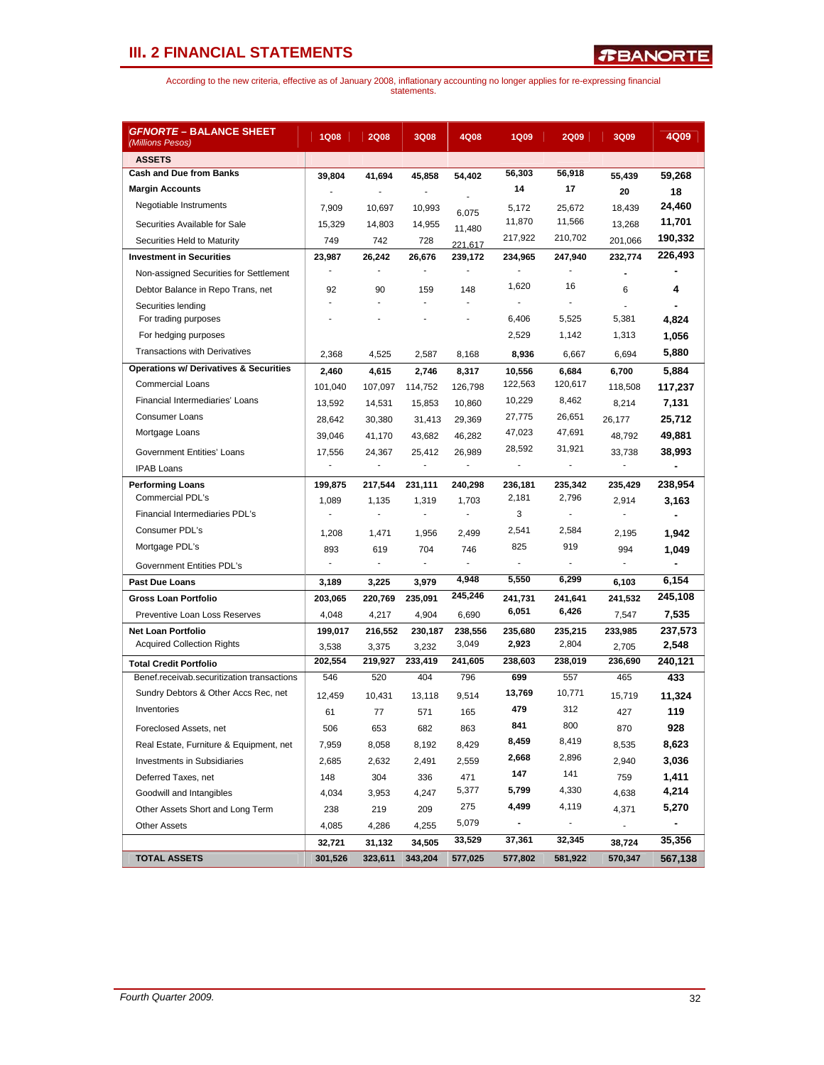| <b>GFNORTE – BALANCE SHEET</b><br>(Millions Pesos) | <b>1Q08</b> | 2008    | 3Q08    | 4Q08    | <b>1Q09</b>    | <b>2Q09</b>              | 3Q09                     | 4Q09    |
|----------------------------------------------------|-------------|---------|---------|---------|----------------|--------------------------|--------------------------|---------|
| <b>ASSETS</b>                                      |             |         |         |         |                |                          |                          |         |
| <b>Cash and Due from Banks</b>                     | 39,804      | 41,694  | 45,858  | 54,402  | 56,303         | 56,918                   | 55,439                   | 59,268  |
| <b>Margin Accounts</b>                             |             |         |         |         | 14             | 17                       | 20                       | 18      |
| Negotiable Instruments                             | 7,909       | 10,697  | 10,993  | 6,075   | 5,172          | 25,672                   | 18,439                   | 24,460  |
| Securities Available for Sale                      | 15,329      | 14,803  | 14,955  | 11,480  | 11,870         | 11,566                   | 13,268                   | 11,701  |
| Securities Held to Maturity                        | 749         | 742     | 728     | 221,617 | 217,922        | 210,702                  | 201,066                  | 190,332 |
| <b>Investment in Securities</b>                    | 23,987      | 26,242  | 26,676  | 239,172 | 234,965        | 247,940                  | 232,774                  | 226,493 |
| Non-assigned Securities for Settlement             |             |         |         |         |                |                          |                          |         |
| Debtor Balance in Repo Trans, net                  | 92          | 90      | 159     | 148     | 1,620          | 16                       | 6                        | 4       |
| Securities lending                                 | ÷           | ÷.      | ÷       | ÷.      | ä,             | ÷.                       |                          |         |
| For trading purposes                               |             |         |         |         | 6,406          | 5,525                    | 5,381                    | 4,824   |
| For hedging purposes                               |             |         |         |         | 2,529          | 1,142                    | 1,313                    | 1,056   |
| <b>Transactions with Derivatives</b>               | 2,368       | 4,525   | 2,587   | 8,168   | 8,936          | 6,667                    | 6,694                    | 5,880   |
| <b>Operations w/ Derivatives &amp; Securities</b>  | 2,460       | 4,615   | 2,746   | 8,317   | 10,556         | 6,684                    | 6,700                    | 5,884   |
| <b>Commercial Loans</b>                            | 101,040     | 107,097 | 114,752 | 126,798 | 122,563        | 120,617                  | 118,508                  | 117,237 |
| Financial Intermediaries' Loans                    | 13,592      | 14,531  | 15,853  | 10,860  | 10,229         | 8,462                    | 8,214                    | 7,131   |
| <b>Consumer Loans</b>                              | 28,642      | 30,380  | 31,413  | 29,369  | 27,775         | 26,651                   | 26,177                   | 25,712  |
| Mortgage Loans                                     | 39,046      | 41,170  | 43,682  | 46,282  | 47,023         | 47,691                   | 48,792                   | 49,881  |
| <b>Government Entities' Loans</b>                  | 17,556      | 24,367  | 25,412  | 26,989  | 28,592         | 31,921                   | 33,738                   | 38,993  |
| <b>IPAB Loans</b>                                  |             | ä,      | ÷       | ÷.      | ÷.             | $\overline{a}$           | $\overline{\phantom{a}}$ |         |
| <b>Performing Loans</b>                            | 199,875     | 217,544 | 231,111 | 240,298 | 236,181        | 235,342                  | 235,429                  | 238,954 |
| Commercial PDL's                                   | 1,089       | 1,135   | 1,319   | 1,703   | 2,181          | 2,796                    | 2,914                    | 3,163   |
| Financial Intermediaries PDL's                     |             | ä,      |         |         | 3              |                          |                          |         |
| Consumer PDL's                                     | 1,208       | 1,471   | 1,956   | 2,499   | 2,541          | 2,584                    | 2,195                    | 1,942   |
| Mortgage PDL's                                     | 893         | 619     | 704     | 746     | 825            | 919                      | 994                      | 1,049   |
| Government Entities PDL's                          | ÷,          | $\sim$  | ÷,      |         | ä,             |                          |                          |         |
| <b>Past Due Loans</b>                              | 3,189       | 3,225   | 3,979   | 4,948   | 5,550          | 6,299                    | 6,103                    | 6,154   |
| <b>Gross Loan Portfolio</b>                        | 203,065     | 220,769 | 235,091 | 245,246 | 241,731        | 241,641                  | 241,532                  | 245,108 |
| Preventive Loan Loss Reserves                      | 4,048       | 4,217   | 4,904   | 6,690   | 6,051          | 6,426                    | 7,547                    | 7,535   |
| <b>Net Loan Portfolio</b>                          | 199,017     | 216,552 | 230,187 | 238,556 | 235,680        | 235,215                  | 233,985                  | 237,573 |
| <b>Acquired Collection Rights</b>                  | 3,538       | 3,375   | 3,232   | 3,049   | 2,923          | 2,804                    | 2,705                    | 2,548   |
| <b>Total Credit Portfolio</b>                      | 202,554     | 219,927 | 233,419 | 241,605 | 238,603        | 238,019                  | 236,690                  | 240,121 |
| Benef.receivab.securitization transactions         | 546         | 520     | 404     | 796     | 699            | 557                      | 465                      | 433     |
| Sundry Debtors & Other Accs Rec, net               | 12.459      | 10,431  | 13,118  | 9,514   | 13,769         | 10,771                   | 15,719                   | 11.324  |
| Inventories                                        | 61          | 77      | 571     | 165     | 479            | 312                      | 427                      | 119     |
| Foreclosed Assets, net                             | 506         | 653     | 682     | 863     | 841            | 800                      | 870                      | 928     |
| Real Estate, Furniture & Equipment, net            | 7,959       | 8,058   | 8,192   | 8,429   | 8,459          | 8,419                    | 8,535                    | 8,623   |
| Investments in Subsidiaries                        | 2,685       | 2,632   | 2,491   | 2,559   | 2,668          | 2,896                    | 2,940                    | 3,036   |
| Deferred Taxes, net                                | 148         | 304     | 336     | 471     | 147            | 141                      | 759                      | 1,411   |
| Goodwill and Intangibles                           | 4,034       | 3,953   | 4,247   | 5,377   | 5,799          | 4,330                    | 4,638                    | 4,214   |
| Other Assets Short and Long Term                   | 238         | 219     | 209     | 275     | 4,499          | 4,119                    | 4,371                    | 5,270   |
| <b>Other Assets</b>                                | 4,085       | 4,286   | 4,255   | 5,079   | $\blacksquare$ | $\overline{\phantom{a}}$ | $\overline{\phantom{a}}$ |         |
|                                                    | 32,721      | 31,132  | 34,505  | 33,529  | 37,361         | 32,345                   | 38,724                   | 35,356  |
| <b>TOTAL ASSETS</b>                                | 301,526     | 323,611 | 343,204 | 577,025 | 577,802        | 581,922                  | 570,347                  | 567,138 |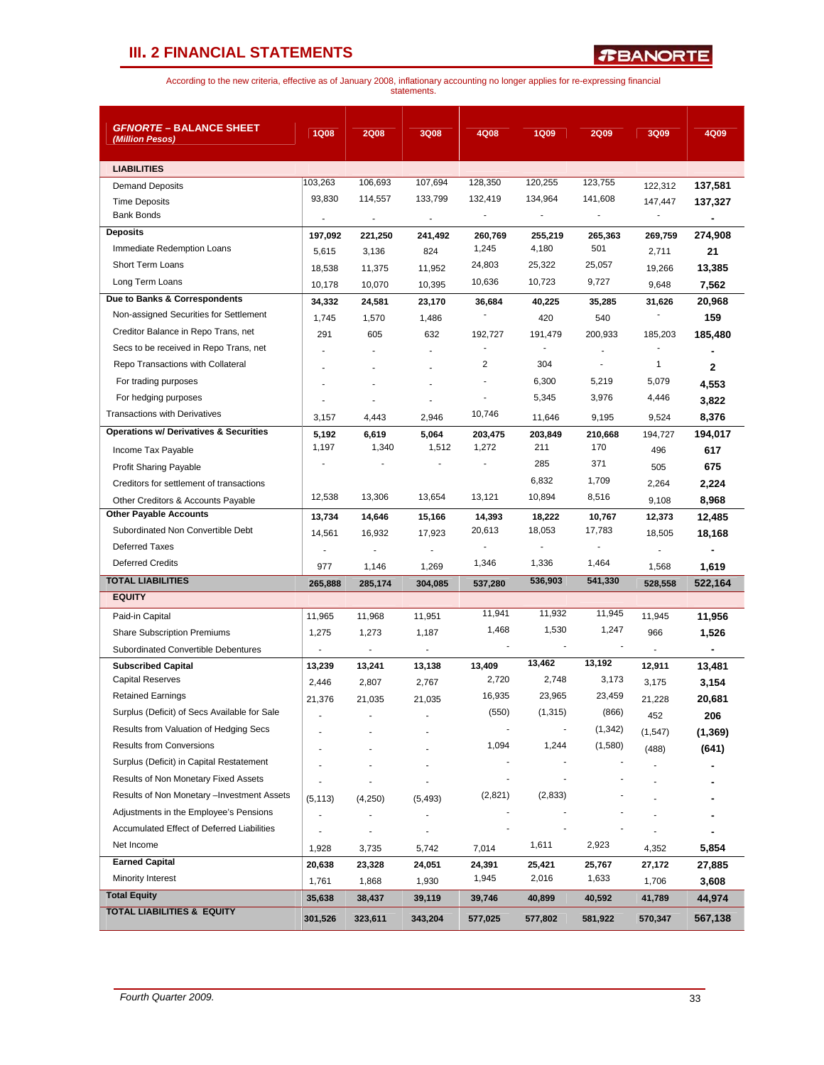*R***BANORTE** 

| <b>GFNORTE - BALANCE SHEET</b>                    |                |                          |                          | 4Q08           |                |                          | 3Q09                     |                |
|---------------------------------------------------|----------------|--------------------------|--------------------------|----------------|----------------|--------------------------|--------------------------|----------------|
| (Million Pesos)                                   | <b>1Q08</b>    | <b>2Q08</b>              | <b>3Q08</b>              |                | <b>1Q09</b>    | <b>2Q09</b>              |                          | 4Q09           |
| <b>LIABILITIES</b>                                |                |                          |                          |                |                |                          |                          |                |
| <b>Demand Deposits</b>                            | 103,263        | 106,693                  | 107,694                  | 128,350        | 120,255        | 123,755                  | 122,312                  | 137,581        |
| <b>Time Deposits</b>                              | 93,830         | 114,557                  | 133,799                  | 132,419        | 134,964        | 141,608                  | 147,447                  | 137,327        |
| <b>Bank Bonds</b>                                 | $\blacksquare$ | $\overline{\phantom{a}}$ | $\blacksquare$           | $\blacksquare$ | $\blacksquare$ | $\overline{\phantom{a}}$ | $\overline{\phantom{a}}$ |                |
| <b>Deposits</b>                                   | 197,092        | 221,250                  | 241,492                  | 260,769        | 255,219        | 265,363                  | 269,759                  | 274,908        |
| Immediate Redemption Loans                        | 5,615          | 3,136                    | 824                      | 1,245          | 4,180          | 501                      | 2,711                    | 21             |
| Short Term Loans                                  | 18,538         | 11,375                   | 11,952                   | 24,803         | 25,322         | 25,057                   | 19,266                   | 13,385         |
| Long Term Loans                                   | 10,178         | 10,070                   | 10,395                   | 10,636         | 10,723         | 9,727                    | 9,648                    | 7,562          |
| Due to Banks & Correspondents                     | 34,332         | 24,581                   | 23,170                   | 36,684         | 40,225         | 35,285                   | 31,626                   | 20,968         |
| Non-assigned Securities for Settlement            | 1,745          | 1,570                    | 1,486                    |                | 420            | 540                      |                          | 159            |
| Creditor Balance in Repo Trans, net               | 291            | 605                      | 632                      | 192,727        | 191,479        | 200,933                  | 185,203                  | 185,480        |
| Secs to be received in Repo Trans, net            |                |                          |                          | $\blacksquare$ |                |                          |                          |                |
| Repo Transactions with Collateral                 |                |                          |                          | 2              | 304            | $\blacksquare$           | 1                        | $\mathbf{2}$   |
| For trading purposes                              |                |                          | $\overline{a}$           |                | 6,300          | 5,219                    | 5,079                    | 4,553          |
| For hedging purposes                              |                |                          |                          |                | 5,345          | 3,976                    | 4,446                    | 3,822          |
| <b>Transactions with Derivatives</b>              | 3,157          | 4,443                    | 2,946                    | 10,746         | 11,646         | 9,195                    | 9,524                    | 8,376          |
| <b>Operations w/ Derivatives &amp; Securities</b> | 5,192          | 6,619                    | 5,064                    | 203,475        | 203,849        | 210,668                  | 194,727                  | 194,017        |
| Income Tax Payable                                | 1,197          | 1,340                    | 1,512                    | 1,272          | 211            | 170                      | 496                      | 617            |
| <b>Profit Sharing Payable</b>                     |                |                          |                          |                | 285            | 371                      | 505                      | 675            |
| Creditors for settlement of transactions          |                |                          |                          |                | 6,832          | 1,709                    | 2,264                    | 2,224          |
| Other Creditors & Accounts Payable                | 12,538         | 13,306                   | 13,654                   | 13,121         | 10,894         | 8,516                    | 9,108                    | 8,968          |
| <b>Other Payable Accounts</b>                     | 13,734         | 14,646                   | 15,166                   | 14,393         | 18,222         | 10,767                   | 12,373                   | 12,485         |
| Subordinated Non Convertible Debt                 | 14,561         | 16,932                   | 17,923                   | 20,613         | 18,053         | 17,783                   | 18,505                   | 18,168         |
| <b>Deferred Taxes</b>                             |                |                          | $\overline{\phantom{a}}$ | $\overline{a}$ | $\overline{a}$ | $\overline{\phantom{a}}$ | $\overline{\phantom{a}}$ |                |
| <b>Deferred Credits</b>                           | 977            | 1,146                    | 1,269                    | 1,346          | 1,336          | 1,464                    | 1,568                    | 1,619          |
| <b>TOTAL LIABILITIES</b>                          | 265,888        | 285,174                  | 304,085                  | 537,280        | 536,903        | 541,330                  | 528,558                  | 522,164        |
| <b>EQUITY</b>                                     |                |                          |                          |                |                |                          |                          |                |
| Paid-in Capital                                   | 11,965         | 11,968                   | 11,951                   | 11,941         | 11,932         | 11,945                   | 11,945                   | 11,956         |
| <b>Share Subscription Premiums</b>                | 1,275          | 1,273                    | 1,187                    | 1,468          | 1,530          | 1,247                    | 966                      | 1,526          |
| Subordinated Convertible Debentures               | $\blacksquare$ | $\overline{\phantom{a}}$ | $\overline{\phantom{a}}$ |                | $\blacksquare$ |                          | $\blacksquare$           | $\blacksquare$ |
| <b>Subscribed Capital</b>                         | 13,239         | 13,241                   | 13,138                   | 13.409         | 13,462         | 13,192                   | 12,911                   | 13,481         |
| <b>Capital Reserves</b>                           | 2,446          | 2,807                    | 2,767                    | 2,720          | 2,748          | 3,173                    | 3,175                    | 3,154          |
| <b>Retained Earnings</b>                          | 21,376         | 21.035                   | 21.035                   | 16,935         | 23,965         | 23,459                   | 21,228                   | 20,681         |
| Surplus (Deficit) of Secs Available for Sale      |                |                          |                          | (550)          | (1, 315)       | (866)                    | 452                      | 206            |
| Results from Valuation of Hedging Secs            |                |                          |                          |                |                | (1, 342)                 | (1, 547)                 | (1, 369)       |
| <b>Results from Conversions</b>                   |                |                          |                          | 1,094          | 1,244          | (1,580)                  | (488)                    | (641)          |
| Surplus (Deficit) in Capital Restatement          |                |                          |                          |                |                |                          |                          |                |
| Results of Non Monetary Fixed Assets              |                |                          |                          |                |                |                          |                          |                |
| Results of Non Monetary - Investment Assets       | (5, 113)       | (4,250)                  | (5, 493)                 | (2,821)        | (2,833)        |                          |                          |                |
| Adjustments in the Employee's Pensions            |                |                          |                          |                |                |                          |                          |                |
| Accumulated Effect of Deferred Liabilities        |                |                          |                          |                |                |                          |                          |                |
| Net Income                                        | 1,928          | 3,735                    | 5,742                    | 7,014          | 1,611          | 2,923                    | 4,352                    | 5,854          |
| <b>Earned Capital</b>                             | 20,638         | 23,328                   | 24,051                   | 24,391         | 25,421         | 25,767                   | 27,172                   | 27,885         |
| Minority Interest                                 | 1,761          | 1,868                    | 1,930                    | 1,945          | 2,016          | 1,633                    | 1,706                    | 3,608          |
| <b>Total Equity</b>                               | 35,638         | 38,437                   | 39,119                   | 39,746         | 40,899         | 40,592                   | 41,789                   | 44,974         |
| <b>TOTAL LIABILITIES &amp; EQUITY</b>             | 301,526        | 323,611                  | 343,204                  | 577,025        | 577,802        | 581,922                  | 570,347                  | 567,138        |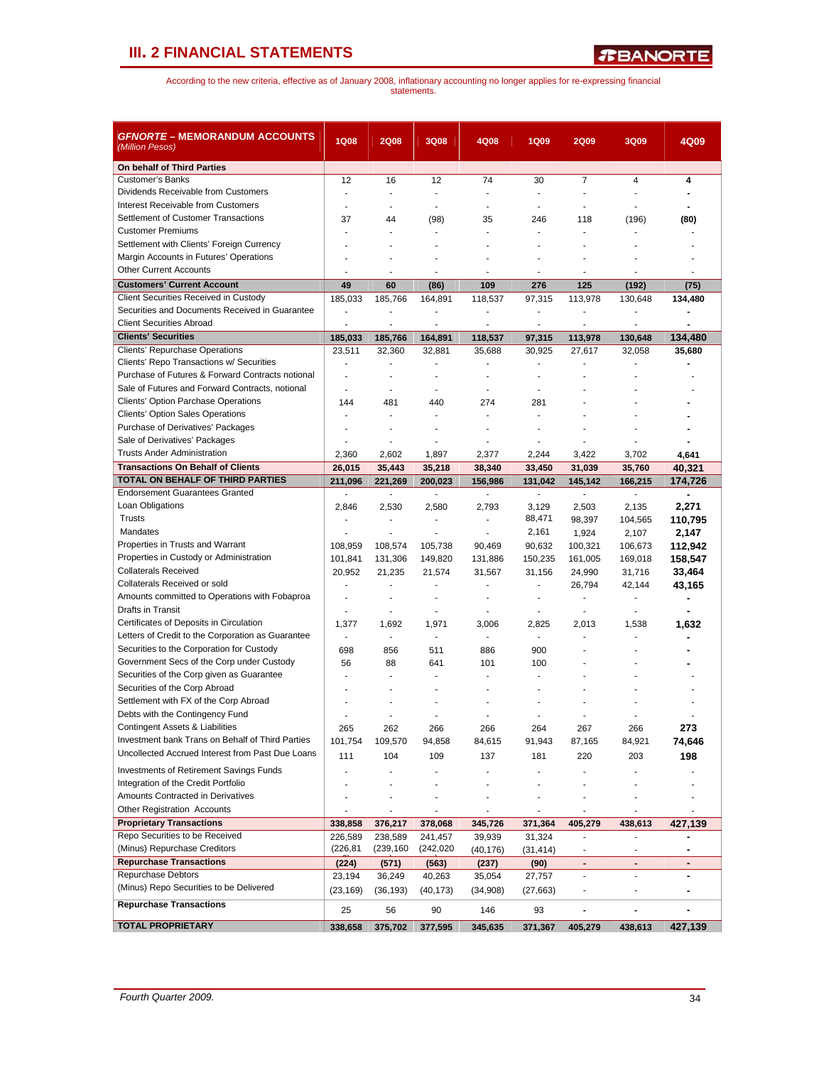| <b>GFNORTE – MEMORANDUM ACCOUNTS</b><br>(Million Pesos)                                | <b>1Q08</b>                            | <b>2Q08</b>              | 3Q08                     | 4Q08                     | <b>1Q09</b>    | <b>2Q09</b>              | 3Q09                     | 4Q09                         |
|----------------------------------------------------------------------------------------|----------------------------------------|--------------------------|--------------------------|--------------------------|----------------|--------------------------|--------------------------|------------------------------|
| On behalf of Third Parties                                                             |                                        |                          |                          |                          |                |                          |                          |                              |
| <b>Customer's Banks</b>                                                                | 12                                     | 16                       | 12                       | 74                       | 30             | $\overline{7}$           | 4                        | 4                            |
| Dividends Receivable from Customers                                                    | $\sim$                                 | ÷,                       | ÷,                       | ÷                        | ÷,             | ä,                       | $\overline{a}$           |                              |
| Interest Receivable from Customers                                                     |                                        |                          | ä,                       |                          |                |                          |                          |                              |
| Settlement of Customer Transactions                                                    | 37                                     | 44                       | (98)                     | 35                       | 246            | 118                      | (196)                    | (80)                         |
| <b>Customer Premiums</b>                                                               |                                        |                          | ä,                       |                          | ä,             |                          |                          |                              |
| Settlement with Clients' Foreign Currency                                              |                                        |                          |                          |                          |                |                          |                          |                              |
| Margin Accounts in Futures' Operations                                                 |                                        |                          |                          |                          |                |                          |                          |                              |
| <b>Other Current Accounts</b>                                                          | $\blacksquare$                         | $\blacksquare$           | $\blacksquare$           | $\blacksquare$           | ٠              | ٠                        | ÷                        | ٠                            |
| <b>Customers' Current Account</b>                                                      | 49                                     | 60                       | (86)                     | 109                      | 276            | 125                      | (192)                    | (75)                         |
| Client Securities Received in Custody                                                  | 185,033                                | 185,766                  | 164,891                  | 118,537                  | 97,315         | 113,978                  | 130.648                  | 134,480                      |
| Securities and Documents Received in Guarantee                                         | ÷,                                     |                          | ä,                       | ÷,                       | ä,             | ä,                       |                          |                              |
| <b>Client Securities Abroad</b>                                                        | $\overline{\phantom{a}}$               | $\overline{a}$           | $\blacksquare$           | $\overline{\phantom{a}}$ | $\blacksquare$ | $\overline{\phantom{a}}$ | $\blacksquare$           | $\blacksquare$               |
| <b>Clients' Securities</b>                                                             | 185,033                                | 185,766                  | 164,891                  | 118,537                  | 97,315         | 113,978                  | 130,648                  | 134,480                      |
| Clients' Repurchase Operations<br>Clients' Repo Transactions w/ Securities             | 23,511                                 | 32,360                   | 32,881                   | 35,688                   | 30,925         | 27,617                   | 32,058                   | 35,680                       |
| Purchase of Futures & Forward Contracts notional                                       | $\ddot{\phantom{1}}$<br>$\overline{a}$ | ÷,<br>÷                  | ÷,<br>÷                  | ÷,                       | ÷<br>÷         |                          |                          |                              |
| Sale of Futures and Forward Contracts, notional                                        | $\overline{a}$                         | ÷,                       | ÷,                       |                          | ÷              |                          |                          |                              |
| <b>Clients' Option Parchase Operations</b>                                             | 144                                    | 481                      | 440                      | 274                      | 281            |                          |                          |                              |
| Clients' Option Sales Operations                                                       |                                        | $\overline{a}$           |                          | ÷,                       | ÷,             |                          |                          |                              |
| Purchase of Derivatives' Packages                                                      |                                        |                          |                          |                          |                |                          |                          |                              |
| Sale of Derivatives' Packages                                                          | ÷                                      | $\overline{a}$           | ÷                        |                          | ÷              |                          |                          |                              |
| <b>Trusts Ander Administration</b>                                                     | 2,360                                  | 2,602                    | 1,897                    | 2,377                    | 2,244          | 3,422                    | 3,702                    | 4,641                        |
| <b>Transactions On Behalf of Clients</b>                                               | 26,015                                 | 35,443                   | 35.218                   | 38,340                   | 33,450         | 31,039                   | 35,760                   | 40,321                       |
| TOTAL ON BEHALF OF THIRD PARTIES                                                       | 211,096                                | 221,269                  | 200.023                  | 156,986                  | 131,042        | 145,142                  | 166,215                  | 174,726                      |
| <b>Endorsement Guarantees Granted</b>                                                  | $\mathcal{L}_{\mathcal{A}}$            | $\Box$                   | ä,                       | $\mathbb{Z}^2$           | ÷.             | $\mathcal{L}$            | $\mathcal{L}$            | $\blacksquare$               |
| Loan Obligations                                                                       | 2,846                                  | 2,530                    | 2,580                    | 2,793                    | 3,129          | 2,503                    | 2.135                    | 2,271                        |
| Trusts                                                                                 | $\blacksquare$                         | $\overline{\phantom{a}}$ | ÷,                       | ÷.                       | 88,471         | 98,397                   | 104,565                  | 110,795                      |
| Mandates                                                                               | ÷,                                     | $\overline{a}$           | $\overline{a}$           | ÷,                       | 2,161          | 1,924                    | 2,107                    | 2,147                        |
| Properties in Trusts and Warrant                                                       | 108,959                                | 108,574                  | 105,738                  | 90,469                   | 90,632         | 100,321                  | 106,673                  | 112,942                      |
| Properties in Custody or Administration                                                | 101,841                                | 131,306                  | 149,820                  | 131,886                  | 150,235        | 161,005                  | 169,018                  | 158,547                      |
| <b>Collaterals Received</b>                                                            | 20,952                                 | 21,235                   | 21,574                   | 31,567                   | 31,156         | 24,990                   | 31,716                   | 33,464                       |
| Collaterals Received or sold                                                           |                                        |                          |                          |                          |                | 26,794                   | 42,144                   | 43,165                       |
| Amounts committed to Operations with Fobaproa                                          | ÷,                                     | ä,                       | ä,                       | ÷,                       | $\blacksquare$ | ÷,                       | ä,                       | ä,                           |
| Drafts in Transit                                                                      | $\overline{a}$                         | $\overline{a}$           | $\overline{a}$           | ÷                        | $\overline{a}$ | $\blacksquare$           | $\overline{a}$           |                              |
| Certificates of Deposits in Circulation                                                | 1,377                                  | 1,692                    | 1,971                    | 3,006                    | 2,825          | 2,013                    | 1,538                    | 1,632                        |
| Letters of Credit to the Corporation as Guarantee                                      | $\sim$                                 | ä,                       | $\overline{\phantom{a}}$ | ÷,                       | ÷              | ÷                        |                          |                              |
| Securities to the Corporation for Custody<br>Government Secs of the Corp under Custody | 698                                    | 856                      | 511                      | 886                      | 900            |                          |                          |                              |
| Securities of the Corp given as Guarantee                                              | 56                                     | 88                       | 641                      | 101                      | 100            |                          |                          |                              |
| Securities of the Corp Abroad                                                          |                                        |                          |                          |                          |                |                          |                          |                              |
| Settlement with FX of the Corp Abroad                                                  |                                        |                          |                          |                          |                |                          |                          |                              |
| Debts with the Contingency Fund                                                        |                                        |                          |                          |                          |                |                          |                          |                              |
| Contingent Assets & Liabilities                                                        | 265                                    | 262                      | 266                      | 266                      | 264            | 267                      | 266                      | 273                          |
| Investment bank Trans on Behalf of Third Parties                                       | 101,754                                | 109,570                  | 94,858                   | 84,615                   | 91,943         | 87,165                   | 84,921                   | 74,646                       |
| Uncollected Accrued Interest from Past Due Loans                                       | 111                                    | 104                      | 109                      | 137                      | 181            | 220                      | 203                      | 198                          |
| <b>Investments of Retirement Savings Funds</b>                                         |                                        |                          |                          |                          |                |                          |                          |                              |
| Integration of the Credit Portfolio                                                    |                                        |                          |                          |                          |                |                          |                          |                              |
| Amounts Contracted in Derivatives                                                      |                                        |                          |                          |                          |                |                          |                          |                              |
| Other Registration Accounts                                                            |                                        |                          |                          |                          | ٠              |                          |                          |                              |
| <b>Proprietary Transactions</b>                                                        | 338,858                                | 376,217                  | 378,068                  | 345,726                  | 371,364        | 405,279                  | 438,613                  | 427,139                      |
| Repo Securities to be Received                                                         | 226,589                                | 238,589                  | 241,457                  | 39,939                   | 31,324         | ÷.                       | $\overline{a}$           |                              |
| (Minus) Repurchase Creditors                                                           | (226, 81)                              | (239, 160)               | (242, 020)               | (40, 176)                | (31, 414)      |                          |                          |                              |
| <b>Repurchase Transactions</b>                                                         | (224)                                  | (571)                    | (563)                    | (237)                    | (90)           | $\overline{\phantom{a}}$ | $\overline{\phantom{a}}$ | $\qquad \qquad \blacksquare$ |
| Repurchase Debtors                                                                     | 23,194                                 | 36,249                   | 40,263                   | 35,054                   | 27,757         |                          |                          |                              |
| (Minus) Repo Securities to be Delivered                                                | (23, 169)                              | (36, 193)                | (40, 173)                | (34,908)                 | (27, 663)      |                          | ٠                        |                              |
| <b>Repurchase Transactions</b>                                                         | 25                                     | 56                       | 90                       | 146                      | 93             | ٠                        |                          |                              |
| <b>TOTAL PROPRIETARY</b>                                                               | 338,658                                | 375,702                  | 377,595                  | 345,635                  | 371,367        | 405,279                  | 438,613                  | 427,139                      |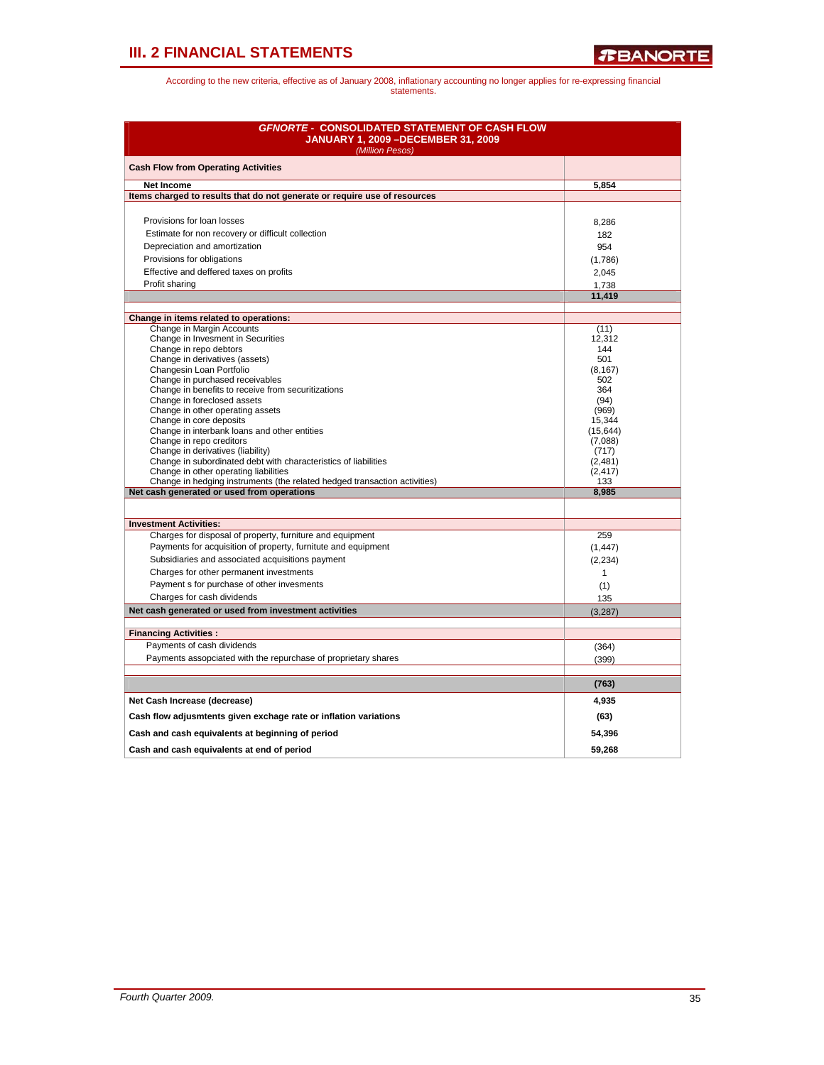| <b>GFNORTE - CONSOLIDATED STATEMENT OF CASH FLOW</b><br><b>JANUARY 1, 2009 - DECEMBER 31, 2009</b><br>(Million Pesos) |                          |
|-----------------------------------------------------------------------------------------------------------------------|--------------------------|
| <b>Cash Flow from Operating Activities</b>                                                                            |                          |
| <b>Net Income</b>                                                                                                     | 5.854                    |
| Items charged to results that do not generate or require use of resources                                             |                          |
|                                                                                                                       |                          |
| Provisions for loan losses                                                                                            | 8,286                    |
| Estimate for non recovery or difficult collection                                                                     | 182                      |
| Depreciation and amortization                                                                                         | 954                      |
| Provisions for obligations                                                                                            | (1,786)                  |
| Effective and deffered taxes on profits                                                                               | 2,045                    |
| Profit sharing                                                                                                        | 1,738                    |
|                                                                                                                       | 11,419                   |
|                                                                                                                       |                          |
| Change in items related to operations:                                                                                |                          |
| Change in Margin Accounts<br>Change in Invesment in Securities                                                        | (11)<br>12.312           |
| Change in repo debtors                                                                                                | 144                      |
| Change in derivatives (assets)                                                                                        | 501                      |
| Changesin Loan Portfolio                                                                                              | (8, 167)                 |
| Change in purchased receivables<br>Change in benefits to receive from securitizations                                 | 502<br>364               |
| Change in foreclosed assets                                                                                           | (94)                     |
| Change in other operating assets                                                                                      | (969)                    |
| Change in core deposits                                                                                               | 15,344                   |
| Change in interbank loans and other entities                                                                          | (15, 644)                |
| Change in repo creditors<br>Change in derivatives (liability)                                                         | (7,088)<br>(717)         |
| Change in subordinated debt with characteristics of liabilities                                                       | (2,481)                  |
| Change in other operating liabilities                                                                                 | (2, 417)                 |
| Change in hedging instruments (the related hedged transaction activities)                                             | 133                      |
| Net cash generated or used from operations                                                                            | 8,985                    |
|                                                                                                                       |                          |
| <b>Investment Activities:</b><br>Charges for disposal of property, furniture and equipment                            | 259                      |
| Payments for acquisition of property, furnitute and equipment                                                         |                          |
| Subsidiaries and associated acquisitions payment                                                                      | (1, 447)                 |
| Charges for other permanent investments                                                                               | (2, 234)<br>$\mathbf{1}$ |
| Payment s for purchase of other invesments                                                                            |                          |
| Charges for cash dividends                                                                                            | (1)<br>135               |
| Net cash generated or used from investment activities                                                                 |                          |
|                                                                                                                       | (3, 287)                 |
| <b>Financing Activities:</b>                                                                                          |                          |
| Payments of cash dividends                                                                                            | (364)                    |
| Payments assopciated with the repurchase of proprietary shares                                                        | (399)                    |
|                                                                                                                       | (763)                    |
| Net Cash Increase (decrease)                                                                                          | 4,935                    |
|                                                                                                                       |                          |
| Cash flow adjusmtents given exchage rate or inflation variations                                                      | (63)                     |
| Cash and cash equivalents at beginning of period                                                                      | 54,396                   |
| Cash and cash equivalents at end of period                                                                            | 59.268                   |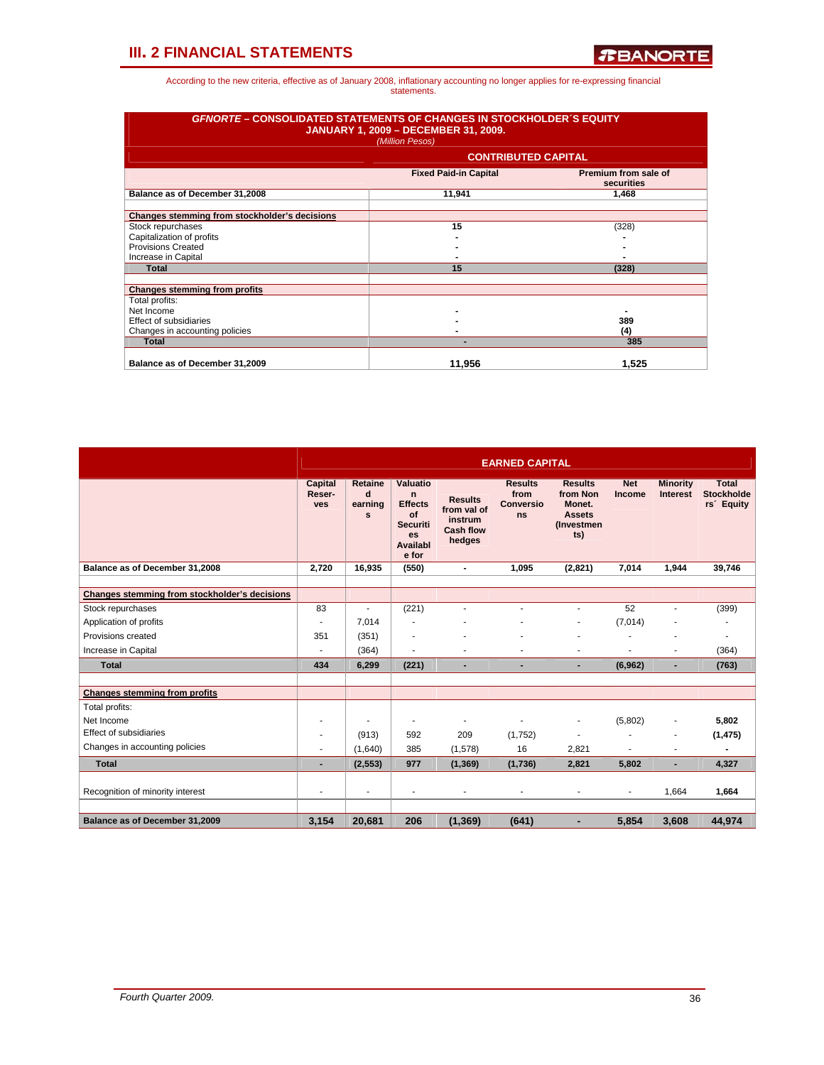| <b>GFNORTE – CONSOLIDATED STATEMENTS OF CHANGES IN STOCKHOLDER'S EQUITY</b><br><b>JANUARY 1, 2009 - DECEMBER 31, 2009.</b><br>(Million Pesos) |                              |                                    |  |  |  |  |  |  |  |
|-----------------------------------------------------------------------------------------------------------------------------------------------|------------------------------|------------------------------------|--|--|--|--|--|--|--|
|                                                                                                                                               | <b>CONTRIBUTED CAPITAL</b>   |                                    |  |  |  |  |  |  |  |
|                                                                                                                                               | <b>Fixed Paid-in Capital</b> | Premium from sale of<br>securities |  |  |  |  |  |  |  |
| Balance as of December 31,2008                                                                                                                | 11,941                       | 1,468                              |  |  |  |  |  |  |  |
| Changes stemming from stockholder's decisions                                                                                                 |                              |                                    |  |  |  |  |  |  |  |
| Stock repurchases                                                                                                                             | 15                           | (328)                              |  |  |  |  |  |  |  |
| Capitalization of profits                                                                                                                     |                              |                                    |  |  |  |  |  |  |  |
| <b>Provisions Created</b>                                                                                                                     |                              |                                    |  |  |  |  |  |  |  |
| Increase in Capital                                                                                                                           |                              |                                    |  |  |  |  |  |  |  |
| Total                                                                                                                                         | 15                           | (328)                              |  |  |  |  |  |  |  |
| <b>Changes stemming from profits</b>                                                                                                          |                              |                                    |  |  |  |  |  |  |  |
| Total profits:                                                                                                                                |                              |                                    |  |  |  |  |  |  |  |
| Net Income                                                                                                                                    |                              |                                    |  |  |  |  |  |  |  |
| Effect of subsidiaries                                                                                                                        |                              | 389                                |  |  |  |  |  |  |  |
| Changes in accounting policies                                                                                                                |                              | (4)                                |  |  |  |  |  |  |  |
| <b>Total</b>                                                                                                                                  |                              | 385                                |  |  |  |  |  |  |  |
| Balance as of December 31,2009                                                                                                                | 11.956                       | 1.525                              |  |  |  |  |  |  |  |

|                                               |                                 |                                     |                                                                                            |                                                                        | <b>EARNED CAPITAL</b>                            |                                                                                    |                      |                                    |                                                             |
|-----------------------------------------------|---------------------------------|-------------------------------------|--------------------------------------------------------------------------------------------|------------------------------------------------------------------------|--------------------------------------------------|------------------------------------------------------------------------------------|----------------------|------------------------------------|-------------------------------------------------------------|
|                                               | <b>Capital</b><br>Reser-<br>ves | <b>Retaine</b><br>d<br>earning<br>s | Valuatio<br>n<br><b>Effects</b><br>of<br><b>Securiti</b><br><b>es</b><br>Availabl<br>e for | <b>Results</b><br>from val of<br>instrum<br><b>Cash flow</b><br>hedges | <b>Results</b><br>from<br><b>Conversio</b><br>ns | <b>Results</b><br>from Non<br>Monet.<br><b>Assets</b><br><b>(Investmen)</b><br>ts) | <b>Net</b><br>Income | <b>Minority</b><br><b>Interest</b> | <b>Total</b><br><b>Stockholde</b><br>rs <sup>'</sup> Equity |
| Balance as of December 31,2008                | 2,720                           | 16.935                              | (550)                                                                                      | $\blacksquare$                                                         | 1.095                                            | (2,821)                                                                            | 7.014                | 1.944                              | 39.746                                                      |
| Changes stemming from stockholder's decisions |                                 |                                     |                                                                                            |                                                                        |                                                  |                                                                                    |                      |                                    |                                                             |
| Stock repurchases                             | 83                              |                                     | (221)                                                                                      | ٠                                                                      | ÷                                                | $\sim$                                                                             | 52                   |                                    | (399)                                                       |
| Application of profits                        |                                 | 7.014                               |                                                                                            |                                                                        |                                                  | ä,                                                                                 | (7,014)              |                                    |                                                             |
| Provisions created                            | 351                             | (351)                               |                                                                                            |                                                                        |                                                  |                                                                                    |                      |                                    |                                                             |
| Increase in Capital                           |                                 | (364)                               | $\overline{\phantom{a}}$                                                                   | ٠                                                                      | ٠                                                | $\sim$                                                                             | ٠                    | ٠                                  | (364)                                                       |
| <b>Total</b>                                  | 434                             | 6.299                               | (221)                                                                                      | $\blacksquare$                                                         | ٠                                                | $\blacksquare$                                                                     | (6,962)              | ٠                                  | (763)                                                       |
|                                               |                                 |                                     |                                                                                            |                                                                        |                                                  |                                                                                    |                      |                                    |                                                             |
| <b>Changes stemming from profits</b>          |                                 |                                     |                                                                                            |                                                                        |                                                  |                                                                                    |                      |                                    |                                                             |
| Total profits:                                |                                 |                                     |                                                                                            |                                                                        |                                                  |                                                                                    |                      |                                    |                                                             |
| Net Income                                    |                                 |                                     | $\blacksquare$                                                                             | ٠                                                                      | ٠                                                | $\overline{\phantom{0}}$                                                           | (5,802)              | ٠                                  | 5,802                                                       |
| <b>Effect of subsidiaries</b>                 |                                 | (913)                               | 592                                                                                        | 209                                                                    | (1,752)                                          | $\overline{\phantom{a}}$                                                           | ٠                    |                                    | (1, 475)                                                    |
| Changes in accounting policies                |                                 | (1,640)                             | 385                                                                                        | (1,578)                                                                | 16                                               | 2,821                                                                              |                      |                                    |                                                             |
| <b>Total</b>                                  |                                 | (2, 553)                            | 977                                                                                        | (1, 369)                                                               | (1,736)                                          | 2.821                                                                              | 5,802                |                                    | 4,327                                                       |
| Recognition of minority interest              | ٠                               | ٠                                   | $\blacksquare$                                                                             | ٠                                                                      | ٠                                                |                                                                                    |                      | 1,664                              | 1,664                                                       |
|                                               |                                 |                                     |                                                                                            |                                                                        |                                                  |                                                                                    |                      |                                    |                                                             |
| Balance as of December 31,2009                | 3,154                           | 20,681                              | 206                                                                                        | (1, 369)                                                               | (641)                                            | ۰                                                                                  | 5,854                | 3,608                              | 44,974                                                      |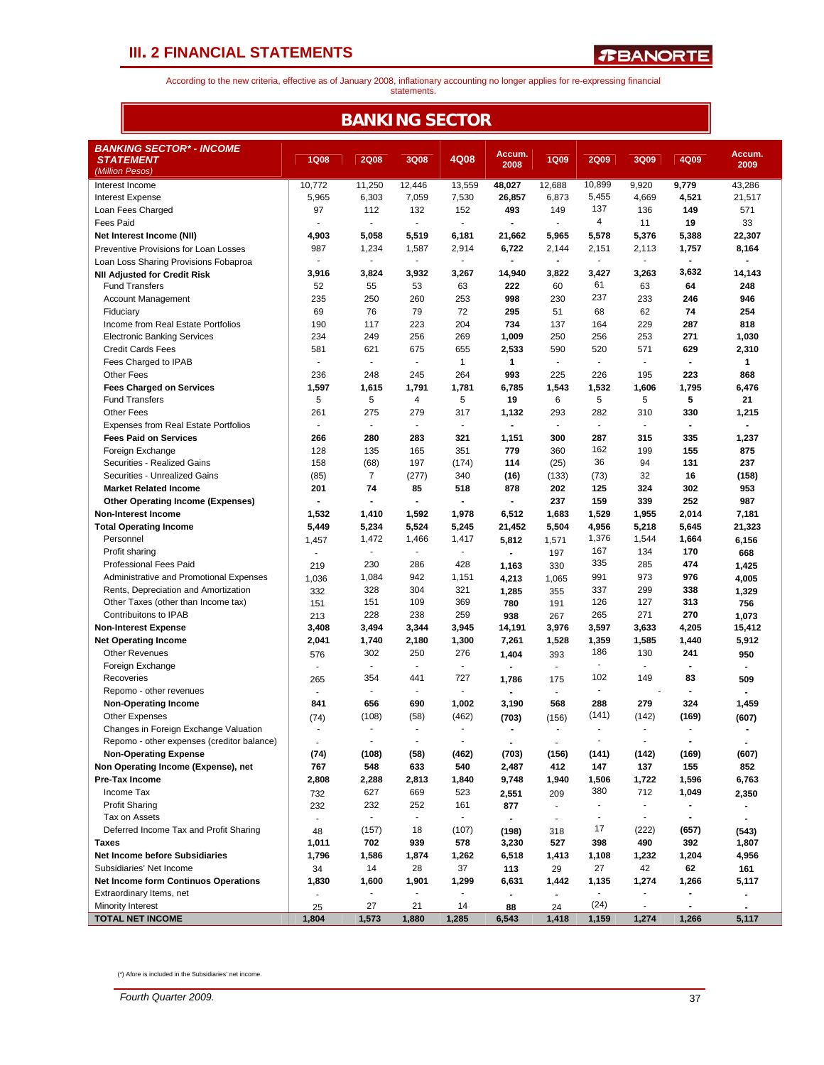F

*R***BANORTE** 

According to the new criteria, effective as of January 2008, inflationary accounting no longer applies for re-expressing financial statements.

| <b>BANKING SECTOR</b>                                        |                          |                          |                          |                              |                |                          |                          |                          |                          |                |  |
|--------------------------------------------------------------|--------------------------|--------------------------|--------------------------|------------------------------|----------------|--------------------------|--------------------------|--------------------------|--------------------------|----------------|--|
| <b>BANKING SECTOR* - INCOME</b>                              |                          |                          |                          |                              | Accum.         |                          |                          |                          |                          | Accum.         |  |
| <b>STATEMENT</b><br>(Million Pesos)                          | <b>1Q08</b>              | <b>2Q08</b>              | 3Q08                     | 4Q08                         | 2008           | <b>1Q09</b>              | <b>2Q09</b>              | 3Q09                     | 4Q09                     | 2009           |  |
| Interest Income                                              | 10,772                   | 11,250                   | 12,446                   | 13,559                       | 48,027         | 12,688                   | 10,899                   | 9,920                    | 9,779                    | 43,286         |  |
| <b>Interest Expense</b>                                      | 5,965                    | 6,303                    | 7,059                    | 7,530                        | 26,857         | 6,873                    | 5,455                    | 4,669                    | 4,521                    | 21,517         |  |
| Loan Fees Charged                                            | 97                       | 112                      | 132                      | 152                          | 493            | 149                      | 137                      | 136                      | 149                      | 571            |  |
| <b>Fees Paid</b>                                             |                          |                          | $\blacksquare$           | $\blacksquare$               |                | $\overline{\phantom{a}}$ | 4                        | 11                       | 19                       | 33             |  |
| Net Interest Income (NII)                                    | 4,903                    | 5,058                    | 5,519                    | 6,181                        | 21,662         | 5,965                    | 5,578                    | 5,376                    | 5,388                    | 22,307         |  |
| Preventive Provisions for Loan Losses                        | 987                      | 1,234                    | 1,587                    | 2,914                        | 6,722          | 2,144                    | 2,151                    | 2,113                    | 1,757                    | 8,164          |  |
| Loan Loss Sharing Provisions Fobaproa                        | $\overline{\phantom{a}}$ | $\overline{\phantom{a}}$ | $\blacksquare$           | $\frac{1}{2}$                | $\blacksquare$ | $\sim$                   | $\overline{\phantom{a}}$ | ÷,                       | $\blacksquare$           | $\blacksquare$ |  |
| <b>NII Adjusted for Credit Risk</b>                          | 3,916                    | 3,824                    | 3,932                    | 3,267                        | 14,940         | 3,822                    | 3,427                    | 3,263                    | 3,632                    | 14,143         |  |
| <b>Fund Transfers</b>                                        | 52                       | 55                       | 53                       | 63                           | 222            | 60                       | 61                       | 63                       | 64                       | 248            |  |
| <b>Account Management</b>                                    | 235                      | 250                      | 260                      | 253                          | 998            | 230                      | 237                      | 233                      | 246                      | 946            |  |
| Fiduciary                                                    | 69                       | 76                       | 79                       | 72                           | 295            | 51                       | 68                       | 62                       | 74                       | 254            |  |
| Income from Real Estate Portfolios                           | 190                      | 117                      | 223                      | 204                          | 734            | 137                      | 164                      | 229                      | 287                      | 818            |  |
| <b>Electronic Banking Services</b>                           | 234                      | 249                      | 256                      | 269                          | 1,009          | 250                      | 256                      | 253                      | 271                      | 1,030          |  |
| <b>Credit Cards Fees</b>                                     | 581                      | 621                      | 675                      | 655                          | 2,533          | 590                      | 520                      | 571                      | 629                      | 2,310          |  |
| Fees Charged to IPAB                                         |                          |                          | $\overline{\phantom{a}}$ | $\mathbf{1}$                 | 1              | ٠                        | $\overline{\phantom{a}}$ | ٠                        | $\blacksquare$           | 1              |  |
| <b>Other Fees</b>                                            | 236                      | 248                      | 245                      | 264                          | 993            | 225                      | 226                      | 195                      | 223                      | 868            |  |
| <b>Fees Charged on Services</b>                              | 1,597                    | 1,615                    | 1,791                    | 1,781                        | 6,785          | 1,543                    | 1,532                    | 1,606                    | 1,795                    | 6,476          |  |
| <b>Fund Transfers</b>                                        | 5                        | 5                        | 4                        | 5                            | 19             | 6                        | 5                        | 5                        | 5                        | 21             |  |
| <b>Other Fees</b>                                            | 261<br>÷.                | 275<br>÷,                | 279<br>÷,                | 317<br>$\mathbf{r}$          | 1,132          | 293<br>÷                 | 282<br>$\blacksquare$    | 310<br>$\sim$            | 330<br>$\blacksquare$    | 1,215          |  |
| <b>Expenses from Real Estate Portfolios</b>                  |                          |                          |                          |                              |                |                          |                          |                          |                          |                |  |
| <b>Fees Paid on Services</b>                                 | 266                      | 280                      | 283                      | 321                          | 1,151          | 300                      | 287<br>162               | 315                      | 335                      | 1,237<br>875   |  |
| Foreign Exchange                                             | 128                      | 135                      | 165                      | 351                          | 779            | 360                      | 36                       | 199                      | 155                      | 237            |  |
| Securities - Realized Gains<br>Securities - Unrealized Gains | 158<br>(85)              | (68)<br>7                | 197<br>(277)             | (174)<br>340                 | 114<br>(16)    | (25)<br>(133)            | (73)                     | 94<br>32                 | 131<br>16                | (158)          |  |
| <b>Market Related Income</b>                                 | 201                      | 74                       | 85                       | 518                          | 878            | 202                      | 125                      | 324                      | 302                      | 953            |  |
| <b>Other Operating Income (Expenses)</b>                     | $\blacksquare$           | $\blacksquare$           | $\blacksquare$           | $\qquad \qquad \blacksquare$ | $\blacksquare$ | 237                      | 159                      | 339                      | 252                      | 987            |  |
| <b>Non-Interest Income</b>                                   | 1,532                    | 1,410                    | 1,592                    | 1,978                        | 6,512          | 1,683                    | 1,529                    | 1,955                    | 2,014                    | 7,181          |  |
| <b>Total Operating Income</b>                                | 5,449                    | 5,234                    | 5,524                    | 5,245                        | 21,452         | 5,504                    | 4,956                    | 5,218                    | 5,645                    | 21,323         |  |
| Personnel                                                    | 1,457                    | 1,472                    | 1,466                    | 1,417                        | 5,812          | 1,571                    | 1,376                    | 1,544                    | 1,664                    | 6,156          |  |
| Profit sharing                                               | $\frac{1}{2}$            | $\sim$                   | $\blacksquare$           | $\overline{\phantom{a}}$     | $\sim$         | 197                      | 167                      | 134                      | 170                      | 668            |  |
| Professional Fees Paid                                       | 219                      | 230                      | 286                      | 428                          | 1,163          | 330                      | 335                      | 285                      | 474                      | 1,425          |  |
| Administrative and Promotional Expenses                      | 1,036                    | 1,084                    | 942                      | 1,151                        | 4,213          | 1,065                    | 991                      | 973                      | 976                      | 4,005          |  |
| Rents, Depreciation and Amortization                         | 332                      | 328                      | 304                      | 321                          | 1,285          | 355                      | 337                      | 299                      | 338                      | 1,329          |  |
| Other Taxes (other than Income tax)                          | 151                      | 151                      | 109                      | 369                          | 780            | 191                      | 126                      | 127                      | 313                      | 756            |  |
| Contribuitons to IPAB                                        | 213                      | 228                      | 238                      | 259                          | 938            | 267                      | 265                      | 271                      | 270                      | 1,073          |  |
| <b>Non-Interest Expense</b>                                  | 3,408                    | 3,494                    | 3,344                    | 3,945                        | 14,191         | 3,976                    | 3,597                    | 3,633                    | 4,205                    | 15,412         |  |
| <b>Net Operating Income</b>                                  | 2,041                    | 1,740                    | 2,180                    | 1,300                        | 7,261          | 1,528                    | 1,359                    | 1,585                    | 1,440                    | 5,912          |  |
| <b>Other Revenues</b>                                        | 576                      | 302                      | 250                      | 276                          | 1,404          | 393                      | 186                      | 130                      | 241                      | 950            |  |
| Foreign Exchange                                             |                          | $\overline{\phantom{a}}$ | $\overline{\phantom{a}}$ | $\overline{\phantom{a}}$     | $\blacksquare$ | $\sim$                   | $\overline{\phantom{a}}$ | $\blacksquare$           | $\blacksquare$           | $\blacksquare$ |  |
| Recoveries                                                   | 265                      | 354                      | 441                      | 727                          | 1,786          | 175                      | 102                      | 149                      | 83                       | 509            |  |
| Repomo - other revenues                                      |                          |                          |                          |                              |                | ÷                        | $\overline{\phantom{a}}$ |                          |                          |                |  |
| <b>Non-Operating Income</b>                                  | 841                      | 656                      | 690                      | 1,002                        | 3,190          | 568                      | 288                      | 279                      | 324                      | 1,459          |  |
| Other Expenses                                               | (74)                     | (108)                    | (58)                     | (462)                        | (703)          | (156)                    | (141)                    | (142)                    | (169)                    | (607)          |  |
| Changes in Foreign Exchange Valuation                        |                          |                          |                          |                              |                | ٠                        | $\overline{\phantom{a}}$ |                          |                          |                |  |
| Repomo - other expenses (creditor balance)                   | $\sim$                   | $\overline{a}$           | $\overline{\phantom{a}}$ | $\overline{\phantom{a}}$     | $\blacksquare$ | $\sim$                   | $\overline{\phantom{a}}$ | ÷,                       | $\overline{\phantom{a}}$ | $\blacksquare$ |  |
| <b>Non-Operating Expense</b>                                 | (74)                     | (108)                    | (58)                     | (462)                        | (703)          | (156)                    | (141)                    | (142)                    | (169)                    | (607)          |  |
| Non Operating Income (Expense), net                          | 767                      | 548                      | 633                      | 540                          | 2,487          | 412                      | 147                      | 137                      | 155                      | 852            |  |
| <b>Pre-Tax Income</b>                                        | 2,808                    | 2,288                    | 2,813                    | 1,840                        | 9,748          | 1,940                    | 1,506                    | 1,722                    | 1,596                    | 6,763          |  |
| Income Tax                                                   | 732                      | 627                      | 669                      | 523                          | 2,551          | 209                      | 380                      | 712                      | 1,049                    | 2,350          |  |
| <b>Profit Sharing</b>                                        | 232                      | 232                      | 252                      | 161                          | 877            | $\blacksquare$           | $\overline{\phantom{a}}$ | $\blacksquare$           | $\blacksquare$           | $\blacksquare$ |  |
| Tax on Assets                                                | $\overline{\phantom{a}}$ | $\sim$                   | $\blacksquare$           | $\blacksquare$               | $\sim$         | $\overline{\phantom{a}}$ | $\blacksquare$           | $\overline{\phantom{a}}$ | $\blacksquare$           | $\blacksquare$ |  |
| Deferred Income Tax and Profit Sharing                       | 48                       | (157)                    | 18                       | (107)                        | (198)          | 318                      | 17                       | (222)                    | (657)                    | (543)          |  |
| Taxes                                                        | 1,011                    | 702                      | 939                      | 578                          | 3,230          | 527                      | 398                      | 490                      | 392                      | 1,807          |  |
| Net Income before Subsidiaries                               | 1,796                    | 1,586                    | 1,874                    | 1,262                        | 6,518          | 1,413                    | 1,108                    | 1,232                    | 1,204                    | 4,956          |  |
| Subsidiaries' Net Income                                     | 34                       | 14                       | 28                       | 37                           | 113            | 29                       | 27                       | 42                       | 62                       | 161            |  |
| <b>Net Income form Continuos Operations</b>                  | 1,830                    | 1,600                    | 1,901                    | 1,299                        | 6,631          | 1,442                    | 1,135                    | 1,274                    | 1,266                    | 5,117          |  |
| Extraordinary Items, net                                     | $\blacksquare$           | $\overline{\phantom{a}}$ | $\blacksquare$           | $\overline{\phantom{a}}$     | $\blacksquare$ | $\blacksquare$           | $\overline{\phantom{a}}$ |                          | $\blacksquare$           | $\blacksquare$ |  |
| Minority Interest                                            | 25                       | 27                       | 21                       | 14                           | 88             | 24                       | (24)                     | $\blacksquare$           | $\blacksquare$           | $\blacksquare$ |  |
| <b>TOTAL NET INCOME</b>                                      | 1,804                    | 1,573                    | 1,880                    | 1,285                        | 6,543          | 1,418                    | 1,159                    | 1,274                    | 1,266                    | 5,117          |  |

(\*) Afore is included in the Subsidiaries' net income.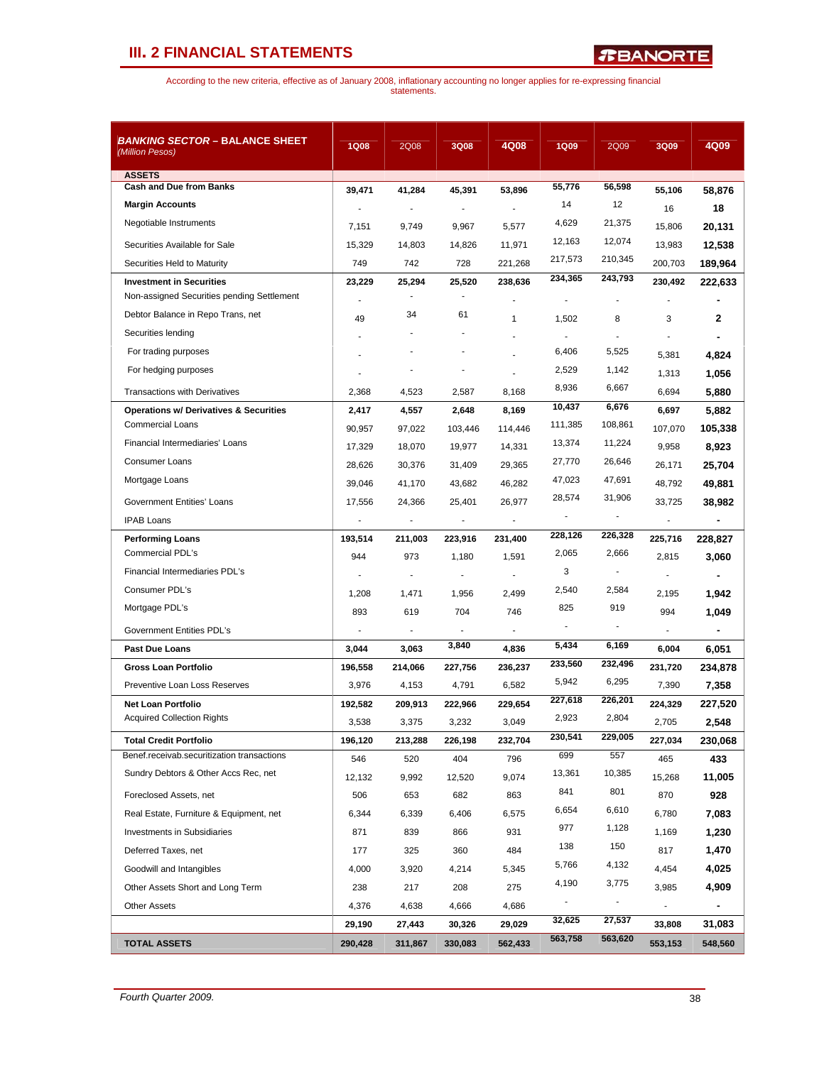*R***BANORTE** 

| <b>BANKING SECTOR - BALANCE SHEET</b><br>(Million Pesos)                    | <b>1Q08</b> | 2Q08                     | 3Q08      | 4Q08                  | <b>1Q09</b> | 2Q09                     | 3Q09      | 4Q09    |
|-----------------------------------------------------------------------------|-------------|--------------------------|-----------|-----------------------|-------------|--------------------------|-----------|---------|
| <b>ASSETS</b>                                                               |             |                          |           |                       |             |                          |           |         |
| <b>Cash and Due from Banks</b>                                              | 39,471      | 41,284                   | 45,391    | 53,896                | 55,776      | 56,598                   | 55,106    | 58,876  |
| <b>Margin Accounts</b>                                                      |             |                          |           |                       | 14          | 12                       | 16        | 18      |
| Negotiable Instruments                                                      | 7,151       | 9,749                    | 9,967     | 5,577                 | 4,629       | 21,375                   | 15,806    | 20,131  |
| Securities Available for Sale                                               | 15,329      | 14,803                   | 14,826    | 11,971                | 12,163      | 12,074                   | 13,983    | 12,538  |
| Securities Held to Maturity                                                 | 749         | 742                      | 728       | 221,268               | 217,573     | 210,345                  | 200,703   | 189,964 |
| <b>Investment in Securities</b>                                             | 23,229      | 25,294                   | 25,520    | 238,636               | 234,365     | 243,793                  | 230,492   | 222,633 |
| Non-assigned Securities pending Settlement                                  |             |                          |           |                       |             |                          |           |         |
| Debtor Balance in Repo Trans, net                                           | 49          | 34                       | 61        | 1                     | 1,502       | 8                        | 3         | 2       |
| Securities lending                                                          |             |                          |           |                       |             |                          |           |         |
| For trading purposes                                                        |             |                          |           |                       | 6,406       | 5,525                    | 5,381     | 4,824   |
| For hedging purposes                                                        |             |                          | ÷         |                       | 2,529       | 1,142                    | 1,313     | 1,056   |
| <b>Transactions with Derivatives</b>                                        | 2,368       | 4,523                    | 2,587     | 8,168                 | 8,936       | 6,667                    | 6,694     | 5,880   |
| <b>Operations w/ Derivatives &amp; Securities</b>                           | 2,417       | 4,557                    | 2,648     | 8,169                 | 10,437      | 6,676                    | 6,697     | 5,882   |
| <b>Commercial Loans</b>                                                     | 90,957      | 97,022                   | 103,446   | 114,446               | 111,385     | 108,861                  | 107,070   | 105,338 |
| Financial Intermediaries' Loans                                             | 17,329      | 18,070                   | 19,977    | 14,331                | 13,374      | 11,224                   | 9,958     | 8,923   |
| <b>Consumer Loans</b>                                                       | 28,626      | 30,376                   | 31,409    | 29,365                | 27,770      | 26,646                   | 26,171    | 25,704  |
| Mortgage Loans                                                              | 39,046      | 41,170                   | 43,682    | 46,282                | 47,023      | 47,691                   | 48,792    | 49,881  |
| <b>Government Entities' Loans</b>                                           | 17,556      | 24,366                   | 25,401    | 26.977                | 28,574      | 31,906                   | 33,725    | 38,982  |
| <b>IPAB Loans</b>                                                           |             | $\overline{\phantom{a}}$ | ÷         | ÷,                    | ÷           | $\overline{a}$           |           |         |
| <b>Performing Loans</b>                                                     | 193,514     | 211,003                  | 223,916   | 231,400               | 228,126     | 226,328                  | 225,716   | 228,827 |
| Commercial PDL's                                                            | 944         | 973                      | 1,180     | 1,591                 | 2,065       | 2,666                    | 2,815     | 3,060   |
| Financial Intermediaries PDL's                                              |             | $\sim$                   | ÷,        | ÷,                    | 3           | $\blacksquare$           |           |         |
| Consumer PDL's                                                              |             |                          |           | 2,499                 | 2,540       | 2,584                    |           | 1,942   |
| Mortgage PDL's                                                              | 1,208       | 1,471                    | 1,956     |                       | 825         | 919                      | 2,195     |         |
|                                                                             | 893<br>÷,   | 619                      | 704<br>ä, | 746<br>$\overline{a}$ |             |                          | 994<br>ä, | 1,049   |
| Government Entities PDL's                                                   |             |                          | 3,840     |                       | 5,434       | 6,169                    |           |         |
| <b>Past Due Loans</b>                                                       | 3,044       | 3,063                    |           | 4,836                 | 233,560     | 232,496                  | 6,004     | 6,051   |
| Gross Loan Portfolio                                                        | 196,558     | 214,066                  | 227,756   | 236,237               | 5,942       | 6,295                    | 231,720   | 234,878 |
| Preventive Loan Loss Reserves                                               | 3,976       | 4,153                    | 4,791     | 6,582                 | 227,618     | 226,201                  | 7,390     | 7,358   |
| <b>Net Loan Portfolio</b><br><b>Acquired Collection Rights</b>              | 192,582     | 209,913                  | 222,966   | 229,654               | 2,923       | 2,804                    | 224,329   | 227,520 |
|                                                                             | 3,538       | 3,375                    | 3,232     | 3,049                 | 230,541     | 229,005                  | 2,705     | 2,548   |
| <b>Total Credit Portfolio</b><br>Benef.receivab.securitization transactions | 196,120     | 213,288                  | 226,198   | 232,704               | 699         | 557                      | 227,034   | 230,068 |
| Sundry Debtors & Other Accs Rec, net                                        | 546         | 520                      | 404       | 796                   | 13,361      | 10,385                   | 465       | 433     |
|                                                                             | 12,132      | 9,992                    | 12,520    | 9,074                 |             |                          | 15,268    | 11,005  |
| Foreclosed Assets, net                                                      | 506         | 653                      | 682       | 863                   | 841         | 801                      | 870       | 928     |
| Real Estate, Furniture & Equipment, net                                     | 6,344       | 6,339                    | 6,406     | 6,575                 | 6,654       | 6,610                    | 6,780     | 7,083   |
| <b>Investments in Subsidiaries</b>                                          | 871         | 839                      | 866       | 931                   | 977         | 1,128                    | 1,169     | 1,230   |
| Deferred Taxes, net                                                         | 177         | 325                      | 360       | 484                   | 138         | 150                      | 817       | 1,470   |
| Goodwill and Intangibles                                                    | 4,000       | 3,920                    | 4,214     | 5,345                 | 5,766       | 4,132                    | 4,454     | 4,025   |
| Other Assets Short and Long Term                                            | 238         | 217                      | 208       | 275                   | 4,190       | 3,775                    | 3,985     | 4,909   |
| <b>Other Assets</b>                                                         | 4,376       | 4,638                    | 4,666     | 4,686                 |             | $\overline{\phantom{a}}$ |           |         |
|                                                                             | 29,190      | 27,443                   | 30,326    | 29,029                | 32,625      | 27,537                   | 33,808    | 31,083  |
| <b>TOTAL ASSETS</b>                                                         | 290,428     | 311,867                  | 330,083   | 562,433               | 563,758     | 563,620                  | 553,153   | 548,560 |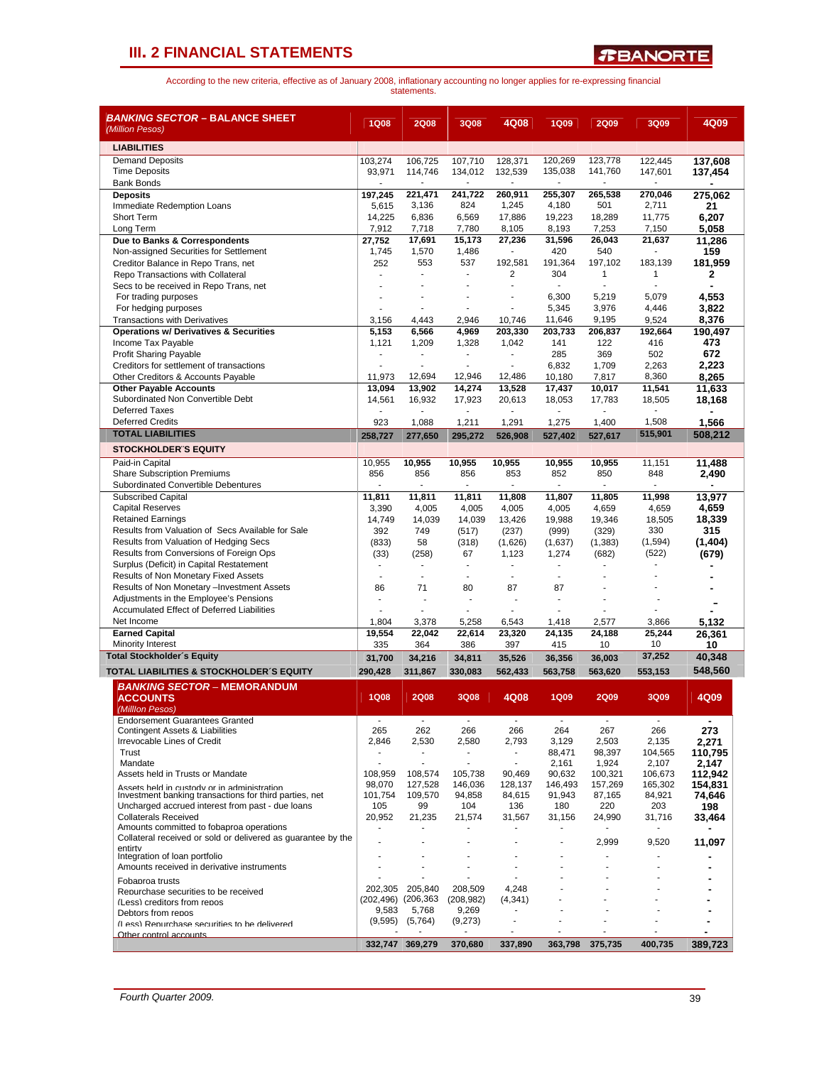| <i>BANKING SECTOR –</i> BALANCE SHEET<br>(Million Pesos)                                                   | <b>1Q08</b>              | <b>2Q08</b>           | 3Q08                             | 4Q08                   | <b>1Q09</b>        | <b>2Q09</b>              | 3Q09             | 4Q09             |
|------------------------------------------------------------------------------------------------------------|--------------------------|-----------------------|----------------------------------|------------------------|--------------------|--------------------------|------------------|------------------|
| <b>LIABILITIES</b>                                                                                         |                          |                       |                                  |                        |                    |                          |                  |                  |
| <b>Demand Deposits</b>                                                                                     | 103,274                  | 106,725               | 107,710                          | 128,371                | 120,269            | 123,778                  | 122,445          | 137,608          |
| <b>Time Deposits</b>                                                                                       | 93,971                   | 114,746               | 134,012                          | 132,539                | 135,038            | 141,760                  | 147,601          | 137,454          |
| <b>Bank Bonds</b>                                                                                          |                          |                       |                                  |                        | ÷                  | $\overline{\phantom{a}}$ | $\blacksquare$   |                  |
| <b>Deposits</b><br>Immediate Redemption Loans                                                              | 197,245<br>5,615         | 221,471<br>3,136      | 241,722<br>824                   | 260,911<br>1,245       | 255,307<br>4,180   | 265,538<br>501           | 270,046<br>2,711 | 275,062<br>21    |
| Short Term                                                                                                 | 14,225                   | 6,836                 | 6,569                            | 17,886                 | 19,223             | 18,289                   | 11,775           | 6,207            |
| Long Term                                                                                                  | 7,912                    | 7,718                 | 7,780                            | 8,105                  | 8,193              | 7,253                    | 7,150            | 5,058            |
| Due to Banks & Correspondents                                                                              | 27,752                   | 17,691                | 15,173                           | 27,236                 | 31,596             | 26,043                   | 21,637           | 11,286           |
| Non-assigned Securities for Settlement<br>Creditor Balance in Repo Trans, net                              | 1,745<br>252             | 1,570<br>553          | 1,486<br>537                     | 192,581                | 420<br>191,364     | 540<br>197,102           | 183,139          | 159<br>181,959   |
| Repo Transactions with Collateral                                                                          |                          |                       | ÷.                               | $\overline{2}$         | 304                | $\mathbf{1}$             | 1                | 2                |
| Secs to be received in Repo Trans, net                                                                     | ٠                        |                       |                                  | ä,                     | ÷,                 | ä,                       |                  |                  |
| For trading purposes                                                                                       |                          |                       |                                  | ÷                      | 6,300              | 5,219                    | 5,079            | 4,553            |
| For hedging purposes                                                                                       |                          |                       | ÷                                | ÷.                     | 5,345              | 3,976                    | 4,446            | 3,822            |
| Transactions with Derivatives<br><b>Operations w/ Derivatives &amp; Securities</b>                         | 3,156<br>5,153           | 4,443<br>6,566        | 2,946<br>4,969                   | 10,746<br>203,330      | 11,646<br>203,733  | 9,195<br>206,837         | 9,524<br>192,664 | 8,376            |
| Income Tax Payable                                                                                         | 1,121                    | 1,209                 | 1,328                            | 1,042                  | 141                | 122                      | 416              | 190.497<br>473   |
| <b>Profit Sharing Payable</b>                                                                              | $\overline{a}$           | $\blacksquare$        | $\blacksquare$                   |                        | 285                | 369                      | 502              | 672              |
| Creditors for settlement of transactions                                                                   |                          |                       |                                  | ä,                     | 6,832              | 1,709                    | 2,263            | 2,223            |
| Other Creditors & Accounts Payable                                                                         | 11,973                   | 12,694                | 12,946                           | 12,486                 | 10,180             | 7,817                    | 8,360            | 8,265            |
| <b>Other Payable Accounts</b><br>Subordinated Non Convertible Debt                                         | 13,094                   | 13.902                | 14,274                           | 13,528                 | 17,437             | 10,017                   | 11,541           | 11,633           |
| <b>Deferred Taxes</b>                                                                                      | 14,561                   | 16,932                | 17,923                           | 20,613                 | 18,053             | 17,783                   | 18,505           | 18,168           |
| <b>Deferred Credits</b>                                                                                    | 923                      | 1,088                 | 1,211                            | 1,291                  | 1,275              | 1,400                    | 1,508            | 1,566            |
| <b>TOTAL LIABILITIES</b>                                                                                   | 258.727                  | 277.650               | 295.272                          | 526,908                | 527.402            | 527,617                  | 515,901          | 508,212          |
| <b>STOCKHOLDER'S EQUITY</b>                                                                                |                          |                       |                                  |                        |                    |                          |                  |                  |
| Paid-in Capital                                                                                            | 10,955                   | 10,955                | 10,955                           | 10,955                 | 10,955             | 10,955                   | 11,151           | 11.488           |
| <b>Share Subscription Premiums</b>                                                                         | 856                      | 856                   | 856                              | 853                    | 852                | 850                      | 848              | 2,490            |
| Subordinated Convertible Debentures                                                                        |                          | ٠                     | ٠                                | ٠                      | $\blacksquare$     | ٠                        | $\blacksquare$   | $\blacksquare$   |
| <b>Subscribed Capital</b><br><b>Capital Reserves</b>                                                       | 11,811                   | 11,811<br>4,005       | 11,811                           | 11,808                 | 11,807             | 11,805                   | 11,998           | 13,977           |
| <b>Retained Earnings</b>                                                                                   | 3,390<br>14,749          | 14,039                | 4,005<br>14,039                  | 4,005<br>13,426        | 4,005<br>19,988    | 4,659<br>19,346          | 4,659<br>18,505  | 4,659<br>18,339  |
| Results from Valuation of Secs Available for Sale                                                          | 392                      | 749                   | (517)                            | (237)                  | (999)              | (329)                    | 330              | 315              |
| Results from Valuation of Hedging Secs                                                                     | (833)                    | 58                    | (318)                            | (1,626)                | (1,637)            | (1, 383)                 | (1,594)          | (1, 404)         |
| Results from Conversions of Foreign Ops                                                                    | (33)                     | (258)                 | 67                               | 1,123                  | 1,274              | (682)                    | (522)            | (679)            |
| Surplus (Deficit) in Capital Restatement                                                                   | $\blacksquare$           | $\overline{a}$<br>÷,  | $\blacksquare$<br>$\blacksquare$ | ä,<br>ä,               | ä,<br>$\mathbf{r}$ | ä,                       |                  |                  |
| Results of Non Monetary Fixed Assets<br>Results of Non Monetary - Investment Assets                        | 86                       | 71                    | 80                               | 87                     | 87                 |                          |                  |                  |
| Adjustments in the Employee's Pensions                                                                     | ä,                       |                       | ä,                               |                        | ä,                 | ä,                       |                  |                  |
| Accumulated Effect of Deferred Liabilities                                                                 |                          |                       | $\blacksquare$                   | ÷.                     |                    |                          |                  |                  |
| Net Income                                                                                                 | 1,804                    | 3,378                 | 5,258                            | 6,543                  | 1,418              | 2,577                    | 3,866            | 5,132            |
| <b>Earned Capital</b>                                                                                      | 19,554                   | 22.042                | 22,614                           | 23,320                 | 24,135             | 24,188                   | 25,244           | 26,361           |
| <b>Minority Interest</b><br><b>Total Stockholder's Equity</b>                                              | 335                      | 364                   | 386                              | 397                    | 415                | 10                       | 10<br>37,252     | 10<br>40,348     |
|                                                                                                            | 31,700                   | 34,216                | 34,811                           | 35,526                 | 36,356             | 36,003                   |                  | 548,560          |
| TOTAL LIABILITIES & STOCKHOLDER'S EQUITY                                                                   | 290,428                  | 311,867               | 330,083                          | 562,433                | 563,758            | 563,620                  | 553,153          |                  |
| <b>BANKING SECTOR - MEMORANDUM</b><br><b>ACCOUNTS</b>                                                      | <b>1Q08</b>              | 2Q08                  | <b>3Q08</b>                      | 4Q08                   | 1Q09               | <b>2Q09</b>              | 3Q09             | 4Q09             |
| (Milllon Pesos)                                                                                            |                          |                       |                                  |                        |                    |                          |                  |                  |
| <b>Endorsement Guarantees Granted</b>                                                                      | $\overline{\phantom{a}}$ | $\blacksquare$        | $\sim$                           | $\blacksquare$         | $\blacksquare$     | $\sim$                   | $\sim$           | $\blacksquare$   |
| <b>Contingent Assets &amp; Liabilities</b>                                                                 | 265                      | 262                   | 266                              | 266                    | 264                | 267                      | 266              | 273              |
| Irrevocable Lines of Credit<br>Trust                                                                       | 2,846                    | 2,530                 | 2,580<br>٠                       | 2,793<br>$\frac{1}{2}$ | 3,129<br>88,471    | 2,503<br>98,397          | 2,135<br>104,565 | 2,271<br>110,795 |
| Mandate                                                                                                    | $\sim$                   | ٠                     | $\overline{\phantom{a}}$         | ٠                      | 2,161              | 1,924                    | 2,107            | 2,147            |
| Assets held in Trusts or Mandate                                                                           | 108,959                  | 108,574               | 105,738                          | 90,469                 | 90,632             | 100,321                  | 106.673          | 112,942          |
| Assets held in custody or in administration                                                                | 98,070                   | 127,528               | 146,036                          | 128.137                | 146.493            | 157,269                  | 165,302          | 154,831          |
| Investment banking transactions for third parties, net<br>Uncharged accrued interest from past - due loans | 101,754<br>105           | 109,570<br>99         | 94,858<br>104                    | 84,615<br>136          | 91,943<br>180      | 87,165<br>220            | 84,921<br>203    | 74,646<br>198    |
| <b>Collaterals Received</b>                                                                                | 20,952                   | 21,235                | 21,574                           | 31,567                 | 31,156             | 24,990                   | 31,716           | 33,464           |
| Amounts committed to fobaproa operations                                                                   |                          |                       |                                  |                        |                    |                          |                  |                  |
| Collateral received or sold or delivered as quarantee by the                                               |                          |                       |                                  | ٠                      |                    | 2,999                    | 9,520            | 11,097           |
| entirty<br>Integration of loan portfolio                                                                   |                          |                       |                                  |                        |                    |                          |                  |                  |
| Amounts received in derivative instruments                                                                 |                          |                       |                                  |                        |                    |                          |                  |                  |
| Fobanroa trusts                                                                                            |                          |                       |                                  |                        |                    |                          |                  |                  |
| Renurchase securities to be received                                                                       | 202,305<br>(202,496)     | 205,840<br>(206, 363) | 208,509<br>(208, 982)            | 4,248<br>(4, 341)      |                    |                          |                  |                  |
| (Less) creditors from repos<br>Debtors from repos                                                          | 9,583                    | 5,768                 | 9,269                            |                        |                    |                          |                  |                  |
| (Less) Renurchase securities to be delivered                                                               | (9,595)                  | (5,764)               | (9,273)                          | ۰                      |                    |                          |                  |                  |
| Other control accounts                                                                                     |                          |                       |                                  |                        |                    |                          |                  |                  |
|                                                                                                            |                          | 332,747 369,279       | 370,680                          | 337,890                | 363,798            | 375,735                  | 400,735          | 389,723          |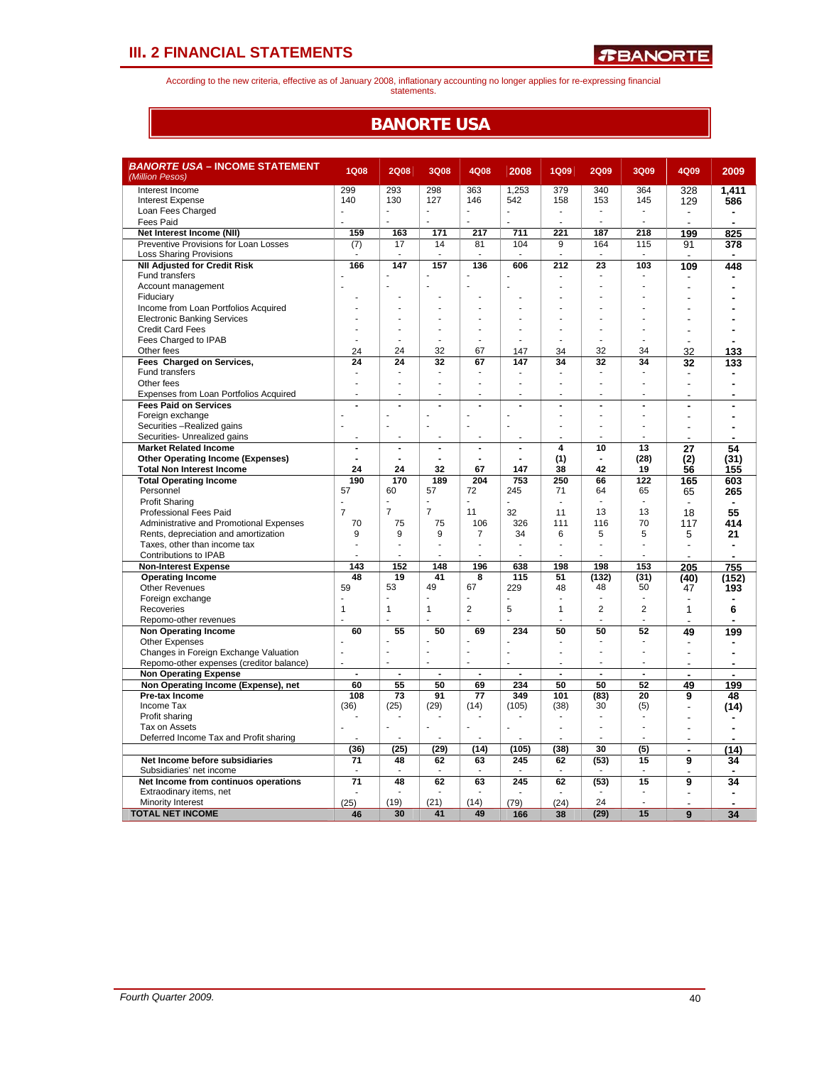According to the new criteria, effective as of January 2008, inflationary accounting no longer applies for re-expressing financial statements.

## **BANORTE USA**

| <i>BANORTE USA –</i> INCOME STATEMENT<br>(Million Pesos)             | <b>1Q08</b>     | <b>2Q08</b>     | <b>3Q08</b>              | 4Q08            | 2008           | <b>1Q09</b>             | <b>2Q09</b>    | 3Q09           | 4Q09                          | 2009                     |
|----------------------------------------------------------------------|-----------------|-----------------|--------------------------|-----------------|----------------|-------------------------|----------------|----------------|-------------------------------|--------------------------|
| Interest Income                                                      | 299             | 293             | 298                      | 363             | 1,253          | 379                     | 340            | 364            | 328                           | 1.411                    |
| <b>Interest Expense</b>                                              | 140             | 130             | 127                      | 146             | 542            | 158                     | 153            | 145            | 129                           | 586                      |
| Loan Fees Charged                                                    | ÷,              | ÷,              | ÷.                       | ÷,              |                |                         | ÷,             | ä,             | $\blacksquare$                |                          |
| Fees Paid                                                            |                 | ÷               | ÷                        | ÷.              | $\overline{a}$ |                         | ÷              | ÷.             |                               | Ĭ.                       |
| Net Interest Income (NII)                                            | 159             | 163             | 171                      | 217             | 711            | 221                     | 187            | 218            | 199                           | 825                      |
| Preventive Provisions for Loan Losses                                | (7)             | 17              | 14                       | 81              | 104            | 9                       | 164            | 115            | 91                            | 378                      |
| <b>Loss Sharing Provisions</b>                                       |                 |                 |                          |                 |                |                         | ÷,             |                | $\overline{a}$                |                          |
| <b>NII Adjusted for Credit Risk</b>                                  | 166             | 147             | 157                      | 136             | 606            | 212                     | 23             | 103            | 109                           | 448                      |
| <b>Fund transfers</b>                                                |                 |                 |                          |                 |                |                         |                |                |                               |                          |
| Account management                                                   |                 |                 |                          |                 |                |                         |                |                |                               |                          |
| Fiduciary<br>Income from Loan Portfolios Acquired                    |                 |                 |                          |                 |                |                         |                |                |                               |                          |
| <b>Electronic Banking Services</b>                                   |                 |                 |                          |                 |                |                         |                |                |                               |                          |
| <b>Credit Card Fees</b>                                              |                 |                 |                          |                 |                |                         |                |                |                               |                          |
| Fees Charged to IPAB                                                 |                 |                 |                          |                 |                |                         |                |                |                               |                          |
| Other fees                                                           | 24              | 24              | 32                       | 67              | 147            | 34                      | 32             | 34             | 32                            | 133                      |
| Fees Charged on Services,                                            | 24              | 24              | 32                       | 67              | 147            | 34                      | 32             | 34             | 32                            | 133                      |
| Fund transfers                                                       | $\blacksquare$  | $\blacksquare$  | ٠                        |                 |                |                         | ٠              |                |                               |                          |
| Other fees                                                           | ÷.              |                 | L.                       |                 | ä,             | ٠                       | L,             | ä,             | $\overline{\phantom{a}}$      |                          |
| Expenses from Loan Portfolios Acquired                               |                 |                 |                          | ÷               | ä,             |                         |                |                |                               |                          |
| <b>Fees Paid on Services</b>                                         |                 |                 | $\overline{a}$           |                 | L.             | L.                      |                | $\overline{a}$ |                               |                          |
| Foreign exchange                                                     |                 |                 |                          |                 |                |                         |                |                |                               |                          |
| Securities -Realized gains                                           |                 | ÷               | ÷                        | $\overline{a}$  | ÷.             |                         | ÷              |                |                               |                          |
| Securities- Unrealized gains                                         |                 |                 |                          |                 |                |                         |                |                |                               |                          |
| <b>Market Related Income</b>                                         | $\blacksquare$  | $\blacksquare$  | $\overline{\phantom{a}}$ | $\blacksquare$  | $\blacksquare$ | $\overline{\mathbf{4}}$ | 10             | 13             | 27                            | 54                       |
| <b>Other Operating Income (Expenses)</b>                             | $\overline{a}$  |                 |                          |                 | $\overline{a}$ | (1)                     | $\blacksquare$ | (28)           | (2)                           | (31)                     |
| <b>Total Non Interest Income</b>                                     | 24              | 24              | 32                       | 67              | 147            | 38                      | 42             | 19             | 56                            | 155                      |
| <b>Total Operating Income</b>                                        | 190             | 170             | 189                      | 204             | 753            | 250                     | 66             | 122            | 165                           | 603                      |
| Personnel                                                            | 57              | 60              | 57                       | 72              | 245            | 71                      | 64             | 65             | 65                            | 265                      |
| <b>Profit Sharing</b>                                                |                 |                 |                          |                 |                | ÷                       | $\overline{a}$ | $\overline{a}$ |                               |                          |
| <b>Professional Fees Paid</b>                                        | $\overline{7}$  | $\overline{7}$  | $\overline{7}$           | 11              | 32             | 11                      | 13             | 13             | 18                            | 55                       |
| Administrative and Promotional Expenses                              | 70              | 75              | 75                       | 106             | 326            | 111                     | 116            | 70             | 117                           | 414                      |
| Rents, depreciation and amortization<br>Taxes, other than income tax | 9               | 9               | 9                        | 7               | 34<br>ä,       | 6                       | 5              | 5              | 5<br>$\overline{\phantom{a}}$ | 21                       |
| Contributions to IPAB                                                |                 |                 | ÷                        | ÷.              | ä,             |                         | ä,             | ÷.             |                               | ٠                        |
| <b>Non-Interest Expense</b>                                          | 143             | 152             | 148                      | 196             | 638            | 198                     | 198            | 153            | 205                           | 755                      |
| <b>Operating Income</b>                                              | 48              | 19              | 41                       | 8               | 115            | 51                      | (132)          | (31)           | (40)                          | (152)                    |
| <b>Other Revenues</b>                                                | 59              | 53              | 49                       | 67              | 229            | 48                      | 48             | 50             | 47                            | 193                      |
| Foreign exchange                                                     |                 |                 |                          |                 |                |                         |                |                |                               |                          |
| Recoveries                                                           | $\mathbf{1}$    | $\mathbf{1}$    | $\mathbf{1}$             | $\overline{2}$  | 5              | $\mathbf{1}$            | $\overline{2}$ | $\overline{2}$ | 1                             | 6                        |
| Repomo-other revenues                                                |                 |                 |                          |                 |                |                         | ä,             | ÷              |                               |                          |
| <b>Non Operating Income</b>                                          | 60              | 55              | 50                       | 69              | 234            | 50                      | 50             | 52             | 49                            | 199                      |
| <b>Other Expenses</b>                                                |                 |                 |                          |                 |                |                         |                |                |                               |                          |
| Changes in Foreign Exchange Valuation                                | ä,              | ÷               | L,                       | J.              | $\blacksquare$ | ä,                      | ä,             | ÷.             | $\overline{a}$                | $\overline{\phantom{a}}$ |
| Repomo-other expenses (creditor balance)                             |                 |                 | L.                       |                 |                |                         | Ĭ.             |                |                               | $\overline{\phantom{a}}$ |
| <b>Non Operating Expense</b>                                         | $\blacksquare$  | $\overline{a}$  | $\overline{a}$           | ÷,              | $\overline{a}$ | $\overline{a}$          | $\overline{a}$ | $\overline{a}$ | $\blacksquare$                | $\overline{a}$           |
| Non Operating Income (Expense), net                                  | 60              | 55              | 50                       | 69              | 234            | 50                      | 50             | 52             | 49                            | 199                      |
| Pre-tax Income                                                       | 108             | $\overline{73}$ | 91                       | $\overline{77}$ | 349            | 101                     | (83)           | 20             | 9                             | 48                       |
| Income Tax                                                           | (36)            | (25)            | (29)                     | (14)            | (105)          | (38)                    | 30             | (5)            |                               | (14)                     |
| Profit sharing                                                       |                 |                 |                          |                 |                | ÷.                      |                |                |                               |                          |
| Tax on Assets                                                        |                 |                 |                          | ä,              |                |                         | ä,             |                |                               |                          |
| Deferred Income Tax and Profit sharing                               |                 |                 |                          |                 |                |                         |                |                |                               |                          |
| Net Income before subsidiaries                                       | (36)            | (25)            | (29)<br>62               | (14)            | (105)<br>245   | (38)                    | 30             | (5)            |                               | (14)                     |
| Subsidiaries' net income                                             | 71              | 48              |                          | 63              |                | 62                      | (53)           | 15             | 9                             | 34                       |
| Net Income from continuos operations                                 | $\overline{71}$ | 48              | 62                       | 63              | 245            | 62                      | (53)           | 15             | 9                             | 34                       |
| Extraodinary items, net                                              |                 |                 |                          |                 |                |                         |                |                |                               |                          |
| Minority Interest                                                    | (25)            | (19)            | (21)                     | (14)            | (79)           | (24)                    | 24             |                |                               | ÷                        |
| <b>TOTAL NET INCOME</b>                                              | 46              | 30              | 41                       | 49              | 166            | 38                      | (29)           | 15             | 9                             | 34                       |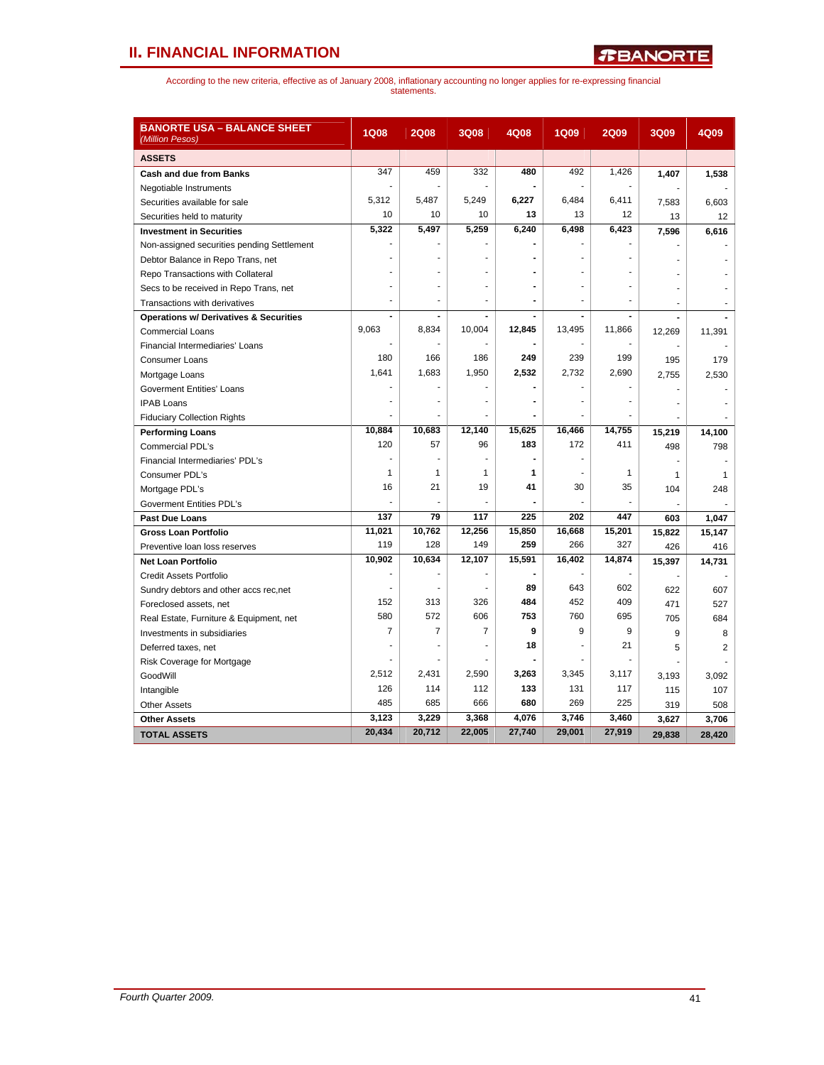# **II. FINANCIAL INFORMATION**

| <b>BANORTE USA – BALANCE SHEET</b><br>(Million Pesos) | <b>1Q08</b>    | <b>2Q08</b>    | 3Q08                     | 4Q08                     | <b>1Q09</b>              | <b>2Q09</b>  | 3Q09   | 4Q09           |
|-------------------------------------------------------|----------------|----------------|--------------------------|--------------------------|--------------------------|--------------|--------|----------------|
| <b>ASSETS</b>                                         |                |                |                          |                          |                          |              |        |                |
| <b>Cash and due from Banks</b>                        | 347            | 459            | 332                      | 480                      | 492                      | 1,426        | 1,407  | 1,538          |
| Negotiable Instruments                                |                |                |                          |                          |                          |              |        |                |
| Securities available for sale                         | 5,312          | 5,487          | 5,249                    | 6,227                    | 6,484                    | 6,411        | 7,583  | 6,603          |
| Securities held to maturity                           | 10             | 10             | 10                       | 13                       | 13                       | 12           | 13     | 12             |
| <b>Investment in Securities</b>                       | 5,322          | 5,497          | 5,259                    | 6,240                    | 6,498                    | 6,423        | 7,596  | 6,616          |
| Non-assigned securities pending Settlement            |                |                |                          |                          |                          |              |        |                |
| Debtor Balance in Repo Trans, net                     |                |                |                          |                          |                          |              |        |                |
| Repo Transactions with Collateral                     |                |                |                          |                          |                          |              |        |                |
| Secs to be received in Repo Trans, net                |                |                |                          |                          |                          |              |        |                |
| Transactions with derivatives                         | ٠              | $\overline{a}$ | $\overline{\phantom{m}}$ | $\overline{\phantom{a}}$ | $\overline{\phantom{a}}$ | ۰            |        |                |
| <b>Operations w/ Derivatives &amp; Securities</b>     | $\blacksquare$ |                |                          |                          |                          |              |        |                |
| <b>Commercial Loans</b>                               | 9.063          | 8,834          | 10,004                   | 12,845                   | 13,495                   | 11,866       | 12,269 | 11,391         |
| Financial Intermediaries' Loans                       |                |                |                          |                          |                          |              |        |                |
| Consumer Loans                                        | 180            | 166            | 186                      | 249                      | 239                      | 199          | 195    | 179            |
| Mortgage Loans                                        | 1,641          | 1,683          | 1,950                    | 2,532                    | 2,732                    | 2,690        | 2,755  | 2,530          |
| <b>Goverment Entities' Loans</b>                      |                |                |                          |                          |                          |              |        |                |
| <b>IPAB Loans</b>                                     |                |                |                          |                          |                          |              |        |                |
| <b>Fiduciary Collection Rights</b>                    |                |                |                          |                          |                          |              |        |                |
| <b>Performing Loans</b>                               | 10,884         | 10,683         | 12,140                   | 15,625                   | 16,466                   | 14,755       | 15,219 | 14,100         |
| Commercial PDL's                                      | 120            | 57             | 96                       | 183                      | 172                      | 411          | 498    | 798            |
| Financial Intermediaries' PDL's                       |                |                |                          |                          |                          |              |        |                |
| Consumer PDL's                                        | 1              | 1              | 1                        | 1                        |                          | $\mathbf{1}$ | 1      | 1              |
| Mortgage PDL's                                        | 16             | 21             | 19                       | 41                       | 30                       | 35           | 104    | 248            |
| <b>Goverment Entities PDL's</b>                       |                |                |                          |                          |                          | ÷            |        |                |
| Past Due Loans                                        | 137            | 79             | 117                      | 225                      | 202                      | 447          | 603    | 1,047          |
| <b>Gross Loan Portfolio</b>                           | 11,021         | 10,762         | 12,256                   | 15,850                   | 16,668                   | 15,201       | 15,822 | 15,147         |
| Preventive loan loss reserves                         | 119            | 128            | 149                      | 259                      | 266                      | 327          | 426    | 416            |
| <b>Net Loan Portfolio</b>                             | 10,902         | 10,634         | 12,107                   | 15,591                   | 16,402                   | 14,874       | 15,397 | 14,731         |
| Credit Assets Portfolio                               |                |                |                          |                          |                          |              |        |                |
| Sundry debtors and other accs rec.net                 |                | Ĭ.             |                          | 89                       | 643                      | 602          | 622    | 607            |
| Foreclosed assets, net                                | 152            | 313            | 326                      | 484                      | 452                      | 409          | 471    | 527            |
| Real Estate, Furniture & Equipment, net               | 580            | 572            | 606                      | 753                      | 760                      | 695          | 705    | 684            |
| Investments in subsidiaries                           | $\overline{7}$ | 7              | $\overline{7}$           | 9                        | 9                        | 9            | 9      | 8              |
| Deferred taxes, net                                   |                |                |                          | 18                       |                          | 21           | 5      | $\overline{2}$ |
| Risk Coverage for Mortgage                            |                |                |                          |                          |                          |              |        |                |
| GoodWill                                              | 2,512          | 2,431          | 2,590                    | 3,263                    | 3,345                    | 3,117        | 3,193  | 3,092          |
| Intangible                                            | 126            | 114            | 112                      | 133                      | 131                      | 117          | 115    | 107            |
| <b>Other Assets</b>                                   | 485            | 685            | 666                      | 680                      | 269                      | 225          | 319    | 508            |
| <b>Other Assets</b>                                   | 3,123          | 3,229          | 3,368                    | 4,076                    | 3,746                    | 3,460        | 3,627  | 3,706          |
| <b>TOTAL ASSETS</b>                                   | 20,434         | 20,712         | 22,005                   | 27,740                   | 29,001                   | 27,919       | 29.838 | 28.420         |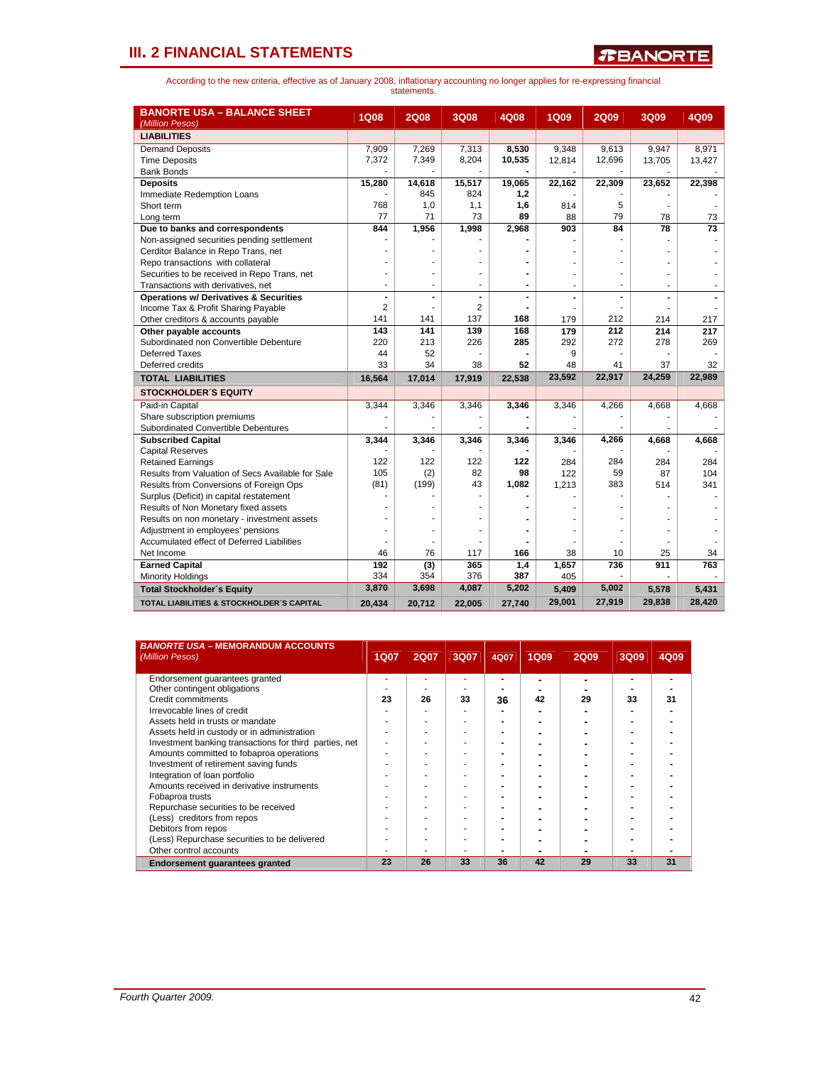| <b>BANORTE USA - BALANCE SHEET</b><br>(Million Pesos) | 1Q08           | <b>2Q08</b> | 3Q08   | 4Q08   | <b>1Q09</b> | 2Q09   | 3Q09   | 4Q09   |
|-------------------------------------------------------|----------------|-------------|--------|--------|-------------|--------|--------|--------|
| <b>LIABILITIES</b>                                    |                |             |        |        |             |        |        |        |
| <b>Demand Deposits</b>                                | 7,909          | 7,269       | 7,313  | 8,530  | 9,348       | 9,613  | 9,947  | 8,971  |
| <b>Time Deposits</b>                                  | 7,372          | 7,349       | 8,204  | 10,535 | 12,814      | 12,696 | 13,705 | 13,427 |
| <b>Bank Bonds</b>                                     |                |             |        |        |             |        |        |        |
| <b>Deposits</b>                                       | 15,280         | 14,618      | 15,517 | 19,065 | 22,162      | 22,309 | 23,652 | 22,398 |
| Immediate Redemption Loans                            |                | 845         | 824    | 1,2    |             |        |        |        |
| Short term                                            | 768            | 1,0         | 1,1    | 1,6    | 814         | 5      |        |        |
| Long term                                             | 77             | 71          | 73     | 89     | 88          | 79     | 78     | 73     |
| Due to banks and correspondents                       | 844            | 1,956       | 1,998  | 2,968  | 903         | 84     | 78     | 73     |
| Non-assigned securities pending settlement            |                |             |        |        |             |        |        |        |
| Cerditor Balance in Repo Trans, net                   |                |             |        |        |             |        |        |        |
| Repo transactions with collateral                     |                |             |        |        |             |        |        |        |
| Securities to be received in Repo Trans, net          |                |             | ÷      |        |             |        |        |        |
| Transactions with derivatives, net                    |                | ٠           |        |        |             |        |        |        |
| <b>Operations w/ Derivatives &amp; Securities</b>     | $\blacksquare$ | ۰           |        |        | ۰           |        |        |        |
| Income Tax & Profit Sharing Payable                   | $\overline{2}$ |             | 2      |        |             |        |        |        |
| Other creditors & accounts payable                    | 141            | 141         | 137    | 168    | 179         | 212    | 214    | 217    |
| Other payable accounts                                | 143            | 141         | 139    | 168    | 179         | 212    | 214    | 217    |
| Subordinated non Convertible Debenture                | 220            | 213         | 226    | 285    | 292         | 272    | 278    | 269    |
| Deferred Taxes                                        | 44             | 52          |        |        | 9           |        |        |        |
| Deferred credits                                      | 33             | 34          | 38     | 52     | 48          | 41     | 37     | 32     |
| <b>TOTAL LIABILITIES</b>                              | 16,564         | 17,014      | 17,919 | 22,538 | 23,592      | 22,917 | 24,259 | 22,989 |
| <b>STOCKHOLDER'S EQUITY</b>                           |                |             |        |        |             |        |        |        |
| Paid-in Capital                                       | 3,344          | 3,346       | 3,346  | 3,346  | 3,346       | 4,266  | 4,668  | 4,668  |
| Share subscription premiums                           |                |             |        |        |             |        |        |        |
| Subordinated Convertible Debentures                   |                |             |        |        |             |        |        |        |
| <b>Subscribed Capital</b>                             | 3,344          | 3,346       | 3,346  | 3,346  | 3,346       | 4,266  | 4,668  | 4,668  |
| <b>Capital Reserves</b>                               |                |             |        |        |             |        |        |        |
| <b>Retained Earnings</b>                              | 122            | 122         | 122    | 122    | 284         | 284    | 284    | 284    |
| Results from Valuation of Secs Available for Sale     | 105            | (2)         | 82     | 98     | 122         | 59     | 87     | 104    |
| Results from Conversions of Foreign Ops               | (81)           | (199)       | 43     | 1,082  | 1,213       | 383    | 514    | 341    |
| Surplus (Deficit) in capital restatement              |                |             |        |        |             |        |        |        |
| Results of Non Monetary fixed assets                  |                |             |        |        |             |        |        |        |
| Results on non monetary - investment assets           |                |             |        |        |             |        |        |        |
| Adjustment in employees' pensions                     | ÷              |             | ٠      |        |             |        |        |        |
| Accumulated effect of Deferred Liabilities            |                |             |        |        |             |        |        |        |
| Net Income                                            | 46             | 76          | 117    | 166    | 38          | 10     | 25     | 34     |
| <b>Earned Capital</b>                                 | 192            | (3)         | 365    | 1,4    | 1,657       | 736    | 911    | 763    |
| <b>Minority Holdings</b>                              | 334            | 354         | 376    | 387    | 405         |        |        |        |
| <b>Total Stockholder's Equity</b>                     | 3,870          | 3,698       | 4,087  | 5,202  | 5,409       | 5,002  | 5,578  | 5,431  |
| TOTAL LIABILITIES & STOCKHOLDER'S CAPITAL             | 20.434         | 20,712      | 22,005 | 27,740 | 29,001      | 27,919 | 29,838 | 28,420 |

| <b>BANORTE USA - MEMORANDUM ACCOUNTS</b><br>(Million Pesos) | <b>1Q07</b> | <b>2Q07</b> | 3Q07 | 4Q07 | <b>1Q09</b> | <b>2Q09</b> | 3Q09 | 4Q09 |
|-------------------------------------------------------------|-------------|-------------|------|------|-------------|-------------|------|------|
| Endorsement quarantees granted                              |             |             |      |      |             |             |      |      |
| Other contingent obligations                                |             |             |      |      |             |             |      |      |
| Credit commitments                                          | 23          | 26          | 33   | 36   | 42          | 29          | 33   | 31   |
| Irrevocable lines of credit                                 |             |             |      |      |             |             |      |      |
| Assets held in trusts or mandate                            |             |             |      |      |             |             |      |      |
| Assets held in custody or in administration                 |             |             |      | -    |             |             |      |      |
| Investment banking transactions for third parties, net      |             |             |      |      |             |             |      |      |
| Amounts committed to fobaproa operations                    |             |             |      |      |             |             |      |      |
| Investment of retirement saving funds                       |             |             |      |      |             |             |      |      |
| Integration of loan portfolio                               |             |             |      |      |             |             |      |      |
| Amounts received in derivative instruments                  |             |             |      |      |             |             |      |      |
| Fobaproa trusts                                             |             |             |      |      |             |             |      |      |
| Repurchase securities to be received                        |             |             |      |      |             |             |      |      |
| (Less) creditors from repos                                 |             |             |      |      |             |             |      |      |
| Debitors from repos                                         |             |             |      |      |             |             |      |      |
| (Less) Repurchase securities to be delivered                |             |             |      |      |             |             |      |      |
| Other control accounts                                      |             |             |      |      |             |             |      |      |
| Endorsement quarantees granted                              | 23          | 26          | 33   | 36   | 42          | 29          | 33   | 31   |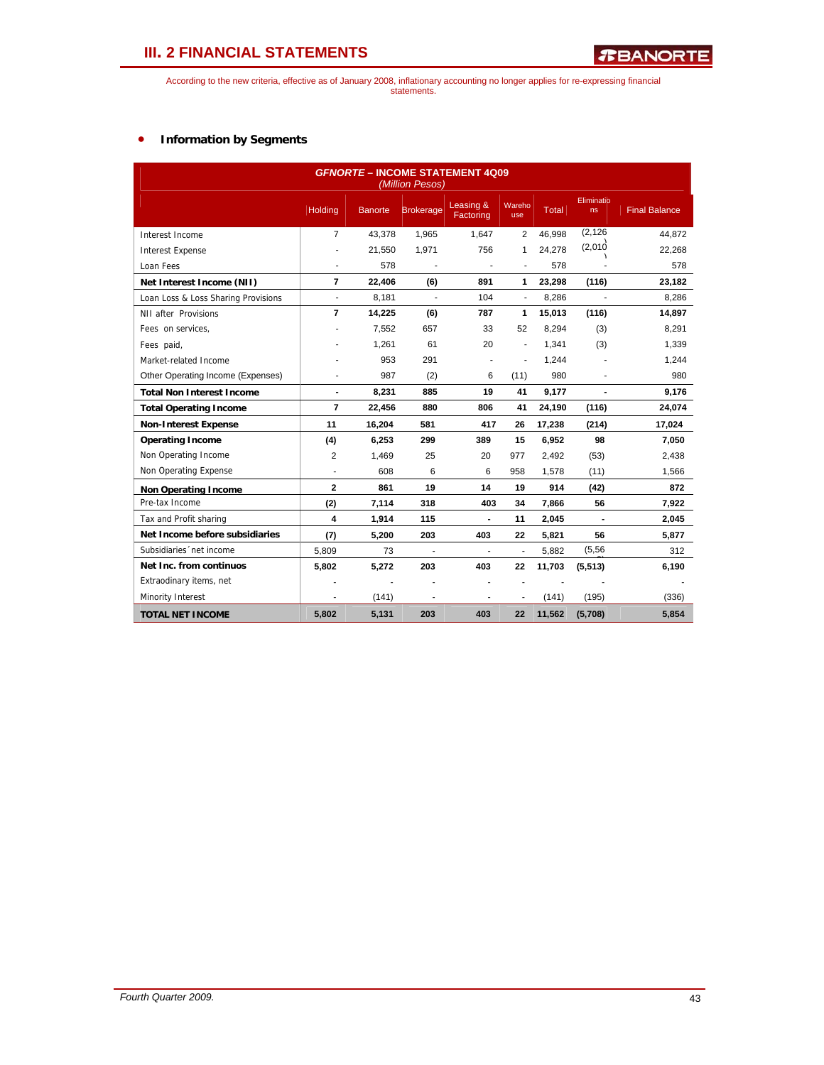According to the new criteria, effective as of January 2008, inflationary accounting no longer applies for re-expressing financial statements.

## • **Information by Segments**

| <b>GFNORTE - INCOME STATEMENT 4Q09</b><br>(Million Pesos) |                          |                |                  |                        |                |              |                  |                      |  |  |  |  |
|-----------------------------------------------------------|--------------------------|----------------|------------------|------------------------|----------------|--------------|------------------|----------------------|--|--|--|--|
|                                                           | Holding                  | <b>Banorte</b> | <b>Brokerage</b> | Leasing &<br>Factoring | Wareho<br>use  | <b>Total</b> | Eliminatio<br>ns | <b>Final Balance</b> |  |  |  |  |
| Interest Income                                           | $\overline{7}$           | 43,378         | 1,965            | 1,647                  | 2              | 46,998       | (2, 126)         | 44,872               |  |  |  |  |
| <b>Interest Expense</b>                                   | ä,                       | 21,550         | 1,971            | 756                    | 1              | 24,278       | (2,010)          | 22,268               |  |  |  |  |
| Loan Fees                                                 | ä,                       | 578            |                  |                        | ÷,             | 578          |                  | 578                  |  |  |  |  |
| Net Interest Income (NII)                                 | $\overline{7}$           | 22,406         | (6)              | 891                    | 1              | 23,298       | (116)            | 23,182               |  |  |  |  |
| Loan Loss & Loss Sharing Provisions                       | $\overline{\phantom{a}}$ | 8,181          | ä,               | 104                    | $\blacksquare$ | 8,286        |                  | 8,286                |  |  |  |  |
| NII after Provisions                                      | $\overline{7}$           | 14,225         | (6)              | 787                    | 1              | 15,013       | (116)            | 14,897               |  |  |  |  |
| Fees on services.                                         |                          | 7,552          | 657              | 33                     | 52             | 8,294        | (3)              | 8,291                |  |  |  |  |
| Fees paid,                                                |                          | 1,261          | 61               | 20                     | ÷,             | 1,341        | (3)              | 1,339                |  |  |  |  |
| Market-related Income                                     |                          | 953            | 291              |                        | ÷,             | 1,244        |                  | 1,244                |  |  |  |  |
| Other Operating Income (Expenses)                         |                          | 987            | (2)              | 6                      | (11)           | 980          |                  | 980                  |  |  |  |  |
| <b>Total Non Interest Income</b>                          | $\blacksquare$           | 8,231          | 885              | 19                     | 41             | 9,177        | $\blacksquare$   | 9,176                |  |  |  |  |
| <b>Total Operating Income</b>                             | $\overline{7}$           | 22,456         | 880              | 806                    | 41             | 24,190       | (116)            | 24,074               |  |  |  |  |
| <b>Non-Interest Expense</b>                               | 11                       | 16,204         | 581              | 417                    | 26             | 17,238       | (214)            | 17,024               |  |  |  |  |
| <b>Operating Income</b>                                   | (4)                      | 6,253          | 299              | 389                    | 15             | 6,952        | 98               | 7,050                |  |  |  |  |
| Non Operating Income                                      | 2                        | 1,469          | 25               | 20                     | 977            | 2,492        | (53)             | 2,438                |  |  |  |  |
| Non Operating Expense                                     | ä,                       | 608            | 6                | 6                      | 958            | 1,578        | (11)             | 1,566                |  |  |  |  |
| <b>Non Operating Income</b>                               | $\overline{2}$           | 861            | 19               | 14                     | 19             | 914          | (42)             | 872                  |  |  |  |  |
| Pre-tax Income                                            | (2)                      | 7,114          | 318              | 403                    | 34             | 7,866        | 56               | 7,922                |  |  |  |  |
| Tax and Profit sharing                                    | 4                        | 1,914          | 115              | $\blacksquare$         | 11             | 2,045        | $\blacksquare$   | 2,045                |  |  |  |  |
| Net Income before subsidiaries                            | (7)                      | 5,200          | 203              | 403                    | 22             | 5,821        | 56               | 5,877                |  |  |  |  |
| Subsidiaries 'net income                                  | 5,809                    | 73             |                  | ÷,                     | ä,             | 5,882        | (5, 56)          | 312                  |  |  |  |  |
| Net Inc. from continuos                                   | 5,802                    | 5,272          | 203              | 403                    | 22             | 11,703       | (5, 513)         | 6,190                |  |  |  |  |
| Extraodinary items, net                                   | ÷                        |                |                  |                        |                |              |                  |                      |  |  |  |  |
| Minority Interest                                         | ٠                        | (141)          | ٠                | ٠                      | ٠              | (141)        | (195)            | (336)                |  |  |  |  |
| <b>TOTAL NET INCOME</b>                                   | 5,802                    | 5,131          | 203              | 403                    | 22             | 11,562       | (5,708)          | 5,854                |  |  |  |  |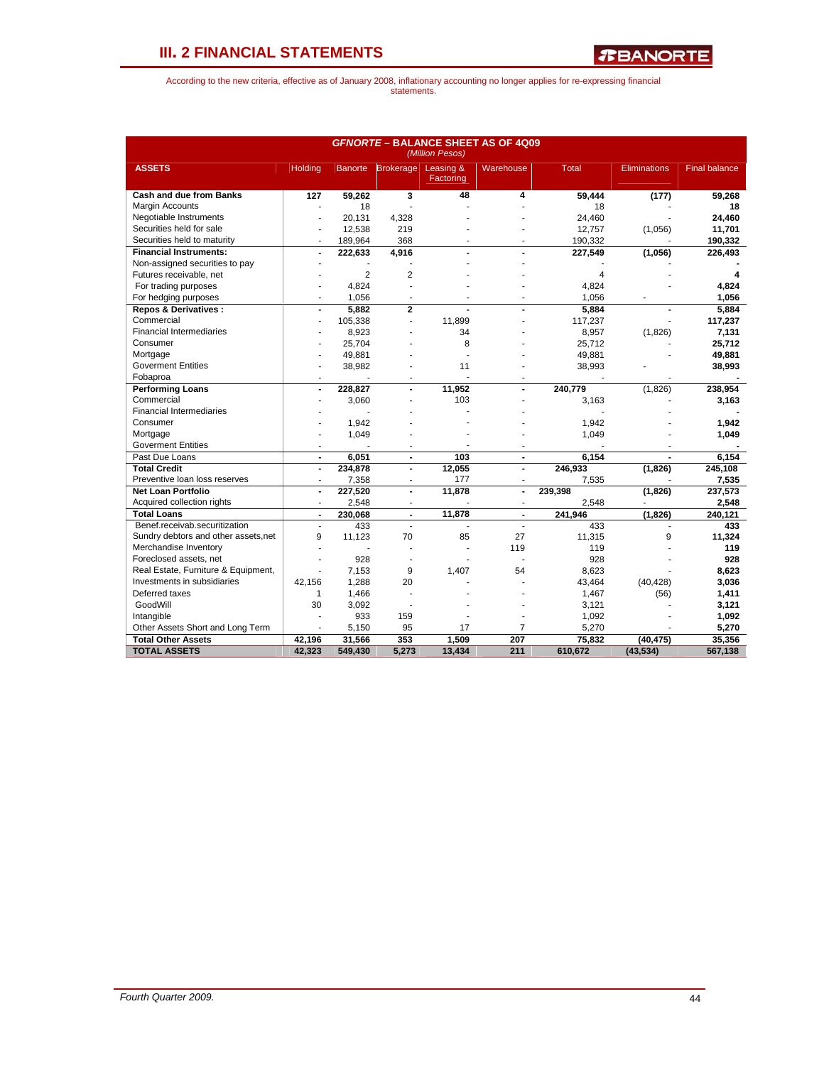*R***BANORTE** 

|                                      | <b>GFNORTE - BALANCE SHEET AS OF 4Q09</b><br>(Million Pesos) |                |                   |                        |                          |                         |                     |                      |  |  |  |  |
|--------------------------------------|--------------------------------------------------------------|----------------|-------------------|------------------------|--------------------------|-------------------------|---------------------|----------------------|--|--|--|--|
| <b>ASSETS</b>                        | Holding                                                      |                | Banorte Brokerage | Leasing &<br>Factoring | Warehouse                | <b>Total</b>            | <b>Eliminations</b> | <b>Final balance</b> |  |  |  |  |
| <b>Cash and due from Banks</b>       | 127                                                          | 59,262         | 3                 | 48                     | 4                        | 59.444                  | (177)               | 59.268               |  |  |  |  |
| Margin Accounts                      |                                                              | 18             |                   |                        |                          | 18                      |                     | 18                   |  |  |  |  |
| Negotiable Instruments               |                                                              | 20.131         | 4,328             |                        |                          | 24.460                  |                     | 24.460               |  |  |  |  |
| Securities held for sale             | J.                                                           | 12,538         | 219               |                        |                          | 12,757                  | (1,056)             | 11,701               |  |  |  |  |
| Securities held to maturity          | ÷                                                            | 189,964        | 368               |                        |                          | 190,332                 |                     | 190,332              |  |  |  |  |
| <b>Financial Instruments:</b>        | ÷,                                                           | 222,633        | 4,916             |                        |                          | 227,549                 | (1,056)             | 226,493              |  |  |  |  |
| Non-assigned securities to pay       |                                                              |                |                   |                        |                          |                         |                     |                      |  |  |  |  |
| Futures receivable, net              |                                                              | $\overline{2}$ | $\overline{2}$    |                        |                          | $\overline{\mathbf{A}}$ |                     | 4                    |  |  |  |  |
| For trading purposes                 |                                                              | 4,824          |                   |                        |                          | 4,824                   |                     | 4,824                |  |  |  |  |
| For hedging purposes                 |                                                              | 1,056          |                   |                        |                          | 1,056                   |                     | 1,056                |  |  |  |  |
| <b>Repos &amp; Derivatives:</b>      | ÷,                                                           | 5.882          | $\overline{2}$    |                        |                          | 5.884                   |                     | 5.884                |  |  |  |  |
| Commercial                           | $\overline{\phantom{a}}$                                     | 105,338        | ÷,                | 11.899                 |                          | 117,237                 |                     | 117,237              |  |  |  |  |
| <b>Financial Intermediaries</b>      |                                                              | 8,923          |                   | 34                     |                          | 8,957                   | (1,826)             | 7,131                |  |  |  |  |
| Consumer                             |                                                              | 25,704         |                   | 8                      |                          | 25,712                  |                     | 25,712               |  |  |  |  |
| Mortgage                             |                                                              | 49,881         |                   |                        |                          | 49,881                  |                     | 49,881               |  |  |  |  |
| <b>Goverment Entities</b>            |                                                              | 38,982         |                   | 11                     |                          | 38,993                  |                     | 38,993               |  |  |  |  |
| Fobaproa                             | $\overline{\phantom{a}}$                                     |                |                   |                        |                          |                         |                     |                      |  |  |  |  |
| <b>Performing Loans</b>              | $\blacksquare$                                               | 228,827        | $\blacksquare$    | 11,952                 |                          | 240,779                 | (1,826)             | 238,954              |  |  |  |  |
| Commercial                           |                                                              | 3,060          |                   | 103                    |                          | 3.163                   |                     | 3,163                |  |  |  |  |
| <b>Financial Intermediaries</b>      |                                                              |                |                   |                        |                          |                         |                     |                      |  |  |  |  |
| Consumer                             |                                                              | 1,942          |                   |                        |                          | 1,942                   |                     | 1,942                |  |  |  |  |
| Mortgage                             | ÷.                                                           | 1,049          |                   |                        |                          | 1,049                   |                     | 1,049                |  |  |  |  |
| <b>Goverment Entities</b>            | ÷                                                            |                |                   |                        |                          |                         |                     |                      |  |  |  |  |
| Past Due Loans                       | $\blacksquare$                                               | 6.051          | $\overline{a}$    | 103                    | $\blacksquare$           | 6.154                   |                     | 6,154                |  |  |  |  |
| <b>Total Credit</b>                  | $\overline{\phantom{a}}$                                     | 234,878        | $\blacksquare$    | 12,055                 | $\blacksquare$           | 246,933                 | (1,826)             | 245,108              |  |  |  |  |
| Preventive loan loss reserves        | ÷.                                                           | 7,358          |                   | 177                    |                          | 7,535                   |                     | 7,535                |  |  |  |  |
| <b>Net Loan Portfolio</b>            | $\ddot{\phantom{a}}$                                         | 227,520        | $\overline{a}$    | 11.878                 | $\overline{a}$           | 239,398                 | (1,826)             | 237,573              |  |  |  |  |
| Acquired collection rights           | $\overline{\phantom{a}}$                                     | 2,548          |                   |                        | $\overline{\phantom{a}}$ | 2,548                   |                     | 2,548                |  |  |  |  |
| <b>Total Loans</b>                   | $\blacksquare$                                               | 230,068        | $\blacksquare$    | 11,878                 |                          | 241,946                 | (1,826)             | 240,121              |  |  |  |  |
| Benef.receivab.securitization        | ÷,                                                           | 433            | ä,                | ä,                     |                          | 433                     | ÷,                  | 433                  |  |  |  |  |
| Sundry debtors and other assets, net | 9                                                            | 11,123         | 70                | 85                     | 27                       | 11,315                  | 9                   | 11,324               |  |  |  |  |
| Merchandise Inventory                |                                                              |                |                   | Ĭ.                     | 119                      | 119                     |                     | 119                  |  |  |  |  |
| Foreclosed assets, net               | J.                                                           | 928            |                   |                        |                          | 928                     |                     | 928                  |  |  |  |  |
| Real Estate, Furniture & Equipment,  | ÷.                                                           | 7,153          | 9                 | 1,407                  | 54                       | 8,623                   |                     | 8,623                |  |  |  |  |
| Investments in subsidiaries          | 42,156                                                       | 1,288          | 20                |                        |                          | 43,464                  | (40, 428)           | 3,036                |  |  |  |  |
| Deferred taxes                       | $\mathbf{1}$                                                 | 1,466          |                   |                        |                          | 1,467                   | (56)                | 1,411                |  |  |  |  |
| GoodWill                             | 30                                                           | 3,092          | ÷.                |                        |                          | 3,121                   |                     | 3,121                |  |  |  |  |
| Intangible                           |                                                              | 933            | 159               |                        |                          | 1,092                   |                     | 1,092                |  |  |  |  |
| Other Assets Short and Long Term     |                                                              | 5,150          | 95                | 17                     | $\overline{7}$           | 5,270                   |                     | 5,270                |  |  |  |  |
| <b>Total Other Assets</b>            | 42.196                                                       | 31,566         | 353               | 1.509                  | 207                      | 75.832                  | (40, 475)           | 35,356               |  |  |  |  |
| <b>TOTAL ASSETS</b>                  | 42,323                                                       | 549,430        | 5,273             | 13,434                 | 211                      | 610.672                 | (43, 534)           | 567,138              |  |  |  |  |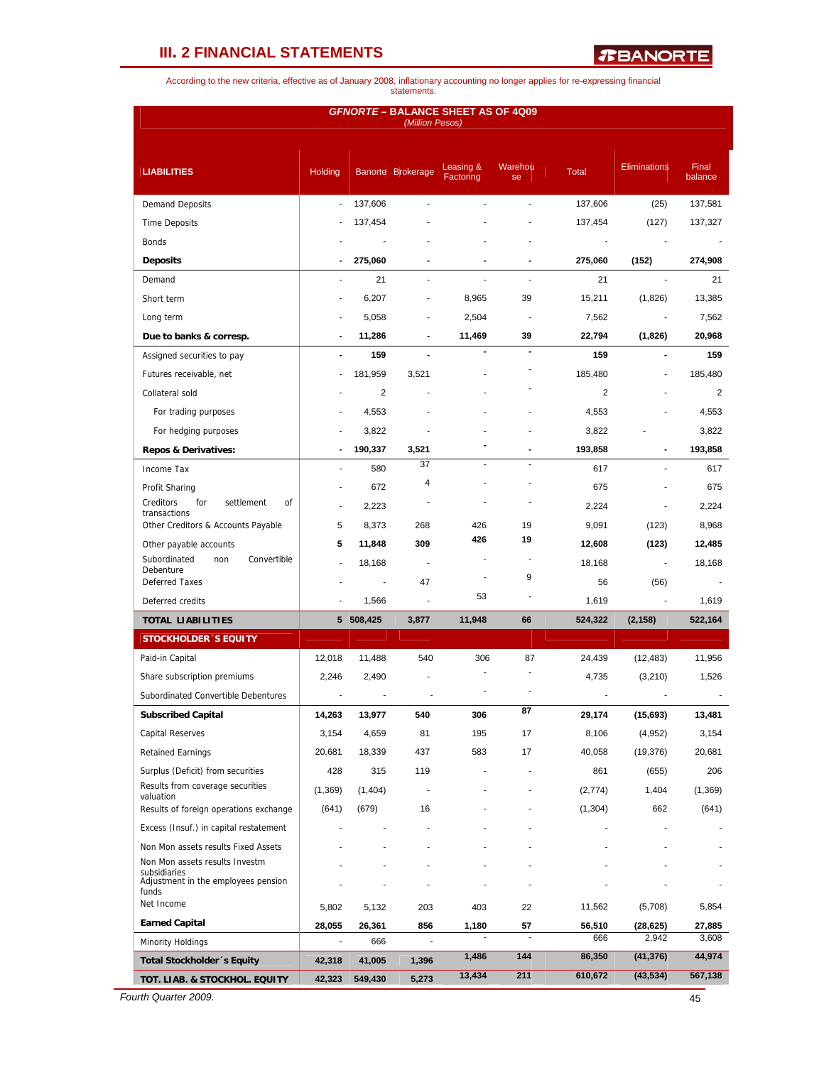*R***BANORTE** 

According to the new criteria, effective as of January 2008, inflationary accounting no longer applies for re-expressing financial statements.

|                                                                       |                          |           | (Million Pesos)   | <b>GFNORTE - BALANCE SHEET AS OF 4Q09</b> |                          |                |                     |                  |
|-----------------------------------------------------------------------|--------------------------|-----------|-------------------|-------------------------------------------|--------------------------|----------------|---------------------|------------------|
| <b>LIABILITIES</b>                                                    | Holding                  |           | Banorte Brokerage | Leasing &<br>Factoring                    | Warehou<br>se            | <b>Total</b>   | <b>Eliminations</b> | Final<br>balance |
| <b>Demand Deposits</b>                                                | $\overline{\phantom{a}}$ | 137,606   |                   |                                           |                          | 137,606        | (25)                | 137,581          |
| <b>Time Deposits</b>                                                  |                          | 137,454   |                   |                                           |                          | 137,454        | (127)               | 137,327          |
| <b>Bonds</b>                                                          |                          |           |                   |                                           |                          |                |                     |                  |
| <b>Deposits</b>                                                       |                          | 275,060   |                   |                                           |                          | 275,060        | (152)               | 274,908          |
| Demand                                                                |                          | 21        |                   |                                           |                          | 21             |                     | 21               |
| Short term                                                            |                          | 6,207     |                   | 8,965                                     | 39                       | 15,211         | (1,826)             | 13,385           |
| Long term                                                             |                          | 5,058     |                   | 2,504                                     | $\overline{\phantom{a}}$ | 7,562          |                     | 7,562            |
| Due to banks & corresp.                                               |                          | 11,286    |                   | 11,469                                    | 39                       | 22,794         | (1,826)             | 20,968           |
| Assigned securities to pay                                            | $\blacksquare$           | 159       | $\blacksquare$    |                                           |                          | 159            |                     | 159              |
| Futures receivable, net                                               | ÷.                       | 181,959   | 3,521             |                                           |                          | 185,480        |                     | 185,480          |
| Collateral sold                                                       |                          | 2         |                   |                                           |                          | $\overline{2}$ |                     | 2                |
| For trading purposes                                                  |                          | 4,553     |                   |                                           |                          | 4,553          |                     | 4,553            |
| For hedging purposes                                                  |                          | 3,822     |                   |                                           |                          | 3,822          |                     | 3,822            |
| <b>Repos &amp; Derivatives:</b>                                       |                          | 190,337   | 3,521             |                                           |                          | 193,858        |                     | 193,858          |
| Income Tax                                                            |                          | 580       | 37                |                                           |                          | 617            |                     | 617              |
| Profit Sharing                                                        |                          | 672       | 4                 |                                           |                          | 675            |                     | 675              |
| Creditors<br>for<br>settlement<br>οf                                  | ÷                        | 2,223     |                   |                                           |                          | 2,224          |                     | 2,224            |
| transactions<br>Other Creditors & Accounts Payable                    | 5                        | 8,373     | 268               | 426                                       | 19                       | 9,091          | (123)               | 8,968            |
| Other payable accounts                                                | 5                        | 11,848    | 309               | 426                                       | 19                       | 12,608         | (123)               | 12,485           |
| Subordinated<br>Convertible<br>non                                    |                          | 18,168    | $\blacksquare$    |                                           |                          | 18,168         | $\blacksquare$      | 18,168           |
| Debenture<br><b>Deferred Taxes</b>                                    |                          |           | 47                |                                           | 9                        | 56             | (56)                |                  |
| Deferred credits                                                      |                          | 1,566     | ÷,                | 53                                        |                          | 1,619          | $\blacksquare$      | 1,619            |
| <b>TOTAL LIABILITIES</b>                                              |                          | 5 508,425 | 3,877             | 11,948                                    | 66                       | 524,322        | (2, 158)            | 522,164          |
| <b>STOCKHOLDER 'S EQUITY</b>                                          |                          |           |                   |                                           |                          |                |                     |                  |
| Paid-in Capital                                                       | 12,018                   | 11,488    | 540               | 306                                       | 87                       | 24,439         | (12, 483)           | 11,956           |
| Share subscription premiums                                           | 2,246                    | 2,490     |                   |                                           |                          | 4,735          | (3,210)             | 1,526            |
| Subordinated Convertible Debentures                                   |                          |           |                   |                                           |                          |                |                     |                  |
| <b>Subscribed Capital</b>                                             | 14,263                   | 13,977    | 540               | 306                                       | 87                       | 29,174         | (15, 693)           | 13,481           |
| <b>Capital Reserves</b>                                               | 3,154                    | 4,659     | 81                | 195                                       | 17                       | 8,106          | (4,952)             | 3,154            |
| <b>Retained Earnings</b>                                              | 20,681                   | 18,339    | 437               | 583                                       | 17                       | 40,058         | (19, 376)           | 20,681           |
| Surplus (Deficit) from securities                                     | 428                      | 315       | 119               |                                           |                          | 861            | (655)               | 206              |
| Results from coverage securities                                      | (1, 369)                 | (1,404)   |                   |                                           |                          | (2,774)        | 1,404               | (1, 369)         |
| valuation<br>Results of foreign operations exchange                   | (641)                    | (679)     | 16                |                                           |                          |                | 662                 | (641)            |
|                                                                       |                          |           |                   |                                           |                          | (1, 304)       |                     |                  |
| Excess (Insuf.) in capital restatement                                |                          |           |                   |                                           |                          |                |                     |                  |
| Non Mon assets results Fixed Assets<br>Non Mon assets results Investm |                          |           |                   |                                           |                          |                |                     |                  |
| subsidiaries<br>Adjustment in the employees pension<br>funds          |                          |           |                   |                                           |                          |                |                     |                  |
| Net Income                                                            | 5,802                    | 5,132     | 203               | 403                                       | 22                       | 11,562         | (5,708)             | 5,854            |
| <b>Earned Capital</b>                                                 | 28,055                   | 26,361    | 856               | 1,180                                     | 57                       | 56,510         | (28, 625)           | 27,885           |
| Minority Holdings                                                     | ÷.                       | 666       | ä,                |                                           | ÷.                       | 666            | 2,942               | 3,608            |
| Total Stockholder 's Equity                                           | 42,318                   | 41,005    | 1,396             | 1,486                                     | 144                      | 86,350         | (41, 376)           | 44,974           |
| TOT. LIAB. & STOCKHOL. EQUITY                                         | 42,323                   | 549,430   | 5,273             | 13,434                                    | 211                      | 610,672        | (43, 534)           | 567,138          |

*Fourth Quarter 2009.* 45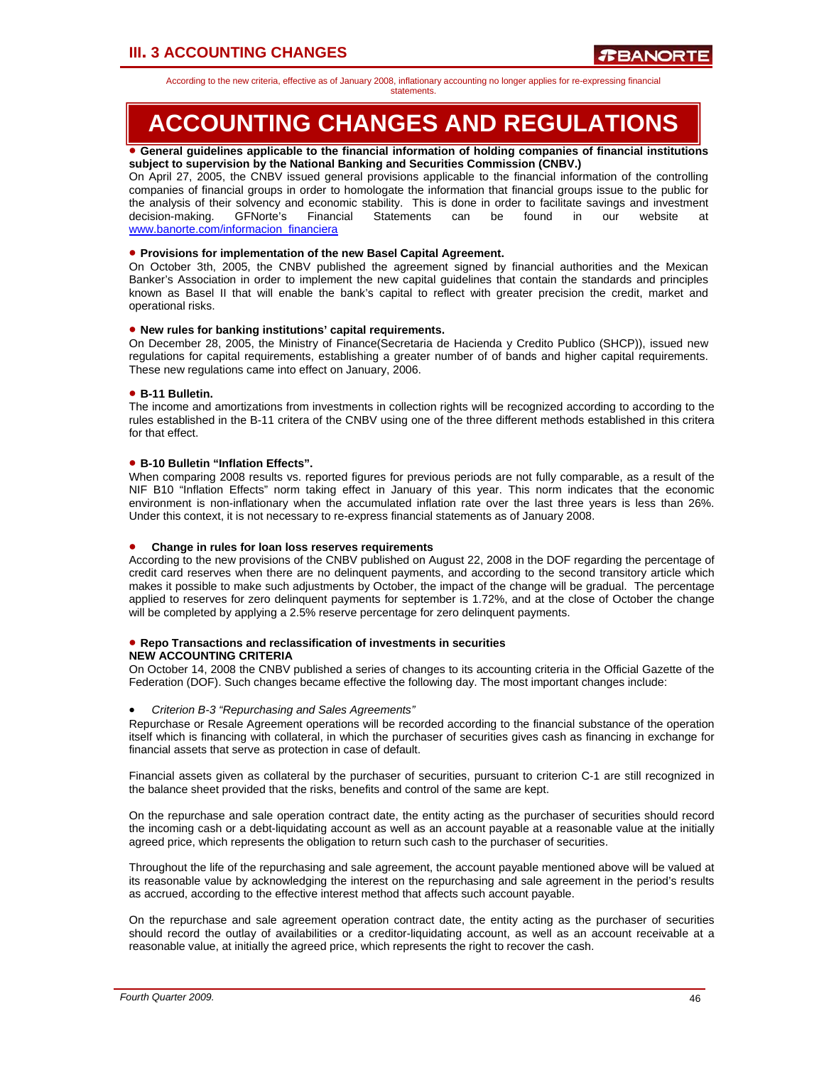According to the new criteria, effective as of January 2008, inflationary accounting no longer applies for re-expressing financial

#### statements.

# **ACCOUNTING CHANGES AND REGULATIONS**

### • **General guidelines applicable to the financial information of holding companies of financial institutions subject to supervision by the National Banking and Securities Commission (CNBV.)**

On April 27, 2005, the CNBV issued general provisions applicable to the financial information of the controlling companies of financial groups in order to homologate the information that financial groups issue to the public for the analysis of their solvency and economic stability. This is done in order to facilitate savings and investment decision-making. GFNorte's Financial Statements can be found in our website at www.banorte.com/informacion\_financiera

## • **Provisions for implementation of the new Basel Capital Agreement.**

On October 3th, 2005, the CNBV published the agreement signed by financial authorities and the Mexican Banker's Association in order to implement the new capital guidelines that contain the standards and principles known as Basel II that will enable the bank's capital to reflect with greater precision the credit, market and operational risks.

## • **New rules for banking institutions' capital requirements.**

On December 28, 2005, the Ministry of Finance(Secretaria de Hacienda y Credito Publico (SHCP)), issued new regulations for capital requirements, establishing a greater number of of bands and higher capital requirements. These new regulations came into effect on January, 2006.

## • **B-11 Bulletin.**

The income and amortizations from investments in collection rights will be recognized according to according to the rules established in the B-11 critera of the CNBV using one of the three different methods established in this critera for that effect.

## • **B-10 Bulletin "Inflation Effects".**

When comparing 2008 results vs. reported figures for previous periods are not fully comparable, as a result of the NIF B10 "Inflation Effects" norm taking effect in January of this year. This norm indicates that the economic environment is non-inflationary when the accumulated inflation rate over the last three years is less than 26%. Under this context, it is not necessary to re-express financial statements as of January 2008.

### • **Change in rules for loan loss reserves requirements**

According to the new provisions of the CNBV published on August 22, 2008 in the DOF regarding the percentage of credit card reserves when there are no delinquent payments, and according to the second transitory article which makes it possible to make such adjustments by October, the impact of the change will be gradual. The percentage applied to reserves for zero delinquent payments for september is 1.72%, and at the close of October the change will be completed by applying a 2.5% reserve percentage for zero delinquent payments.

#### • **Repo Transactions and reclassification of investments in securities NEW ACCOUNTING CRITERIA**

On October 14, 2008 the CNBV published a series of changes to its accounting criteria in the Official Gazette of the Federation (DOF). Such changes became effective the following day. The most important changes include:

### • *Criterion B-3 "Repurchasing and Sales Agreements"*

Repurchase or Resale Agreement operations will be recorded according to the financial substance of the operation itself which is financing with collateral, in which the purchaser of securities gives cash as financing in exchange for financial assets that serve as protection in case of default.

Financial assets given as collateral by the purchaser of securities, pursuant to criterion C-1 are still recognized in the balance sheet provided that the risks, benefits and control of the same are kept.

On the repurchase and sale operation contract date, the entity acting as the purchaser of securities should record the incoming cash or a debt-liquidating account as well as an account payable at a reasonable value at the initially agreed price, which represents the obligation to return such cash to the purchaser of securities.

Throughout the life of the repurchasing and sale agreement, the account payable mentioned above will be valued at its reasonable value by acknowledging the interest on the repurchasing and sale agreement in the period's results as accrued, according to the effective interest method that affects such account payable.

On the repurchase and sale agreement operation contract date, the entity acting as the purchaser of securities should record the outlay of availabilities or a creditor-liquidating account, as well as an account receivable at a reasonable value, at initially the agreed price, which represents the right to recover the cash.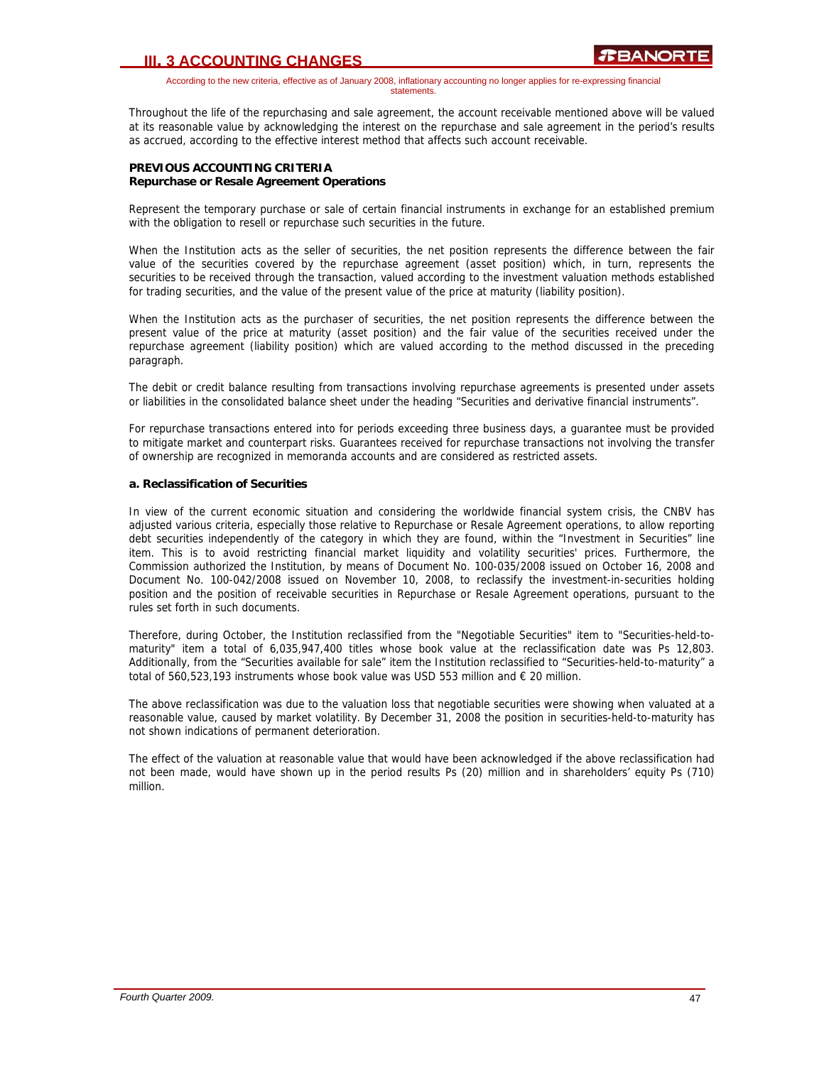According to the new criteria, effective as of January 2008, inflationary accounting no longer applies for re-expressing financial statements.

Throughout the life of the repurchasing and sale agreement, the account receivable mentioned above will be valued at its reasonable value by acknowledging the interest on the repurchase and sale agreement in the period's results as accrued, according to the effective interest method that affects such account receivable.

## **PREVIOUS ACCOUNTING CRITERIA Repurchase or Resale Agreement Operations**

Represent the temporary purchase or sale of certain financial instruments in exchange for an established premium with the obligation to resell or repurchase such securities in the future.

When the Institution acts as the seller of securities, the net position represents the difference between the fair value of the securities covered by the repurchase agreement (asset position) which, in turn, represents the securities to be received through the transaction, valued according to the investment valuation methods established for trading securities, and the value of the present value of the price at maturity (liability position).

When the Institution acts as the purchaser of securities, the net position represents the difference between the present value of the price at maturity (asset position) and the fair value of the securities received under the repurchase agreement (liability position) which are valued according to the method discussed in the preceding paragraph.

The debit or credit balance resulting from transactions involving repurchase agreements is presented under assets or liabilities in the consolidated balance sheet under the heading "Securities and derivative financial instruments".

For repurchase transactions entered into for periods exceeding three business days, a guarantee must be provided to mitigate market and counterpart risks. Guarantees received for repurchase transactions not involving the transfer of ownership are recognized in memoranda accounts and are considered as restricted assets.

## **a. Reclassification of Securities**

In view of the current economic situation and considering the worldwide financial system crisis, the CNBV has adjusted various criteria, especially those relative to Repurchase or Resale Agreement operations, to allow reporting debt securities independently of the category in which they are found, within the "Investment in Securities" line item. This is to avoid restricting financial market liquidity and volatility securities' prices. Furthermore, the Commission authorized the Institution, by means of Document No. 100-035/2008 issued on October 16, 2008 and Document No. 100-042/2008 issued on November 10, 2008, to reclassify the investment-in-securities holding position and the position of receivable securities in Repurchase or Resale Agreement operations, pursuant to the rules set forth in such documents.

Therefore, during October, the Institution reclassified from the "Negotiable Securities" item to "Securities-held-tomaturity" item a total of 6,035,947,400 titles whose book value at the reclassification date was Ps 12,803. Additionally, from the "Securities available for sale" item the Institution reclassified to "Securities-held-to-maturity" a total of 560,523,193 instruments whose book value was USD 553 million and € 20 million.

The above reclassification was due to the valuation loss that negotiable securities were showing when valuated at a reasonable value, caused by market volatility. By December 31, 2008 the position in securities-held-to-maturity has not shown indications of permanent deterioration.

The effect of the valuation at reasonable value that would have been acknowledged if the above reclassification had not been made, would have shown up in the period results Ps (20) million and in shareholders' equity Ps (710) million.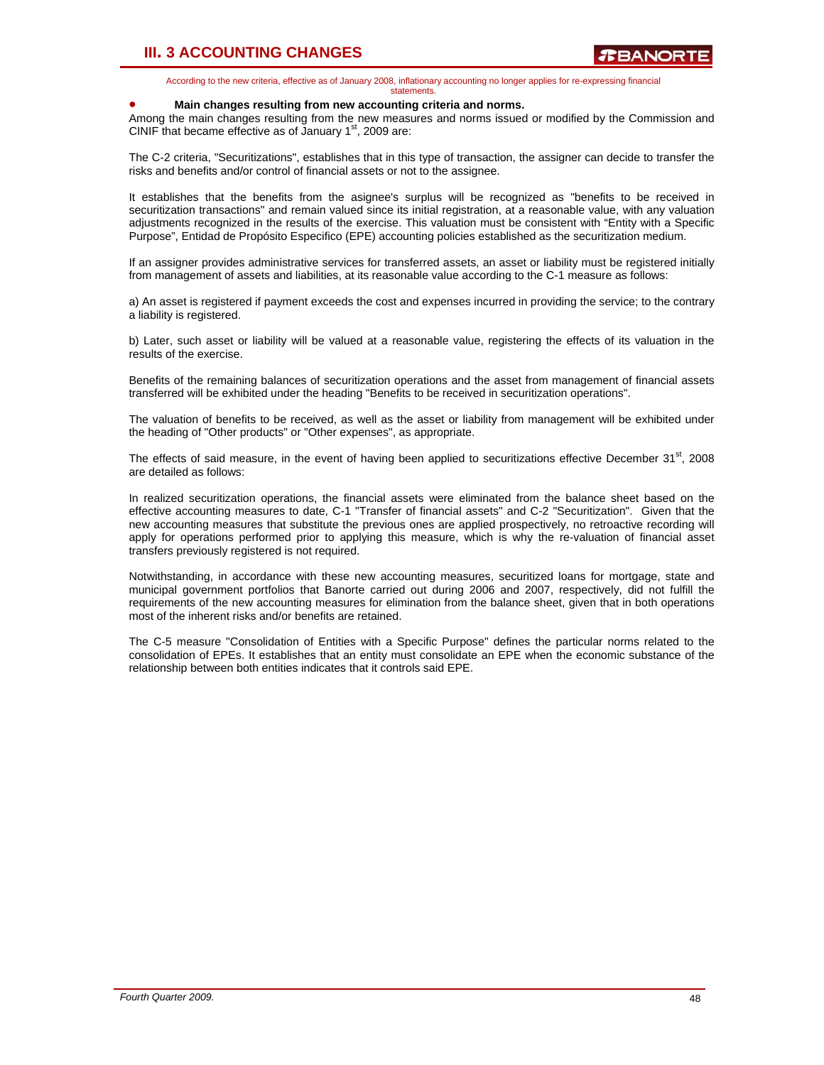According to the new criteria, effective as of January 2008, inflationary accounting no longer applies for re-expressing financial statements.

#### • **Main changes resulting from new accounting criteria and norms.**

Among the main changes resulting from the new measures and norms issued or modified by the Commission and CINIF that became effective as of January  $1<sup>st</sup>$ , 2009 are:

The C-2 criteria, "Securitizations", establishes that in this type of transaction, the assigner can decide to transfer the risks and benefits and/or control of financial assets or not to the assignee.

It establishes that the benefits from the asignee's surplus will be recognized as "benefits to be received in securitization transactions" and remain valued since its initial registration, at a reasonable value, with any valuation adjustments recognized in the results of the exercise. This valuation must be consistent with "Entity with a Specific Purpose", Entidad de Propósito Especifico (EPE) accounting policies established as the securitization medium.

If an assigner provides administrative services for transferred assets, an asset or liability must be registered initially from management of assets and liabilities, at its reasonable value according to the C-1 measure as follows:

a) An asset is registered if payment exceeds the cost and expenses incurred in providing the service; to the contrary a liability is registered.

b) Later, such asset or liability will be valued at a reasonable value, registering the effects of its valuation in the results of the exercise.

Benefits of the remaining balances of securitization operations and the asset from management of financial assets transferred will be exhibited under the heading "Benefits to be received in securitization operations".

The valuation of benefits to be received, as well as the asset or liability from management will be exhibited under the heading of "Other products" or "Other expenses", as appropriate.

The effects of said measure, in the event of having been applied to securitizations effective December 31st, 2008 are detailed as follows:

In realized securitization operations, the financial assets were eliminated from the balance sheet based on the effective accounting measures to date, C-1 "Transfer of financial assets" and C-2 "Securitization". Given that the new accounting measures that substitute the previous ones are applied prospectively, no retroactive recording will apply for operations performed prior to applying this measure, which is why the re-valuation of financial asset transfers previously registered is not required.

Notwithstanding, in accordance with these new accounting measures, securitized loans for mortgage, state and municipal government portfolios that Banorte carried out during 2006 and 2007, respectively, did not fulfill the requirements of the new accounting measures for elimination from the balance sheet, given that in both operations most of the inherent risks and/or benefits are retained.

The C-5 measure "Consolidation of Entities with a Specific Purpose" defines the particular norms related to the consolidation of EPEs. It establishes that an entity must consolidate an EPE when the economic substance of the relationship between both entities indicates that it controls said EPE.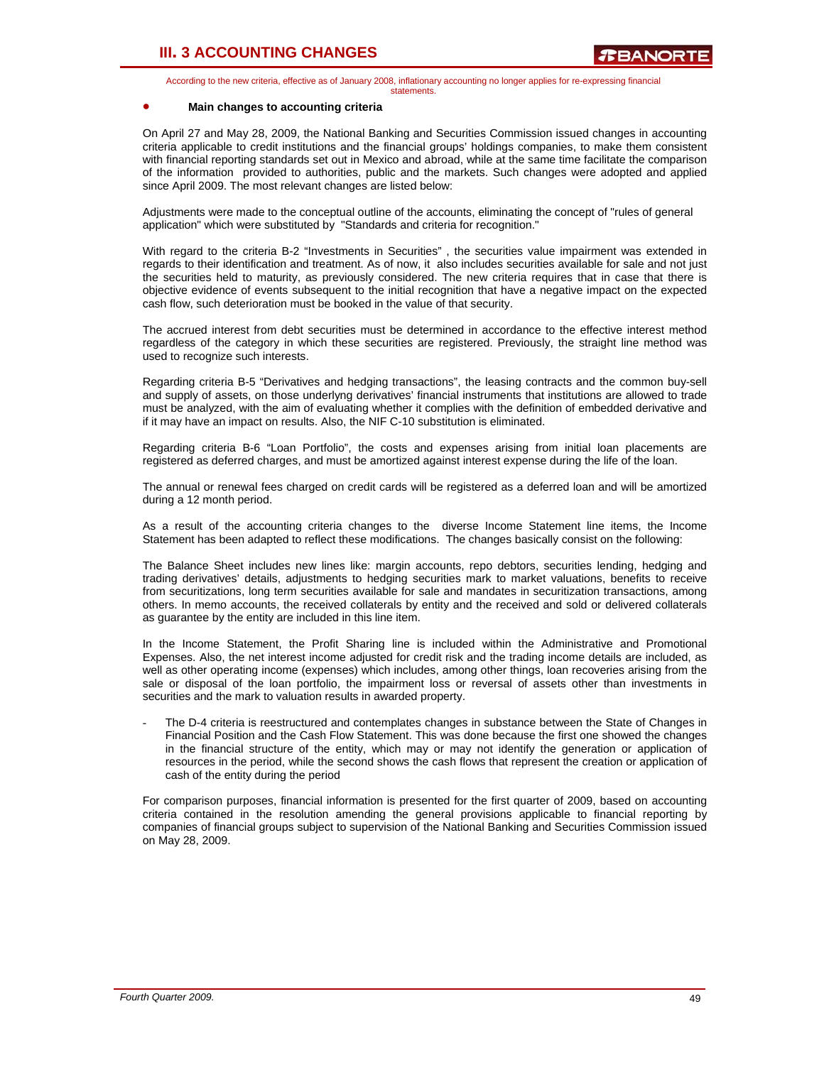According to the new criteria, effective as of January 2008, inflationary accounting no longer applies for re-expressing financial statements.

### • **Main changes to accounting criteria**

On April 27 and May 28, 2009, the National Banking and Securities Commission issued changes in accounting criteria applicable to credit institutions and the financial groups' holdings companies, to make them consistent with financial reporting standards set out in Mexico and abroad, while at the same time facilitate the comparison of the information provided to authorities, public and the markets. Such changes were adopted and applied since April 2009. The most relevant changes are listed below:

Adjustments were made to the conceptual outline of the accounts, eliminating the concept of "rules of general application" which were substituted by "Standards and criteria for recognition."

With regard to the criteria B-2 "Investments in Securities" , the securities value impairment was extended in regards to their identification and treatment. As of now, it also includes securities available for sale and not just the securities held to maturity, as previously considered. The new criteria requires that in case that there is objective evidence of events subsequent to the initial recognition that have a negative impact on the expected cash flow, such deterioration must be booked in the value of that security.

The accrued interest from debt securities must be determined in accordance to the effective interest method regardless of the category in which these securities are registered. Previously, the straight line method was used to recognize such interests.

Regarding criteria B-5 "Derivatives and hedging transactions", the leasing contracts and the common buy-sell and supply of assets, on those underlyng derivatives' financial instruments that institutions are allowed to trade must be analyzed, with the aim of evaluating whether it complies with the definition of embedded derivative and if it may have an impact on results. Also, the NIF C-10 substitution is eliminated.

Regarding criteria B-6 "Loan Portfolio", the costs and expenses arising from initial loan placements are registered as deferred charges, and must be amortized against interest expense during the life of the loan.

The annual or renewal fees charged on credit cards will be registered as a deferred loan and will be amortized during a 12 month period.

As a result of the accounting criteria changes to the diverse Income Statement line items, the Income Statement has been adapted to reflect these modifications. The changes basically consist on the following:

The Balance Sheet includes new lines like: margin accounts, repo debtors, securities lending, hedging and trading derivatives' details, adjustments to hedging securities mark to market valuations, benefits to receive from securitizations, long term securities available for sale and mandates in securitization transactions, among others. In memo accounts, the received collaterals by entity and the received and sold or delivered collaterals as guarantee by the entity are included in this line item.

In the Income Statement, the Profit Sharing line is included within the Administrative and Promotional Expenses. Also, the net interest income adjusted for credit risk and the trading income details are included, as well as other operating income (expenses) which includes, among other things, loan recoveries arising from the sale or disposal of the loan portfolio, the impairment loss or reversal of assets other than investments in securities and the mark to valuation results in awarded property.

The D-4 criteria is reestructured and contemplates changes in substance between the State of Changes in Financial Position and the Cash Flow Statement. This was done because the first one showed the changes in the financial structure of the entity, which may or may not identify the generation or application of resources in the period, while the second shows the cash flows that represent the creation or application of cash of the entity during the period

For comparison purposes, financial information is presented for the first quarter of 2009, based on accounting criteria contained in the resolution amending the general provisions applicable to financial reporting by companies of financial groups subject to supervision of the National Banking and Securities Commission issued on May 28, 2009.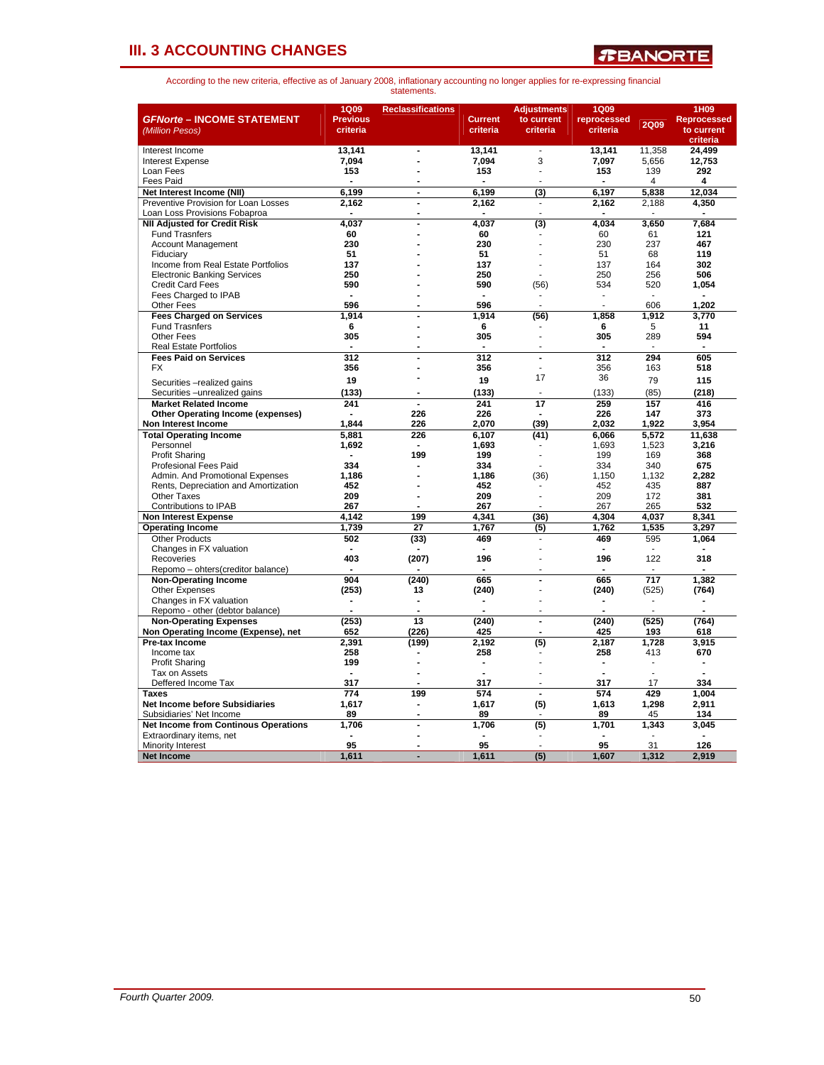

| <b>GFNorte - INCOME STATEMENT</b><br>(Million Pesos)  | 1Q09<br><b>Previous</b><br>criteria | <b>Reclassifications</b>     | <b>Current</b><br>criteria | <b>Adjustments</b><br>to current<br>criteria | <b>1Q09</b><br>reprocessed<br>criteria | <b>2Q09</b>  | 1H09<br>Reprocessed<br>to current |
|-------------------------------------------------------|-------------------------------------|------------------------------|----------------------------|----------------------------------------------|----------------------------------------|--------------|-----------------------------------|
| Interest Income                                       | 13,141                              | ÷,                           | 13,141                     | $\overline{\phantom{a}}$                     | 13,141                                 | 11,358       | criteria<br>24,499                |
| Interest Expense                                      | 7.094                               | $\overline{a}$               | 7.094                      | 3                                            | 7.097                                  | 5.656        | 12.753                            |
| Loan Fees                                             | 153                                 |                              | 153                        | ÷.                                           | 153                                    | 139          | 292                               |
| <b>Fees Paid</b>                                      |                                     |                              |                            |                                              |                                        | 4            | 4                                 |
| Net Interest Income (NII)                             | 6.199                               | $\blacksquare$               | 6,199                      | (3)                                          | 6,197                                  | 5.838        | 12.034                            |
| Preventive Provision for Loan Losses                  | 2,162                               | $\blacksquare$               | 2,162                      | ÷,                                           | 2,162                                  | 2,188        | 4,350                             |
| Loan Loss Provisions Fobaproa                         | $\blacksquare$                      | $\blacksquare$               | $\overline{a}$             | $\overline{a}$                               |                                        |              |                                   |
| <b>NII Adjusted for Credit Risk</b>                   | 4,037                               | $\overline{a}$               | 4,037                      | (3)                                          | 4,034                                  | 3,650        | 7,684                             |
| <b>Fund Trasnfers</b>                                 | 60                                  |                              | 60                         |                                              | 60                                     | 61           | 121                               |
| <b>Account Management</b>                             | 230                                 |                              | 230                        |                                              | 230                                    | 237          | 467                               |
| Fiduciarv                                             | 51                                  |                              | 51                         |                                              | 51                                     | 68           | 119                               |
| Income from Real Estate Portfolios                    | 137                                 |                              | 137                        |                                              | 137                                    | 164          | 302                               |
| <b>Electronic Banking Services</b>                    | 250                                 |                              | 250                        |                                              | 250                                    | 256          | 506                               |
| <b>Credit Card Fees</b>                               | 590                                 |                              | 590                        | (56)                                         | 534                                    | 520          | 1,054                             |
| Fees Charged to IPAB                                  | $\blacksquare$                      |                              | $\blacksquare$             | ÷,                                           | $\tilde{\phantom{a}}$                  | $\sim$       | $\sim$                            |
| <b>Other Fees</b>                                     | 596                                 |                              | 596                        |                                              |                                        | 606          | 1.202                             |
| <b>Fees Charged on Services</b>                       | 1,914                               |                              | 1,914                      | (56)                                         | 1,858                                  | 1,912        | 3,770                             |
| <b>Fund Trasnfers</b>                                 | 6                                   |                              | 6                          |                                              | 6                                      | 5            | 11                                |
| Other Fees                                            | 305                                 |                              | 305                        | L.                                           | 305                                    | 289          | 594                               |
| <b>Real Estate Portfolios</b>                         |                                     | L.                           | ÷.                         | ÷.                                           | $\overline{a}$                         | J.           | $\overline{a}$                    |
| <b>Fees Paid on Services</b>                          | 312                                 | $\overline{a}$               | 312                        | $\overline{a}$                               | 312                                    | 294          | 605                               |
| <b>FX</b>                                             | 356                                 | Ĭ.                           | 356                        | $\overline{a}$                               | 356                                    | 163          | 518                               |
| Securities - realized gains                           | 19                                  |                              | 19                         | 17                                           | 36                                     | 79           | 115                               |
| Securities - unrealized gains                         | (133)                               |                              | (133)                      |                                              | (133)                                  | (85)         | (218)                             |
| <b>Market Related Income</b>                          | 241                                 | $\overline{a}$               | 241                        | 17                                           | 259                                    | 157          | 416                               |
| <b>Other Operating Income (expenses)</b>              |                                     | 226                          | 226                        |                                              | 226                                    | 147          | 373                               |
| Non Interest Income                                   | 1.844                               | 226                          | 2.070                      | (39)                                         | 2.032                                  | 1.922        | 3.954                             |
| <b>Total Operating Income</b>                         | 5.881                               | 226                          | 6,107                      | (41)                                         | 6,066                                  | 5,572        | 11,638                            |
| Personnel                                             | 1,692                               | $\blacksquare$               | 1.693                      |                                              | 1,693                                  | 1,523        | 3,216                             |
| <b>Profit Sharing</b>                                 | $\blacksquare$                      | 199                          | 199                        |                                              | 199                                    | 169          | 368                               |
| <b>Profesional Fees Paid</b>                          | 334                                 |                              | 334                        |                                              | 334                                    | 340          | 675                               |
| Admin, And Promotional Expenses                       | 1.186                               |                              | 1.186                      | (36)                                         | 1.150                                  | 1.132        | 2.282                             |
| Rents, Depreciation and Amortization                  | 452                                 |                              | 452                        |                                              | 452                                    | 435          | 887                               |
| <b>Other Taxes</b>                                    | 209                                 | Ĭ.                           | 209                        |                                              | 209                                    | 172          | 381                               |
| Contributions to IPAB                                 | 267                                 | $\overline{a}$               | 267                        | ÷                                            | 267                                    | 265          | 532                               |
| <b>Non Interest Expense</b>                           | 4,142                               | 199                          | 4,341                      | (36)                                         | 4,304                                  | 4,037        | 8,341                             |
| <b>Operating Income</b>                               | 1,739                               | 27                           | 1,767                      | (5)                                          | 1,762                                  | 1,535        | 3,297                             |
| <b>Other Products</b>                                 | 502                                 | (33)                         | 469                        |                                              | 469                                    | 595          | 1,064                             |
| Changes in FX valuation                               |                                     |                              |                            |                                              |                                        |              |                                   |
| Recoveries                                            | 403                                 | (207)                        | 196                        |                                              | 196                                    | 122          | 318                               |
| Repomo - ohters(creditor balance)                     |                                     |                              |                            |                                              |                                        |              |                                   |
| <b>Non-Operating Income</b>                           | 904                                 | (240)                        | 665                        | $\overline{a}$                               | 665                                    | 717          | 1,382                             |
| <b>Other Expenses</b>                                 | (253)                               | 13                           | (240)                      |                                              | (240)                                  | (525)        | (764)                             |
| Changes in FX valuation                               |                                     | $\overline{a}$               |                            |                                              |                                        |              |                                   |
| Repomo - other (debtor balance)                       |                                     |                              |                            |                                              |                                        |              |                                   |
| <b>Non-Operating Expenses</b>                         | (253)                               | 13                           | (240)                      | $\blacksquare$                               | (240)                                  | (525)        | (764)                             |
| Non Operating Income (Expense), net<br>Pre-tax Income | 652                                 | (226)                        | 425                        |                                              | 425                                    | 193          | 618<br>3,915                      |
|                                                       | 2,391                               | (199)                        | 2,192<br>258               | (5)                                          | 2,187<br>258                           | 1,728<br>413 | 670                               |
| Income tax<br><b>Profit Sharing</b>                   | 258<br>199                          |                              | $\blacksquare$             |                                              | ÷                                      | ٠            | $\blacksquare$                    |
| Tax on Assets                                         |                                     | $\overline{a}$               |                            |                                              |                                        |              |                                   |
| Deffered Income Tax                                   | 317                                 | L.                           | 317                        | $\overline{a}$                               | 317                                    | 17           | 334                               |
| <b>Taxes</b>                                          | 774                                 | 199                          | 574                        | $\overline{a}$                               | 574                                    | 429          | 1.004                             |
| Net Income before Subsidiaries                        | 1,617                               | $\qquad \qquad \blacksquare$ | 1,617                      | (5)                                          | 1,613                                  | 1,298        | 2,911                             |
| Subsidiaries' Net Income                              | 89                                  | $\blacksquare$               | 89                         |                                              | 89                                     | 45           | 134                               |
| <b>Net Income from Continous Operations</b>           | 1,706                               | L.                           | 1,706                      | (5)                                          | 1,701                                  | 1,343        | 3,045                             |
| Extraordinary items, net                              |                                     |                              |                            |                                              |                                        |              |                                   |
| <b>Minority Interest</b>                              | 95                                  | Ĭ.                           | 95                         |                                              | 95                                     | 31           | 126                               |
| <b>Net Income</b>                                     | 1,611                               | L.                           | 1,611                      | (5)                                          | 1.607                                  | 1,312        | 2.919                             |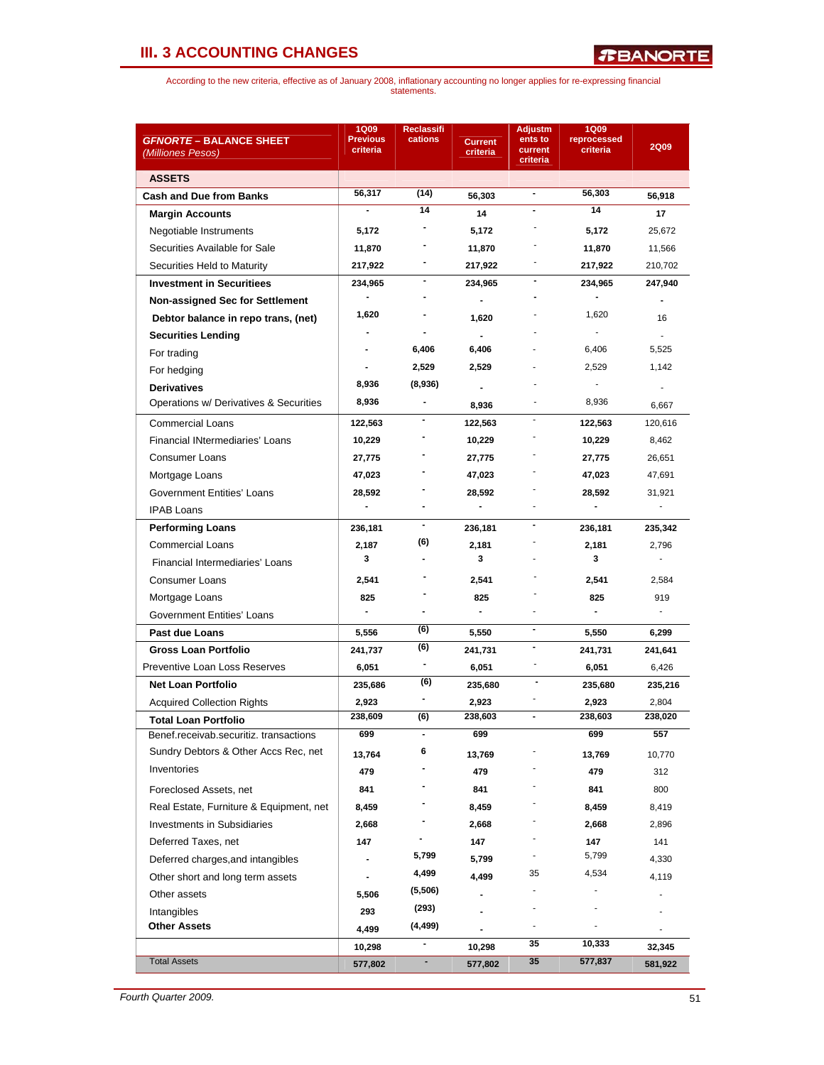| <i><b>GFNORTE – BALANCE SHEET</b></i>                        | <b>1Q09</b><br><b>Previous</b> | <b>Reclassifi</b><br>cations |                            | <b>Adjustm</b><br>ents to | <b>1Q09</b><br>reprocessed |                |  |
|--------------------------------------------------------------|--------------------------------|------------------------------|----------------------------|---------------------------|----------------------------|----------------|--|
| (Milliones Pesos)                                            | criteria                       |                              | <b>Current</b><br>criteria | current                   | criteria                   | <b>2Q09</b>    |  |
| <b>ASSETS</b>                                                |                                |                              |                            | criteria                  |                            |                |  |
| <b>Cash and Due from Banks</b>                               | 56,317                         | (14)                         | 56,303                     | $\blacksquare$            | 56,303                     | 56,918         |  |
| <b>Margin Accounts</b>                                       |                                | 14                           | 14                         |                           | 14                         | 17             |  |
| Negotiable Instruments                                       | 5,172                          |                              | 5,172                      |                           | 5,172                      | 25,672         |  |
| Securities Available for Sale                                | 11,870                         |                              | 11,870                     |                           | 11,870                     | 11,566         |  |
| Securities Held to Maturity                                  | 217,922                        |                              | 217,922                    |                           | 217,922                    | 210,702        |  |
| <b>Investment in Securitiees</b>                             | 234,965                        | ۰                            | 234,965                    |                           | 234,965                    | 247,940        |  |
| <b>Non-assigned Sec for Settlement</b>                       |                                | $\overline{a}$               | $\blacksquare$             |                           |                            | $\blacksquare$ |  |
| Debtor balance in repo trans, (net)                          | 1,620                          |                              | 1,620                      |                           | 1,620                      | 16             |  |
|                                                              |                                |                              | $\blacksquare$             |                           |                            |                |  |
| <b>Securities Lending</b>                                    |                                | 6,406                        | 6,406                      |                           | 6,406                      | 5,525          |  |
| For trading                                                  |                                | 2,529                        | 2,529                      |                           | 2,529                      | 1,142          |  |
| For hedging                                                  | 8,936                          | (8,936)                      |                            |                           |                            |                |  |
| <b>Derivatives</b><br>Operations w/ Derivatives & Securities | 8,936                          | -                            |                            |                           | 8,936                      |                |  |
|                                                              |                                |                              | 8,936                      |                           |                            | 6,667          |  |
| <b>Commercial Loans</b>                                      | 122,563                        |                              | 122,563                    |                           | 122,563                    | 120,616        |  |
| <b>Financial INtermediaries' Loans</b>                       | 10,229                         |                              | 10,229                     |                           | 10,229                     | 8,462          |  |
| <b>Consumer Loans</b>                                        | 27,775                         |                              | 27,775                     |                           | 27,775                     | 26,651         |  |
| Mortgage Loans                                               | 47,023                         |                              | 47,023                     |                           | 47,023                     | 47,691         |  |
| Government Entities' Loans                                   | 28,592                         |                              | 28,592                     |                           | 28,592                     | 31,921         |  |
| <b>IPAB Loans</b>                                            |                                |                              | $\blacksquare$             |                           |                            | ÷.             |  |
| <b>Performing Loans</b>                                      | 236,181                        | ٠                            | 236,181                    |                           | 236,181                    | 235,342        |  |
| <b>Commercial Loans</b>                                      | 2,187                          | (6)                          | 2,181                      |                           | 2,181                      | 2,796          |  |
| Financial Intermediaries' Loans                              | 3                              |                              | 3                          |                           | 3                          | ä,             |  |
| Consumer Loans                                               | 2,541                          |                              | 2,541                      |                           | 2,541                      | 2,584          |  |
| Mortgage Loans                                               | 825                            |                              | 825                        |                           | 825                        | 919            |  |
| Government Entities' Loans                                   | $\blacksquare$                 |                              | $\blacksquare$             |                           | $\blacksquare$             | $\sim$         |  |
| Past due Loans                                               | 5,556                          | (6)                          | 5,550                      | $\overline{\phantom{a}}$  | 5,550                      | 6,299          |  |
| <b>Gross Loan Portfolio</b>                                  | 241,737                        | (6)                          | 241,731                    | $\overline{\phantom{a}}$  | 241,731                    | 241,641        |  |
| Preventive Loan Loss Reserves                                | 6,051                          | -                            | 6,051                      |                           | 6,051                      | 6,426          |  |
| <b>Net Loan Portfolio</b>                                    | 235,686                        | (6)                          | 235,680                    |                           | 235,680                    | 235,216        |  |
| <b>Acquired Collection Rights</b>                            | 2,923                          |                              | 2,923                      |                           | 2,923                      | 2,804          |  |
| Total Loan Portfolio                                         | 238,609                        | (6)                          | 238,603                    |                           | 238,603                    | 238,020        |  |
| Benef.receivab.securitiz. transactions                       | 699                            |                              | 699                        |                           | 699                        | 557            |  |
| Sundry Debtors & Other Accs Rec, net                         | 13,764                         | 6                            | 13,769                     |                           | 13,769                     | 10,770         |  |
| Inventories                                                  | 479                            |                              | 479                        |                           | 479                        | 312            |  |
| Foreclosed Assets, net                                       | 841                            |                              | 841                        |                           | 841                        | 800            |  |
| Real Estate, Furniture & Equipment, net                      | 8,459                          |                              | 8,459                      |                           | 8,459                      | 8,419          |  |
| <b>Investments in Subsidiaries</b>                           | 2,668                          |                              | 2,668                      |                           | 2,668                      | 2,896          |  |
| Deferred Taxes, net                                          | 147                            |                              | 147                        |                           | 147                        | 141            |  |
| Deferred charges, and intangibles                            |                                | 5,799                        | 5,799                      |                           | 5,799                      | 4,330          |  |
| Other short and long term assets                             |                                | 4,499                        | 4,499                      | 35                        | 4,534                      | 4,119          |  |
| Other assets                                                 | 5,506                          | (5,506)                      |                            |                           |                            |                |  |
| Intangibles                                                  | 293                            | (293)                        |                            |                           |                            |                |  |
| <b>Other Assets</b>                                          | 4,499                          | (4, 499)                     |                            |                           |                            |                |  |
|                                                              | 10,298                         | -                            | 10,298                     | 35                        | 10,333                     | 32,345         |  |
| <b>Total Assets</b>                                          | 577,802                        | ۰                            | 577,802                    | 35                        | 577,837                    | 581,922        |  |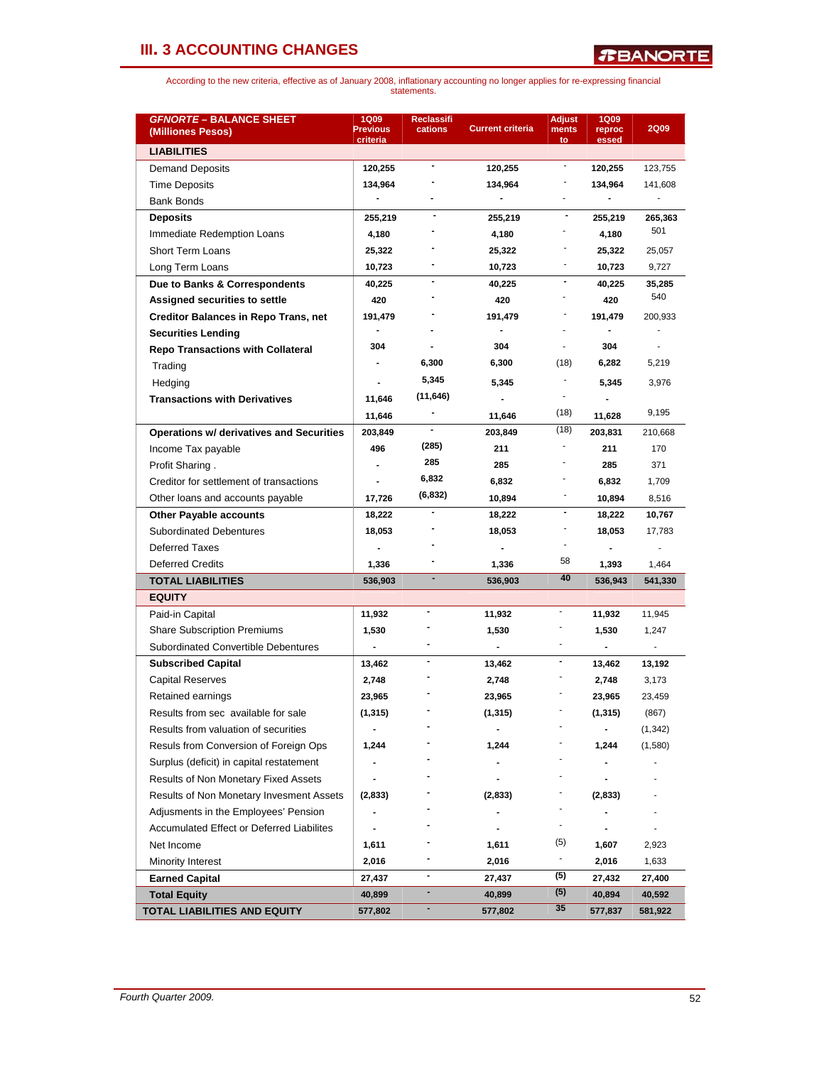| <b>GFNORTE - BALANCE SHEET</b><br>(Milliones Pesos) | <b>1Q09</b><br><b>Previous</b><br>criteria | Reclassifi<br>cations | <b>Current criteria</b>  | <b>Adjust</b><br>ments<br>to | <b>1Q09</b><br>reproc<br>essed | <b>2Q09</b> |
|-----------------------------------------------------|--------------------------------------------|-----------------------|--------------------------|------------------------------|--------------------------------|-------------|
| <b>LIABILITIES</b>                                  |                                            |                       |                          |                              |                                |             |
| <b>Demand Deposits</b>                              | 120,255                                    | $\blacksquare$        | 120,255                  | $\blacksquare$               | 120,255                        | 123,755     |
| <b>Time Deposits</b>                                | 134,964                                    |                       | 134,964                  |                              | 134,964                        | 141,608     |
| <b>Bank Bonds</b>                                   | $\blacksquare$                             |                       | $\blacksquare$           |                              |                                |             |
| Deposits                                            | 255,219                                    |                       | 255,219                  | $\blacksquare$               | 255,219                        | 265,363     |
| Immediate Redemption Loans                          | 4,180                                      |                       | 4,180                    |                              | 4,180                          | 501         |
| <b>Short Term Loans</b>                             | 25,322                                     |                       | 25,322                   |                              | 25,322                         | 25,057      |
| Long Term Loans                                     | 10,723                                     |                       | 10,723                   |                              | 10,723                         | 9,727       |
| Due to Banks & Correspondents                       | 40,225                                     |                       | 40,225                   |                              | 40,225                         | 35,285      |
| Assigned securities to settle                       | 420                                        |                       | 420                      |                              | 420                            | 540         |
| <b>Creditor Balances in Repo Trans, net</b>         | 191,479                                    |                       | 191,479                  |                              | 191,479                        | 200,933     |
| <b>Securities Lending</b>                           |                                            |                       |                          |                              |                                |             |
| <b>Repo Transactions with Collateral</b>            | 304                                        |                       | 304                      |                              | 304                            |             |
| Trading                                             |                                            | 6,300                 | 6,300                    | (18)                         | 6,282                          | 5,219       |
| Hedging                                             |                                            | 5,345                 | 5,345                    |                              | 5,345                          | 3,976       |
| <b>Transactions with Derivatives</b>                | 11,646                                     | (11, 646)             |                          | ٠                            |                                |             |
|                                                     | 11,646                                     |                       | 11,646                   | (18)                         | 11,628                         | 9,195       |
| <b>Operations w/ derivatives and Securities</b>     | 203,849                                    |                       | 203,849                  | (18)                         | 203,831                        | 210,668     |
| Income Tax payable                                  | 496                                        | (285)                 | 211                      |                              | 211                            | 170         |
| Profit Sharing.                                     |                                            | 285                   | 285                      |                              | 285                            | 371         |
| Creditor for settlement of transactions             |                                            | 6,832                 | 6,832                    |                              | 6,832                          |             |
| Other loans and accounts payable                    | 17,726                                     | (6, 832)              | 10,894                   | $\overline{a}$               | 10,894                         | 1,709       |
|                                                     |                                            |                       |                          | $\blacksquare$               |                                | 8,516       |
| <b>Other Payable accounts</b>                       | 18,222                                     |                       | 18,222                   |                              | 18,222                         | 10,767      |
| <b>Subordinated Debentures</b>                      | 18,053                                     |                       | 18,053                   |                              | 18,053                         | 17,783      |
| <b>Deferred Taxes</b>                               |                                            |                       |                          | 58                           |                                |             |
| <b>Deferred Credits</b>                             | 1,336                                      |                       | 1,336                    | 40                           | 1,393                          | 1,464       |
| <b>TOTAL LIABILITIES</b>                            | 536,903                                    |                       | 536,903                  |                              | 536,943                        | 541,330     |
| <b>EQUITY</b>                                       |                                            |                       |                          |                              |                                |             |
| Paid-in Capital                                     | 11,932                                     |                       | 11,932                   |                              | 11,932                         | 11,945      |
| <b>Share Subscription Premiums</b>                  | 1.530                                      |                       | 1,530                    | $\sim$                       | 1,530                          | 1,247       |
| <b>Subordinated Convertible Debentures</b>          | $\overline{\phantom{0}}$                   |                       | $\overline{\phantom{a}}$ |                              |                                |             |
| <b>Subscribed Capital</b>                           | 13,462                                     | -                     | 13,462                   | $\blacksquare$               | 13,462                         | 13,192      |
| <b>Capital Reserves</b>                             | 2,748                                      |                       | 2,748                    |                              | 2,748                          | 3,173       |
| Retained earnings                                   | 23,965                                     |                       | 23,965                   |                              | 23,965                         | 23,459      |
| Results from sec available for sale                 | (1, 315)                                   |                       | (1, 315)                 |                              | (1, 315)                       | (867)       |
| Results from valuation of securities                |                                            |                       |                          |                              |                                | (1, 342)    |
| Resuls from Conversion of Foreign Ops               | 1,244                                      |                       | 1,244                    |                              | 1,244                          | (1,580)     |
| Surplus (deficit) in capital restatement            |                                            |                       |                          |                              |                                |             |
| Results of Non Monetary Fixed Assets                |                                            |                       |                          |                              |                                |             |
| Results of Non Monetary Invesment Assets            | (2,833)                                    |                       | (2,833)                  |                              | (2,833)                        |             |
| Adjusments in the Employees' Pension                | -                                          |                       |                          |                              |                                |             |
| <b>Accumulated Effect or Deferred Liabilites</b>    |                                            |                       |                          | $\blacksquare$               |                                |             |
| Net Income                                          | 1,611                                      |                       | 1,611                    | (5)                          | 1,607                          | 2,923       |
| Minority Interest                                   | 2,016                                      |                       | 2,016                    |                              | 2,016                          | 1,633       |
| <b>Earned Capital</b>                               | 27,437                                     |                       | 27,437                   | (5)                          | 27,432                         | 27,400      |
| <b>Total Equity</b>                                 | 40,899                                     | ۰                     | 40,899                   | (5)                          | 40,894                         | 40,592      |
| TOTAL LIABILITIES AND EQUITY                        | 577,802                                    |                       | 577,802                  | 35                           | 577,837                        | 581,922     |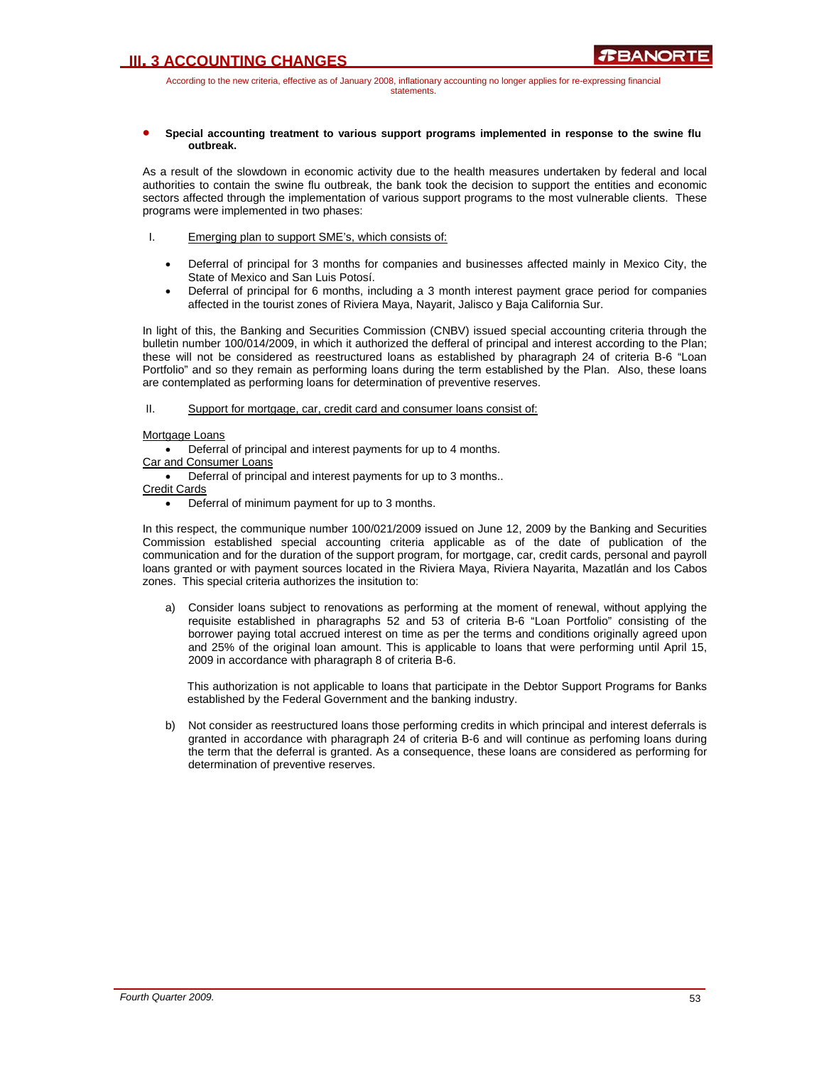According to the new criteria, effective as of January 2008, inflationary accounting no longer applies for re-expressing financial statements.

### • **Special accounting treatment to various support programs implemented in response to the swine flu outbreak.**

As a result of the slowdown in economic activity due to the health measures undertaken by federal and local authorities to contain the swine flu outbreak, the bank took the decision to support the entities and economic sectors affected through the implementation of various support programs to the most vulnerable clients. These programs were implemented in two phases:

- I. Emerging plan to support SME's, which consists of:
	- Deferral of principal for 3 months for companies and businesses affected mainly in Mexico City, the State of Mexico and San Luis Potosí.
	- Deferral of principal for 6 months, including a 3 month interest payment grace period for companies affected in the tourist zones of Riviera Maya, Nayarit, Jalisco y Baja California Sur.

In light of this, the Banking and Securities Commission (CNBV) issued special accounting criteria through the bulletin number 100/014/2009, in which it authorized the defferal of principal and interest according to the Plan; these will not be considered as reestructured loans as established by pharagraph 24 of criteria B-6 "Loan Portfolio" and so they remain as performing loans during the term established by the Plan. Also, these loans are contemplated as performing loans for determination of preventive reserves.

## II. Support for mortgage, car, credit card and consumer loans consist of:

## Mortgage Loans

• Deferral of principal and interest payments for up to 4 months.

Car and Consumer Loans

• Deferral of principal and interest payments for up to 3 months..

Credit Cards

• Deferral of minimum payment for up to 3 months.

In this respect, the communique number 100/021/2009 issued on June 12, 2009 by the Banking and Securities Commission established special accounting criteria applicable as of the date of publication of the communication and for the duration of the support program, for mortgage, car, credit cards, personal and payroll loans granted or with payment sources located in the Riviera Maya, Riviera Nayarita, Mazatlán and los Cabos zones. This special criteria authorizes the insitution to:

a) Consider loans subject to renovations as performing at the moment of renewal, without applying the requisite established in pharagraphs 52 and 53 of criteria B-6 "Loan Portfolio" consisting of the borrower paying total accrued interest on time as per the terms and conditions originally agreed upon and 25% of the original loan amount. This is applicable to loans that were performing until April 15, 2009 in accordance with pharagraph 8 of criteria B-6.

This authorization is not applicable to loans that participate in the Debtor Support Programs for Banks established by the Federal Government and the banking industry.

b) Not consider as reestructured loans those performing credits in which principal and interest deferrals is granted in accordance with pharagraph 24 of criteria B-6 and will continue as perfoming loans during the term that the deferral is granted. As a consequence, these loans are considered as performing for determination of preventive reserves.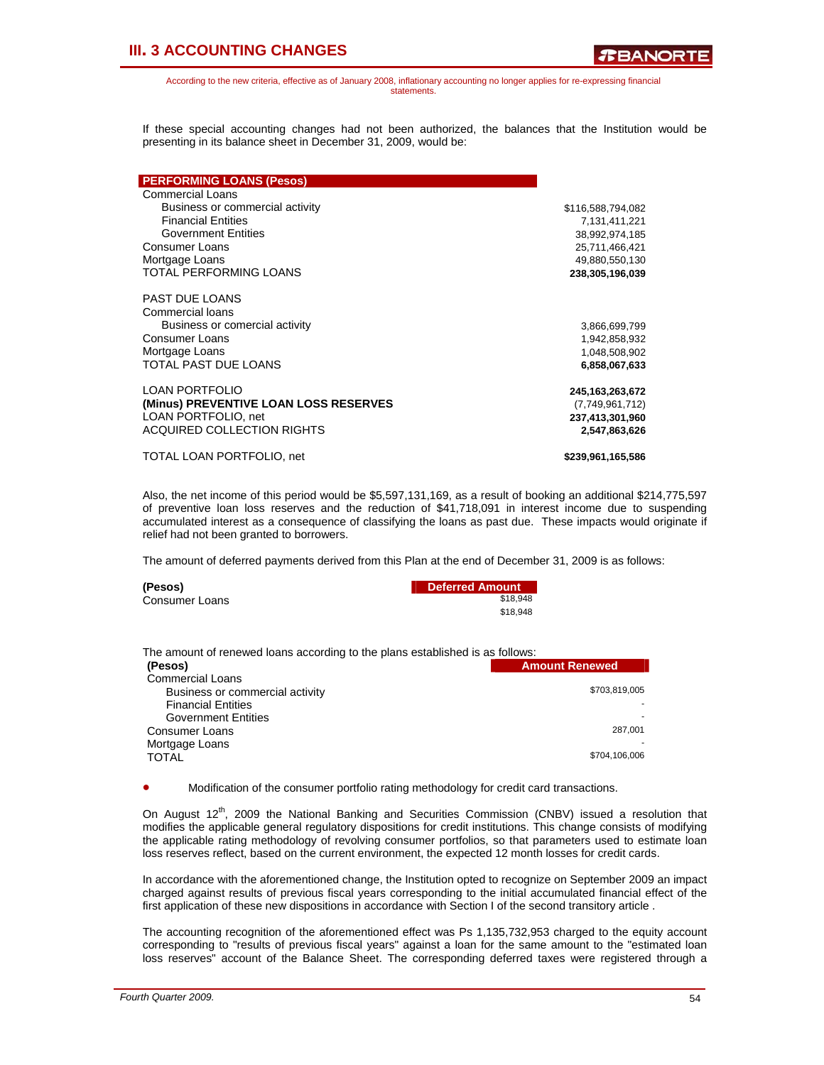**TEANORT** 

According to the new criteria, effective as of January 2008, inflationary accounting no longer applies for re-expressing financial statements.

If these special accounting changes had not been authorized, the balances that the Institution would be presenting in its balance sheet in December 31, 2009, would be:

| <b>PERFORMING LOANS (Pesos)</b>       |                    |
|---------------------------------------|--------------------|
| <b>Commercial Loans</b>               |                    |
| Business or commercial activity       | \$116,588,794,082  |
| <b>Financial Entities</b>             | 7,131,411,221      |
| <b>Government Entities</b>            | 38,992,974,185     |
| <b>Consumer Loans</b>                 | 25,711,466,421     |
| Mortgage Loans                        | 49,880,550,130     |
| TOTAL PERFORMING LOANS                | 238,305,196,039    |
| PAST DUE LOANS                        |                    |
| Commercial loans                      |                    |
| Business or comercial activity        | 3,866,699,799      |
| Consumer Loans                        | 1,942,858,932      |
| Mortgage Loans                        | 1,048,508,902      |
| TOTAL PAST DUE LOANS                  | 6,858,067,633      |
| <b>LOAN PORTFOLIO</b>                 | 245, 163, 263, 672 |
| (Minus) PREVENTIVE LOAN LOSS RESERVES | (7,749,961,712)    |
| LOAN PORTFOLIO, net                   | 237,413,301,960    |
| <b>ACQUIRED COLLECTION RIGHTS</b>     | 2,547,863,626      |
| TOTAL LOAN PORTFOLIO, net             | \$239,961,165,586  |

Also, the net income of this period would be \$5,597,131,169, as a result of booking an additional \$214,775,597 of preventive loan loss reserves and the reduction of \$41,718,091 in interest income due to suspending accumulated interest as a consequence of classifying the loans as past due. These impacts would originate if relief had not been granted to borrowers.

The amount of deferred payments derived from this Plan at the end of December 31, 2009 is as follows:

| (Pesos)        | <b>Deferred Amount</b> |
|----------------|------------------------|
| Consumer Loans | \$18.948               |
|                | \$18.948               |

| The amount of renewed loans according to the plans established is as follows: |                       |
|-------------------------------------------------------------------------------|-----------------------|
| (Pesos)                                                                       | <b>Amount Renewed</b> |
| <b>Commercial Loans</b>                                                       |                       |
| Business or commercial activity                                               | \$703,819,005         |
| <b>Financial Entities</b>                                                     |                       |
| <b>Government Entities</b>                                                    |                       |
| Consumer Loans                                                                | 287,001               |
| Mortgage Loans                                                                |                       |
| <b>TOTAL</b>                                                                  | \$704,106,006         |

• Modification of the consumer portfolio rating methodology for credit card transactions.

On August  $12<sup>th</sup>$ , 2009 the National Banking and Securities Commission (CNBV) issued a resolution that modifies the applicable general regulatory dispositions for credit institutions. This change consists of modifying the applicable rating methodology of revolving consumer portfolios, so that parameters used to estimate loan loss reserves reflect, based on the current environment, the expected 12 month losses for credit cards.

In accordance with the aforementioned change, the Institution opted to recognize on September 2009 an impact charged against results of previous fiscal years corresponding to the initial accumulated financial effect of the first application of these new dispositions in accordance with Section I of the second transitory article .

The accounting recognition of the aforementioned effect was Ps 1,135,732,953 charged to the equity account corresponding to "results of previous fiscal years" against a loan for the same amount to the "estimated loan loss reserves" account of the Balance Sheet. The corresponding deferred taxes were registered through a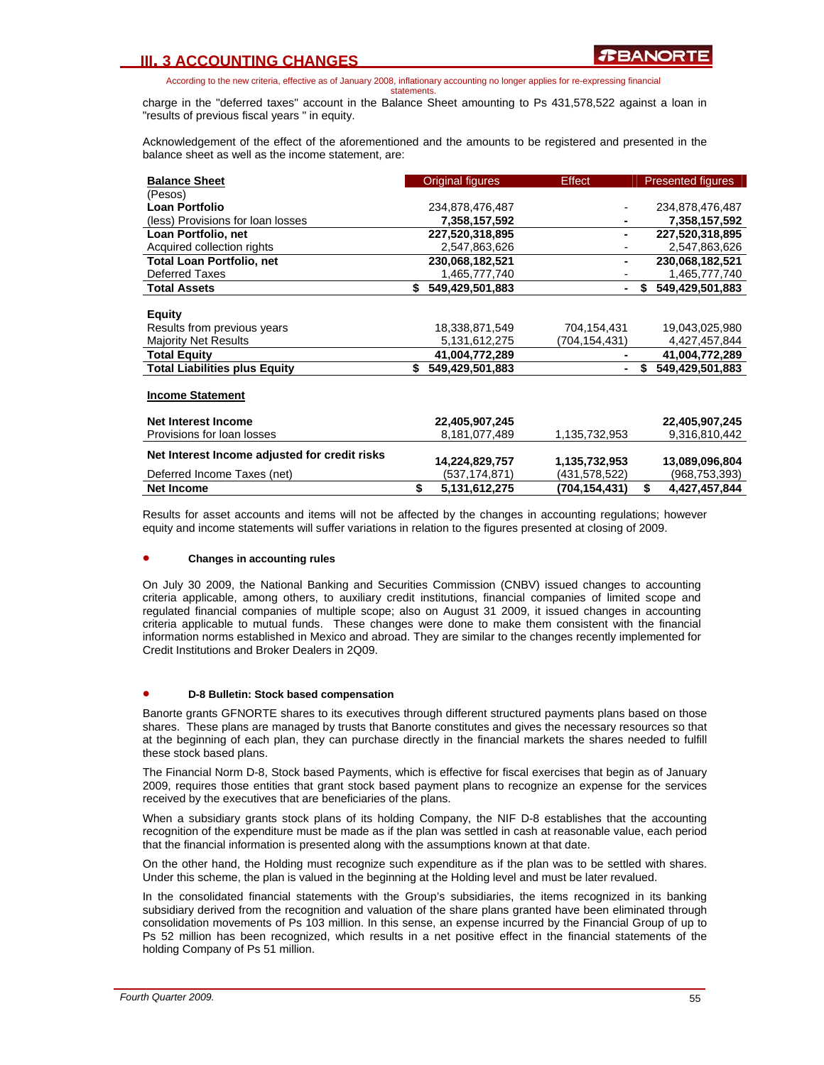According to the new criteria, effective as of January 2008, inflationary accounting no longer applies for re-expressing financial

statements.

charge in the "deferred taxes" account in the Balance Sheet amounting to Ps 431,578,522 against a loan in "results of previous fiscal years " in equity.

Acknowledgement of the effect of the aforementioned and the amounts to be registered and presented in the balance sheet as well as the income statement, are:

| <b>Balance Sheet</b>                          | <b>Original figures</b> | Effect        | <b>Presented figures</b> |
|-----------------------------------------------|-------------------------|---------------|--------------------------|
| (Pesos)                                       |                         |               |                          |
| <b>Loan Portfolio</b>                         | 234,878,476,487         |               | 234,878,476,487          |
| (less) Provisions for loan losses             | 7,358,157,592           |               | 7,358,157,592            |
| Loan Portfolio, net                           | 227,520,318,895         |               | 227,520,318,895          |
| Acquired collection rights                    | 2,547,863,626           |               | 2,547,863,626            |
| <b>Total Loan Portfolio, net</b>              | 230,068,182,521         |               | 230,068,182,521          |
| <b>Deferred Taxes</b>                         | 1,465,777,740           |               | 1,465,777,740            |
| <b>Total Assets</b>                           | \$<br>549,429,501,883   |               | \$<br>549,429,501,883    |
|                                               |                         |               |                          |
| <b>Equity</b>                                 |                         |               |                          |
| Results from previous years                   | 18,338,871,549          | 704,154,431   | 19,043,025,980           |
| <b>Majority Net Results</b>                   | 5,131,612,275           | (704,154,431) | 4,427,457,844            |
| Total Equity                                  | 41,004,772,289          |               | 41,004,772,289           |
| <b>Total Liabilities plus Equity</b>          | \$<br>549.429.501.883   |               | \$<br>549,429,501,883    |
|                                               |                         |               |                          |
| <b>Income Statement</b>                       |                         |               |                          |
|                                               |                         |               |                          |
| <b>Net Interest Income</b>                    | 22,405,907,245          |               | 22,405,907,245           |
| Provisions for loan losses                    | 8,181,077,489           | 1,135,732,953 | 9,316,810,442            |
| Net Interest Income adjusted for credit risks |                         |               |                          |
|                                               | 14,224,829,757          | 1,135,732,953 | 13,089,096,804           |
| Deferred Income Taxes (net)                   | (537,174,871)           | (431,578,522) | (968, 753, 393)          |
| <b>Net Income</b>                             | \$<br>5,131,612,275     | (704,154,431) | \$<br>4,427,457,844      |

Results for asset accounts and items will not be affected by the changes in accounting regulations; however equity and income statements will suffer variations in relation to the figures presented at closing of 2009.

#### • **Changes in accounting rules**

On July 30 2009, the National Banking and Securities Commission (CNBV) issued changes to accounting criteria applicable, among others, to auxiliary credit institutions, financial companies of limited scope and regulated financial companies of multiple scope; also on August 31 2009, it issued changes in accounting criteria applicable to mutual funds. These changes were done to make them consistent with the financial information norms established in Mexico and abroad. They are similar to the changes recently implemented for Credit Institutions and Broker Dealers in 2Q09.

### • **D-8 Bulletin: Stock based compensation**

Banorte grants GFNORTE shares to its executives through different structured payments plans based on those shares. These plans are managed by trusts that Banorte constitutes and gives the necessary resources so that at the beginning of each plan, they can purchase directly in the financial markets the shares needed to fulfill these stock based plans.

The Financial Norm D-8, Stock based Payments, which is effective for fiscal exercises that begin as of January 2009, requires those entities that grant stock based payment plans to recognize an expense for the services received by the executives that are beneficiaries of the plans.

When a subsidiary grants stock plans of its holding Company, the NIF D-8 establishes that the accounting recognition of the expenditure must be made as if the plan was settled in cash at reasonable value, each period that the financial information is presented along with the assumptions known at that date.

On the other hand, the Holding must recognize such expenditure as if the plan was to be settled with shares. Under this scheme, the plan is valued in the beginning at the Holding level and must be later revalued.

In the consolidated financial statements with the Group's subsidiaries, the items recognized in its banking subsidiary derived from the recognition and valuation of the share plans granted have been eliminated through consolidation movements of Ps 103 million. In this sense, an expense incurred by the Financial Group of up to Ps 52 million has been recognized, which results in a net positive effect in the financial statements of the holding Company of Ps 51 million.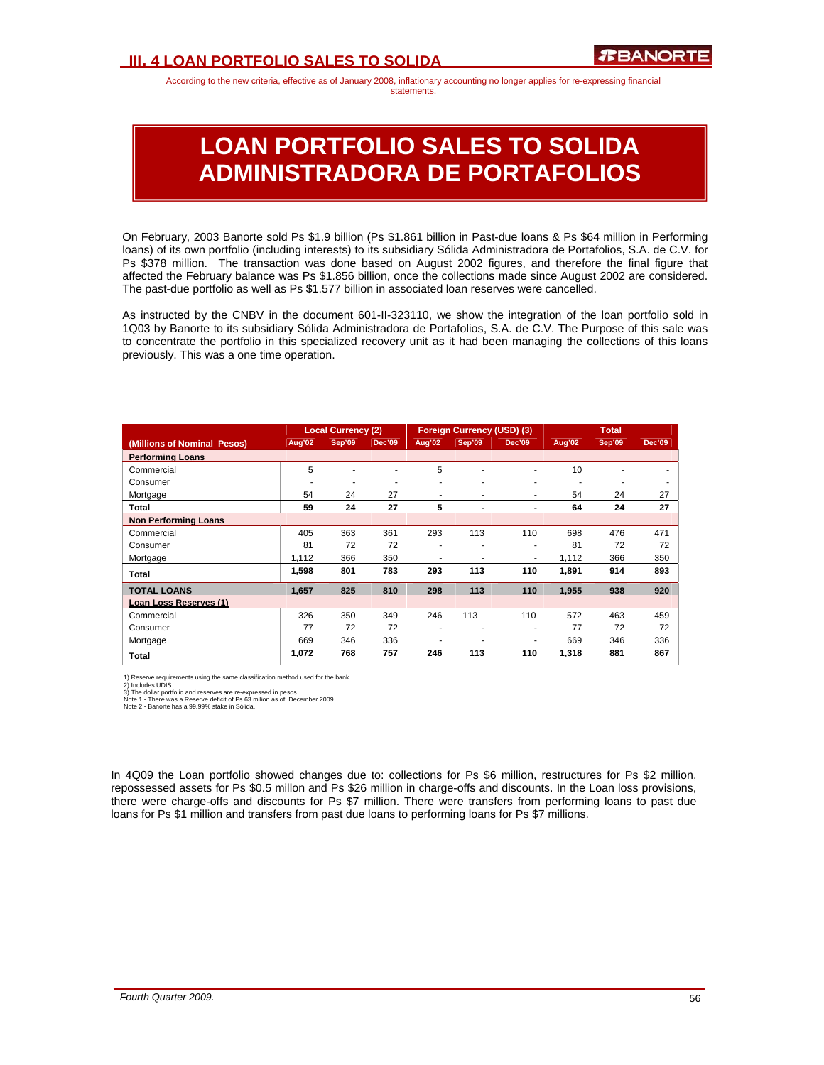## **III. 4 LOAN PORTFOLIO SALES TO SOLIDA**

According to the new criteria, effective as of January 2008, inflationary accounting no longer applies for re-expressing financial statements.

# **LOAN PORTFOLIO SALES TO SOLIDA ADMINISTRADORA DE PORTAFOLIOS**

On February, 2003 Banorte sold Ps \$1.9 billion (Ps \$1.861 billion in Past-due loans & Ps \$64 million in Performing loans) of its own portfolio (including interests) to its subsidiary Sólida Administradora de Portafolios, S.A. de C.V. for Ps \$378 million. The transaction was done based on August 2002 figures, and therefore the final figure that affected the February balance was Ps \$1.856 billion, once the collections made since August 2002 are considered. The past-due portfolio as well as Ps \$1.577 billion in associated loan reserves were cancelled.

As instructed by the CNBV in the document 601-II-323110, we show the integration of the loan portfolio sold in 1Q03 by Banorte to its subsidiary Sólida Administradora de Portafolios, S.A. de C.V. The Purpose of this sale was to concentrate the portfolio in this specialized recovery unit as it had been managing the collections of this loans previously. This was a one time operation.

|                             |        | <b>Local Currency (2)</b> |                          |        | <b>Foreign Currency (USD) (3)</b> |               | <b>Total</b> |        |               |
|-----------------------------|--------|---------------------------|--------------------------|--------|-----------------------------------|---------------|--------------|--------|---------------|
| (Millions of Nominal Pesos) | Aug'02 | Sep'09                    | <b>Dec'09</b>            | Aug'02 | <b>Sep'09</b>                     | <b>Dec'09</b> | Aug'02       | Sep'09 | <b>Dec'09</b> |
| <b>Performing Loans</b>     |        |                           |                          |        |                                   |               |              |        |               |
| Commercial                  | 5      |                           |                          | 5      | ۰                                 | ٠             | 10           |        |               |
| Consumer                    |        | ۰                         | $\overline{\phantom{a}}$ | ۰      | ٠                                 | ٠             | ٠            |        |               |
| Mortgage                    | 54     | 24                        | 27                       | ۰      | ٠                                 | ۰             | 54           | 24     | 27            |
| Total                       | 59     | 24                        | 27                       | 5      | ٠                                 | -             | 64           | 24     | 27            |
| <b>Non Performing Loans</b> |        |                           |                          |        |                                   |               |              |        |               |
| Commercial                  | 405    | 363                       | 361                      | 293    | 113                               | 110           | 698          | 476    | 471           |
| Consumer                    | 81     | 72                        | 72                       | ۰      | ٠                                 | ٠             | 81           | 72     | 72            |
| Mortgage                    | 1.112  | 366                       | 350                      |        | ۰                                 | ۰             | 1,112        | 366    | 350           |
| Total                       | 1,598  | 801                       | 783                      | 293    | 113                               | 110           | 1,891        | 914    | 893           |
| <b>TOTAL LOANS</b>          | 1,657  | 825                       | 810                      | 298    | 113                               | 110           | 1,955        | 938    | 920           |
| Loan Loss Reserves (1)      |        |                           |                          |        |                                   |               |              |        |               |
| Commercial                  | 326    | 350                       | 349                      | 246    | 113                               | 110           | 572          | 463    | 459           |
| Consumer                    | 77     | 72                        | 72                       | ۰      | ٠                                 | ۰             | 77           | 72     | 72            |
| Mortgage                    | 669    | 346                       | 336                      |        | ٠                                 | ٠             | 669          | 346    | 336           |
| Total                       | 1,072  | 768                       | 757                      | 246    | 113                               | 110           | 1,318        | 881    | 867           |

1) Reserve requirements using the same classification method used for the bank.

2) Includes UDIS.<br>3) The dollar portfolio and reserves are re-expressed in pesos.<br>Note 1.- There was a Reserve deficit of Ps 63 mllion as of December 2009.<br>Note 2.- Banorte has a 99.99% stake in Sólida.

In 4Q09 the Loan portfolio showed changes due to: collections for Ps \$6 million, restructures for Ps \$2 million, repossessed assets for Ps \$0.5 millon and Ps \$26 million in charge-offs and discounts. In the Loan loss provisions, there were charge-offs and discounts for Ps \$7 million. There were transfers from performing loans to past due loans for Ps \$1 million and transfers from past due loans to performing loans for Ps \$7 millions.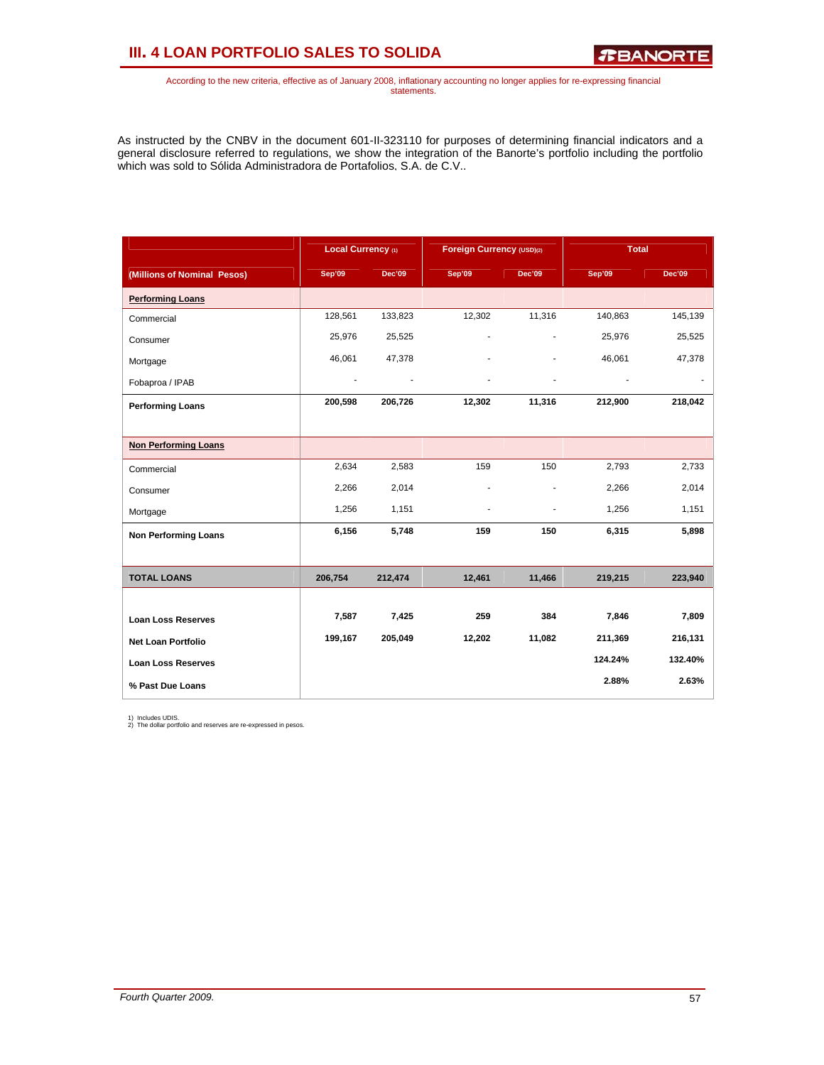# **III. 4 LOAN PORTFOLIO SALES TO SOLIDA**

*R***BANORTE** 

According to the new criteria, effective as of January 2008, inflationary accounting no longer applies for re-expressing financial statements.

As instructed by the CNBV in the document 601-II-323110 for purposes of determining financial indicators and a general disclosure referred to regulations, we show the integration of the Banorte's portfolio including the portfolio which was sold to Sólida Administradora de Portafolios, S.A. de C.V..

|                             | Local Currency (1) |               | Foreign Currency (USD)(2) |               |         | <b>Total</b>  |
|-----------------------------|--------------------|---------------|---------------------------|---------------|---------|---------------|
| (Millions of Nominal Pesos) | Sep'09             | <b>Dec'09</b> | Sep'09                    | <b>Dec'09</b> | Sep'09  | <b>Dec'09</b> |
| <b>Performing Loans</b>     |                    |               |                           |               |         |               |
| Commercial                  | 128,561            | 133,823       | 12,302                    | 11,316        | 140,863 | 145,139       |
| Consumer                    | 25,976             | 25,525        | ÷                         |               | 25,976  | 25,525        |
| Mortgage                    | 46,061             | 47,378        |                           |               | 46,061  | 47,378        |
| Fobaproa / IPAB             | ٠                  |               |                           |               |         |               |
| <b>Performing Loans</b>     | 200,598            | 206,726       | 12,302                    | 11,316        | 212,900 | 218,042       |
|                             |                    |               |                           |               |         |               |
| <b>Non Performing Loans</b> |                    |               |                           |               |         |               |
| Commercial                  | 2,634              | 2,583         | 159                       | 150           | 2,793   | 2,733         |
| Consumer                    | 2,266              | 2,014         |                           | ٠             | 2,266   | 2,014         |
| Mortgage                    | 1,256              | 1,151         | ٠                         | ٠             | 1,256   | 1,151         |
| <b>Non Performing Loans</b> | 6,156              | 5,748         | 159                       | 150           | 6,315   | 5,898         |
|                             |                    |               |                           |               |         |               |
| <b>TOTAL LOANS</b>          | 206,754            | 212,474       | 12,461                    | 11,466        | 219,215 | 223,940       |
|                             |                    |               |                           |               |         |               |
| <b>Loan Loss Reserves</b>   | 7,587              | 7,425         | 259                       | 384           | 7,846   | 7,809         |
| <b>Net Loan Portfolio</b>   | 199,167            | 205,049       | 12,202                    | 11,082        | 211,369 | 216,131       |
| <b>Loan Loss Reserves</b>   |                    |               |                           |               | 124.24% | 132.40%       |
| % Past Due Loans            |                    |               |                           |               | 2.88%   | 2.63%         |

1) Includes UDIS. 2) The dollar portfolio and reserves are re-expressed in pesos.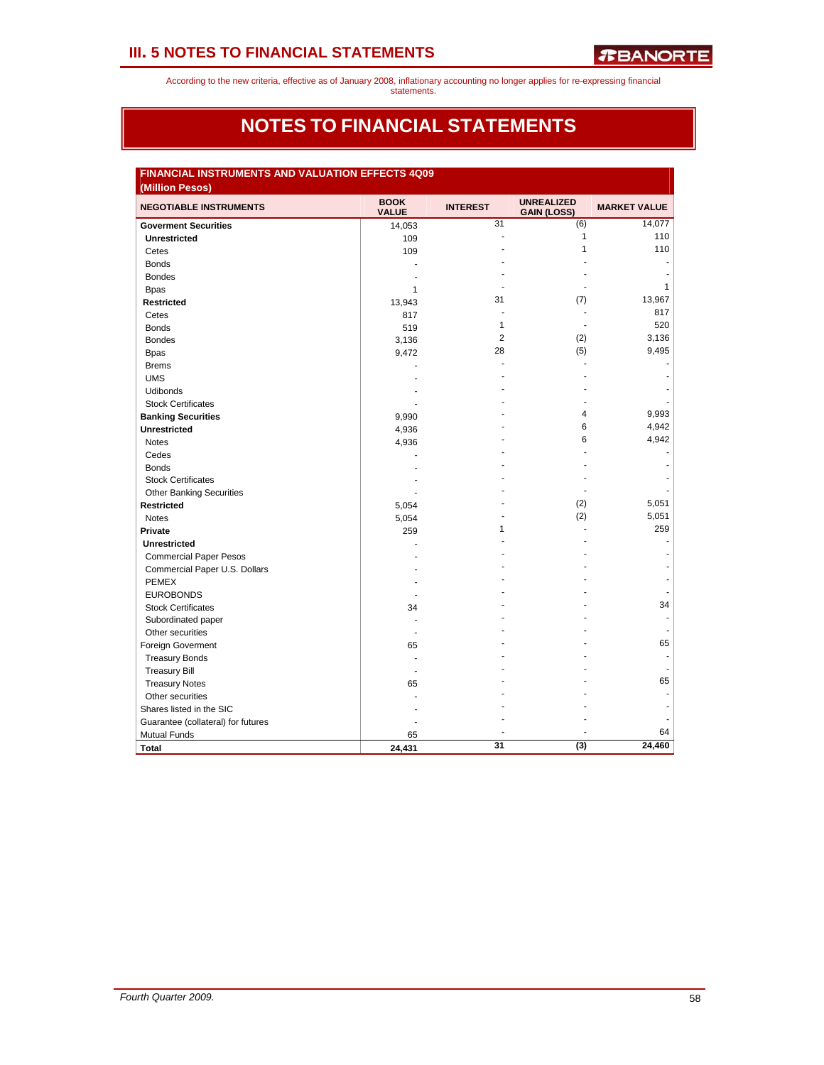According to the new criteria, effective as of January 2008, inflationary accounting no longer applies for re-expressing financial

## statements.

## **NOTES TO FINANCIAL STATEMENTS**

| <b>NEGOTIABLE INSTRUMENTS</b>      | <b>BOOK</b><br><b>VALUE</b> | <b>INTEREST</b> | <b>UNREALIZED</b><br><b>GAIN (LOSS)</b> | <b>MARKET VALUE</b> |
|------------------------------------|-----------------------------|-----------------|-----------------------------------------|---------------------|
| <b>Goverment Securities</b>        | 14,053                      | 31              | (6)                                     | 14,077              |
| <b>Unrestricted</b>                | 109                         |                 | 1                                       | 110                 |
| Cetes                              | 109                         |                 | 1                                       | 110                 |
| <b>Bonds</b>                       |                             |                 |                                         |                     |
| <b>Bondes</b>                      |                             |                 |                                         |                     |
| <b>Bpas</b>                        | $\mathbf{1}$                |                 |                                         | $\mathbf{1}$        |
| <b>Restricted</b>                  | 13,943                      | 31              | (7)                                     | 13,967              |
| Cetes                              | 817                         |                 | $\blacksquare$                          | 817                 |
| <b>Bonds</b>                       | 519                         | 1               |                                         | 520                 |
| <b>Bondes</b>                      | 3,136                       | 2               | (2)                                     | 3,136               |
| <b>Bpas</b>                        | 9,472                       | 28              | (5)                                     | 9,495               |
| <b>Brems</b>                       |                             |                 |                                         |                     |
| <b>UMS</b>                         |                             |                 |                                         |                     |
| <b>Udibonds</b>                    |                             |                 |                                         |                     |
| <b>Stock Certificates</b>          |                             |                 |                                         |                     |
| <b>Banking Securities</b>          | 9,990                       |                 | 4                                       | 9,993               |
| <b>Unrestricted</b>                | 4,936                       |                 | 6                                       | 4,942               |
| <b>Notes</b>                       | 4,936                       |                 | 6                                       | 4,942               |
| Cedes                              |                             |                 |                                         |                     |
| <b>Bonds</b>                       |                             |                 |                                         |                     |
| <b>Stock Certificates</b>          |                             |                 |                                         |                     |
| <b>Other Banking Securities</b>    |                             |                 |                                         |                     |
| <b>Restricted</b>                  | 5,054                       |                 | (2)                                     | 5,051               |
| <b>Notes</b>                       | 5,054                       |                 | (2)                                     | 5,051               |
| Private                            | 259                         | 1               |                                         | 259                 |
| <b>Unrestricted</b>                |                             |                 |                                         |                     |
| <b>Commercial Paper Pesos</b>      |                             |                 |                                         |                     |
| Commercial Paper U.S. Dollars      |                             |                 |                                         |                     |
| <b>PEMEX</b>                       |                             |                 |                                         |                     |
| <b>EUROBONDS</b>                   |                             |                 |                                         |                     |
| <b>Stock Certificates</b>          | 34                          |                 |                                         | 34                  |
| Subordinated paper                 |                             |                 |                                         |                     |
| Other securities                   |                             |                 |                                         |                     |
| Foreign Goverment                  | 65                          |                 |                                         | 65                  |
| <b>Treasury Bonds</b>              |                             |                 |                                         |                     |
| <b>Treasury Bill</b>               |                             |                 |                                         |                     |
| <b>Treasury Notes</b>              | 65                          |                 |                                         | 65                  |
| Other securities                   |                             |                 |                                         |                     |
| Shares listed in the SIC           |                             |                 |                                         |                     |
| Guarantee (collateral) for futures |                             |                 |                                         |                     |
| <b>Mutual Funds</b>                | 65                          |                 |                                         | 64                  |
| <b>Total</b>                       | 24,431                      | 31              | (3)                                     | 24,460              |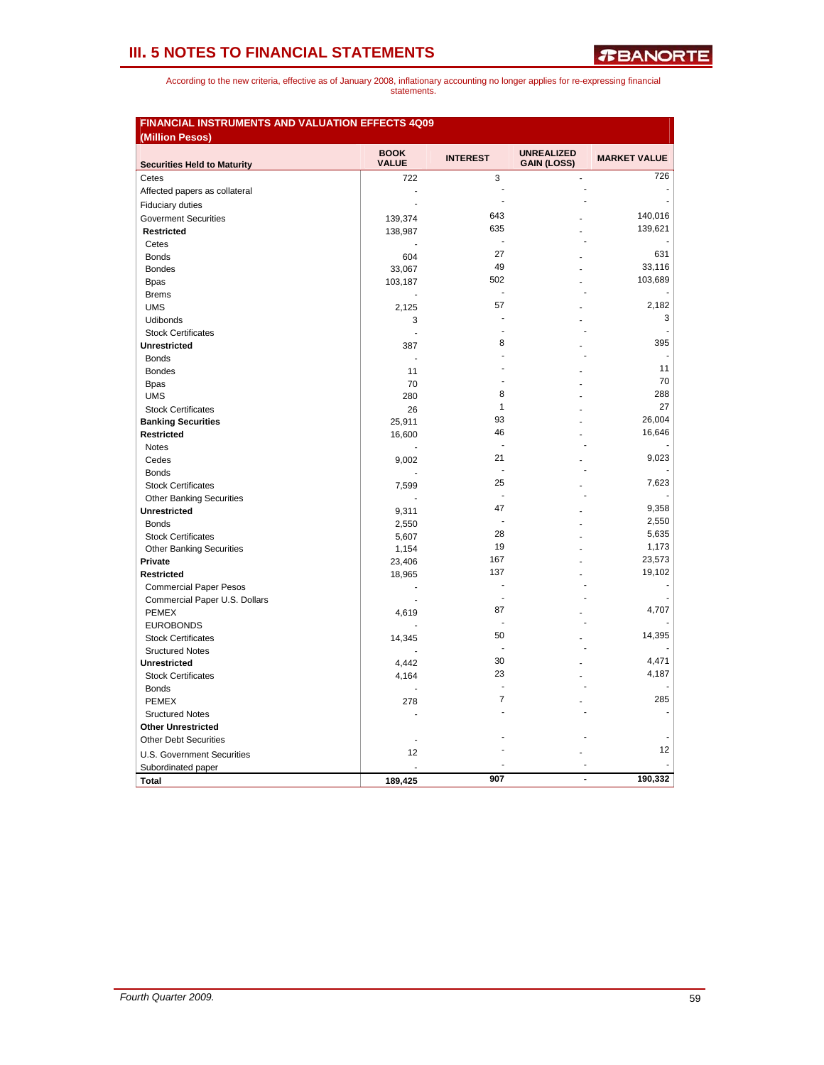|                                    | <b>BOOK</b>  | <b>INTEREST</b> | <b>UNREALIZED</b>  | <b>MARKET VALUE</b> |
|------------------------------------|--------------|-----------------|--------------------|---------------------|
| <b>Securities Held to Maturity</b> | <b>VALUE</b> |                 | <b>GAIN (LOSS)</b> |                     |
| Cetes                              | 722          | 3               |                    | 726                 |
| Affected papers as collateral      | ٠            |                 |                    |                     |
| <b>Fiduciary duties</b>            |              | $\overline{a}$  |                    |                     |
| <b>Goverment Securities</b>        | 139,374      | 643             |                    | 140,016             |
| <b>Restricted</b>                  | 138,987      | 635             |                    | 139,621             |
| Cetes                              |              |                 |                    |                     |
| <b>Bonds</b>                       | 604          | 27              |                    | 631                 |
| <b>Bondes</b>                      | 33,067       | 49              |                    | 33,116              |
| <b>Bpas</b>                        | 103,187      | 502             |                    | 103,689             |
| <b>Brems</b>                       |              | ÷,              |                    |                     |
| <b>UMS</b>                         | 2,125        | 57              |                    | 2,182               |
| Udibonds                           | 3            |                 |                    | 3                   |
| <b>Stock Certificates</b>          | ä,           |                 |                    |                     |
| Unrestricted                       | 387          | 8               |                    | 395                 |
| <b>Bonds</b>                       | ÷.           |                 |                    |                     |
| <b>Bondes</b>                      | 11           |                 |                    | 11                  |
| <b>Bpas</b>                        | 70           |                 |                    | 70                  |
| <b>UMS</b>                         | 280          | 8               |                    | 288                 |
| <b>Stock Certificates</b>          | 26           | $\mathbf{1}$    |                    | 27                  |
| <b>Banking Securities</b>          | 25,911       | 93              |                    | 26,004              |
| Restricted                         | 16,600       | 46              |                    | 16,646              |
| <b>Notes</b>                       |              | ÷               |                    |                     |
| Cedes                              | 9,002        | 21              |                    | 9,023               |
| <b>Bonds</b>                       |              |                 |                    |                     |
| <b>Stock Certificates</b>          | 7,599        | 25              |                    | 7,623               |
| <b>Other Banking Securities</b>    |              | ä,              |                    |                     |
| Unrestricted                       | 9,311        | 47              |                    | 9,358               |
| <b>Bonds</b>                       | 2,550        | $\overline{a}$  |                    | 2,550               |
| <b>Stock Certificates</b>          | 5,607        | 28              |                    | 5,635               |
| <b>Other Banking Securities</b>    | 1,154        | 19              |                    | 1,173               |
| Private                            | 23,406       | 167             |                    | 23,573              |
| <b>Restricted</b>                  | 18,965       | 137             |                    | 19,102              |
| <b>Commercial Paper Pesos</b>      |              | ÷               |                    |                     |
| Commercial Paper U.S. Dollars      |              |                 |                    |                     |
| <b>PEMEX</b>                       | 4,619        | 87              |                    | 4.707               |
| <b>EUROBONDS</b>                   |              |                 |                    |                     |
| <b>Stock Certificates</b>          | 14,345       | 50              |                    | 14,395              |
| <b>Sructured Notes</b>             |              |                 |                    |                     |
| Unrestricted                       | 4,442        | 30              |                    | 4,471               |
| <b>Stock Certificates</b>          | 4,164        | 23              |                    | 4,187               |
| <b>Bonds</b>                       |              |                 |                    |                     |
| <b>PEMEX</b>                       | 278          | $\overline{7}$  |                    | 285                 |
| <b>Sructured Notes</b>             |              |                 |                    |                     |
| <b>Other Unrestricted</b>          |              |                 |                    |                     |
| <b>Other Debt Securities</b>       |              |                 |                    |                     |
| U.S. Government Securities         | 12           |                 |                    | 12                  |
| Subordinated paper                 |              |                 |                    |                     |
| <b>Total</b>                       | 189,425      | 907             | ÷                  | 190,332             |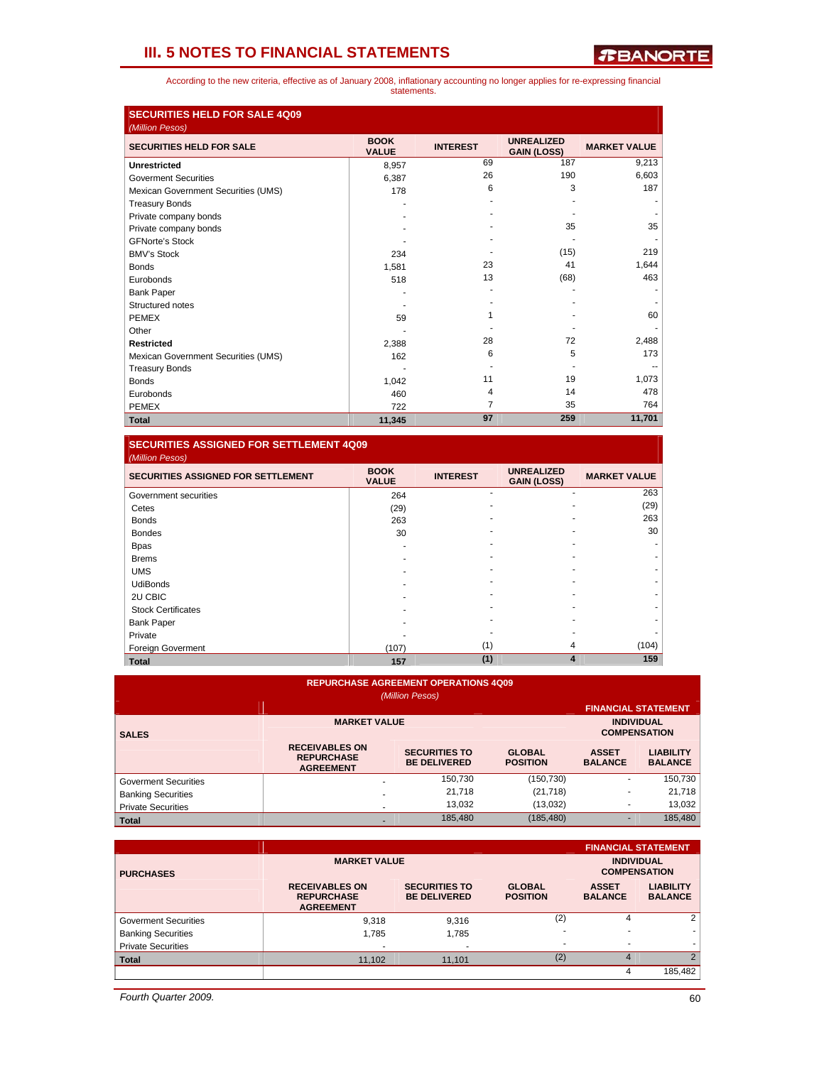According to the new criteria, effective as of January 2008, inflationary accounting no longer applies for re-expressing financial statements.

| <b>SECURITIES HELD FOR SALE 4Q09</b>               |                             |                 |                                         |                     |
|----------------------------------------------------|-----------------------------|-----------------|-----------------------------------------|---------------------|
| (Million Pesos)<br><b>SECURITIES HELD FOR SALE</b> | <b>BOOK</b><br><b>VALUE</b> | <b>INTEREST</b> | <b>UNREALIZED</b><br><b>GAIN (LOSS)</b> | <b>MARKET VALUE</b> |
| <b>Unrestricted</b>                                | 8,957                       | 69              | 187                                     | 9,213               |
| <b>Goverment Securities</b>                        | 6.387                       | 26              | 190                                     | 6,603               |
| Mexican Government Securities (UMS)                | 178                         | 6               | 3                                       | 187                 |
| <b>Treasury Bonds</b>                              |                             |                 |                                         |                     |
| Private company bonds                              |                             |                 |                                         |                     |
| Private company bonds                              |                             |                 | 35                                      | 35                  |
| <b>GFNorte's Stock</b>                             |                             |                 |                                         |                     |
| <b>BMV's Stock</b>                                 | 234                         |                 | (15)                                    | 219                 |
| <b>Bonds</b>                                       | 1,581                       | 23              | 41                                      | 1,644               |
| Eurobonds                                          | 518                         | 13              | (68)                                    | 463                 |
| <b>Bank Paper</b>                                  |                             |                 |                                         |                     |
| Structured notes                                   |                             |                 |                                         |                     |
| <b>PEMEX</b>                                       | 59                          |                 |                                         | 60                  |
| Other                                              |                             |                 |                                         |                     |
| <b>Restricted</b>                                  | 2.388                       | 28              | 72                                      | 2,488               |
| Mexican Government Securities (UMS)                | 162                         | 6               | 5                                       | 173                 |
| <b>Treasury Bonds</b>                              |                             |                 |                                         |                     |
| <b>Bonds</b>                                       | 1,042                       | 11              | 19                                      | 1,073               |
| Eurobonds                                          | 460                         | 4               | 14                                      | 478                 |
| <b>PEMEX</b>                                       | 722                         | 7               | 35                                      | 764                 |
| <b>Total</b>                                       | 11,345                      | 97              | 259                                     | 11,701              |

## **SECURITIES ASSIGNED FOR SETTLEMENT 4Q09**

| (Million Pesos)                           |                             |                 |                                         |                     |
|-------------------------------------------|-----------------------------|-----------------|-----------------------------------------|---------------------|
| <b>SECURITIES ASSIGNED FOR SETTLEMENT</b> | <b>BOOK</b><br><b>VALUE</b> | <b>INTEREST</b> | <b>UNREALIZED</b><br><b>GAIN (LOSS)</b> | <b>MARKET VALUE</b> |
| Government securities                     | 264                         |                 |                                         | 263                 |
| Cetes                                     | (29)                        |                 |                                         | (29)                |
| <b>Bonds</b>                              | 263                         |                 |                                         | 263                 |
| <b>Bondes</b>                             | 30                          |                 |                                         | 30                  |
| <b>Bpas</b>                               |                             |                 |                                         |                     |
| <b>Brems</b>                              |                             |                 |                                         |                     |
| <b>UMS</b>                                |                             |                 |                                         |                     |
| <b>UdiBonds</b>                           |                             |                 |                                         |                     |
| 2U CBIC                                   |                             |                 |                                         |                     |
| <b>Stock Certificates</b>                 |                             |                 |                                         |                     |
| <b>Bank Paper</b>                         |                             |                 |                                         |                     |
| Private                                   |                             |                 |                                         |                     |
| Foreign Goverment                         | (107)                       | (1)             | 4                                       | (104)               |
| <b>Total</b>                              | 157                         | (1)             | $\overline{\mathbf{4}}$                 | 159                 |

## **REPURCHASE AGREEMENT OPERATIONS 4Q09**

| (Million Pesos)             |                                                                |                                             |                                  |                                |                                    |  |  |  |
|-----------------------------|----------------------------------------------------------------|---------------------------------------------|----------------------------------|--------------------------------|------------------------------------|--|--|--|
|                             |                                                                |                                             |                                  |                                | <b>FINANCIAL STATEMENT</b>         |  |  |  |
| <b>SALES</b>                | <b>MARKET VALUE</b>                                            | <b>INDIVIDUAL</b><br><b>COMPENSATION</b>    |                                  |                                |                                    |  |  |  |
|                             | <b>RECEIVABLES ON</b><br><b>REPURCHASE</b><br><b>AGREEMENT</b> | <b>SECURITIES TO</b><br><b>BE DELIVERED</b> | <b>GLOBAL</b><br><b>POSITION</b> | <b>ASSET</b><br><b>BALANCE</b> | <b>LIABILITY</b><br><b>BALANCE</b> |  |  |  |
| <b>Goverment Securities</b> |                                                                | 150.730                                     | (150, 730)                       | ٠                              | 150,730                            |  |  |  |
| <b>Banking Securities</b>   |                                                                | 21,718                                      | (21, 718)                        |                                | 21,718                             |  |  |  |
| <b>Private Securities</b>   | $\overline{\phantom{a}}$                                       | 13,032                                      | (13,032)                         | ۰                              | 13,032                             |  |  |  |
| <b>Total</b>                |                                                                | 185.480                                     | (185, 480)                       |                                | 185,480                            |  |  |  |

|                             |                                                                |                                             |                                  |                                          | <b>FINANCIAL STATEMENT</b>         |
|-----------------------------|----------------------------------------------------------------|---------------------------------------------|----------------------------------|------------------------------------------|------------------------------------|
| <b>PURCHASES</b>            | <b>MARKET VALUE</b>                                            |                                             |                                  | <b>INDIVIDUAL</b><br><b>COMPENSATION</b> |                                    |
|                             | <b>RECEIVABLES ON</b><br><b>REPURCHASE</b><br><b>AGREEMENT</b> | <b>SECURITIES TO</b><br><b>BE DELIVERED</b> | <b>GLOBAL</b><br><b>POSITION</b> | <b>ASSET</b><br><b>BALANCE</b>           | <b>LIABILITY</b><br><b>BALANCE</b> |
| <b>Goverment Securities</b> | 9,318                                                          | 9,316                                       | (2)                              | 4                                        | 2                                  |
| <b>Banking Securities</b>   | 1.785                                                          | 1,785                                       |                                  |                                          |                                    |
| <b>Private Securities</b>   | $\overline{\phantom{a}}$                                       |                                             |                                  |                                          |                                    |
| <b>Total</b>                | 11,102                                                         | 11,101                                      | (2)                              | 4                                        | $\mathfrak{p}$                     |
|                             |                                                                |                                             |                                  | 4                                        | 185,482                            |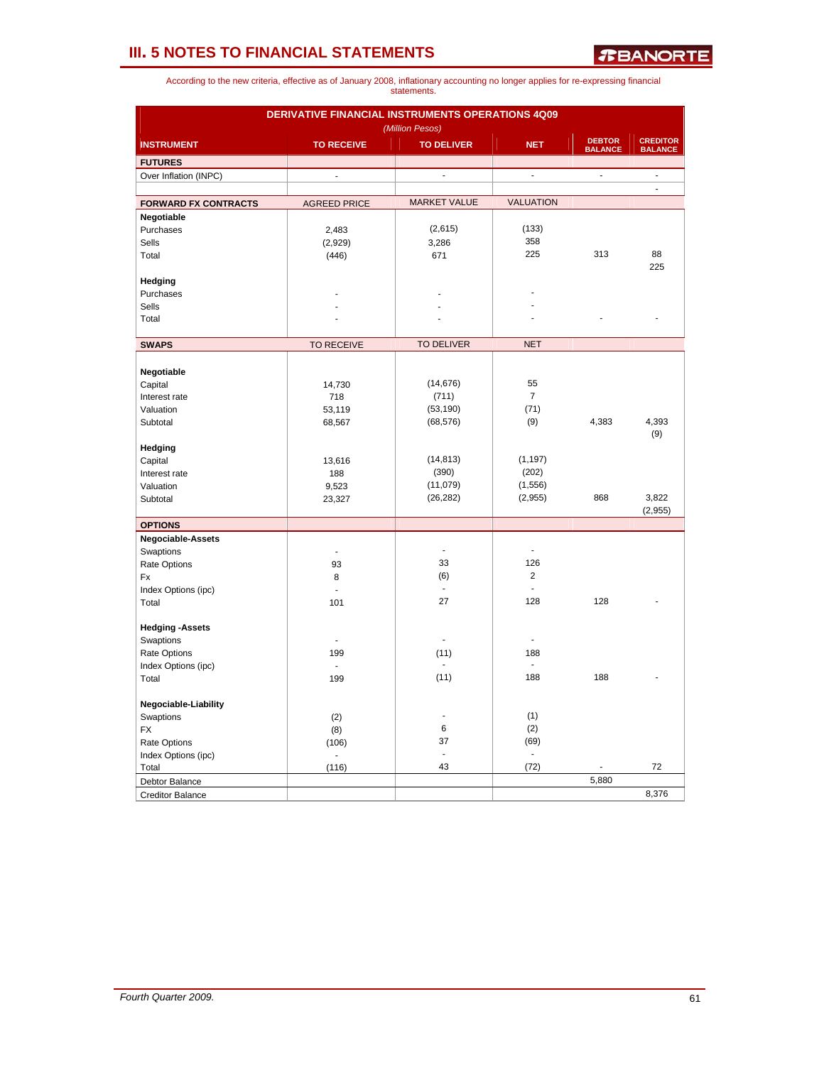|                              | DERIVATIVE FINANCIAL INSTRUMENTS OPERATIONS 4Q09 |                     |                          |                                 |                                   |
|------------------------------|--------------------------------------------------|---------------------|--------------------------|---------------------------------|-----------------------------------|
|                              |                                                  | (Million Pesos)     |                          |                                 |                                   |
| <b>INSTRUMENT</b>            | <b>TO RECEIVE</b>                                | <b>TO DELIVER</b>   | <b>NET</b>               | <b>DEBTOR</b><br><b>BALANCE</b> | <b>CREDITOR</b><br><b>BALANCE</b> |
| <b>FUTURES</b>               |                                                  |                     |                          |                                 |                                   |
| Over Inflation (INPC)        | $\frac{1}{2}$                                    | ä,                  | $\overline{\phantom{a}}$ | ÷.                              | ä,                                |
| <b>FORWARD FX CONTRACTS</b>  | <b>AGREED PRICE</b>                              | <b>MARKET VALUE</b> | <b>VALUATION</b>         |                                 | ä,                                |
| Negotiable                   |                                                  |                     |                          |                                 |                                   |
| Purchases                    | 2,483                                            | (2,615)             | (133)                    |                                 |                                   |
| Sells                        | (2,929)                                          | 3,286               | 358                      |                                 |                                   |
| Total                        | (446)                                            | 671                 | 225                      | 313                             | 88                                |
|                              |                                                  |                     |                          |                                 | 225                               |
| Hedging                      |                                                  |                     |                          |                                 |                                   |
| Purchases                    |                                                  |                     |                          |                                 |                                   |
| Sells                        |                                                  |                     |                          |                                 |                                   |
| Total                        |                                                  |                     |                          |                                 |                                   |
|                              |                                                  |                     |                          |                                 |                                   |
| <b>SWAPS</b>                 | <b>TO RECEIVE</b>                                | <b>TO DELIVER</b>   | <b>NET</b>               |                                 |                                   |
|                              |                                                  |                     |                          |                                 |                                   |
| Negotiable                   |                                                  |                     |                          |                                 |                                   |
| Capital                      | 14,730                                           | (14, 676)           | 55                       |                                 |                                   |
| Interest rate                | 718                                              | (711)               | $\overline{7}$           |                                 |                                   |
| Valuation                    | 53,119                                           | (53, 190)           | (71)                     |                                 |                                   |
| Subtotal                     | 68,567                                           | (68, 576)           | (9)                      | 4,383                           | 4,393                             |
|                              |                                                  |                     |                          |                                 | (9)                               |
| Hedging                      |                                                  |                     |                          |                                 |                                   |
| Capital                      | 13,616                                           | (14, 813)           | (1, 197)                 |                                 |                                   |
| Interest rate                | 188                                              | (390)               | (202)                    |                                 |                                   |
| Valuation                    | 9,523                                            | (11,079)            | (1, 556)                 |                                 |                                   |
| Subtotal                     | 23,327                                           | (26, 282)           | (2,955)                  | 868                             | 3,822                             |
| <b>OPTIONS</b>               |                                                  |                     |                          |                                 | (2,955)                           |
| <b>Negociable-Assets</b>     |                                                  |                     |                          |                                 |                                   |
| Swaptions                    | $\overline{a}$                                   | ä,                  |                          |                                 |                                   |
| Rate Options                 | 93                                               | 33                  | 126                      |                                 |                                   |
| Fx                           | 8                                                | (6)                 | $\overline{\mathbf{c}}$  |                                 |                                   |
| Index Options (ipc)          | ÷,                                               | $\blacksquare$      |                          |                                 |                                   |
| Total                        | 101                                              | 27                  | 128                      | 128                             |                                   |
|                              |                                                  |                     |                          |                                 |                                   |
| <b>Hedging -Assets</b>       |                                                  |                     |                          |                                 |                                   |
| Swaptions                    |                                                  | ÷                   | ÷                        |                                 |                                   |
| Rate Options                 | 199                                              | (11)                | 188                      |                                 |                                   |
| Index Options (ipc)          | $\overline{\phantom{a}}$                         |                     | $\blacksquare$           |                                 |                                   |
| Total                        | 199                                              | (11)                | 188                      | 188                             |                                   |
| Negociable-Liability         |                                                  |                     |                          |                                 |                                   |
| Swaptions                    | (2)                                              |                     | (1)                      |                                 |                                   |
| <b>FX</b>                    | (8)                                              | 6                   | (2)                      |                                 |                                   |
|                              |                                                  | 37                  | (69)                     |                                 |                                   |
| Rate Options                 | (106)                                            | ä,                  | ä,                       |                                 |                                   |
| Index Options (ipc)<br>Total | $\blacksquare$<br>(116)                          | 43                  | (72)                     |                                 | 72                                |
| Debtor Balance               |                                                  |                     |                          | 5,880                           |                                   |
| <b>Creditor Balance</b>      |                                                  |                     |                          |                                 | 8,376                             |
|                              |                                                  |                     |                          |                                 |                                   |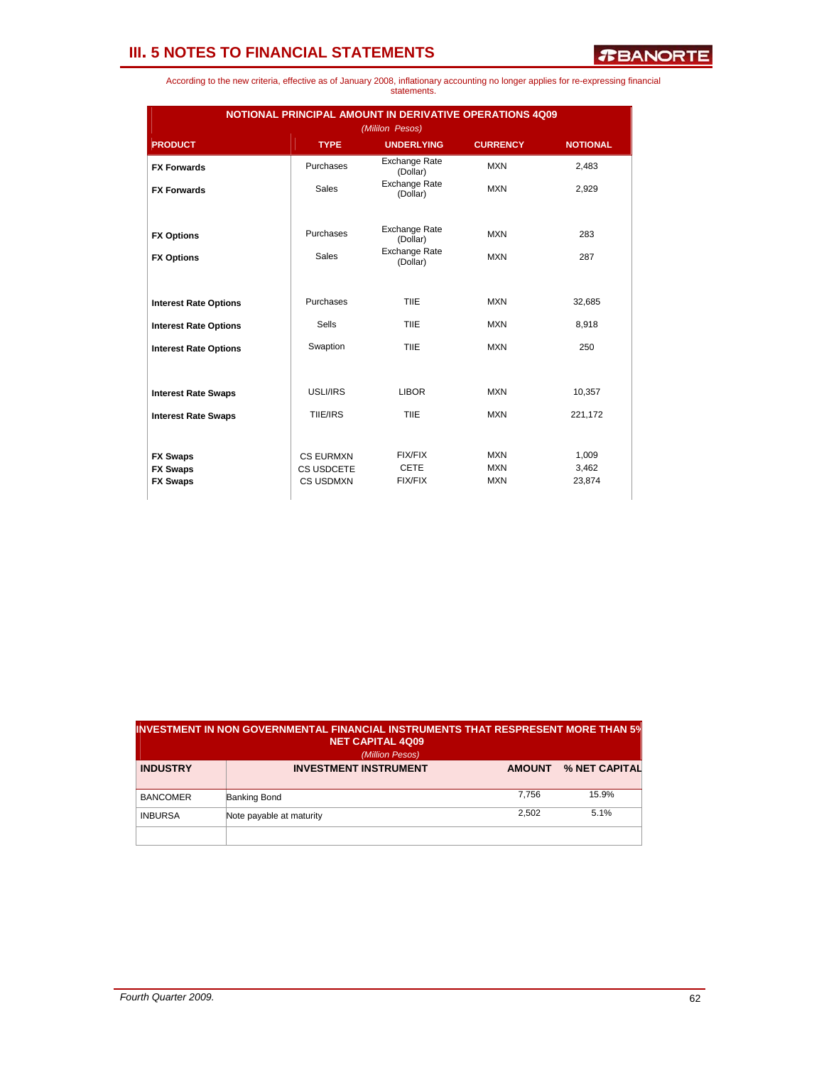*R***BANORTE** 

| According to the new criteria, effective as of January 2008, inflationary accounting no longer applies for re-expressing financial |  |             |  |  |  |
|------------------------------------------------------------------------------------------------------------------------------------|--|-------------|--|--|--|
|                                                                                                                                    |  | statements. |  |  |  |

| NOTIONAL PRINCIPAL AMOUNT IN DERIVATIVE OPERATIONS 4Q09<br>(Mililon Pesos) |                  |                                  |                 |                 |  |  |  |  |
|----------------------------------------------------------------------------|------------------|----------------------------------|-----------------|-----------------|--|--|--|--|
| <b>PRODUCT</b>                                                             | <b>TYPE</b>      | <b>UNDERLYING</b>                | <b>CURRENCY</b> | <b>NOTIONAL</b> |  |  |  |  |
| <b>FX Forwards</b>                                                         | Purchases        | <b>Exchange Rate</b><br>(Dollar) | <b>MXN</b>      | 2,483           |  |  |  |  |
| <b>FX Forwards</b>                                                         | <b>Sales</b>     | Exchange Rate<br>(Dollar)        | <b>MXN</b>      | 2,929           |  |  |  |  |
| <b>FX Options</b>                                                          | Purchases        | <b>Exchange Rate</b><br>(Dollar) | <b>MXN</b>      | 283             |  |  |  |  |
| <b>FX Options</b>                                                          | <b>Sales</b>     | Exchange Rate<br>(Dollar)        | <b>MXN</b>      | 287             |  |  |  |  |
|                                                                            |                  |                                  |                 |                 |  |  |  |  |
| <b>Interest Rate Options</b>                                               | Purchases        | TIIE                             | <b>MXN</b>      | 32,685          |  |  |  |  |
| <b>Interest Rate Options</b>                                               | Sells            | TIIE                             | <b>MXN</b>      | 8,918           |  |  |  |  |
| <b>Interest Rate Options</b>                                               | Swaption         | <b>TIIE</b>                      | <b>MXN</b>      | 250             |  |  |  |  |
|                                                                            |                  |                                  |                 |                 |  |  |  |  |
| <b>Interest Rate Swaps</b>                                                 | USLI/IRS         | <b>LIBOR</b>                     | <b>MXN</b>      | 10,357          |  |  |  |  |
| <b>Interest Rate Swaps</b>                                                 | TIIE/IRS         | TIIE                             | <b>MXN</b>      | 221,172         |  |  |  |  |
|                                                                            |                  |                                  |                 |                 |  |  |  |  |
| <b>FX Swaps</b>                                                            | <b>CS EURMXN</b> | <b>FIX/FIX</b>                   | <b>MXN</b>      | 1,009           |  |  |  |  |
| <b>FX Swaps</b>                                                            | CS USDCETE       | <b>CETE</b>                      | <b>MXN</b>      | 3,462           |  |  |  |  |
| <b>FX Swaps</b>                                                            | <b>CS USDMXN</b> | FIX/FIX                          | <b>MXN</b>      | 23,874          |  |  |  |  |

| $\,$ INVESTMENT IN NON GOVERNMENTAL FINANCIAL INSTRUMENTS THAT RESPRESENT MORE THAN 5 $\%$<br><b>NET CAPITAL 4Q09</b><br>(Million Pesos) |                              |               |               |  |  |  |
|------------------------------------------------------------------------------------------------------------------------------------------|------------------------------|---------------|---------------|--|--|--|
| <b>INDUSTRY</b>                                                                                                                          | <b>INVESTMENT INSTRUMENT</b> | <b>AMOUNT</b> | % NET CAPITAL |  |  |  |
| <b>BANCOMER</b>                                                                                                                          | <b>Banking Bond</b>          | 7.756         | 15.9%         |  |  |  |
| <b>INBURSA</b>                                                                                                                           | Note payable at maturity     | 2.502         | 5.1%          |  |  |  |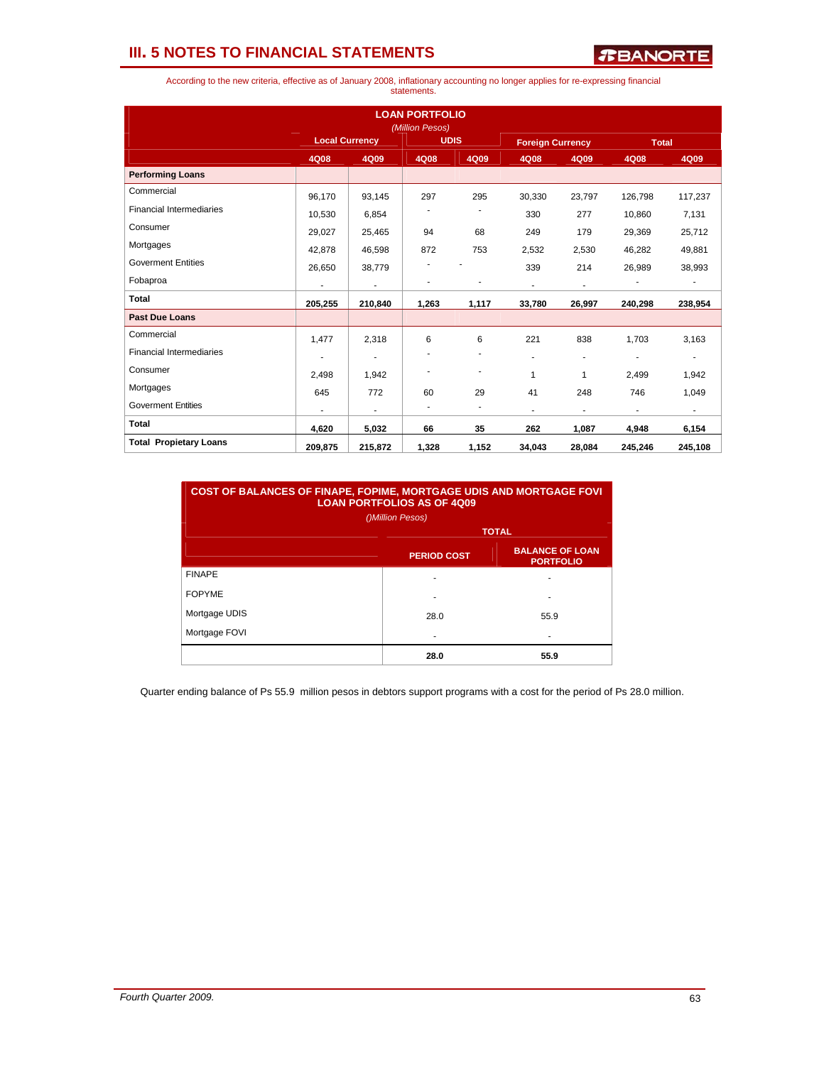

According to the new criteria, effective as of January 2008, inflationary accounting no longer applies for re-expressing financial statements.

|                                 |                       |                          | <b>LOAN PORTFOLIO</b><br>(Million Pesos) |                          |                         |                          |                          |                          |
|---------------------------------|-----------------------|--------------------------|------------------------------------------|--------------------------|-------------------------|--------------------------|--------------------------|--------------------------|
|                                 | <b>Local Currency</b> |                          | <b>UDIS</b>                              |                          | <b>Foreign Currency</b> |                          | <b>Total</b>             |                          |
|                                 | 4Q08                  | 4Q09                     | 4Q08                                     | 4Q09                     | 4Q08                    | 4Q09                     | 4Q08                     | 4Q09                     |
| <b>Performing Loans</b>         |                       |                          |                                          |                          |                         |                          |                          |                          |
| Commercial                      | 96,170                | 93,145                   | 297                                      | 295                      | 30,330                  | 23,797                   | 126,798                  | 117,237                  |
| <b>Financial Intermediaries</b> | 10,530                | 6,854                    |                                          |                          | 330                     | 277                      | 10,860                   | 7,131                    |
| Consumer                        | 29,027                | 25,465                   | 94                                       | 68                       | 249                     | 179                      | 29,369                   | 25,712                   |
| Mortgages                       | 42,878                | 46,598                   | 872                                      | 753                      | 2,532                   | 2,530                    | 46,282                   | 49,881                   |
| <b>Goverment Entities</b>       | 26,650                | 38,779                   |                                          |                          | 339                     | 214                      | 26,989                   | 38,993                   |
| Fobaproa                        | ٠                     | $\overline{\phantom{a}}$ |                                          | ٠                        | ٠                       | $\blacksquare$           | $\overline{\phantom{a}}$ | ٠                        |
| <b>Total</b>                    | 205,255               | 210,840                  | 1,263                                    | 1,117                    | 33,780                  | 26,997                   | 240,298                  | 238,954                  |
| <b>Past Due Loans</b>           |                       |                          |                                          |                          |                         |                          |                          |                          |
| Commercial                      | 1,477                 | 2,318                    | 6                                        | 6                        | 221                     | 838                      | 1.703                    | 3,163                    |
| <b>Financial Intermediaries</b> |                       | ٠                        |                                          | ٠                        | ÷                       | $\overline{\phantom{a}}$ |                          | $\overline{\phantom{a}}$ |
| Consumer                        | 2.498                 | 1,942                    |                                          | $\overline{a}$           | 1                       | $\mathbf{1}$             | 2,499                    | 1,942                    |
| Mortgages                       | 645                   | 772                      | 60                                       | 29                       | 41                      | 248                      | 746                      | 1,049                    |
| <b>Goverment Entities</b>       | ٠                     | $\blacksquare$           | ٠                                        | $\overline{\phantom{a}}$ | ٠                       | $\blacksquare$           | $\overline{\phantom{a}}$ | $\sim$                   |
| <b>Total</b>                    | 4,620                 | 5,032                    | 66                                       | 35                       | 262                     | 1,087                    | 4,948                    | 6,154                    |
| <b>Total Propietary Loans</b>   | 209,875               | 215,872                  | 1,328                                    | 1,152                    | 34,043                  | 28,084                   | 245,246                  | 245,108                  |

| <b>COST OF BALANCES OF FINAPE, FOPIME, MORTGAGE UDIS AND MORTGAGE FOVI</b><br><b>LOAN PORTFOLIOS AS OF 4Q09</b><br>()Million Pesos) |                    |                                            |  |  |  |  |  |
|-------------------------------------------------------------------------------------------------------------------------------------|--------------------|--------------------------------------------|--|--|--|--|--|
|                                                                                                                                     | <b>TOTAL</b>       |                                            |  |  |  |  |  |
|                                                                                                                                     | <b>PERIOD COST</b> | <b>BALANCE OF LOAN</b><br><b>PORTFOLIO</b> |  |  |  |  |  |
| <b>FINAPE</b>                                                                                                                       |                    |                                            |  |  |  |  |  |
| <b>FOPYME</b>                                                                                                                       |                    | ۰                                          |  |  |  |  |  |
| Mortgage UDIS                                                                                                                       | 28.0               | 55.9                                       |  |  |  |  |  |
| Mortgage FOVI                                                                                                                       |                    |                                            |  |  |  |  |  |
|                                                                                                                                     | 28.0               | 55.9                                       |  |  |  |  |  |

Quarter ending balance of Ps 55.9 million pesos in debtors support programs with a cost for the period of Ps 28.0 million.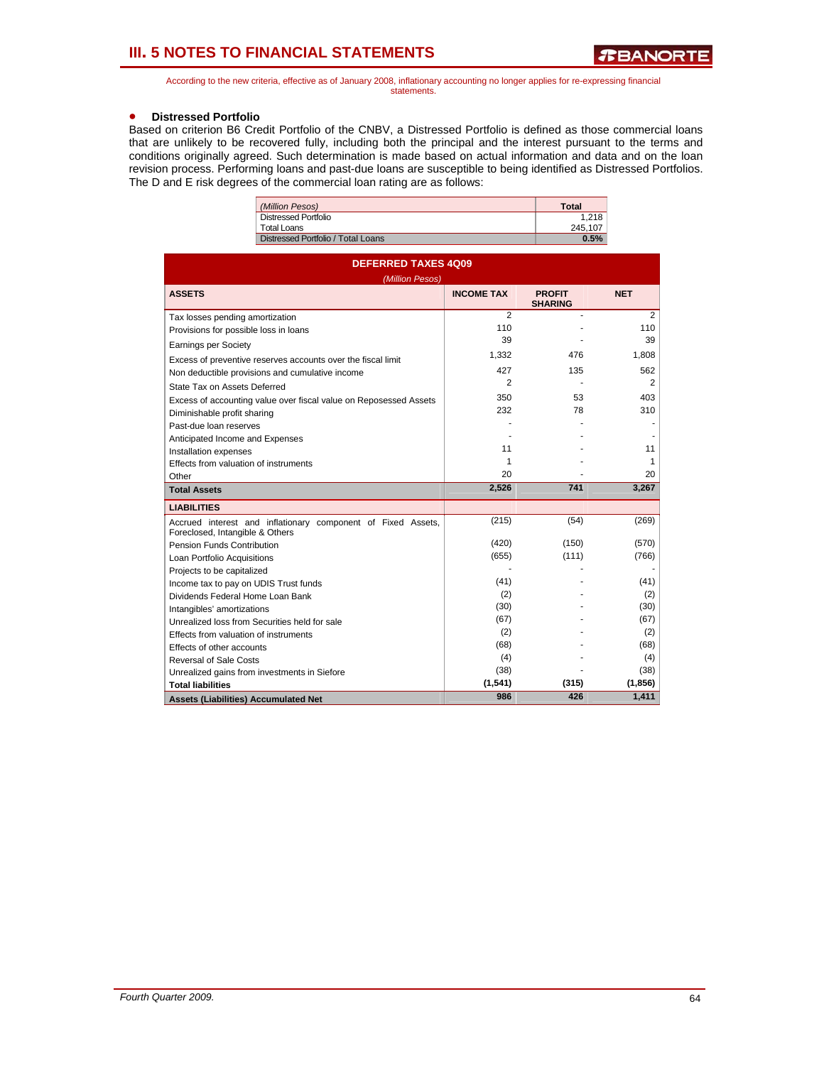According to the new criteria, effective as of January 2008, inflationary accounting no longer applies for re-expressing financial statements.

## • **Distressed Portfolio**

Based on criterion B6 Credit Portfolio of the CNBV, a Distressed Portfolio is defined as those commercial loans that are unlikely to be recovered fully, including both the principal and the interest pursuant to the terms and conditions originally agreed. Such determination is made based on actual information and data and on the loan revision process. Performing loans and past-due loans are susceptible to being identified as Distressed Portfolios. The D and E risk degrees of the commercial loan rating are as follows:

| (Million Pesos)                    | <b>Total</b> |
|------------------------------------|--------------|
| Distressed Portfolio               | 1.218        |
| Total Loans                        | 245.107      |
| Distressed Portfolio / Total Loans | 0.5%         |

| <b>DEFERRED TAXES 4Q09</b><br>(Million Pesos)                                                   |                   |                                 |            |  |  |  |  |  |
|-------------------------------------------------------------------------------------------------|-------------------|---------------------------------|------------|--|--|--|--|--|
| <b>ASSETS</b>                                                                                   | <b>INCOME TAX</b> | <b>PROFIT</b><br><b>SHARING</b> | <b>NET</b> |  |  |  |  |  |
| Tax losses pending amortization                                                                 | $\overline{2}$    |                                 | 2          |  |  |  |  |  |
| Provisions for possible loss in loans                                                           | 110               |                                 | 110        |  |  |  |  |  |
| <b>Earnings per Society</b>                                                                     | 39                |                                 | 39         |  |  |  |  |  |
| Excess of preventive reserves accounts over the fiscal limit                                    | 1.332             | 476                             | 1,808      |  |  |  |  |  |
| Non deductible provisions and cumulative income                                                 | 427               | 135                             | 562        |  |  |  |  |  |
| State Tax on Assets Deferred                                                                    | 2                 |                                 | 2          |  |  |  |  |  |
| Excess of accounting value over fiscal value on Reposessed Assets                               | 350               | 53                              | 403        |  |  |  |  |  |
| Diminishable profit sharing                                                                     | 232               | 78                              | 310        |  |  |  |  |  |
| Past-due loan reserves                                                                          |                   |                                 |            |  |  |  |  |  |
| Anticipated Income and Expenses                                                                 |                   |                                 |            |  |  |  |  |  |
| Installation expenses                                                                           | 11                |                                 | 11         |  |  |  |  |  |
| Effects from valuation of instruments                                                           | 1                 |                                 | 1          |  |  |  |  |  |
| Other                                                                                           | 20                |                                 | 20         |  |  |  |  |  |
| <b>Total Assets</b>                                                                             | 2,526             | 741                             | 3,267      |  |  |  |  |  |
| <b>LIABILITIES</b>                                                                              |                   |                                 |            |  |  |  |  |  |
| Accrued interest and inflationary component of Fixed Assets,<br>Foreclosed, Intangible & Others | (215)             | (54)                            | (269)      |  |  |  |  |  |
| Pension Funds Contribution                                                                      | (420)             | (150)                           | (570)      |  |  |  |  |  |
| Loan Portfolio Acquisitions                                                                     | (655)             | (111)                           | (766)      |  |  |  |  |  |
| Projects to be capitalized                                                                      |                   |                                 |            |  |  |  |  |  |
| Income tax to pay on UDIS Trust funds                                                           | (41)              |                                 | (41)       |  |  |  |  |  |
| Dividends Federal Home Loan Bank                                                                | (2)               |                                 | (2)        |  |  |  |  |  |
| Intangibles' amortizations                                                                      | (30)              |                                 | (30)       |  |  |  |  |  |
| Unrealized loss from Securities held for sale                                                   | (67)              |                                 | (67)       |  |  |  |  |  |
| Effects from valuation of instruments                                                           | (2)               |                                 | (2)        |  |  |  |  |  |
| Effects of other accounts                                                                       | (68)              |                                 | (68)       |  |  |  |  |  |
| Reversal of Sale Costs                                                                          | (4)               |                                 | (4)        |  |  |  |  |  |
| Unrealized gains from investments in Siefore                                                    | (38)              |                                 | (38)       |  |  |  |  |  |
| <b>Total liabilities</b>                                                                        | (1,541)           | (315)                           | (1, 856)   |  |  |  |  |  |
| <b>Assets (Liabilities) Accumulated Net</b>                                                     | 986               | 426                             | 1,411      |  |  |  |  |  |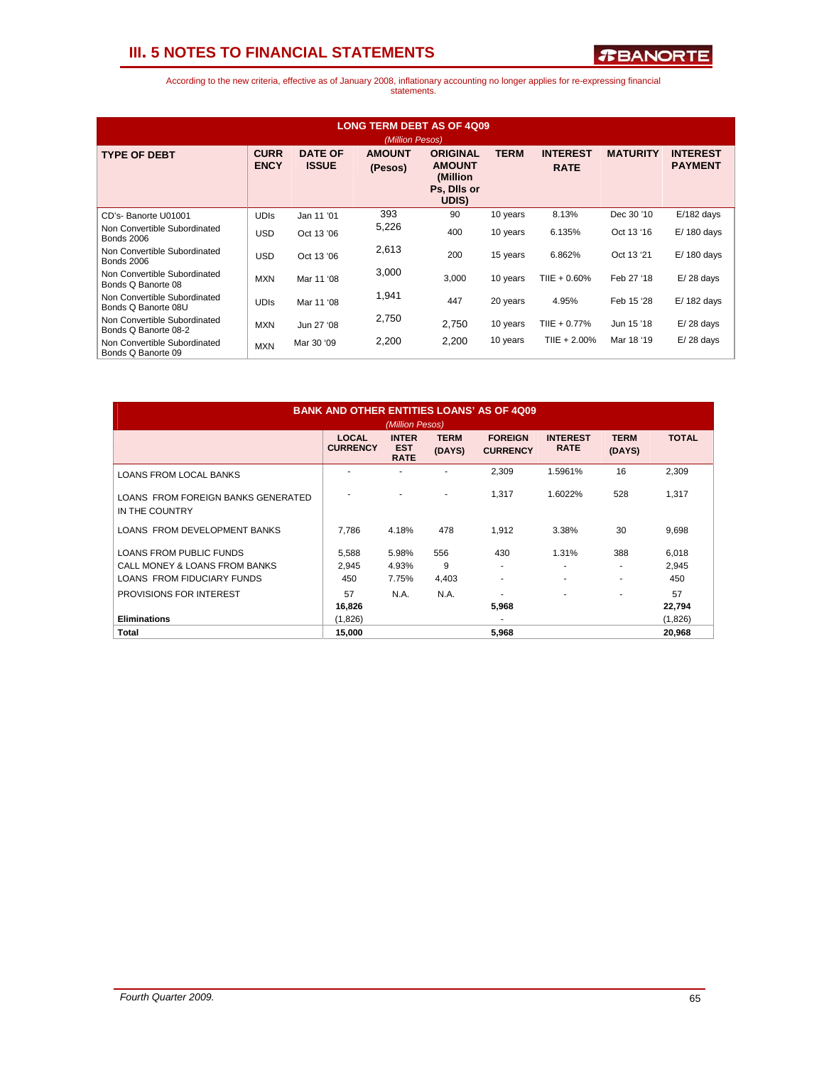

| <b>LONG TERM DEBT AS OF 4009</b><br>(Million Pesos)  |                            |                                |                          |                                                                      |             |                                |                 |                                   |
|------------------------------------------------------|----------------------------|--------------------------------|--------------------------|----------------------------------------------------------------------|-------------|--------------------------------|-----------------|-----------------------------------|
| <b>TYPE OF DEBT</b>                                  | <b>CURR</b><br><b>ENCY</b> | <b>DATE OF</b><br><b>ISSUE</b> | <b>AMOUNT</b><br>(Pesos) | <b>ORIGINAL</b><br><b>AMOUNT</b><br>(Million<br>Ps, Dils or<br>UDIS) | <b>TERM</b> | <b>INTEREST</b><br><b>RATE</b> | <b>MATURITY</b> | <b>INTEREST</b><br><b>PAYMENT</b> |
| CD's-Banorte U01001                                  | <b>UDIS</b>                | Jan 11 '01                     | 393                      | 90                                                                   | 10 years    | 8.13%                          | Dec 30 '10      | $E/182$ days                      |
| Non Convertible Subordinated<br><b>Bonds 2006</b>    | <b>USD</b>                 | Oct 13 '06                     | 5,226                    | 400                                                                  | 10 years    | 6.135%                         | Oct 13 '16      | $E/180$ days                      |
| Non Convertible Subordinated<br><b>Bonds 2006</b>    | <b>USD</b>                 | Oct 13 '06                     | 2,613                    | 200                                                                  | 15 years    | 6.862%                         | Oct 13 '21      | $E/180$ days                      |
| Non Convertible Subordinated<br>Bonds Q Banorte 08   | <b>MXN</b>                 | Mar 11 '08                     | 3,000                    | 3,000                                                                | 10 years    | $T IIE + 0.60\%$               | Feb 27 '18      | $E/28$ days                       |
| Non Convertible Subordinated<br>Bonds Q Banorte 08U  | <b>UDIS</b>                | Mar 11 '08                     | 1,941                    | 447                                                                  | 20 years    | 4.95%                          | Feb 15 '28      | $E/182$ days                      |
| Non Convertible Subordinated<br>Bonds Q Banorte 08-2 | <b>MXN</b>                 | Jun 27 '08                     | 2,750                    | 2,750                                                                | 10 years    | TIIE + 0.77%                   | Jun 15 '18      | $E/28$ days                       |
| Non Convertible Subordinated<br>Bonds Q Banorte 09   | <b>MXN</b>                 | Mar 30 '09                     | 2,200                    | 2,200                                                                | 10 years    | $T IIE + 2.00\%$               | Mar 18 '19      | $E/28$ days                       |

| <b>BANK AND OTHER ENTITIES LOANS' AS OF 4009</b><br>(Million Pesos) |                                 |                                           |                       |                                   |                                   |                       |                |
|---------------------------------------------------------------------|---------------------------------|-------------------------------------------|-----------------------|-----------------------------------|-----------------------------------|-----------------------|----------------|
|                                                                     | <b>LOCAL</b><br><b>CURRENCY</b> | <b>INTER</b><br><b>EST</b><br><b>RATE</b> | <b>TERM</b><br>(DAYS) | <b>FOREIGN</b><br><b>CURRENCY</b> | <b>INTEREST</b><br><b>RATE</b>    | <b>TERM</b><br>(DAYS) | <b>TOTAL</b>   |
| <b>LOANS FROM LOCAL BANKS</b>                                       |                                 |                                           |                       | 2,309                             | 1.5961%                           | 16                    | 2,309          |
| LOANS FROM FOREIGN BANKS GENERATED<br>IN THE COUNTRY                |                                 |                                           |                       | 1.317                             | 1.6022%                           | 528                   | 1,317          |
| LOANS FROM DEVELOPMENT BANKS                                        | 7.786                           | 4.18%                                     | 478                   | 1.912                             | 3.38%                             | 30                    | 9,698          |
| <b>LOANS FROM PUBLIC FUNDS</b><br>CALL MONEY & LOANS FROM BANKS     | 5.588<br>2,945                  | 5.98%<br>4.93%                            | 556<br>9              | 430<br>۰                          | 1.31%<br>$\overline{\phantom{a}}$ | 388                   | 6,018<br>2,945 |
| LOANS FROM FIDUCIARY FUNDS                                          | 450                             | 7.75%                                     | 4,403                 | ٠                                 | $\overline{\phantom{a}}$          | ۰                     | 450            |
| <b>PROVISIONS FOR INTEREST</b>                                      | 57<br>16,826                    | N.A.                                      | N.A.                  | 5,968                             |                                   |                       | 57<br>22,794   |
| <b>Eliminations</b>                                                 | (1,826)                         |                                           |                       | ۰                                 |                                   |                       | (1,826)        |
| Total                                                               | 15,000                          |                                           |                       | 5,968                             |                                   |                       | 20,968         |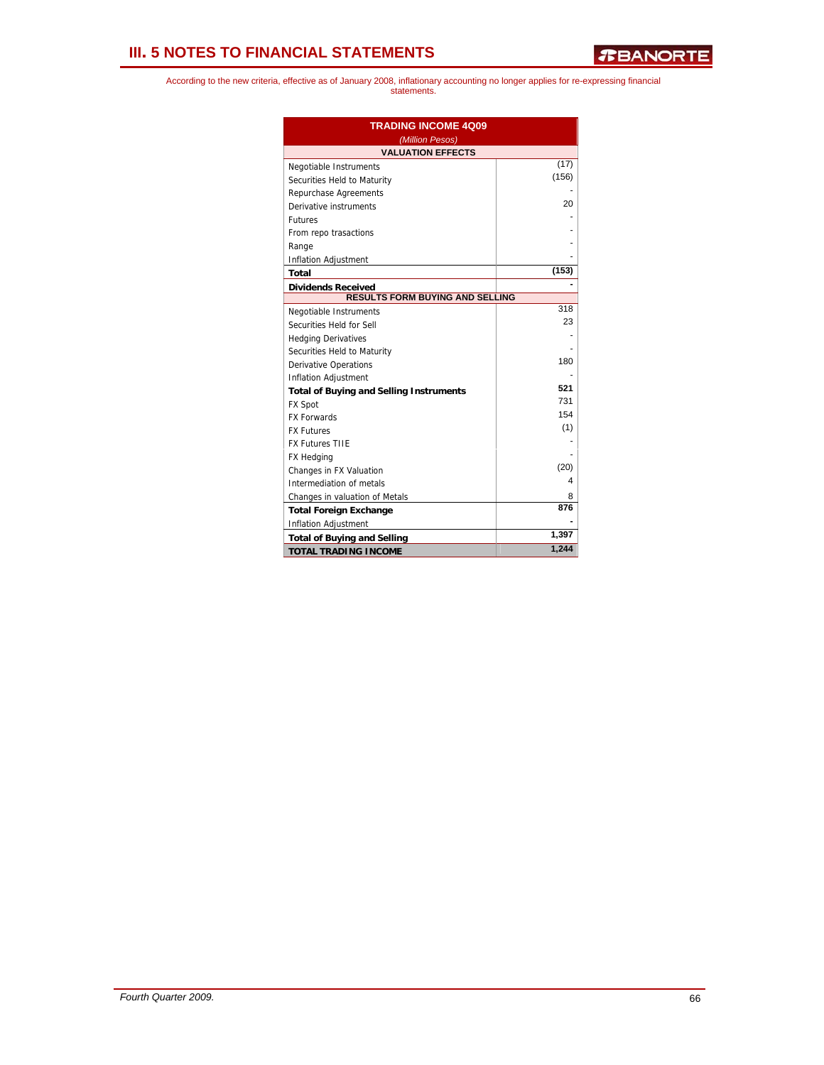| <b>TRADING INCOME 4009</b><br>(Million Pesos)  |       |  |  |  |  |  |
|------------------------------------------------|-------|--|--|--|--|--|
| <b>VALUATION EFFECTS</b>                       |       |  |  |  |  |  |
| Negotiable Instruments                         | (17)  |  |  |  |  |  |
| Securities Held to Maturity                    | (156) |  |  |  |  |  |
| Repurchase Agreements                          |       |  |  |  |  |  |
| Derivative instruments                         | 20    |  |  |  |  |  |
| <b>Futures</b>                                 |       |  |  |  |  |  |
| From repo trasactions                          |       |  |  |  |  |  |
| Range                                          |       |  |  |  |  |  |
| Inflation Adjustment                           |       |  |  |  |  |  |
| Total                                          | (153) |  |  |  |  |  |
| <b>Dividends Received</b>                      |       |  |  |  |  |  |
| RESULTS FORM BUYING AND SELLING                |       |  |  |  |  |  |
| Negotiable Instruments                         | 318   |  |  |  |  |  |
| Securities Held for Sell                       | 23    |  |  |  |  |  |
| <b>Hedging Derivatives</b>                     |       |  |  |  |  |  |
| Securities Held to Maturity                    |       |  |  |  |  |  |
| <b>Derivative Operations</b>                   | 180   |  |  |  |  |  |
| <b>Inflation Adjustment</b>                    |       |  |  |  |  |  |
| <b>Total of Buying and Selling Instruments</b> | 521   |  |  |  |  |  |
| <b>FX Spot</b>                                 | 731   |  |  |  |  |  |
| <b>FX Forwards</b>                             | 154   |  |  |  |  |  |
| <b>FX Futures</b>                              | (1)   |  |  |  |  |  |
| <b>FX Futures TIIE</b>                         |       |  |  |  |  |  |
| FX Hedging                                     |       |  |  |  |  |  |
| Changes in FX Valuation                        | (20)  |  |  |  |  |  |
| Intermediation of metals                       | 4     |  |  |  |  |  |
| Changes in valuation of Metals                 | 8     |  |  |  |  |  |
| <b>Total Foreign Exchange</b>                  | 876   |  |  |  |  |  |
| Inflation Adjustment                           |       |  |  |  |  |  |
| <b>Total of Buying and Selling</b>             | 1,397 |  |  |  |  |  |
| <b>TOTAL TRADING INCOME</b>                    | 1,244 |  |  |  |  |  |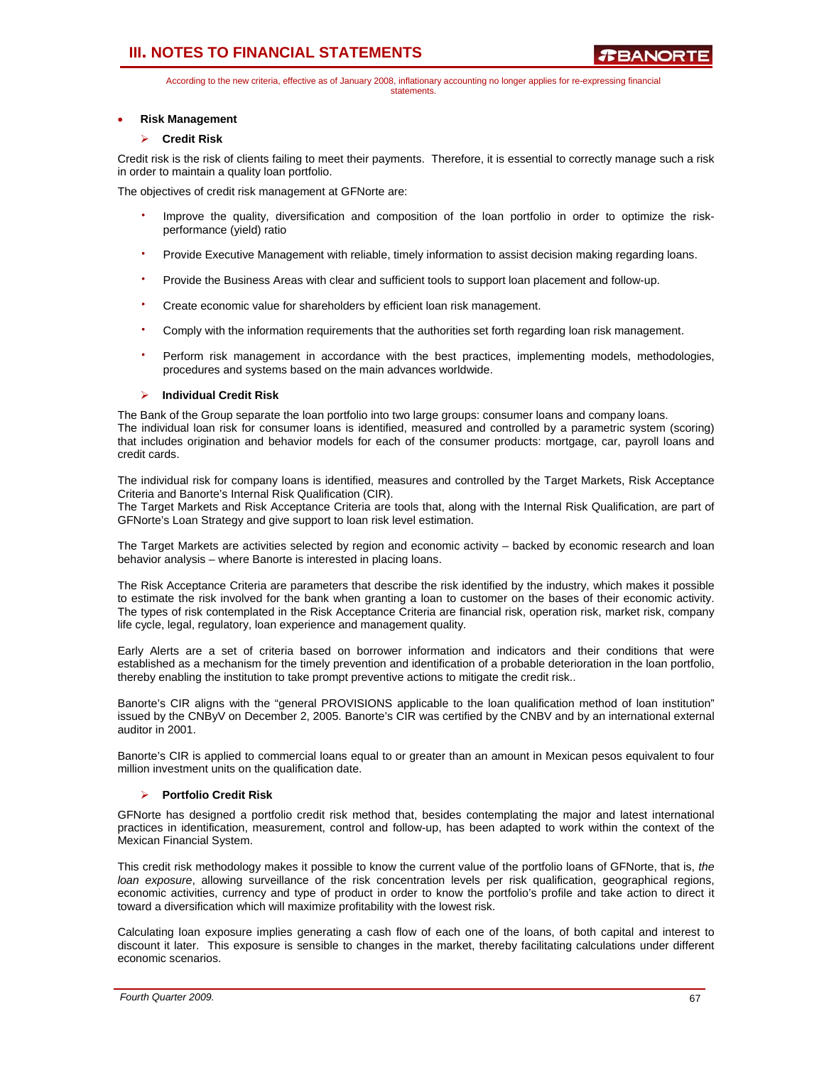According to the new criteria, effective as of January 2008, inflationary accounting no longer applies for re-expressing financial statements.

## • **Risk Management**

## ¾ **Credit Risk**

Credit risk is the risk of clients failing to meet their payments. Therefore, it is essential to correctly manage such a risk in order to maintain a quality loan portfolio.

The objectives of credit risk management at GFNorte are:

- Improve the quality, diversification and composition of the loan portfolio in order to optimize the riskperformance (yield) ratio
- Provide Executive Management with reliable, timely information to assist decision making regarding loans.
- Provide the Business Areas with clear and sufficient tools to support loan placement and follow-up.
- Create economic value for shareholders by efficient loan risk management.
- Comply with the information requirements that the authorities set forth regarding loan risk management.
- Perform risk management in accordance with the best practices, implementing models, methodologies, procedures and systems based on the main advances worldwide.

## ¾ **Individual Credit Risk**

The Bank of the Group separate the loan portfolio into two large groups: consumer loans and company loans. The individual loan risk for consumer loans is identified, measured and controlled by a parametric system (scoring) that includes origination and behavior models for each of the consumer products: mortgage, car, payroll loans and credit cards.

The individual risk for company loans is identified, measures and controlled by the Target Markets, Risk Acceptance Criteria and Banorte's Internal Risk Qualification (CIR).

The Target Markets and Risk Acceptance Criteria are tools that, along with the Internal Risk Qualification, are part of GFNorte's Loan Strategy and give support to loan risk level estimation.

The Target Markets are activities selected by region and economic activity – backed by economic research and loan behavior analysis – where Banorte is interested in placing loans.

The Risk Acceptance Criteria are parameters that describe the risk identified by the industry, which makes it possible to estimate the risk involved for the bank when granting a loan to customer on the bases of their economic activity. The types of risk contemplated in the Risk Acceptance Criteria are financial risk, operation risk, market risk, company life cycle, legal, regulatory, loan experience and management quality.

Early Alerts are a set of criteria based on borrower information and indicators and their conditions that were established as a mechanism for the timely prevention and identification of a probable deterioration in the loan portfolio, thereby enabling the institution to take prompt preventive actions to mitigate the credit risk..

Banorte's CIR aligns with the "general PROVISIONS applicable to the loan qualification method of loan institution" issued by the CNByV on December 2, 2005. Banorte's CIR was certified by the CNBV and by an international external auditor in 2001.

Banorte's CIR is applied to commercial loans equal to or greater than an amount in Mexican pesos equivalent to four million investment units on the qualification date.

### ¾ **Portfolio Credit Risk**

GFNorte has designed a portfolio credit risk method that, besides contemplating the major and latest international practices in identification, measurement, control and follow-up, has been adapted to work within the context of the Mexican Financial System.

This credit risk methodology makes it possible to know the current value of the portfolio loans of GFNorte, that is, *the loan exposure*, allowing surveillance of the risk concentration levels per risk qualification, geographical regions, economic activities, currency and type of product in order to know the portfolio's profile and take action to direct it toward a diversification which will maximize profitability with the lowest risk.

Calculating loan exposure implies generating a cash flow of each one of the loans, of both capital and interest to discount it later. This exposure is sensible to changes in the market, thereby facilitating calculations under different economic scenarios.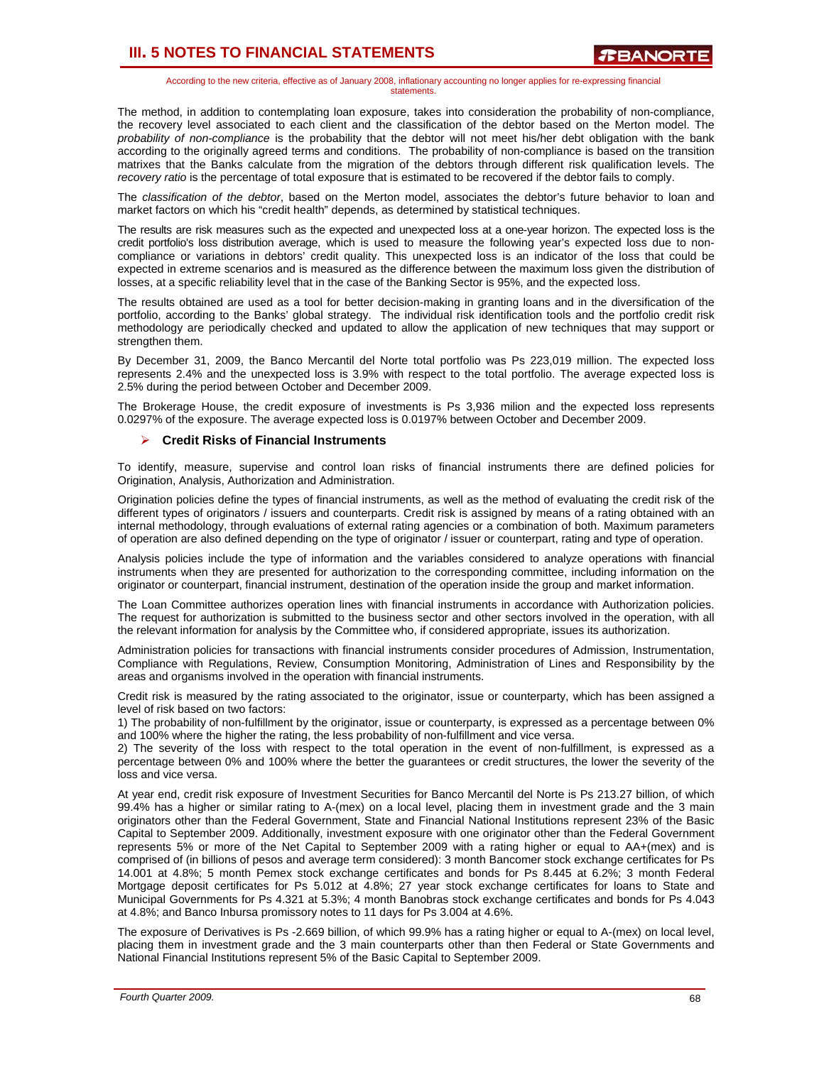According to the new criteria, effective as of January 2008, inflationary accounting no longer applies for re-expressing financial statements.

The method, in addition to contemplating loan exposure, takes into consideration the probability of non-compliance, the recovery level associated to each client and the classification of the debtor based on the Merton model. The *probability of non-compliance* is the probability that the debtor will not meet his/her debt obligation with the bank according to the originally agreed terms and conditions. The probability of non-compliance is based on the transition matrixes that the Banks calculate from the migration of the debtors through different risk qualification levels. The *recovery ratio* is the percentage of total exposure that is estimated to be recovered if the debtor fails to comply.

The *classification of the debtor*, based on the Merton model, associates the debtor's future behavior to loan and market factors on which his "credit health" depends, as determined by statistical techniques.

The results are risk measures such as the expected and unexpected loss at a one-year horizon. The expected loss is the credit portfolio's loss distribution average, which is used to measure the following year's expected loss due to noncompliance or variations in debtors' credit quality. This unexpected loss is an indicator of the loss that could be expected in extreme scenarios and is measured as the difference between the maximum loss given the distribution of losses, at a specific reliability level that in the case of the Banking Sector is 95%, and the expected loss.

The results obtained are used as a tool for better decision-making in granting loans and in the diversification of the portfolio, according to the Banks' global strategy. The individual risk identification tools and the portfolio credit risk methodology are periodically checked and updated to allow the application of new techniques that may support or strengthen them.

By December 31, 2009, the Banco Mercantil del Norte total portfolio was Ps 223,019 million. The expected loss represents 2.4% and the unexpected loss is 3.9% with respect to the total portfolio. The average expected loss is 2.5% during the period between October and December 2009.

The Brokerage House, the credit exposure of investments is Ps 3,936 milion and the expected loss represents 0.0297% of the exposure. The average expected loss is 0.0197% between October and December 2009.

### ¾ **Credit Risks of Financial Instruments**

To identify, measure, supervise and control loan risks of financial instruments there are defined policies for Origination, Analysis, Authorization and Administration.

Origination policies define the types of financial instruments, as well as the method of evaluating the credit risk of the different types of originators / issuers and counterparts. Credit risk is assigned by means of a rating obtained with an internal methodology, through evaluations of external rating agencies or a combination of both. Maximum parameters of operation are also defined depending on the type of originator / issuer or counterpart, rating and type of operation.

Analysis policies include the type of information and the variables considered to analyze operations with financial instruments when they are presented for authorization to the corresponding committee, including information on the originator or counterpart, financial instrument, destination of the operation inside the group and market information.

The Loan Committee authorizes operation lines with financial instruments in accordance with Authorization policies. The request for authorization is submitted to the business sector and other sectors involved in the operation, with all the relevant information for analysis by the Committee who, if considered appropriate, issues its authorization.

Administration policies for transactions with financial instruments consider procedures of Admission, Instrumentation, Compliance with Regulations, Review, Consumption Monitoring, Administration of Lines and Responsibility by the areas and organisms involved in the operation with financial instruments.

Credit risk is measured by the rating associated to the originator, issue or counterparty, which has been assigned a level of risk based on two factors:

1) The probability of non-fulfillment by the originator, issue or counterparty, is expressed as a percentage between 0% and 100% where the higher the rating, the less probability of non-fulfillment and vice versa.

2) The severity of the loss with respect to the total operation in the event of non-fulfillment, is expressed as a percentage between 0% and 100% where the better the guarantees or credit structures, the lower the severity of the loss and vice versa.

At year end, credit risk exposure of Investment Securities for Banco Mercantil del Norte is Ps 213.27 billion, of which 99.4% has a higher or similar rating to A-(mex) on a local level, placing them in investment grade and the 3 main originators other than the Federal Government, State and Financial National Institutions represent 23% of the Basic Capital to September 2009. Additionally, investment exposure with one originator other than the Federal Government represents 5% or more of the Net Capital to September 2009 with a rating higher or equal to AA+(mex) and is comprised of (in billions of pesos and average term considered): 3 month Bancomer stock exchange certificates for Ps 14.001 at 4.8%; 5 month Pemex stock exchange certificates and bonds for Ps 8.445 at 6.2%; 3 month Federal Mortgage deposit certificates for Ps 5.012 at 4.8%; 27 year stock exchange certificates for loans to State and Municipal Governments for Ps 4.321 at 5.3%; 4 month Banobras stock exchange certificates and bonds for Ps 4.043 at 4.8%; and Banco Inbursa promissory notes to 11 days for Ps 3.004 at 4.6%.

The exposure of Derivatives is Ps -2.669 billion, of which 99.9% has a rating higher or equal to A-(mex) on local level, placing them in investment grade and the 3 main counterparts other than then Federal or State Governments and National Financial Institutions represent 5% of the Basic Capital to September 2009.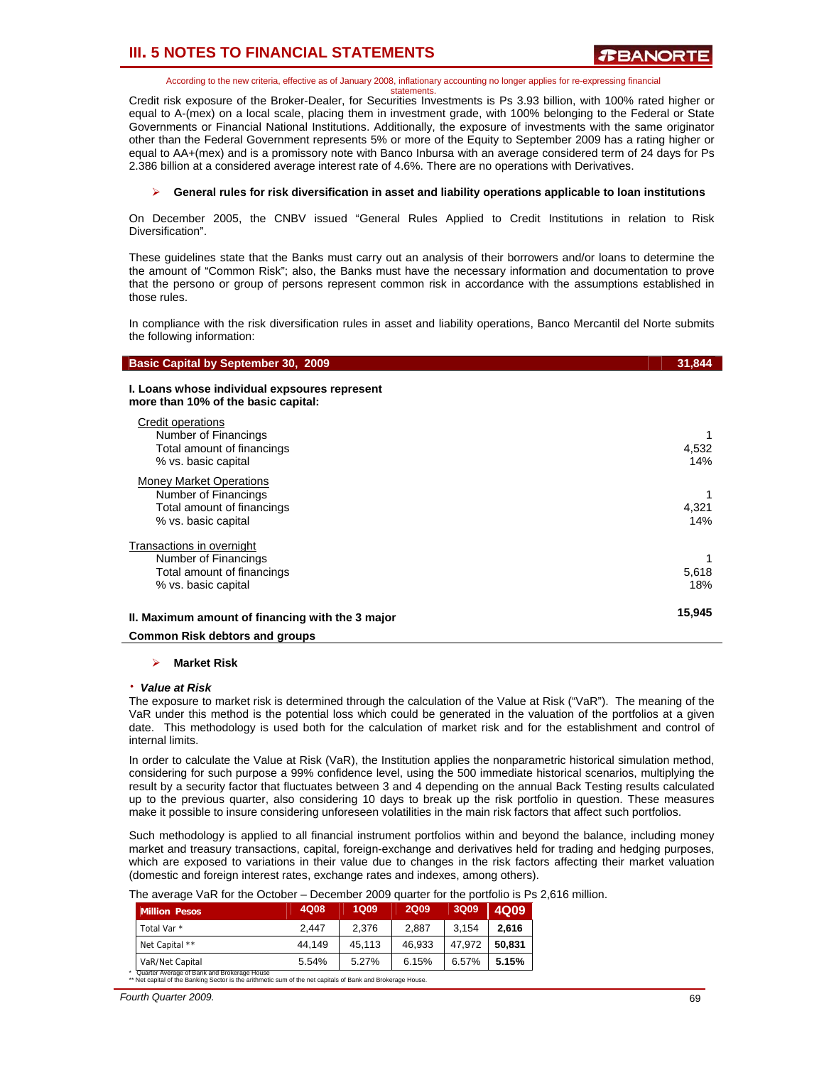According to the new criteria, effective as of January 2008, inflationary accounting no longer applies for re-expressing financial

statements. Credit risk exposure of the Broker-Dealer, for Securities Investments is Ps 3.93 billion, with 100% rated higher or equal to A-(mex) on a local scale, placing them in investment grade, with 100% belonging to the Federal or State Governments or Financial National Institutions. Additionally, the exposure of investments with the same originator other than the Federal Government represents 5% or more of the Equity to September 2009 has a rating higher or equal to AA+(mex) and is a promissory note with Banco Inbursa with an average considered term of 24 days for Ps 2.386 billion at a considered average interest rate of 4.6%. There are no operations with Derivatives.

### ¾ **General rules for risk diversification in asset and liability operations applicable to loan institutions**

On December 2005, the CNBV issued "General Rules Applied to Credit Institutions in relation to Risk Diversification".

These guidelines state that the Banks must carry out an analysis of their borrowers and/or loans to determine the the amount of "Common Risk"; also, the Banks must have the necessary information and documentation to prove that the persono or group of persons represent common risk in accordance with the assumptions established in those rules.

In compliance with the risk diversification rules in asset and liability operations, Banco Mercantil del Norte submits the following information:

| <b>Basic Capital by September 30, 2009</b>                                                                  | 31.844       |
|-------------------------------------------------------------------------------------------------------------|--------------|
| I. Loans whose individual expsoures represent<br>more than 10% of the basic capital:                        |              |
| Credit operations<br>Number of Financings<br>Total amount of financings<br>% vs. basic capital              | 4,532<br>14% |
| <b>Money Market Operations</b><br>Number of Financings<br>Total amount of financings<br>% vs. basic capital | 4.321<br>14% |
| Transactions in overnight<br>Number of Financings<br>Total amount of financings<br>% vs. basic capital      | 5,618<br>18% |

## **II. Maximum amount of financing with the 3 major 15,945**

### **Common Risk debtors and groups**

#### ¾ **Market Risk**

#### ⋅ *Value at Risk*

The exposure to market risk is determined through the calculation of the Value at Risk ("VaR"). The meaning of the VaR under this method is the potential loss which could be generated in the valuation of the portfolios at a given date. This methodology is used both for the calculation of market risk and for the establishment and control of internal limits.

In order to calculate the Value at Risk (VaR), the Institution applies the nonparametric historical simulation method, considering for such purpose a 99% confidence level, using the 500 immediate historical scenarios, multiplying the result by a security factor that fluctuates between 3 and 4 depending on the annual Back Testing results calculated up to the previous quarter, also considering 10 days to break up the risk portfolio in question. These measures make it possible to insure considering unforeseen volatilities in the main risk factors that affect such portfolios.

Such methodology is applied to all financial instrument portfolios within and beyond the balance, including money market and treasury transactions, capital, foreign-exchange and derivatives held for trading and hedging purposes, which are exposed to variations in their value due to changes in the risk factors affecting their market valuation (domestic and foreign interest rates, exchange rates and indexes, among others).

|  | The average VaR for the October – December 2009 quarter for the portfolio is Ps 2,616 million. |  |  |
|--|------------------------------------------------------------------------------------------------|--|--|
|--|------------------------------------------------------------------------------------------------|--|--|

| <b>Million Pesos</b>                        | 4Q08   | 1Q09   | <b>2Q09</b> | 3Q09   | 4Q09   |
|---------------------------------------------|--------|--------|-------------|--------|--------|
| Total Var *                                 | 2.447  | 2.376  | 2.887       | 3.154  | 2.616  |
| Net Capital **                              | 44.149 | 45.113 | 46.933      | 47.972 | 50.831 |
| VaR/Net Capital                             | 5.54%  | 5.27%  | 6.15%       | 6.57%  | 5.15%  |
| Quarter Average of Bank and Brokerage House |        |        |             |        |        |

\* Quarter Average of Bank and Brokerage House \*\* Net capital of the Banking Sector is the arithmetic sum of the net capitals of Bank and Brokerage House.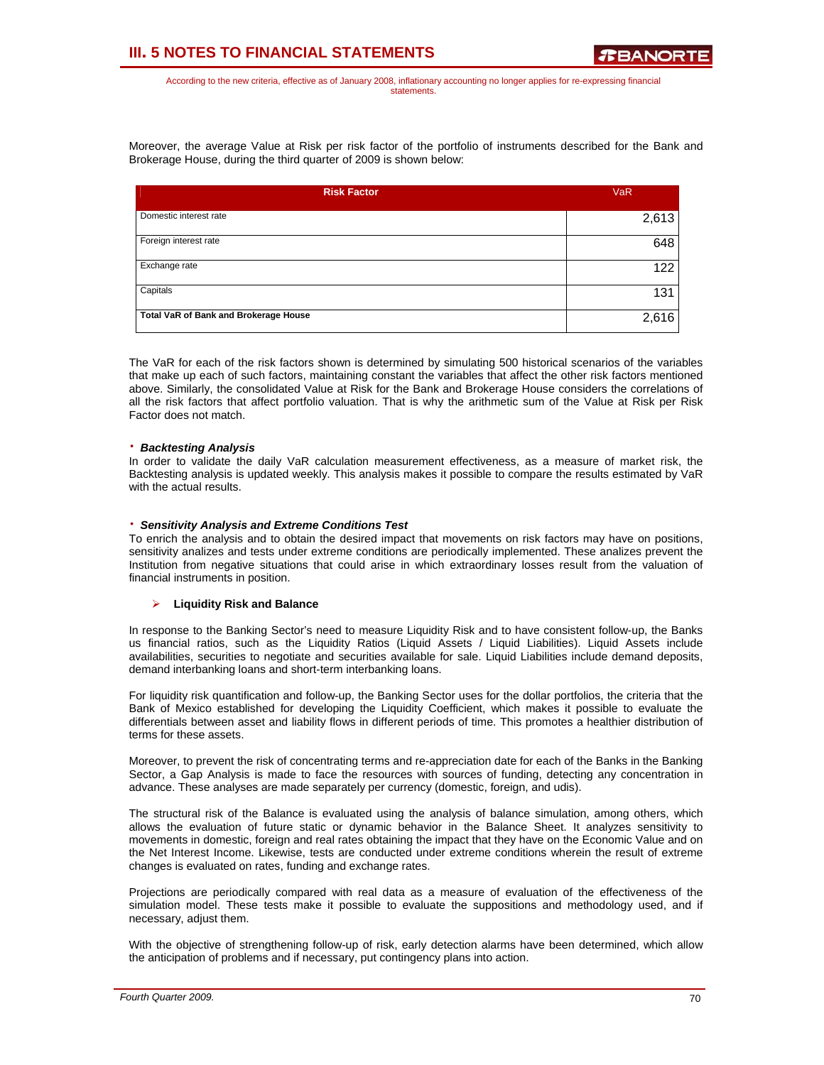According to the new criteria, effective as of January 2008, inflationary accounting no longer applies for re-expressing financial statements.

Moreover, the average Value at Risk per risk factor of the portfolio of instruments described for the Bank and Brokerage House, during the third quarter of 2009 is shown below:

| <b>Risk Factor</b>                    | <b>VaR</b> |
|---------------------------------------|------------|
| Domestic interest rate                | 2,613      |
| Foreign interest rate                 | 648        |
| Exchange rate                         | 122        |
| Capitals                              | 131        |
| Total VaR of Bank and Brokerage House | 2,616      |

The VaR for each of the risk factors shown is determined by simulating 500 historical scenarios of the variables that make up each of such factors, maintaining constant the variables that affect the other risk factors mentioned above. Similarly, the consolidated Value at Risk for the Bank and Brokerage House considers the correlations of all the risk factors that affect portfolio valuation. That is why the arithmetic sum of the Value at Risk per Risk Factor does not match.

### ⋅ *Backtesting Analysis*

In order to validate the daily VaR calculation measurement effectiveness, as a measure of market risk, the Backtesting analysis is updated weekly. This analysis makes it possible to compare the results estimated by VaR with the actual results.

### ⋅ *Sensitivity Analysis and Extreme Conditions Test*

To enrich the analysis and to obtain the desired impact that movements on risk factors may have on positions, sensitivity analizes and tests under extreme conditions are periodically implemented. These analizes prevent the Institution from negative situations that could arise in which extraordinary losses result from the valuation of financial instruments in position.

### ¾ **Liquidity Risk and Balance**

In response to the Banking Sector's need to measure Liquidity Risk and to have consistent follow-up, the Banks us financial ratios, such as the Liquidity Ratios (Liquid Assets / Liquid Liabilities). Liquid Assets include availabilities, securities to negotiate and securities available for sale. Liquid Liabilities include demand deposits, demand interbanking loans and short-term interbanking loans.

For liquidity risk quantification and follow-up, the Banking Sector uses for the dollar portfolios, the criteria that the Bank of Mexico established for developing the Liquidity Coefficient, which makes it possible to evaluate the differentials between asset and liability flows in different periods of time. This promotes a healthier distribution of terms for these assets.

Moreover, to prevent the risk of concentrating terms and re-appreciation date for each of the Banks in the Banking Sector, a Gap Analysis is made to face the resources with sources of funding, detecting any concentration in advance. These analyses are made separately per currency (domestic, foreign, and udis).

The structural risk of the Balance is evaluated using the analysis of balance simulation, among others, which allows the evaluation of future static or dynamic behavior in the Balance Sheet. It analyzes sensitivity to movements in domestic, foreign and real rates obtaining the impact that they have on the Economic Value and on the Net Interest Income. Likewise, tests are conducted under extreme conditions wherein the result of extreme changes is evaluated on rates, funding and exchange rates.

Projections are periodically compared with real data as a measure of evaluation of the effectiveness of the simulation model. These tests make it possible to evaluate the suppositions and methodology used, and if necessary, adjust them.

With the objective of strengthening follow-up of risk, early detection alarms have been determined, which allow the anticipation of problems and if necessary, put contingency plans into action.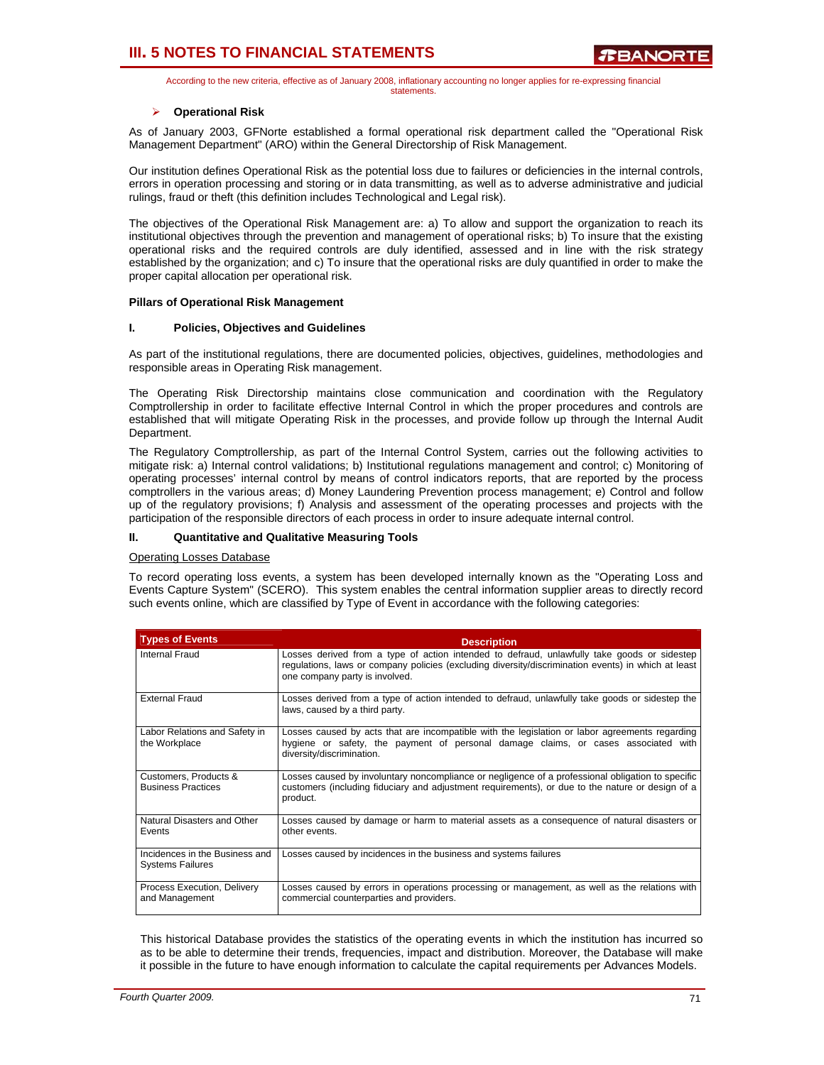According to the new criteria, effective as of January 2008, inflationary accounting no longer applies for re-expressing financial statements.

### ¾ **Operational Risk**

As of January 2003, GFNorte established a formal operational risk department called the "Operational Risk Management Department" (ARO) within the General Directorship of Risk Management.

Our institution defines Operational Risk as the potential loss due to failures or deficiencies in the internal controls, errors in operation processing and storing or in data transmitting, as well as to adverse administrative and judicial rulings, fraud or theft (this definition includes Technological and Legal risk).

The objectives of the Operational Risk Management are: a) To allow and support the organization to reach its institutional objectives through the prevention and management of operational risks; b) To insure that the existing operational risks and the required controls are duly identified, assessed and in line with the risk strategy established by the organization; and c) To insure that the operational risks are duly quantified in order to make the proper capital allocation per operational risk.

### **Pillars of Operational Risk Management**

### **I. Policies, Objectives and Guidelines**

As part of the institutional regulations, there are documented policies, objectives, guidelines, methodologies and responsible areas in Operating Risk management.

The Operating Risk Directorship maintains close communication and coordination with the Regulatory Comptrollership in order to facilitate effective Internal Control in which the proper procedures and controls are established that will mitigate Operating Risk in the processes, and provide follow up through the Internal Audit Department.

The Regulatory Comptrollership, as part of the Internal Control System, carries out the following activities to mitigate risk: a) Internal control validations; b) Institutional regulations management and control; c) Monitoring of operating processes' internal control by means of control indicators reports, that are reported by the process comptrollers in the various areas; d) Money Laundering Prevention process management; e) Control and follow up of the regulatory provisions; f) Analysis and assessment of the operating processes and projects with the participation of the responsible directors of each process in order to insure adequate internal control.

## **II. Quantitative and Qualitative Measuring Tools**

#### Operating Losses Database

To record operating loss events, a system has been developed internally known as the "Operating Loss and Events Capture System" (SCERO). This system enables the central information supplier areas to directly record such events online, which are classified by Type of Event in accordance with the following categories:

| <b>Types of Events</b>                                    | <b>Description</b>                                                                                                                                                                                                                   |
|-----------------------------------------------------------|--------------------------------------------------------------------------------------------------------------------------------------------------------------------------------------------------------------------------------------|
| Internal Fraud                                            | Losses derived from a type of action intended to defraud, unlawfully take goods or sidestep<br>regulations, laws or company policies (excluding diversity/discrimination events) in which at least<br>one company party is involved. |
| <b>External Fraud</b>                                     | Losses derived from a type of action intended to defraud, unlawfully take goods or sidestep the<br>laws, caused by a third party.                                                                                                    |
| Labor Relations and Safety in<br>the Workplace            | Losses caused by acts that are incompatible with the legislation or labor agreements regarding<br>hygiene or safety, the payment of personal damage claims, or cases associated with<br>diversity/discrimination.                    |
| Customers, Products &<br><b>Business Practices</b>        | Losses caused by involuntary noncompliance or negligence of a professional obligation to specific<br>customers (including fiduciary and adjustment requirements), or due to the nature or design of a<br>product.                    |
| Natural Disasters and Other<br>Events                     | Losses caused by damage or harm to material assets as a consequence of natural disasters or<br>other events.                                                                                                                         |
| Incidences in the Business and<br><b>Systems Failures</b> | Losses caused by incidences in the business and systems failures                                                                                                                                                                     |
| Process Execution, Delivery<br>and Management             | Losses caused by errors in operations processing or management, as well as the relations with<br>commercial counterparties and providers.                                                                                            |

This historical Database provides the statistics of the operating events in which the institution has incurred so as to be able to determine their trends, frequencies, impact and distribution. Moreover, the Database will make it possible in the future to have enough information to calculate the capital requirements per Advances Models.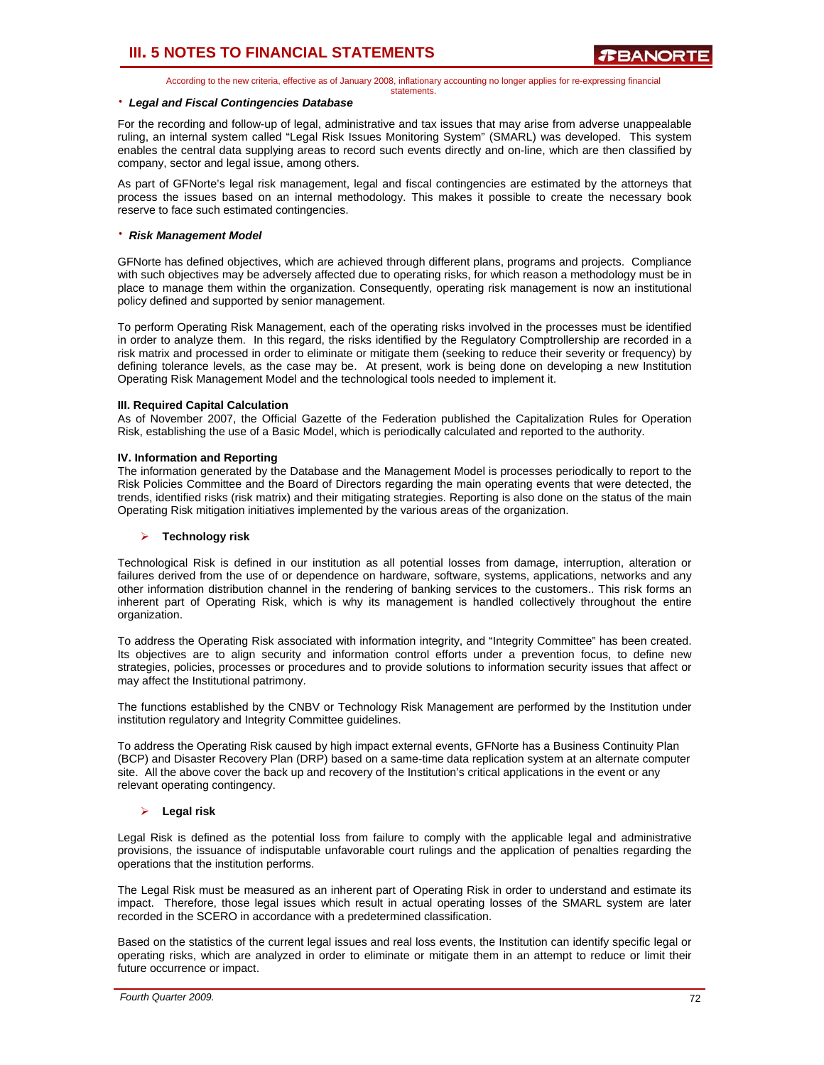According to the new criteria, effective as of January 2008, inflationary accounting no longer applies for re-expressing financial statements.

#### ⋅ *Legal and Fiscal Contingencies Database*

For the recording and follow-up of legal, administrative and tax issues that may arise from adverse unappealable ruling, an internal system called "Legal Risk Issues Monitoring System" (SMARL) was developed. This system enables the central data supplying areas to record such events directly and on-line, which are then classified by company, sector and legal issue, among others.

As part of GFNorte's legal risk management, legal and fiscal contingencies are estimated by the attorneys that process the issues based on an internal methodology. This makes it possible to create the necessary book reserve to face such estimated contingencies.

### ⋅ *Risk Management Model*

GFNorte has defined objectives, which are achieved through different plans, programs and projects. Compliance with such objectives may be adversely affected due to operating risks, for which reason a methodology must be in place to manage them within the organization. Consequently, operating risk management is now an institutional policy defined and supported by senior management.

To perform Operating Risk Management, each of the operating risks involved in the processes must be identified in order to analyze them. In this regard, the risks identified by the Regulatory Comptrollership are recorded in a risk matrix and processed in order to eliminate or mitigate them (seeking to reduce their severity or frequency) by defining tolerance levels, as the case may be. At present, work is being done on developing a new Institution Operating Risk Management Model and the technological tools needed to implement it.

### **III. Required Capital Calculation**

As of November 2007, the Official Gazette of the Federation published the Capitalization Rules for Operation Risk, establishing the use of a Basic Model, which is periodically calculated and reported to the authority.

### **IV. Information and Reporting**

The information generated by the Database and the Management Model is processes periodically to report to the Risk Policies Committee and the Board of Directors regarding the main operating events that were detected, the trends, identified risks (risk matrix) and their mitigating strategies. Reporting is also done on the status of the main Operating Risk mitigation initiatives implemented by the various areas of the organization.

### ¾ **Technology risk**

Technological Risk is defined in our institution as all potential losses from damage, interruption, alteration or failures derived from the use of or dependence on hardware, software, systems, applications, networks and any other information distribution channel in the rendering of banking services to the customers.. This risk forms an inherent part of Operating Risk, which is why its management is handled collectively throughout the entire organization.

To address the Operating Risk associated with information integrity, and "Integrity Committee" has been created. Its objectives are to align security and information control efforts under a prevention focus, to define new strategies, policies, processes or procedures and to provide solutions to information security issues that affect or may affect the Institutional patrimony.

The functions established by the CNBV or Technology Risk Management are performed by the Institution under institution regulatory and Integrity Committee guidelines.

To address the Operating Risk caused by high impact external events, GFNorte has a Business Continuity Plan (BCP) and Disaster Recovery Plan (DRP) based on a same-time data replication system at an alternate computer site. All the above cover the back up and recovery of the Institution's critical applications in the event or any relevant operating contingency.

### ¾ **Legal risk**

Legal Risk is defined as the potential loss from failure to comply with the applicable legal and administrative provisions, the issuance of indisputable unfavorable court rulings and the application of penalties regarding the operations that the institution performs.

The Legal Risk must be measured as an inherent part of Operating Risk in order to understand and estimate its impact. Therefore, those legal issues which result in actual operating losses of the SMARL system are later recorded in the SCERO in accordance with a predetermined classification.

Based on the statistics of the current legal issues and real loss events, the Institution can identify specific legal or operating risks, which are analyzed in order to eliminate or mitigate them in an attempt to reduce or limit their future occurrence or impact.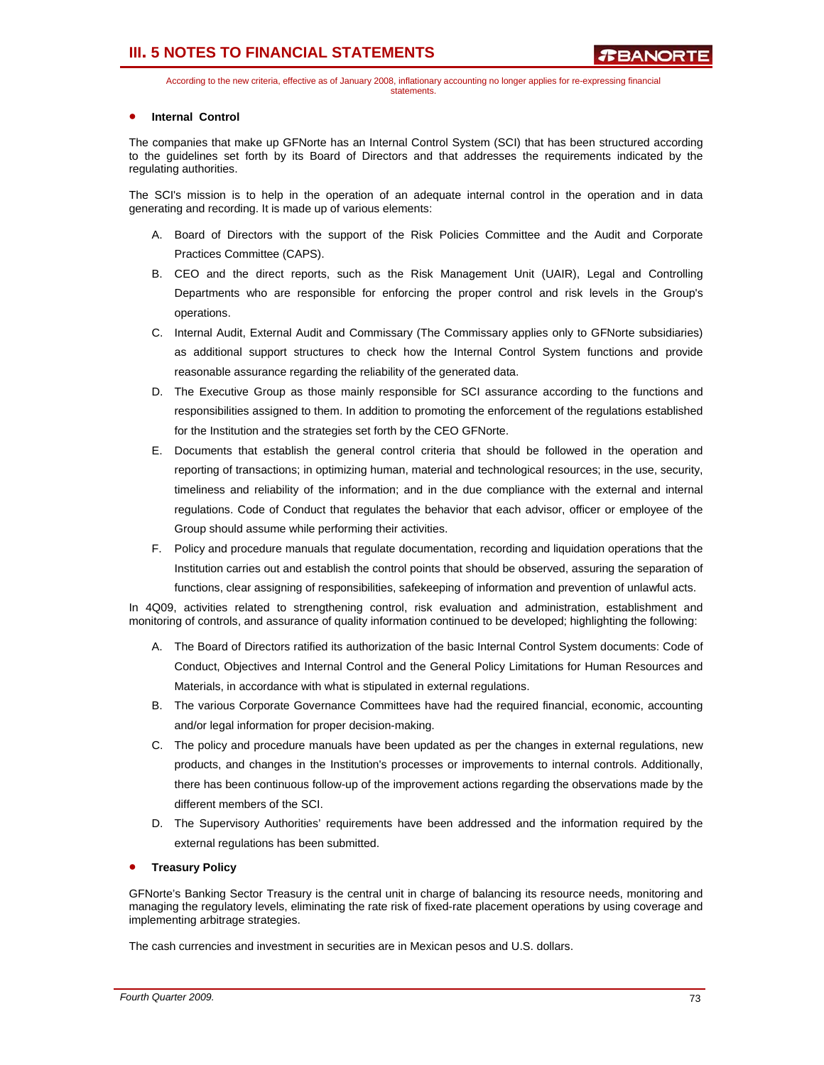# **III. 5 NOTES TO FINANCIAL STATEMENTS**

According to the new criteria, effective as of January 2008, inflationary accounting no longer applies for re-expressing financial statements.

## **Internal Control**

The companies that make up GFNorte has an Internal Control System (SCI) that has been structured according to the guidelines set forth by its Board of Directors and that addresses the requirements indicated by the regulating authorities.

The SCI's mission is to help in the operation of an adequate internal control in the operation and in data generating and recording. It is made up of various elements:

- A. Board of Directors with the support of the Risk Policies Committee and the Audit and Corporate Practices Committee (CAPS).
- B. CEO and the direct reports, such as the Risk Management Unit (UAIR), Legal and Controlling Departments who are responsible for enforcing the proper control and risk levels in the Group's operations.
- C. Internal Audit, External Audit and Commissary (The Commissary applies only to GFNorte subsidiaries) as additional support structures to check how the Internal Control System functions and provide reasonable assurance regarding the reliability of the generated data.
- D. The Executive Group as those mainly responsible for SCI assurance according to the functions and responsibilities assigned to them. In addition to promoting the enforcement of the regulations established for the Institution and the strategies set forth by the CEO GFNorte.
- E. Documents that establish the general control criteria that should be followed in the operation and reporting of transactions; in optimizing human, material and technological resources; in the use, security, timeliness and reliability of the information; and in the due compliance with the external and internal regulations. Code of Conduct that regulates the behavior that each advisor, officer or employee of the Group should assume while performing their activities.
- F. Policy and procedure manuals that regulate documentation, recording and liquidation operations that the Institution carries out and establish the control points that should be observed, assuring the separation of functions, clear assigning of responsibilities, safekeeping of information and prevention of unlawful acts.

In 4Q09, activities related to strengthening control, risk evaluation and administration, establishment and monitoring of controls, and assurance of quality information continued to be developed; highlighting the following:

- A. The Board of Directors ratified its authorization of the basic Internal Control System documents: Code of Conduct, Objectives and Internal Control and the General Policy Limitations for Human Resources and Materials, in accordance with what is stipulated in external regulations.
- B. The various Corporate Governance Committees have had the required financial, economic, accounting and/or legal information for proper decision-making.
- C. The policy and procedure manuals have been updated as per the changes in external regulations, new products, and changes in the Institution's processes or improvements to internal controls. Additionally, there has been continuous follow-up of the improvement actions regarding the observations made by the different members of the SCI.
- D. The Supervisory Authorities' requirements have been addressed and the information required by the external regulations has been submitted.

### • **Treasury Policy**

GFNorte's Banking Sector Treasury is the central unit in charge of balancing its resource needs, monitoring and managing the regulatory levels, eliminating the rate risk of fixed-rate placement operations by using coverage and implementing arbitrage strategies.

The cash currencies and investment in securities are in Mexican pesos and U.S. dollars.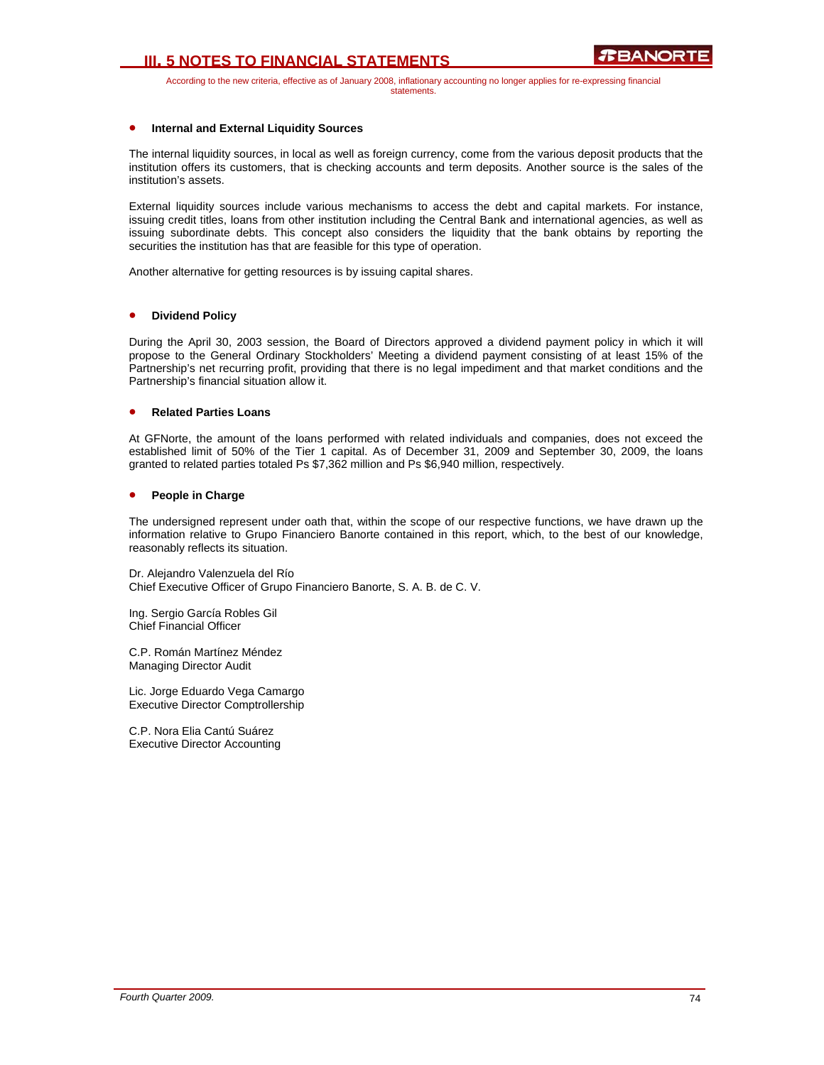# **III. 5 NOTES TO FINANCIAL STATEMENTS**

According to the new criteria, effective as of January 2008, inflationary accounting no longer applies for re-expressing financial statements.

# • **Internal and External Liquidity Sources**

The internal liquidity sources, in local as well as foreign currency, come from the various deposit products that the institution offers its customers, that is checking accounts and term deposits. Another source is the sales of the institution's assets.

External liquidity sources include various mechanisms to access the debt and capital markets. For instance, issuing credit titles, loans from other institution including the Central Bank and international agencies, as well as issuing subordinate debts. This concept also considers the liquidity that the bank obtains by reporting the securities the institution has that are feasible for this type of operation.

Another alternative for getting resources is by issuing capital shares.

#### • **Dividend Policy**

During the April 30, 2003 session, the Board of Directors approved a dividend payment policy in which it will propose to the General Ordinary Stockholders' Meeting a dividend payment consisting of at least 15% of the Partnership's net recurring profit, providing that there is no legal impediment and that market conditions and the Partnership's financial situation allow it.

#### • **Related Parties Loans**

At GFNorte, the amount of the loans performed with related individuals and companies, does not exceed the established limit of 50% of the Tier 1 capital. As of December 31, 2009 and September 30, 2009, the loans granted to related parties totaled Ps \$7,362 million and Ps \$6,940 million, respectively.

#### • **People in Charge**

The undersigned represent under oath that, within the scope of our respective functions, we have drawn up the information relative to Grupo Financiero Banorte contained in this report, which, to the best of our knowledge, reasonably reflects its situation.

Dr. Alejandro Valenzuela del Río Chief Executive Officer of Grupo Financiero Banorte, S. A. B. de C. V.

Ing. Sergio García Robles Gil Chief Financial Officer

C.P. Román Martínez Méndez Managing Director Audit

Lic. Jorge Eduardo Vega Camargo Executive Director Comptrollership

C.P. Nora Elia Cantú Suárez Executive Director Accounting